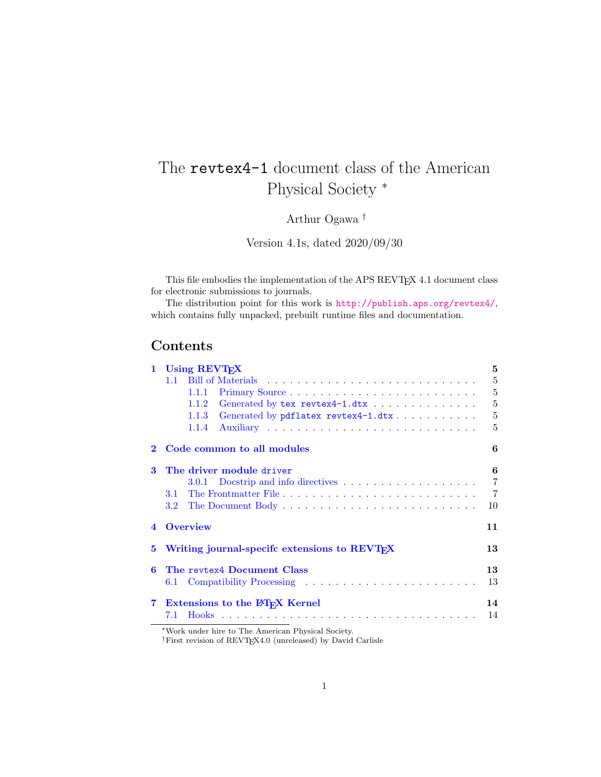# The revtex4-1 document class of the American Physical Society <sup>∗</sup>

Arthur Ogawa †

Version 4.1s, dated 2020/09/30

This file embodies the implementation of the APS REVTEX 4.1 document class for electronic submissions to journals.

The distribution point for this work is <http://publish.aps.org/revtex4/>, which contains fully unpacked, prebuilt runtime files and documentation.

# Contents

| $\mathbf{1}$            | Using REVT <sub>F</sub> X                                 |                |
|-------------------------|-----------------------------------------------------------|----------------|
|                         | $11^{-}$                                                  | 5              |
|                         | 1.1.1                                                     | 5              |
|                         | 1.1.2                                                     | 5              |
|                         | Generated by pdflatex revtex4-1.dtx<br>1.1.3              | 5              |
|                         | 1.1.4                                                     | 5              |
| 2                       | Code common to all modules                                | 6              |
| 3                       | The driver module driver                                  | 6              |
|                         | 3.0.1 Docstrip and info directives                        | $\overline{7}$ |
|                         | The Frontmatter File<br>3.1                               | $\overline{7}$ |
|                         | $3.2\,$                                                   | 10             |
| $\overline{\mathbf{4}}$ | <b>Overview</b>                                           | 11             |
| 5                       | Writing journal-specifc extensions to REVT <sub>F</sub> X | 13             |
| 6                       | The revtex4 Document Class                                | 13             |
|                         | 6.1                                                       | 13             |
| 7                       | <b>Extensions to the IATFX Kernel</b>                     | 14             |
|                         | 7.1                                                       | 14             |

<sup>∗</sup>Work under hire to The American Physical Society.

†First revision of REVTEX4.0 (unreleased) by David Carlisle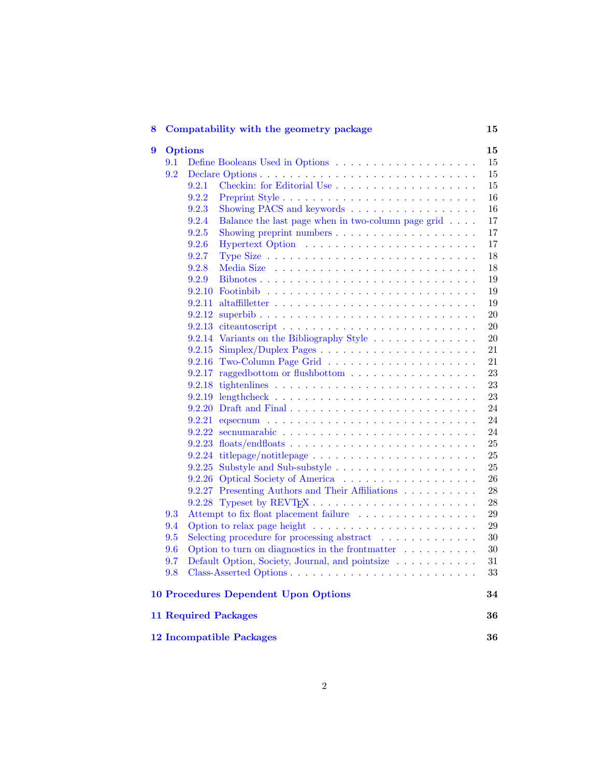| 8                                                    |                      | Compatability with the geometry package                                                           | 15        |
|------------------------------------------------------|----------------------|---------------------------------------------------------------------------------------------------|-----------|
| 9                                                    | <b>Options</b><br>15 |                                                                                                   |           |
|                                                      | 9.1                  |                                                                                                   | 15        |
|                                                      | 9.2                  |                                                                                                   | 15        |
|                                                      |                      | 9.2.1                                                                                             | 15        |
|                                                      |                      | 9.2.2                                                                                             | 16        |
|                                                      |                      | Showing PACS and keywords<br>9.2.3                                                                | 16        |
|                                                      |                      | Balance the last page when in two-column page grid $\ldots$ .<br>9.2.4                            | 17        |
|                                                      |                      | 9.2.5                                                                                             | 17        |
|                                                      |                      | 9.2.6                                                                                             | 17        |
|                                                      |                      | 9.2.7                                                                                             | 18        |
|                                                      |                      | 9.2.8                                                                                             | 18        |
|                                                      |                      | 9.2.9<br>Bibnotes                                                                                 | 19        |
|                                                      |                      | 9.2.10                                                                                            | 19        |
|                                                      |                      | 9.2.11                                                                                            | 19        |
|                                                      |                      | 9.2.12<br>$superbib \ldots \ldots \ldots \ldots \ldots \ldots \ldots \ldots \ldots \ldots \ldots$ | <b>20</b> |
|                                                      |                      |                                                                                                   | <b>20</b> |
|                                                      |                      | 9.2.14 Variants on the Bibliography Style                                                         | <b>20</b> |
|                                                      |                      | 9.2.15                                                                                            | 21        |
|                                                      |                      | 9.2.16 Two-Column Page Grid                                                                       | 21        |
|                                                      |                      | raggedbottom or flushbottom<br>9.2.17                                                             | 23        |
|                                                      |                      |                                                                                                   | 23        |
|                                                      |                      |                                                                                                   | 23        |
|                                                      |                      |                                                                                                   | 24        |
|                                                      |                      |                                                                                                   | 24        |
|                                                      |                      |                                                                                                   | 24        |
|                                                      |                      |                                                                                                   | 25        |
|                                                      |                      |                                                                                                   | 25        |
|                                                      |                      |                                                                                                   | 25        |
|                                                      |                      |                                                                                                   | 26        |
|                                                      |                      | 9.2.27 Presenting Authors and Their Affiliations                                                  | 28        |
|                                                      |                      |                                                                                                   | 28        |
| Attempt to fix float placement failure<br>9.3<br>9.4 |                      |                                                                                                   | 29        |
|                                                      |                      |                                                                                                   | 29        |
|                                                      | 9.5                  |                                                                                                   | 30        |
|                                                      | 9.6                  | Option to turn on diagnostics in the frontmatter $\ldots \ldots \ldots$                           | 30        |
|                                                      | 9.7                  | Default Option, Society, Journal, and pointsize                                                   | 31        |
|                                                      | 9.8                  |                                                                                                   | 33        |
|                                                      |                      | <b>10 Procedures Dependent Upon Options</b>                                                       | 34        |
|                                                      |                      | <b>11 Required Packages</b>                                                                       | 36        |
|                                                      |                      | <b>12 Incompatible Packages</b>                                                                   | 36        |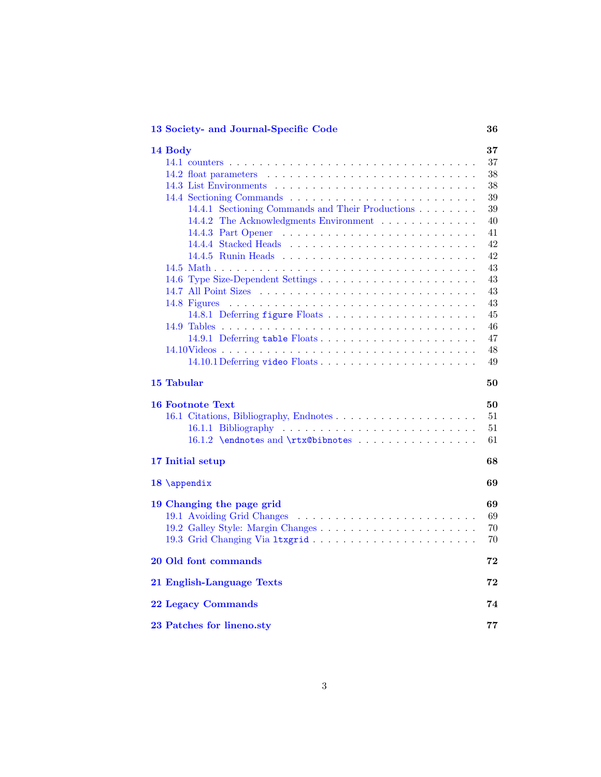| 13 Society- and Journal-Specific Code |  |  |
|---------------------------------------|--|--|
|---------------------------------------|--|--|

| 14 Body                                          | $\bf{37}$ |
|--------------------------------------------------|-----------|
|                                                  | 37        |
|                                                  | 38        |
|                                                  | 38        |
|                                                  | 39        |
| 14.4.1 Sectioning Commands and Their Productions | 39        |
| 14.4.2 The Acknowledgments Environment           | 40        |
|                                                  | 41        |
|                                                  | 42        |
|                                                  | 42        |
|                                                  | 43        |
|                                                  | 43        |
|                                                  | 43        |
|                                                  | 43        |
|                                                  | 45        |
|                                                  | 46        |
| 14.9.1 Deferring table Floats                    | 47        |
|                                                  | 48        |
| 14.10.1 Deferring video Floats                   | 49        |
| 15 Tabular                                       | 50        |
| <b>16 Footnote Text</b>                          | 50        |
|                                                  | 51        |
|                                                  | 51        |
| 16.1.2 \endnotes and \rtx@bibnotes               | 61        |
|                                                  |           |
| 17 Initial setup                                 | 68        |
| 18 \appendix                                     | 69        |
| 19 Changing the page grid                        | 69        |
| 19.1 Avoiding Grid Changes                       | 69        |
|                                                  | 70        |
|                                                  | 70        |
|                                                  |           |
| 20 Old font commands                             | 72        |
| 21 English-Language Texts                        | 72        |
| <b>22 Legacy Commands</b>                        | 74        |
| 23 Patches for lineno.sty                        | 77        |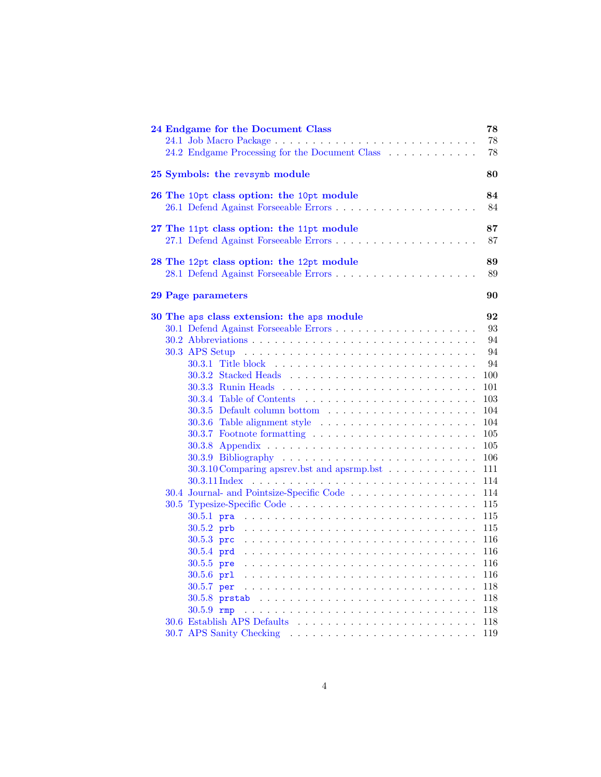| 24 Endgame for the Document Class                                                                                               | 78  |
|---------------------------------------------------------------------------------------------------------------------------------|-----|
|                                                                                                                                 | 78  |
| 24.2 Endgame Processing for the Document Class                                                                                  | 78  |
|                                                                                                                                 |     |
| 25 Symbols: the revsymb module                                                                                                  | 80  |
|                                                                                                                                 |     |
| 26 The 10pt class option: the 10pt module                                                                                       | 84  |
|                                                                                                                                 | 84  |
| 27 The 11pt class option: the 11pt module                                                                                       | 87  |
|                                                                                                                                 | 87  |
|                                                                                                                                 |     |
| 28 The 12pt class option: the 12pt module                                                                                       | 89  |
|                                                                                                                                 | 89  |
|                                                                                                                                 |     |
| 29 Page parameters                                                                                                              | 90  |
| 30 The aps class extension: the aps module                                                                                      | 92  |
|                                                                                                                                 | 93  |
|                                                                                                                                 | 94  |
|                                                                                                                                 | 94  |
|                                                                                                                                 | 94  |
|                                                                                                                                 | 100 |
|                                                                                                                                 | 101 |
|                                                                                                                                 | 103 |
| $30.3.5$ Default column bottom $\ldots \ldots \ldots \ldots \ldots \ldots$                                                      | 104 |
| $30.3.6$ Table alignment style $\dots \dots \dots \dots \dots \dots \dots \dots$                                                | 104 |
| 30.3.7 Footnote formatting                                                                                                      | 105 |
|                                                                                                                                 | 105 |
|                                                                                                                                 | 106 |
| 30.3.10 Comparing apsrev.bst and apsrmp.bst                                                                                     | 111 |
| 30.3.11 Index                                                                                                                   | 114 |
|                                                                                                                                 | 114 |
|                                                                                                                                 | 115 |
| $30.5.1$ pra                                                                                                                    | 115 |
|                                                                                                                                 | 115 |
|                                                                                                                                 | 116 |
|                                                                                                                                 | 116 |
| $30.5.5$ pre                                                                                                                    | 116 |
| the contract of the contract of the contract of the contract of the contract of the contract of the contract of<br>$30.5.6$ prl | 116 |
| $30.5.7$ per                                                                                                                    | 118 |
|                                                                                                                                 | 118 |
| $30.5.9$ rmp                                                                                                                    | 118 |
| 30.6 Establish APS Defaults                                                                                                     | 118 |
|                                                                                                                                 | 119 |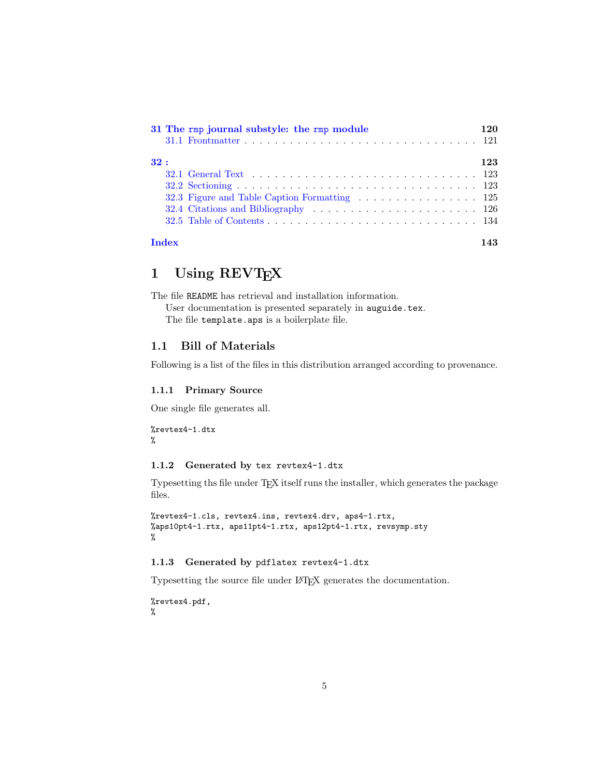|     |              | 31 The rmp journal substyle: the rmp module | 120 |
|-----|--------------|---------------------------------------------|-----|
|     |              |                                             |     |
| 32: |              |                                             | 123 |
|     |              |                                             |     |
|     |              |                                             |     |
|     |              |                                             |     |
|     |              |                                             |     |
|     |              |                                             |     |
|     | <b>Index</b> |                                             |     |

# <span id="page-4-0"></span>1 Using REVT<sub>E</sub>X

The file README has retrieval and installation information.

User documentation is presented separately in auguide.tex. The file template.aps is a boilerplate file.

## <span id="page-4-1"></span>1.1 Bill of Materials

Following is a list of the files in this distribution arranged according to provenance.

### <span id="page-4-2"></span>1.1.1 Primary Source

One single file generates all.

```
%revtex4-1.dtx
%
```
### <span id="page-4-3"></span>1.1.2 Generated by tex revtex4-1.dtx

Typesetting ths file under TEX itself runs the installer, which generates the package files.

```
%revtex4-1.cls, revtex4.ins, revtex4.drv, aps4-1.rtx,
%aps10pt4-1.rtx, aps11pt4-1.rtx, aps12pt4-1.rtx, revsymp.sty
%
```
## <span id="page-4-4"></span>1.1.3 Generated by pdflatex revtex4-1.dtx

Typesetting the source file under LATEX generates the documentation.

%revtex4.pdf, %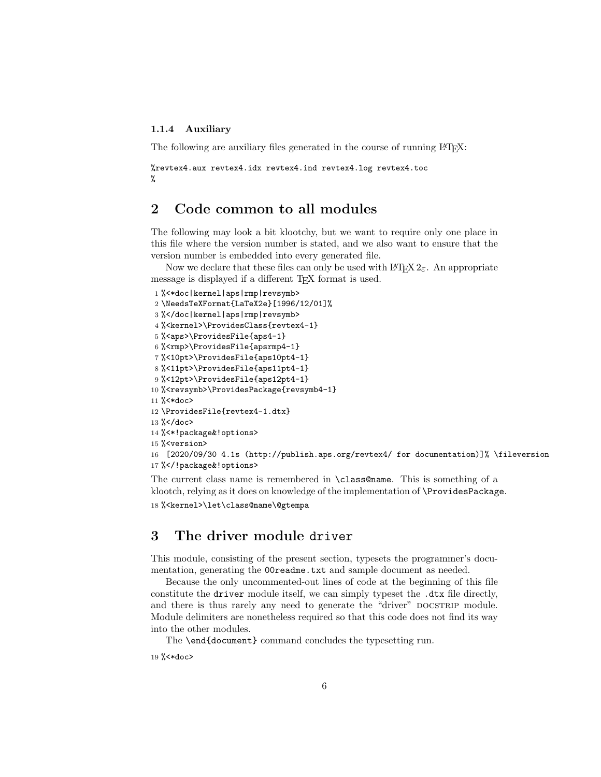### <span id="page-5-0"></span>1.1.4 Auxiliary

The following are auxiliary files generated in the course of running LAT<sub>EX</sub>:

```
%revtex4.aux revtex4.idx revtex4.ind revtex4.log revtex4.toc
%
```
# <span id="page-5-1"></span>2 Code common to all modules

The following may look a bit klootchy, but we want to require only one place in this file where the version number is stated, and we also want to ensure that the version number is embedded into every generated file.

Now we declare that these files can only be used with  $\text{LATEX } 2\varepsilon$ . An appropriate message is displayed if a different T<sub>EX</sub> format is used.

```
1 %<*doc|kernel|aps|rmp|revsymb>
2 \NeedsTeXFormat{LaTeX2e}[1996/12/01]%
3 %</doc|kernel|aps|rmp|revsymb>
4 %<kernel>\ProvidesClass{revtex4-1}
5 %<aps>\ProvidesFile{aps4-1}
6 %<rmp>\ProvidesFile{apsrmp4-1}
7 %<10pt>\ProvidesFile{aps10pt4-1}
8 %<11pt>\ProvidesFile{aps11pt4-1}
9 %<12pt>\ProvidesFile{aps12pt4-1}
10 % < revsymb> \ProvidesPackage {revsymb4-1}
11 %<*doc>
12 \ProvidesFile{revtex4-1.dtx}
13 %</doc>
14 %<*!package&!options>
15 %<version>
16 [2020/09/30 4.1s (http://publish.aps.org/revtex4/ for documentation)]% \fileversion
17 %</!package&!options>
```
The current class name is remembered in \class@name. This is something of a klootch, relying as it does on knowledge of the implementation of \ProvidesPackage. 18 %<kernel>\let\class@name\@gtempa

# <span id="page-5-2"></span>3 The driver module driver

This module, consisting of the present section, typesets the programmer's documentation, generating the **OOreadme**.txt and sample document as needed.

Because the only uncommented-out lines of code at the beginning of this file constitute the driver module itself, we can simply typeset the .dtx file directly, and there is thus rarely any need to generate the "driver" DOCSTRIP module. Module delimiters are nonetheless required so that this code does not find its way into the other modules.

The \end{document} command concludes the typesetting run.

```
19 %<*doc>
```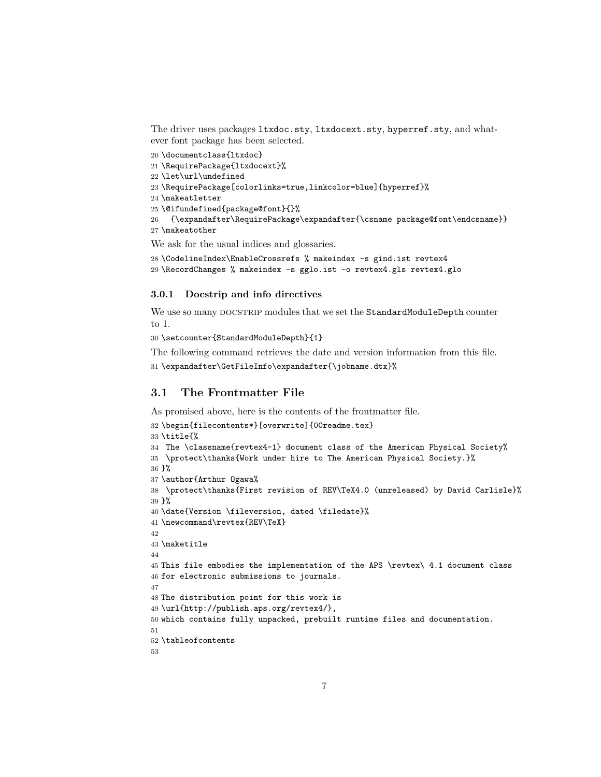The driver uses packages ltxdoc.sty, ltxdocext.sty, hyperref.sty, and whatever font package has been selected.

\documentclass{ltxdoc}

```
21 \RequirePackage{ltxdocext}%
```
\let\url\undefined

```
23 \RequirePackage[colorlinks=true,linkcolor=blue]{hyperref}%
```

```
24 \makeatletter
```

```
25 \@ifundefined{package@font}{}%
```

```
26 {\expandafter\RequirePackage\expandafter{\csname package@font\endcsname}}
27 \makeatother
```
We ask for the usual indices and glossaries.

```
28 \CodelineIndex\EnableCrossrefs % makeindex -s gind.ist revtex4
29 \RecordChanges % makeindex -s gglo.ist -o revtex4.gls revtex4.glo
```
#### <span id="page-6-0"></span>3.0.1 Docstrip and info directives

We use so many DOCSTRIP modules that we set the StandardModuleDepth counter to 1.

\setcounter{StandardModuleDepth}{1}

The following command retrieves the date and version information from this file.

```
31 \ \exp{after\GetFileInfo\exp{ter}\t)
```
# <span id="page-6-1"></span>3.1 The Frontmatter File

As promised above, here is the contents of the frontmatter file.

```
32 \begin{filecontents*}[overwrite]{00readme.tex}
33 \title{%
34 The \classname{revtex4-1} document class of the American Physical Society%
35 \protect\thanks{Work under hire to The American Physical Society.}%
36 }%
37 \author{Arthur Ogawa%
38 \protect\thanks{First revision of REV\TeX4.0 (unreleased) by David Carlisle}%
39 }%
40 \date{Version \fileversion, dated \filedate}%
41 \newcommand\revtex{REV\TeX}
42
43 \maketitle
44
45 This file embodies the implementation of the APS \revtex\ 4.1 document class
46 for electronic submissions to journals.
47
48 The distribution point for this work is
49 \url{http://publish.aps.org/revtex4/},
50 which contains fully unpacked, prebuilt runtime files and documentation.
51
52 \tableofcontents
53
```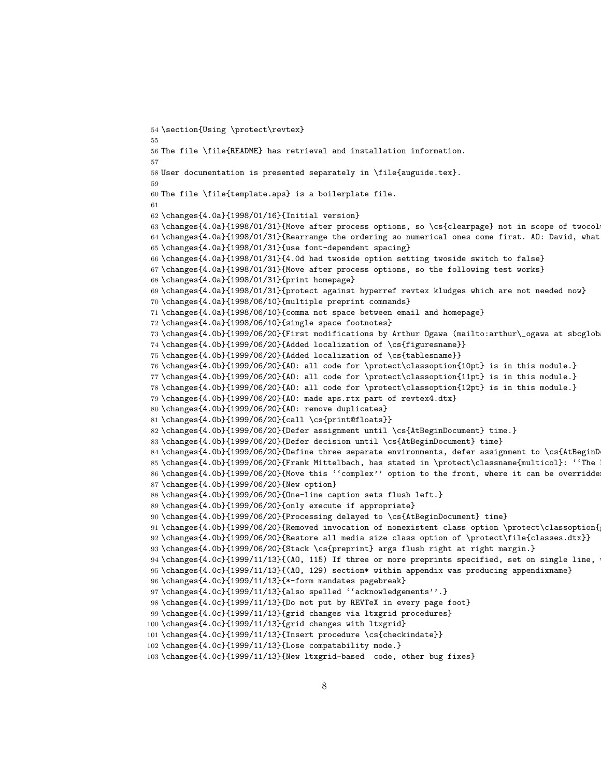```
54 \section{Using \protect\revtex}
55
56 The file \file{README} has retrieval and installation information.
57
58 User documentation is presented separately in \file{auguide.tex}.
59
60 The file \file{template.aps} is a boilerplate file.
61
62 \changes{4.0a}{1998/01/16}{Initial version}
63 \changes{4.0a}{1998/01/31}{Move after process options, so \cs{clearpage} not in scope of twocol
64 \changes{4.0a}{1998/01/31}{Rearrange the ordering so numerical ones come first. AO: David, what
65 \changes{4.0a}{1998/01/31}{use font-dependent spacing}
66 \changes{4.0a}{1998/01/31}{4.0d had twoside option setting twoside switch to false}
67 \changes{4.0a}{1998/01/31}{Move after process options, so the following test works}
68 \changes{4.0a}{1998/01/31}{print homepage}
69 \changes{4.0a}{1998/01/31}{protect against hyperref revtex kludges which are not needed now}
70 \changes{4.0a}{1998/06/10}{multiple preprint commands}
71 \changes{4.0a}{1998/06/10}{comma not space between email and homepage}
72 \changes{4.0a}{1998/06/10}{single space footnotes}
73 \changes{4.0b}{1999/06/20}{First modifications by Arthur Ogawa (mailto:arthur\_ogawa at sbcglob
74 \changes{4.0b}{1999/06/20}{Added localization of \cs{figuresname}}
75 \changes{4.0b}{1999/06/20}{Added localization of \cs{tablesname}}
76 \changes{4.0b}{1999/06/20}{AO: all code for \protect\classoption{10pt} is in this module.}
77 \changes{4.0b}{1999/06/20}{AO: all code for \protect\classoption{11pt} is in this module.}
78 \changes{4.0b}{1999/06/20}{AO: all code for \protect\classoption{12pt} is in this module.}
79 \changes{4.0b}{1999/06/20}{AO: made aps.rtx part of revtex4.dtx}
80 \changes{4.0b}{1999/06/20}{AO: remove duplicates}
81 \changes{4.0b}{1999/06/20}{call \cs{print@floats}}
82 \changes{4.0b}{1999/06/20}{Defer assignment until \cs{AtBeginDocument} time.}
83 \changes{4.0b}{1999/06/20}{Defer decision until \cs{AtBeginDocument} time}
84 \changes{4.0b}{1999/06/20}{Define three separate environments, defer assignment to \cs{AtBeginD
85\changes{4.0b}{1999/06/20}{Frank Mittelbach, has stated in \protect\classname{multicol}: "The
86 \changes{4.0b}{1999/06/20}{Move this ''complex'' option to the front, where it can be overridde
87 \changes{4.0b}{1999/06/20}{New option}
88 \changes{4.0b}{1999/06/20}{One-line caption sets flush left.}
89 \changes{4.0b}{1999/06/20}{only execute if appropriate}
90 \changes{4.0b}{1999/06/20}{Processing delayed to \cs{AtBeginDocument} time}
91\changes{4.0b}{1999/06/20}{Removed invocation of nonexistent class option \protect\classoption{
92 \changes{4.0b}{1999/06/20}{Restore all media size class option of \protect\file{classes.dtx}}
93 \changes{4.0b}{1999/06/20}{Stack \cs{preprint} args flush right at right margin.}
94 \changes{4.0c}{1999/11/13}{(AO, 115) If three or more preprints specified, set on single line,
95 \changes{4.0c}{1999/11/13}{(AO, 129) section* within appendix was producing appendixname}
96 \changes{4.0c}{1999/11/13}{*-form mandates pagebreak}
97 \changes{4.0c}{1999/11/13}{also spelled ''acknowledgements''.}
98 \changes{4.0c}{1999/11/13}{Do not put by REVTeX in every page foot}
99 \changes{4.0c}{1999/11/13}{grid changes via ltxgrid procedures}
100 \changes{4.0c}{1999/11/13}{grid changes with ltxgrid}
101 \changes{4.0c}{1999/11/13}{Insert procedure \cs{checkindate}}
102 \changes{4.0c}{1999/11/13}{Lose compatability mode.}
103 \changes{4.0c}{1999/11/13}{New ltxgrid-based code, other bug fixes}
```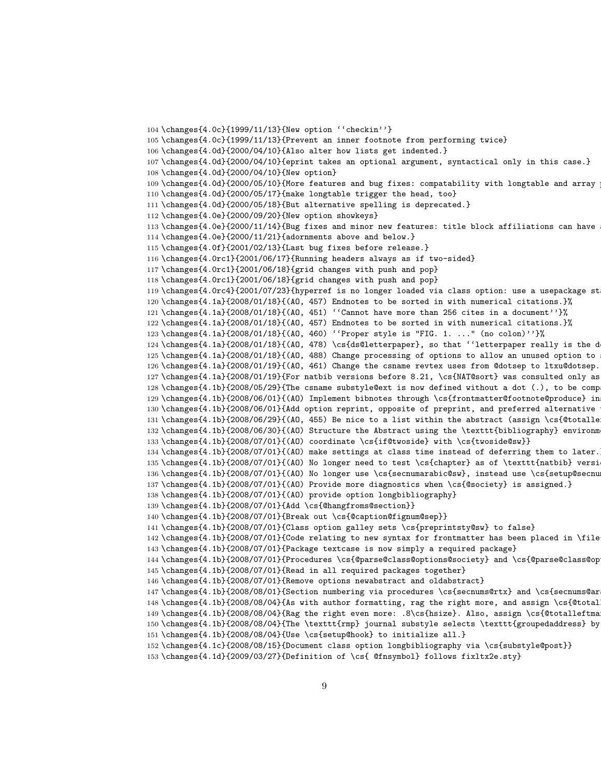```
104 \changes{4.0c}{1999/11/13}{New option ''checkin''}
105 \changes{4.0c}{1999/11/13}{Prevent an inner footnote from performing twice}
106 \changes{4.0d}{2000/04/10}{Also alter how lists get indented.}
107 \changes{4.0d}{2000/04/10}{eprint takes an optional argument, syntactical only in this case.}
108 \changes{4.0d}{2000/04/10}{New option}
109 \changes{4.0d}{2000/05/10}{More features and bug fixes: compatability with longtable and array
110 \changes{4.0d}{2000/05/17}{make longtable trigger the head, too}
111 \changes{4.0d}{2000/05/18}{But alternative spelling is deprecated.}
112 \changes{4.0e}{2000/09/20}{New option showkeys}
113 \changes{4.0e}{2000/11/14}{Bug fixes and minor new features: title block affiliations can have
114 \changes{4.0e}{2000/11/21}{adornments above and below.}
115 \changes{4.0f}{2001/02/13}{Last bug fixes before release.}
116 \changes{4.0rc1}{2001/06/17}{Running headers always as if two-sided}
117 \changes{4.0rc1}{2001/06/18}{grid changes with push and pop}
118 \changes{4.0rc1}{2001/06/18}{grid changes with push and pop}
119 \changes{4.0rc4}{2001/07/23}{hyperref is no longer loaded via class option: use a usepackage st
120 \changes{4.1a}{2008/01/18}{(AO, 457) Endnotes to be sorted in with numerical citations.}%
121 \changes{4.1a}{2008/01/18}{(AO, 451) ''Cannot have more than 256 cites in a document''}%
122 \changes{4.1a}{2008/01/18}{(AO, 457) Endnotes to be sorted in with numerical citations.}%
123 \changes{4.1a}{2008/01/18}{(AO, 460) ''Proper style is "FIG. 1. ..." (no colon)''}%
124 \changes{4.1a}{2008/01/18}{(AO, 478) \cs{ds@letterpaper}, so that ''letterpaper really is the d
125 \changes{4.1a}{2008/01/18}{(AO, 488) Change processing of options to allow an unused option to
126 \changes{4.1a}{2008/01/19}{(AO, 461) Change the csname revtex uses from @dotsep to ltxu@dotsep.
127 \changes{4.1a}{2008/01/19}{For natbib versions before 8.21, \cs{NAT@sort} was consulted only as
128 \changes\{4.1b\}{2008/05/29}{The csname substyle@ext is now defined without a dot (.), to be comp
129 \changes{4.1b}{2008/06/01}{(AO) Implement bibnotes through \cs{frontmatter@footnote@produce} in
130 \changes{4.1b}{2008/06/01}{Add option reprint, opposite of preprint, and preferred alternative
131 \changes{4.1b}{2008/06/29}{(AO, 455) Be nice to a list within the abstract (assign \cs{@totalle
132 \changes{4.1b}{2008/06/30}{(AO) Structure the Abstract using the \texttt{bibliography} environm
133 \changes{4.1b}{2008/07/01}{(AO) coordinate \cs{if@twoside} with \cs{twoside@sw}}
134 \changes{4.1b}{2008/07/01}{(AO) make settings at class time instead of deferring them to later.}
135 \changes{4.1b}{2008/07/01}{(AO) No longer need to test \cs{chapter} as of \texttt{natbib} versi
136 \changes{4.1b}{2008/07/01}{(AO) No longer use \cs{secnumarabic@sw}, instead use \cs{setup@secnums}}
137 \changes{4.1b}{2008/07/01}{(AO) Provide more diagnostics when \cs{@society} is assigned.}
138 \changes{4.1b}{2008/07/01}{(AO) provide option longbibliography}
139 \changes{4.1b}{2008/07/01}{Add \cs{@hangfroms@section}}
140 \changes{4.1b}{2008/07/01}{Break out \cs{@caption@fignum@sep}}
141 \changes{4.1b}{2008/07/01}{Class option galley sets \cs{preprintsty@sw} to false}
142 \changes{4.1b}{2008/07/01}{Code relating to new syntax for frontmatter has been placed in \file
143 \changes{4.1b}{2008/07/01}{Package textcase is now simply a required package}
144 \changes{4.1b}{2008/07/01}{Procedures \cs{@parse@class@options@society} and \cs{@parse@class@op
145 \changes{4.1b}{2008/07/01}{Read in all required packages together}
146 \changes{4.1b}{2008/07/01}{Remove options newabstract and oldabstract}
147 \changes{4.1b}{2008/08/01}{Section numbering via procedures \cs{secnums@rtx} and \cs{secnums@ar
148 \changes{4.1b}{2008/08/04}{As with author formatting, rag the right more, and assign \cs{@total
149 \changes{4.1b}{2008/08/04}{Rag the right even more: .8\cs{hsize}. Also, assign \cs{@totalleftma
150 \changes{4.1b}{2008/08/04}{The \texttt{rmp} journal substyle selects \texttt{groupedaddress} by
151 \changes{4.1b}{2008/08/04}{Use \cs{setup@hook} to initialize all.}
152 \changes{4.1c}{2008/08/15}{Document class option longbibliography via \cs{substyle@post}}
153 \changes{4.1d}{2009/03/27}{Definition of \cs{ @fnsymbol} follows fixltx2e.sty}
```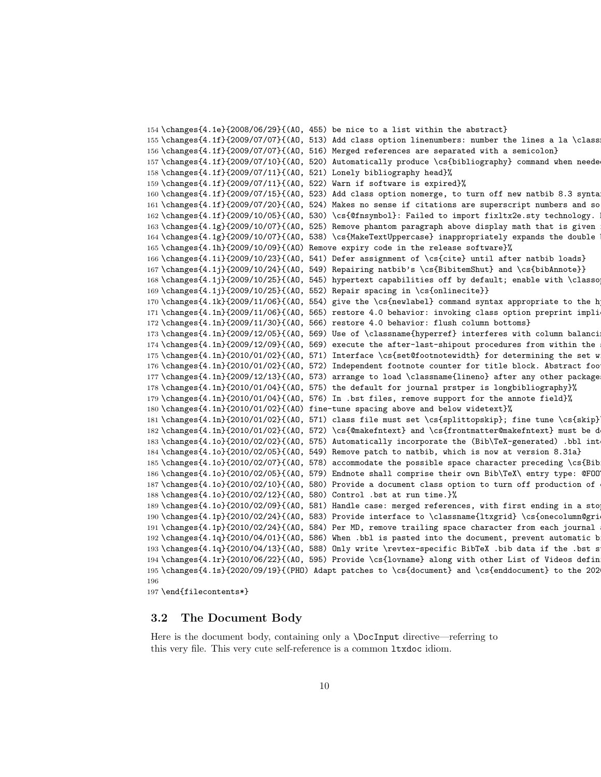```
154 \changes{4.1e}{2008/06/29}{(AO, 455) be nice to a list within the abstract}
155 \changes{4.1f}{2009/07/07}{(AO, 513) Add class option linenumbers: number the lines a la \class
156 \changes{4.1f}{2009/07/07}{(AO, 516) Merged references are separated with a semicolon}
157 \changes{4.1f}{2009/07/10}{(AO, 520) Automatically produce \cs{bibliography} command when needed}%
158 \changes{4.1f}{2009/07/11}{(AO, 521) Lonely bibliography head}%
159 \changes{4.1f}{2009/07/11}{(AO, 522) Warn if software is expired}%
160 \changes{4.1f}{2009/07/15}{(AO, 523) Add class option nomerge, to turn off new natbib 8.3 syntax}
161 \changes{4.1f}{2009/07/20}{(AO, 524) Makes no sense if citations are superscript numbers and so
162 \changes{4.1f}{2009/10/05}{(AO, 530) \cs{@fnsymbol}: Failed to import fixltx2e.sty technology.
163 \changes{4.1g}{2009/10/07}{(A0, 525)} Remove phantom paragraph above display math that is given
164 \changes{4.1g}{2009/10/07}{(AO, 538) \cs{MakeTextUppercase} inappropriately expands the double backslash}
165 \changes{4.1h}{2009/10/09}{(AO) Remove expiry code in the release software}%
166 \changes{4.1i}{2009/10/23}{(AO, 541) Defer assignment of \cs{cite} until after natbib loads}
167 \changes{4.1j}{2009/10/24}{(AO, 549) Repairing natbib's \cs{BibitemShut} and \cs{bibAnnote}}
168 \changes{4.1j}{2009/10/25}{(AO, 545) hypertext capabilities off by default; enable with \classoption{hypertext}}
169 \changes{4.1j}{2009/10/25}{(AO, 552) Repair spacing in \cs{onlinecite}}
170 \changes{4.1k}{2009/11/06}{(AO, 554) give the \cs{newlabel} command syntax appropriate to the h
171 \changes{4.1n}{2009/11/06}{(AO, 565) restore 4.0 behavior: invoking class option preprint impli
172 \changes{4.1n}{2009/11/30}{(AO, 566) restore 4.0 behavior: flush column bottoms}
173 \changes{4.1n}{2009/12/05}{(AO, 569) Use of \classname{hyperref} interferes with column balanci
174 \text{ \textdegree{} (4.1n) {\textdegree{}} (2009/12/09) {\textdegree{}} (40, 569) execute the after-last-shipout procedures from within the
175 \changes{4.1n}{2010/01/02}{(AO, 571) Interface \cs{set@footnotewidth} for determining the set w
176 \changes{4.1n}{2010/01/02}{(AO, 572) Independent footnote counter for title block. Abstract foo
177 \changes{4.1n}{2009/12/13}{(AO, 573) arrange to load \classname{lineno} after any other package
178 \changes{4.1n}{2010/01/04}{(AO, 575) the default for journal prstper is longbibliography}%
179 \changes{4.1n}{2010/01/04}{(AO, 576) In .bst files, remove support for the annote field}%
180 \changes{4.1n}{2010/01/02}{(AO) fine-tune spacing above and below widetext}%
181 \changes{4.1n}{2010/01/02}{(AO, 571) class file must set \cs{splittopskip}; fine tune \cs{skip}
182 \changes{4.1n}{2010/01/02}{(AO, 572) \cs{@makefntext} and \cs{frontmatter@makefntext} must be d
183 \changes{4.1o}{2010/02/02}{(AO, 575) Automatically incorporate the (Bib\TeX-generated) .bbl int
184 \changes{4.1o}{2010/02/05}{(AO, 549) Remove patch to natbib, which is now at version 8.31a}
185 \changes{4.1o}{2010/02/07}{(AO, 578) accommodate the possible space character preceding \cs{Bib
186 \changes{4.1o}{2010/02/05}{(AO, 579) Endnote shall comprise their own Bib\TeX\ entry type: @FOO
187 \changes{4.1o}{2010/02/10}{(AO, 580) Provide a document class option to turn off production of
188 \changes{4.1o}{2010/02/12}{(AO, 580) Control .bst at run time.}%
189 \changes{4.1o}{2010/02/09}{(AO, 581) Handle case: merged references, with first ending in a sto
190 \changes{4.1p}{2010/02/24}{(AO, 583) Provide interface to \classname{ltxgrid} \cs{onecolumn@gri
191 \changes{4.1p}{2010/02/24}{(A0, 584)} Per MD, remove trailing space character from each journal
192 \changes{4.1q}{2010/04/01}{(AO, 586) When .bbl is pasted into the document, prevent automatic b
193 \changes\{4.1q\}{2010/04/13}{(AO, 588) Only write \revtex-specific BibTeX. bib data if the .bst s
194 \changes{4.1r}{2010/06/22}{(AO, 595) Provide \cs{lovname} along with other List of Videos defin
195 \changes{4.1s}{2020/09/19}{(PHO) Adapt patches to \cs{document} and \cs{enddocument} to the 202
196
```

```
197 \end{filecontents*}
```
### <span id="page-9-0"></span>3.2 The Document Body

Here is the document body, containing only a \DocInput directive—referring to this very file. This very cute self-reference is a common ltxdoc idiom.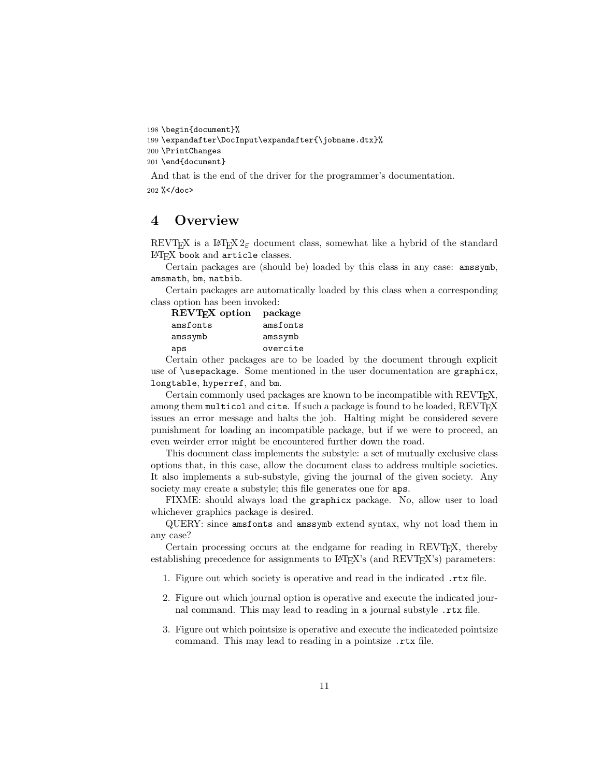198 \begin{document}%

```
199 \expandafter\DocInput\expandafter{\jobname.dtx}%
```

```
200 \PrintChanges
```

```
201 \end{document}
```
And that is the end of the driver for the programmer's documentation.

202 %</doc>

# <span id="page-10-0"></span>4 Overview

REVTEX is a LATEX  $2\varepsilon$  document class, somewhat like a hybrid of the standard LATEX book and article classes.

Certain packages are (should be) loaded by this class in any case: amssymb, amsmath, bm, natbib.

Certain packages are automatically loaded by this class when a corresponding class option has been invoked:

| REVT <sub>F</sub> X option | package  |
|----------------------------|----------|
| amsfonts                   | amsfonts |
| amssymb                    | amssymb  |
| aps                        | overcite |

Certain other packages are to be loaded by the document through explicit use of \usepackage. Some mentioned in the user documentation are graphicx, longtable, hyperref, and bm.

Certain commonly used packages are known to be incompatible with REVTEX, among them multicol and cite. If such a package is found to be loaded, REVTFX issues an error message and halts the job. Halting might be considered severe punishment for loading an incompatible package, but if we were to proceed, an even weirder error might be encountered further down the road.

This document class implements the substyle: a set of mutually exclusive class options that, in this case, allow the document class to address multiple societies. It also implements a sub-substyle, giving the journal of the given society. Any society may create a substyle; this file generates one for aps.

FIXME: should always load the graphicx package. No, allow user to load whichever graphics package is desired.

QUERY: since amsfonts and amssymb extend syntax, why not load them in any case?

Certain processing occurs at the endgame for reading in REVT<sub>F</sub>X, thereby establishing precedence for assignments to  $L^2T_FX$ 's (and  $REVT_FX$ 's) parameters:

- 1. Figure out which society is operative and read in the indicated .rtx file.
- 2. Figure out which journal option is operative and execute the indicated journal command. This may lead to reading in a journal substyle .rtx file.
- 3. Figure out which pointsize is operative and execute the indicateded pointsize command. This may lead to reading in a pointsize .rtx file.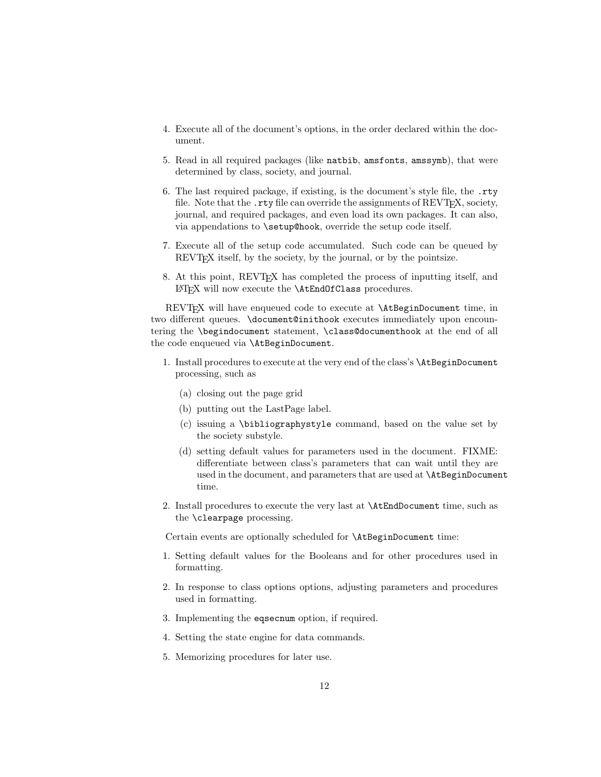- 4. Execute all of the document's options, in the order declared within the document.
- 5. Read in all required packages (like natbib, amsfonts, amssymb), that were determined by class, society, and journal.
- 6. The last required package, if existing, is the document's style file, the .rty file. Note that the .rty file can override the assignments of REVT<sub>F</sub>X, society, journal, and required packages, and even load its own packages. It can also, via appendations to \setup@hook, override the setup code itself.
- 7. Execute all of the setup code accumulated. Such code can be queued by REVT<sub>F</sub>X itself, by the society, by the journal, or by the pointsize.
- 8. At this point, REVTEX has completed the process of inputting itself, and LATEX will now execute the \AtEndOfClass procedures.

REVTEX will have enqueued code to execute at **\AtBeginDocument** time, in two different queues. \document@inithook executes immediately upon encountering the \begindocument statement, \class@documenthook at the end of all the code enqueued via \AtBeginDocument.

- 1. Install procedures to execute at the very end of the class's \AtBeginDocument processing, such as
	- (a) closing out the page grid
	- (b) putting out the LastPage label.
	- (c) issuing a \bibliographystyle command, based on the value set by the society substyle.
	- (d) setting default values for parameters used in the document. FIXME: differentiate between class's parameters that can wait until they are used in the document, and parameters that are used at \AtBeginDocument time.
- 2. Install procedures to execute the very last at \AtEndDocument time, such as the \clearpage processing.

Certain events are optionally scheduled for \AtBeginDocument time:

- 1. Setting default values for the Booleans and for other procedures used in formatting.
- 2. In response to class options options, adjusting parameters and procedures used in formatting.
- 3. Implementing the eqsecnum option, if required.
- 4. Setting the state engine for data commands.
- 5. Memorizing procedures for later use.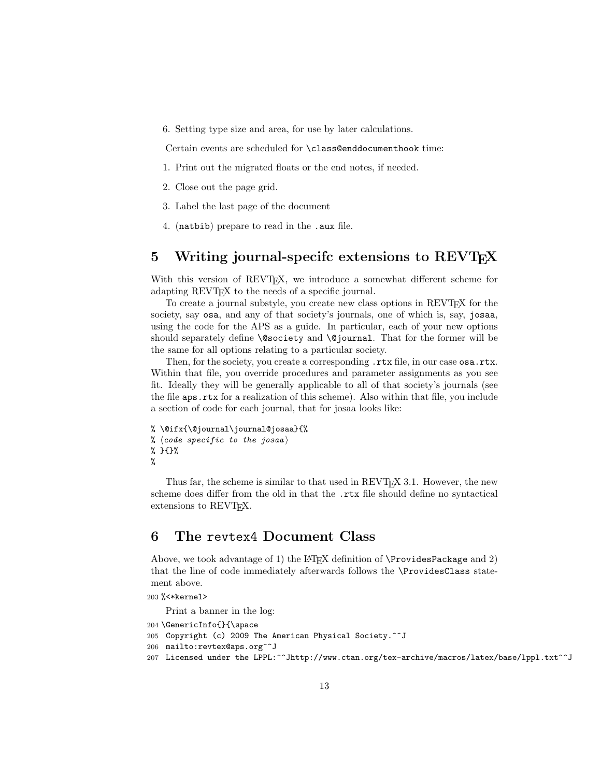6. Setting type size and area, for use by later calculations.

Certain events are scheduled for \class@enddocumenthook time:

- 1. Print out the migrated floats or the end notes, if needed.
- 2. Close out the page grid.
- 3. Label the last page of the document
- 4. (natbib) prepare to read in the .aux file.

# <span id="page-12-0"></span>5 Writing journal-specifc extensions to REVT<sub>EX</sub>

With this version of REVT<sub>F</sub>X, we introduce a somewhat different scheme for adapting REVT<sub>F</sub>X to the needs of a specific journal.

To create a journal substyle, you create new class options in REVT<sub>EX</sub> for the society, say osa, and any of that society's journals, one of which is, say, josaa, using the code for the APS as a guide. In particular, each of your new options should separately define **\@society** and **\@journal**. That for the former will be the same for all options relating to a particular society.

Then, for the society, you create a corresponding  $.rtx$  file, in our case osa.rtx. Within that file, you override procedures and parameter assignments as you see fit. Ideally they will be generally applicable to all of that society's journals (see the file aps.rtx for a realization of this scheme). Also within that file, you include a section of code for each journal, that for josaa looks like:

```
% \@ifx{\@journal\journal@josaa}{%
% (code specific to the josaa)
% }{}%
%
```
Thus far, the scheme is similar to that used in REVT<sub>E</sub>X 3.1. However, the new scheme does differ from the old in that the .rtx file should define no syntactical extensions to REVT<sub>F</sub>X.

# <span id="page-12-1"></span>6 The revtex4 Document Class

Above, we took advantage of 1) the LATEX definition of  $\PerovidesPackage$  and 2) that the line of code immediately afterwards follows the \ProvidesClass statement above.

#### 203 %<\*kernel>

Print a banner in the log:

```
204 \GenericInfo{}{\space
205 Copyright (c) 2009 The American Physical Society.^^J
206 mailto:revtex@aps.org^^J
207 Licensed under the LPPL:^^Jhttp://www.ctan.org/tex-archive/macros/latex/base/lppl.txt^^J
```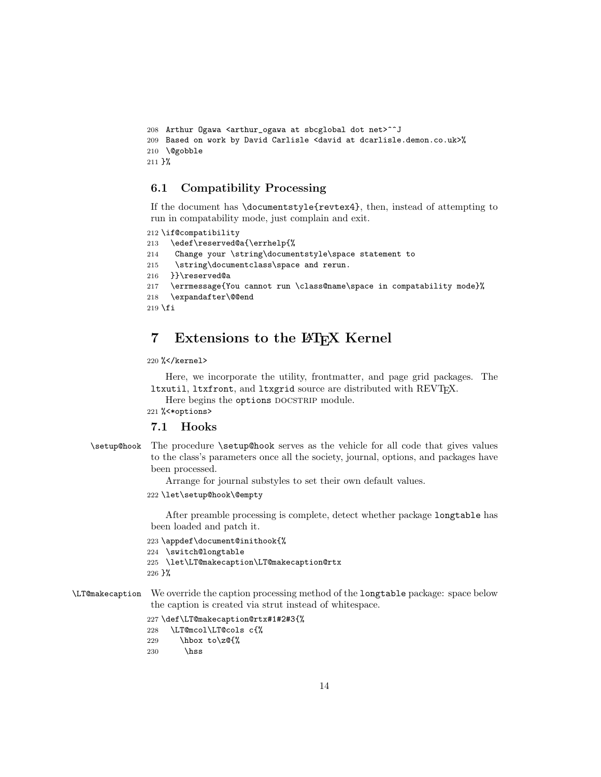```
208 Arthur Ogawa <arthur_ogawa at sbcglobal dot net>^^J
209 Based on work by David Carlisle <david at dcarlisle.demon.co.uk>%
210 \@gobble
211 }%
```
# <span id="page-13-0"></span>6.1 Compatibility Processing

If the document has \documentstyle{revtex4}, then, instead of attempting to run in compatability mode, just complain and exit.

```
212 \if@compatibility
```

```
213 \edef\reserved@a{\errhelp{%
214 Change your \string\documentstyle\space statement to
215 \string\documentclass\space and rerun.
216 }}\reserved@a
217 \errmessage{You cannot run \class@name\space in compatability mode}%
218 \expandafter\@@end
219 \fi
```
# <span id="page-13-1"></span>7 Extensions to the LATEX Kernel

```
220 %</kernel>
```
Here, we incorporate the utility, frontmatter, and page grid packages. The ltxutil, ltxfront, and ltxgrid source are distributed with REVTFX.

Here begins the options DOCSTRIP module.

221 %<\*options>

### <span id="page-13-2"></span>7.1 Hooks

\setup@hook The procedure \setup@hook serves as the vehicle for all code that gives values to the class's parameters once all the society, journal, options, and packages have been processed.

Arrange for journal substyles to set their own default values.

222 \let\setup@hook\@empty

After preamble processing is complete, detect whether package longtable has been loaded and patch it.

```
223 \appdef\document@inithook{%
224 \switch@longtable
225 \let\LT@makecaption\LT@makecaption@rtx
226 }%
```
\LT@makecaption We override the caption processing method of the longtable package: space below the caption is created via strut instead of whitespace.

```
227 \def\LT@makecaption@rtx#1#2#3{%
228 \LT@mcol\LT@cols c{%
229 \hbarbox to\zeta29 \\cdots to\zQ{%
230 \hss
```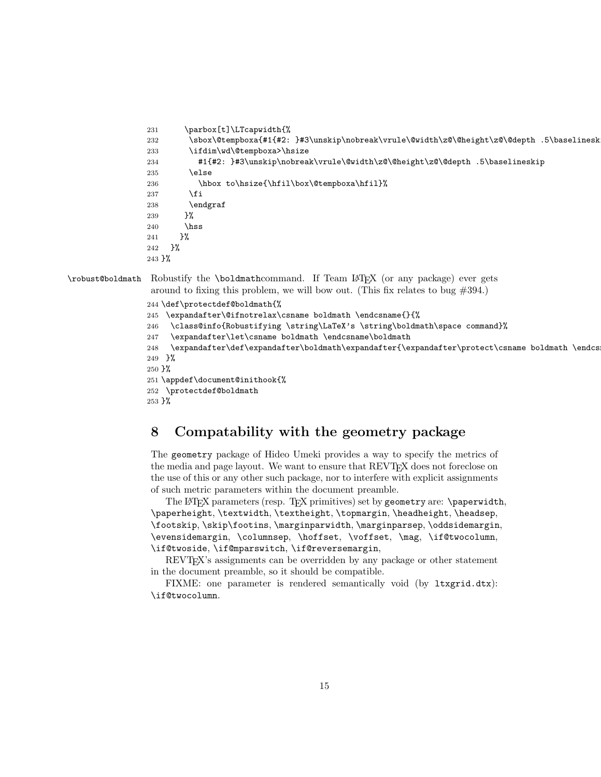```
231 \parbox[t]\LTcapwidth{%
232 \sbox\@tempboxa{#1{#2: }#3\unskip\nobreak\vrule\@width\z@\@height\z@\@depth .5\baselinesk
233 \ifdim\wd\@tempboxa>\hsize
234 #1{#2: }#3\unskip\nobreak\vrule\@width\z@\@height\z@\@depth .5\baselineskip
235 \else
236 \hbox to\hsize{\hfil\box\@tempboxa\hfil}%
237 \ifmmode{\big\vert} \else{https://www.4em}{1} 237
238 \endgraf
239 }%
240 \hss
241 }%
242 }%
243 }%
```
\robust@boldmath Robustify the \boldmathcommand. If Team LATEX (or any package) ever gets

around to fixing this problem, we will bow out. (This fix relates to bug  $\#394$ .)

```
244 \def\protectdef@boldmath{%
```
- 245 \expandafter\@ifnotrelax\csname boldmath \endcsname{}{%
- 246 \class@info{Robustifying \string\LaTeX's \string\boldmath\space command}%
- 247 \expandafter\let\csname boldmath \endcsname\boldmath
- 248 \expandafter\def\expandafter\boldmath\expandafter{\expandafter\protect\csname boldmath \endcs  $249$   $\frac{1}{6}$
- 250 }%

251 \appdef\document@inithook{%

252 \protectdef@boldmath

253 }%

# <span id="page-14-0"></span>8 Compatability with the geometry package

The geometry package of Hideo Umeki provides a way to specify the metrics of the media and page layout. We want to ensure that REVT<sub>FX</sub> does not foreclose on the use of this or any other such package, nor to interfere with explicit assignments of such metric parameters within the document preamble.

The LAT<sub>E</sub>X parameters (resp. T<sub>E</sub>X primitives) set by geometry are: \paperwidth, \paperheight, \textwidth, \textheight, \topmargin, \headheight, \headsep, \footskip, \skip\footins, \marginparwidth, \marginparsep, \oddsidemargin, \evensidemargin, \columnsep, \hoffset, \voffset, \mag, \if@twocolumn, \if@twoside, \if@mparswitch, \if@reversemargin,

REVTEX's assignments can be overridden by any package or other statement in the document preamble, so it should be compatible.

FIXME: one parameter is rendered semantically void (by ltxgrid.dtx): \if@twocolumn.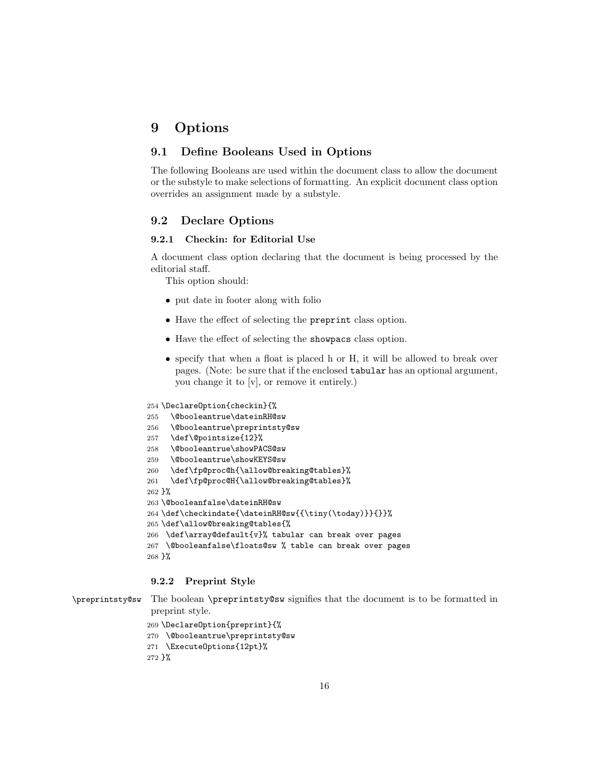# <span id="page-15-0"></span>9 Options

# <span id="page-15-1"></span>9.1 Define Booleans Used in Options

The following Booleans are used within the document class to allow the document or the substyle to make selections of formatting. An explicit document class option overrides an assignment made by a substyle.

# <span id="page-15-2"></span>9.2 Declare Options

#### <span id="page-15-3"></span>9.2.1 Checkin: for Editorial Use

A document class option declaring that the document is being processed by the editorial staff.

This option should:

- put date in footer along with folio
- Have the effect of selecting the preprint class option.
- Have the effect of selecting the showpacs class option.
- specify that when a float is placed h or H, it will be allowed to break over pages. (Note: be sure that if the enclosed tabular has an optional argument, you change it to [v], or remove it entirely.)

```
254 \DeclareOption{checkin}{%
255 \@booleantrue\dateinRH@sw
256 \@booleantrue\preprintsty@sw
257 \def\@pointsize{12}%
258 \@booleantrue\showPACS@sw
259 \@booleantrue\showKEYS@sw
260 \def\fp@proc@h{\allow@breaking@tables}%
261 \def\fp@proc@H{\allow@breaking@tables}%
262 }%
263 \@booleanfalse\dateinRH@sw
264 \def\checkindate{\dateinRH@sw{{\tiny(\today)}}{}}%
265 \def\allow@breaking@tables{%
266 \def\array@default{v}% tabular can break over pages
267 \@booleanfalse\floats@sw % table can break over pages
268 }%
```
### <span id="page-15-4"></span>9.2.2 Preprint Style

\preprintsty@sw The boolean \preprintsty@sw signifies that the document is to be formatted in preprint style.

```
269 \DeclareOption{preprint}{%
270 \@booleantrue\preprintsty@sw
271 \ExecuteOptions{12pt}%
272 }%
```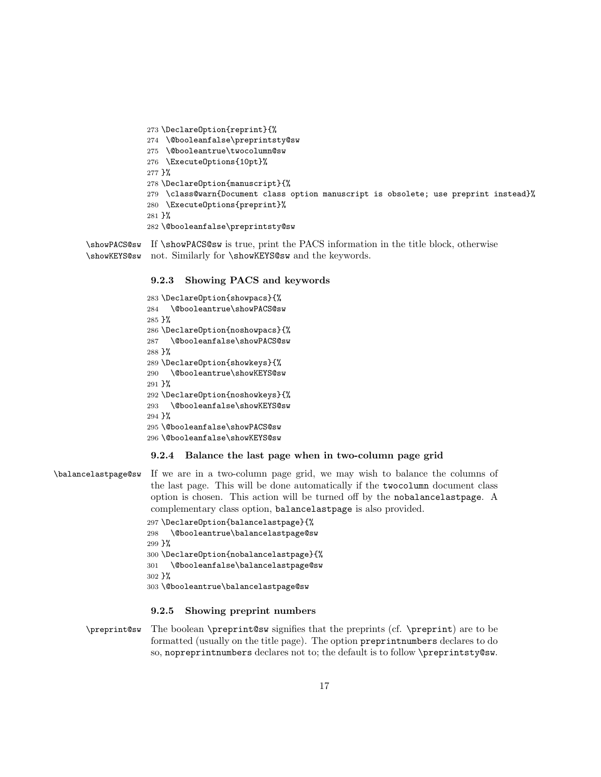```
273 \DeclareOption{reprint}{%
274 \@booleanfalse\preprintsty@sw
275 \@booleantrue\twocolumn@sw
276 \ExecuteOptions{10pt}%
277 }%
278 \DeclareOption{manuscript}{%
279 \class@warn{Document class option manuscript is obsolete; use preprint instead}%
280 \ExecuteOptions{preprint}%
281 }%
282 \@booleanfalse\preprintsty@sw
```
\showPACS@sw If \showPACS@sw is true, print the PACS information in the title block, otherwise \showKEYS@sw not. Similarly for \showKEYS@sw and the keywords.

# <span id="page-16-0"></span>9.2.3 Showing PACS and keywords

```
283 \DeclareOption{showpacs}{%
284 \@booleantrue\showPACS@sw
285 }%
286 \DeclareOption{noshowpacs}{%
287 \@booleanfalse\showPACS@sw
288 }%
289 \DeclareOption{showkeys}{%
290 \@booleantrue\showKEYS@sw
291 }%
292 \DeclareOption{noshowkeys}{%
293 \@booleanfalse\showKEYS@sw
294 }%
295 \@booleanfalse\showPACS@sw
296 \@booleanfalse\showKEYS@sw
```
#### <span id="page-16-1"></span>9.2.4 Balance the last page when in two-column page grid

\balancelastpage@sw If we are in a two-column page grid, we may wish to balance the columns of the last page. This will be done automatically if the twocolumn document class option is chosen. This action will be turned off by the nobalancelastpage. A complementary class option, balancelastpage is also provided. \DeclareOption{balancelastpage}{% \@booleantrue\balancelastpage@sw }% \DeclareOption{nobalancelastpage}{% \@booleanfalse\balancelastpage@sw

}%

\@booleantrue\balancelastpage@sw

#### <span id="page-16-2"></span>9.2.5 Showing preprint numbers

\preprint@sw The boolean \preprint@sw signifies that the preprints (cf. \preprint) are to be formatted (usually on the title page). The option preprintnumbers declares to do so, nopreprintnumbers declares not to; the default is to follow \preprintsty@sw.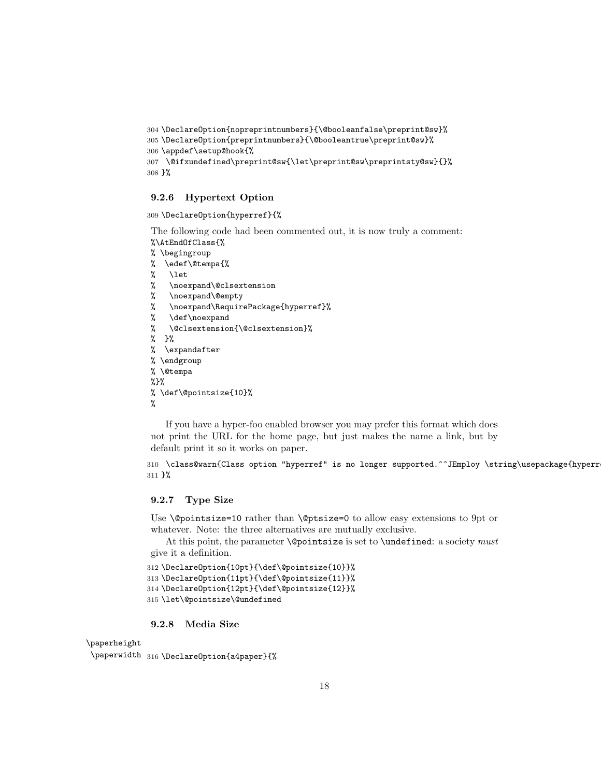```
304 \DeclareOption{nopreprintnumbers}{\@booleanfalse\preprint@sw}%
305 \DeclareOption{preprintnumbers}{\@booleantrue\preprint@sw}%
306 \appdef\setup@hook{%
307 \@ifxundefined\preprint@sw{\let\preprint@sw\preprintsty@sw}{}%
308 }%
```
### <span id="page-17-0"></span>9.2.6 Hypertext Option

309 \DeclareOption{hyperref}{%

The following code had been commented out, it is now truly a comment: %\AtEndOfClass{%

- % \begingroup
- % \edef\@tempa{%
- $\begin{array}{cc} \text{\%} & \text{here} \\ \text{\%} & \text{none} \end{array}$
- \noexpand\@clsextension
- % \noexpand\@empty
- % \noexpand\RequirePackage{hyperref}%
- % \def\noexpand
- % \@clsextension{\@clsextension}%
- % }%
- % \expandafter
- % \endgroup % \@tempa
- %}%
- 

% \def\@pointsize{10}% %

If you have a hyper-foo enabled browser you may prefer this format which does not print the URL for the home page, but just makes the name a link, but by default print it so it works on paper.

```
310 \class@warn{Class option "hyperref" is no longer supported.^^JEmploy \string\usepackage{hyperr
311 }%
```
#### <span id="page-17-1"></span>9.2.7 Type Size

Use **\@pointsize=10** rather than **\@ptsize=0** to allow easy extensions to 9pt or whatever. Note: the three alternatives are mutually exclusive.

At this point, the parameter  $\lozenge$   $\lozenge$  is set to  $\uarepsilon$ : a society must give it a definition.

```
312 \DeclareOption{10pt}{\def\@pointsize{10}}%
313 \DeclareOption{11pt}{\def\@pointsize{11}}%
314 \DeclareOption{12pt}{\def\@pointsize{12}}%
315 \let\@pointsize\@undefined
```
### <span id="page-17-2"></span>9.2.8 Media Size

\paperheight

\paperwidth <sup>316</sup> \DeclareOption{a4paper}{%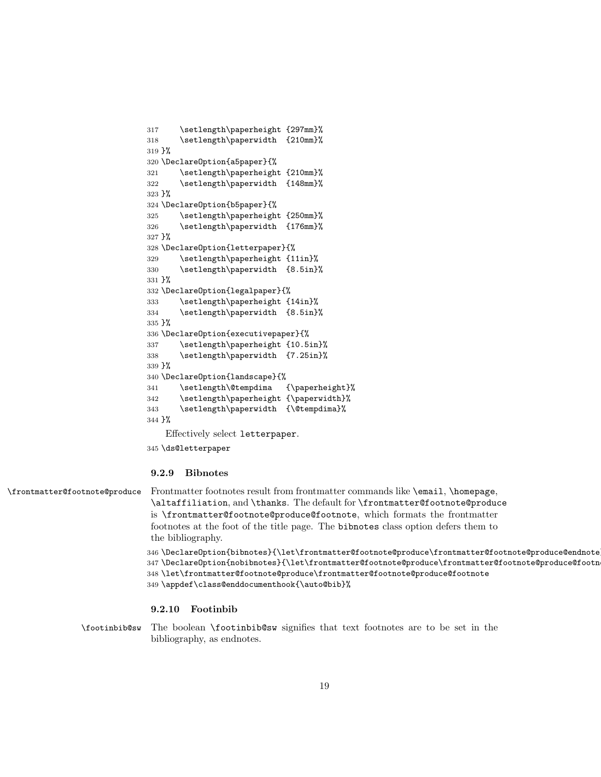```
317 \setlength\paperheight {297mm}%
318 \setlength\paperwidth {210mm}%
319 }%
320 \DeclareOption{a5paper}{%
321 \setlength\paperheight {210mm}%
322 \setlength\paperwidth {148mm}%
323 }%
324 \DeclareOption{b5paper}{%
325 \setlength\paperheight {250mm}%
326 \setlength\paperwidth {176mm}%
327 }%
328 \DeclareOption{letterpaper}{%
329 \setlength\paperheight {11in}%
330 \setlength\paperwidth {8.5in}%
331 }%
332 \DeclareOption{legalpaper}{%
333 \setlength\paperheight {14in}%
334 \setlength\paperwidth {8.5in}%
335 }%
336 \DeclareOption{executivepaper}{%
337 \setlength\paperheight {10.5in}%
338 \setlength\paperwidth {7.25in}%
339 }%
340 \DeclareOption{landscape}{%
341 \setlength\@tempdima {\paperheight}%
342 \setlength\paperheight {\paperwidth}%
343 \setlength\paperwidth {\@tempdima}%
344 }%
    Effectively select letterpaper.
```

```
345 \ds@letterpaper
```
#### <span id="page-18-0"></span>9.2.9 Bibnotes

\frontmatter@footnote@produce Frontmatter footnotes result from frontmatter commands like \email, \homepage, \altaffiliation, and \thanks. The default for \frontmatter@footnote@produce is \frontmatter@footnote@produce@footnote, which formats the frontmatter footnotes at the foot of the title page. The bibnotes class option defers them to the bibliography.

```
346 \DeclareOption{bibnotes}{\let\frontmatter@footnote@produce\frontmatter@footnote@produce@endnote}%
347 \DeclareOption{nobibnotes}{\let\frontmatter@footnote@produce\frontmatter@footnote@produce@footnote}%
348 \let\frontmatter@footnote@produce\frontmatter@footnote@produce@footnote
349 \appdef\class@enddocumenthook{\auto@bib}%
```
### <span id="page-18-1"></span>9.2.10 Footinbib

\footinbib@sw The boolean \footinbib@sw signifies that text footnotes are to be set in the bibliography, as endnotes.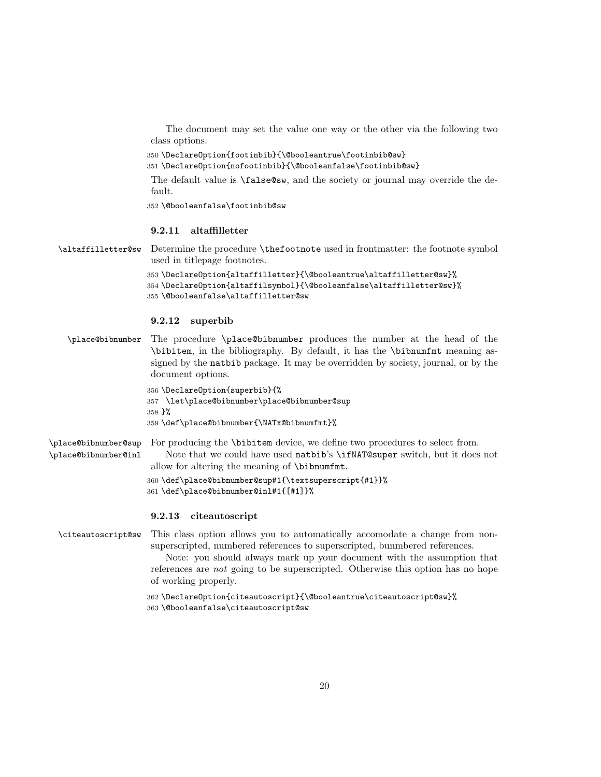The document may set the value one way or the other via the following two class options.

350 \DeclareOption{footinbib}{\@booleantrue\footinbib@sw}

351 \DeclareOption{nofootinbib}{\@booleanfalse\footinbib@sw}

The default value is \false@sw, and the society or journal may override the default.

352 \@booleanfalse\footinbib@sw

### <span id="page-19-0"></span>9.2.11 altaffilletter

\altaffilletter@sw Determine the procedure \thefootnote used in frontmatter: the footnote symbol used in titlepage footnotes.

```
353 \DeclareOption{altaffilletter}{\@booleantrue\altaffilletter@sw}%
354 \DeclareOption{altaffilsymbol}{\@booleanfalse\altaffilletter@sw}%
355 \@booleanfalse\altaffilletter@sw
```
#### <span id="page-19-1"></span>9.2.12 superbib

\place@bibnumber The procedure \place@bibnumber produces the number at the head of the \bibitem, in the bibliography. By default, it has the \bibnumfmt meaning assigned by the natbib package. It may be overridden by society, journal, or by the document options.

```
356 \DeclareOption{superbib}{%
357 \let\place@bibnumber\place@bibnumber@sup
358 }%
359 \def\place@bibnumber{\NATx@bibnumfmt}%
```
\place@bibnumber@sup \place@bibnumber@inl For producing the \bibitem device, we define two procedures to select from. Note that we could have used natbib's \ifNAT@super switch, but it does not allow for altering the meaning of \bibnumfmt.

> 360 \def\place@bibnumber@sup#1{\textsuperscript{#1}}% 361 \def\place@bibnumber@inl#1{[#1]}%

#### <span id="page-19-2"></span>9.2.13 citeautoscript

\citeautoscript@sw This class option allows you to automatically accomodate a change from nonsuperscripted, numbered references to superscripted, bunmbered references.

> Note: you should always mark up your document with the assumption that references are not going to be superscripted. Otherwise this option has no hope of working properly.

362 \DeclareOption{citeautoscript}{\@booleantrue\citeautoscript@sw}% 363 \@booleanfalse\citeautoscript@sw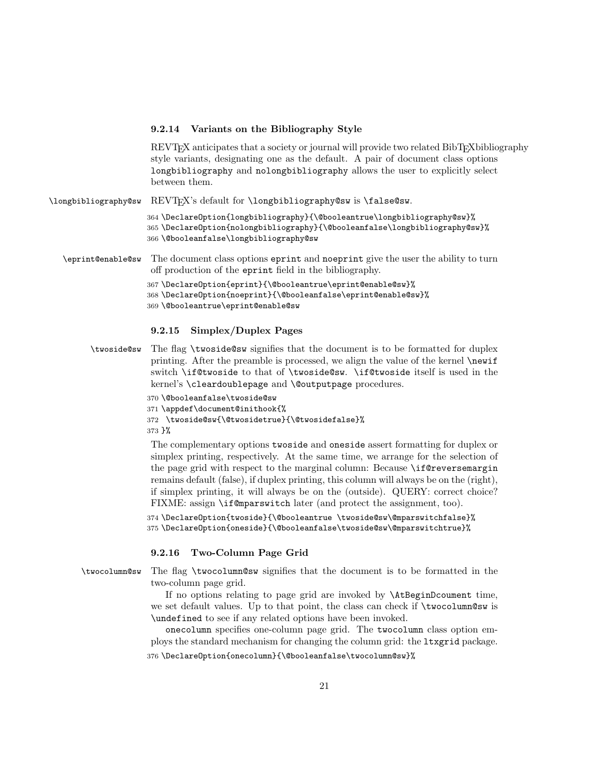#### <span id="page-20-0"></span>9.2.14 Variants on the Bibliography Style

REVT<sub>EX</sub> anticipates that a society or journal will provide two related BibT<sub>EX</sub>bibliography style variants, designating one as the default. A pair of document class options longbibliography and nolongbibliography allows the user to explicitly select between them.

\longbibliography@sw REVTEX's default for \longbibliography@sw is \false@sw.

364 \DeclareOption{longbibliography}{\@booleantrue\longbibliography@sw}% 365 \DeclareOption{nolongbibliography}{\@booleanfalse\longbibliography@sw}% 366 \@booleanfalse\longbibliography@sw

- \eprint@enable@sw The document class options eprint and noeprint give the user the ability to turn off production of the eprint field in the bibliography.
	- 367 \DeclareOption{eprint}{\@booleantrue\eprint@enable@sw}%
	- 368 \DeclareOption{noeprint}{\@booleanfalse\eprint@enable@sw}%
	- 369 \@booleantrue\eprint@enable@sw

#### <span id="page-20-1"></span>9.2.15 Simplex/Duplex Pages

- \twoside@sw The flag \twoside@sw signifies that the document is to be formatted for duplex printing. After the preamble is processed, we align the value of the kernel \newif switch \if@twoside to that of \twoside@sw. \if@twoside itself is used in the kernel's \cleardoublepage and \@outputpage procedures.
	- 370 \@booleanfalse\twoside@sw
	- 371 \appdef\document@inithook{%
	- 372 \twoside@sw{\@twosidetrue}{\@twosidefalse}%

#### 373 }%

The complementary options twoside and oneside assert formatting for duplex or simplex printing, respectively. At the same time, we arrange for the selection of the page grid with respect to the marginal column: Because \if@reversemargin remains default (false), if duplex printing, this column will always be on the (right), if simplex printing, it will always be on the (outside). QUERY: correct choice? FIXME: assign \if@mparswitch later (and protect the assignment, too).

374 \DeclareOption{twoside}{\@booleantrue \twoside@sw\@mparswitchfalse}% 375 \DeclareOption{oneside}{\@booleanfalse\twoside@sw\@mparswitchtrue}%

#### <span id="page-20-2"></span>9.2.16 Two-Column Page Grid

\twocolumn@sw The flag \twocolumn@sw signifies that the document is to be formatted in the two-column page grid.

If no options relating to page grid are invoked by \AtBeginDcoument time, we set default values. Up to that point, the class can check if \twocolumn@sw is \undefined to see if any related options have been invoked.

onecolumn specifies one-column page grid. The twocolumn class option employs the standard mechanism for changing the column grid: the ltxgrid package.

376 \DeclareOption{onecolumn}{\@booleanfalse\twocolumn@sw}%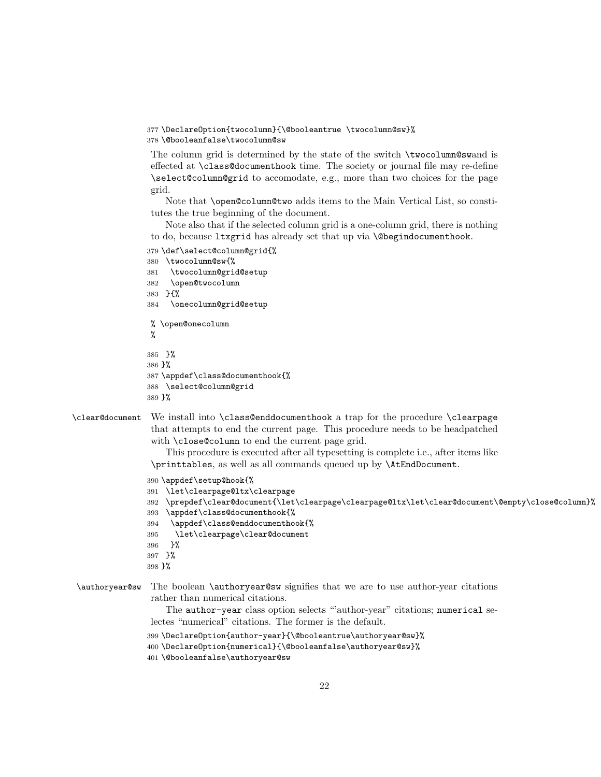```
377 \DeclareOption{twocolumn}{\@booleantrue \twocolumn@sw}%
```
378 \@booleanfalse\twocolumn@sw

The column grid is determined by the state of the switch \twocolumn@swand is effected at \class@documenthook time. The society or journal file may re-define \select@column@grid to accomodate, e.g., more than two choices for the page grid.

Note that \open@column@two adds items to the Main Vertical List, so constitutes the true beginning of the document.

Note also that if the selected column grid is a one-column grid, there is nothing to do, because ltxgrid has already set that up via \@begindocumenthook.

- 379 \def\select@column@grid{%
- 380 \twocolumn@sw{%
- 381 \twocolumn@grid@setup
- 382 \open@twocolumn
- 383 }{%
- 384 \onecolumn@grid@setup
- % \open@onecolumn %

```
385 }%
```

```
386 }%
```
387 \appdef\class@documenthook{%

```
388 \select@column@grid
389 }%
```
\clear@document We install into \class@enddocumenthook a trap for the procedure \clearpage that attempts to end the current page. This procedure needs to be headpatched with \close@column to end the current page grid.

> This procedure is executed after all typesetting is complete i.e., after items like \printtables, as well as all commands queued up by \AtEndDocument.

```
390 \appdef\setup@hook{%
391 \let\clearpage@ltx\clearpage
392 \prepdef\clear@document{\let\clearpage\clearpage@ltx\let\clear@document\@empty\close@column}%
393 \appdef\class@documenthook{%
394 \appdef\class@enddocumenthook{%
395 \let\clearpage\clear@document
396 }%
397 }%
398 }%
```
\authoryear@sw The boolean \authoryear@sw signifies that we are to use author-year citations rather than numerical citations.

> The author-year class option selects "author-year" citations; numerical selectes "numerical" citations. The former is the default.

```
399 \DeclareOption{author-year}{\@booleantrue\authoryear@sw}%
400 \DeclareOption{numerical}{\@booleanfalse\authoryear@sw}%
```
401 \@booleanfalse\authoryear@sw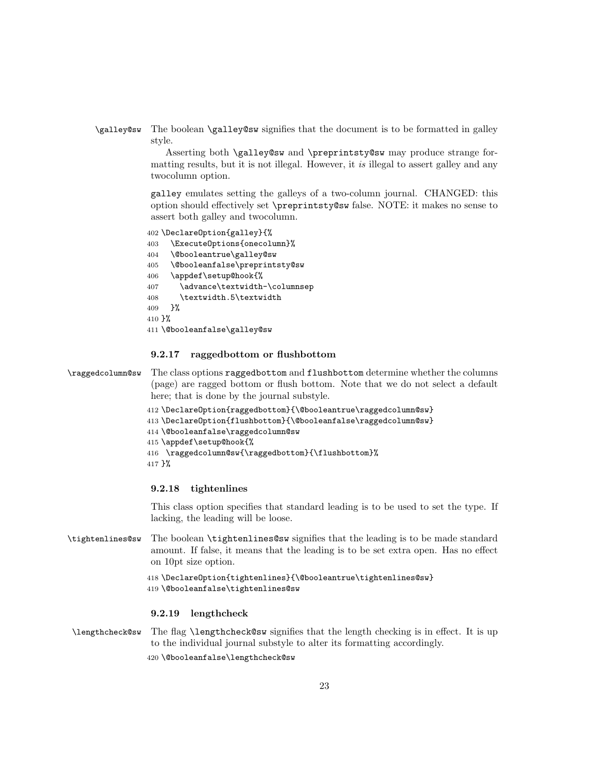\galley@sw The boolean \galley@sw signifies that the document is to be formatted in galley style.

> Asserting both \galley@sw and \preprintsty@sw may produce strange formatting results, but it is not illegal. However, it is illegal to assert galley and any twocolumn option.

> galley emulates setting the galleys of a two-column journal. CHANGED: this option should effectively set \preprintsty@sw false. NOTE: it makes no sense to assert both galley and twocolumn.

```
402 \DeclareOption{galley}{%
403 \ExecuteOptions{onecolumn}%
404 \@booleantrue\galley@sw
405 \@booleanfalse\preprintsty@sw
406 \appdef\setup@hook{%
407 \advance\textwidth-\columnsep
408 \textwidth.5\textwidth
409 }%
410 }%
411 \@booleanfalse\galley@sw
```
### <span id="page-22-0"></span>9.2.17 raggedbottom or flushbottom

\raggedcolumn@sw The class options raggedbottom and flushbottom determine whether the columns (page) are ragged bottom or flush bottom. Note that we do not select a default here; that is done by the journal substyle.

```
412 \DeclareOption{raggedbottom}{\@booleantrue\raggedcolumn@sw}
413 \DeclareOption{flushbottom}{\@booleanfalse\raggedcolumn@sw}
414 \@booleanfalse\raggedcolumn@sw
415 \appdef\setup@hook{%
416 \raggedcolumn@sw{\raggedbottom}{\flushbottom}%
417 }%
```
#### <span id="page-22-1"></span>9.2.18 tightenlines

This class option specifies that standard leading is to be used to set the type. If lacking, the leading will be loose.

\tightenlines@sw The boolean \tightenlines@sw signifies that the leading is to be made standard amount. If false, it means that the leading is to be set extra open. Has no effect on 10pt size option.

```
418 \DeclareOption{tightenlines}{\@booleantrue\tightenlines@sw}
419 \@booleanfalse\tightenlines@sw
```
#### <span id="page-22-2"></span>9.2.19 lengthcheck

\lengthcheck@sw The flag \lengthcheck@sw signifies that the length checking is in effect. It is up to the individual journal substyle to alter its formatting accordingly. 420 \@booleanfalse\lengthcheck@sw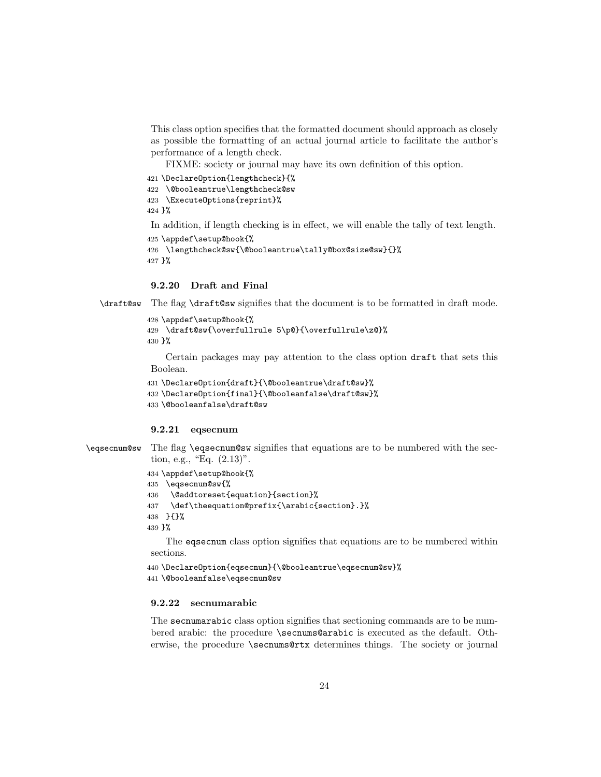This class option specifies that the formatted document should approach as closely as possible the formatting of an actual journal article to facilitate the author's performance of a length check.

FIXME: society or journal may have its own definition of this option.

```
421 \DeclareOption{lengthcheck}{%
```

```
422 \@booleantrue\lengthcheck@sw
```

```
423 \ExecuteOptions{reprint}%
```
424 }%

In addition, if length checking is in effect, we will enable the tally of text length.

```
425 \appdef\setup@hook{%
```

```
426 \lengthcheck@sw{\@booleantrue\tally@box@size@sw}{}%
427 }%
```
### <span id="page-23-0"></span>9.2.20 Draft and Final

\draft@sw The flag \draft@sw signifies that the document is to be formatted in draft mode.

```
428 \appdef\setup@hook{%
429 \draft@sw{\overfullrule 5\p@}{\overfullrule\z@}%
430 }%
```
Certain packages may pay attention to the class option draft that sets this Boolean.

```
431 \DeclareOption{draft}{\@booleantrue\draft@sw}%
432 \DeclareOption{final}{\@booleanfalse\draft@sw}%
433 \@booleanfalse\draft@sw
```
#### <span id="page-23-1"></span>9.2.21 eqsecnum

```
\eqsecnum@sw The flag \eqsecnum@sw signifies that equations are to be numbered with the sec-
              tion, e.g., "Eq. (2.13)".
```

```
434 \appdef\setup@hook{%
```
435 \eqsecnum@sw{%

```
436 \@addtoreset{equation}{section}%
```

```
437 \def\theequation@prefix{\arabic{section}.}%
```
438 }{}%

439 }%

The eqsecnum class option signifies that equations are to be numbered within sections.

```
440 \DeclareOption{eqsecnum}{\@booleantrue\eqsecnum@sw}%
```

```
441 \@booleanfalse\eqsecnum@sw
```
#### <span id="page-23-2"></span>9.2.22 secnumarabic

The secnumarabic class option signifies that sectioning commands are to be numbered arabic: the procedure \secnums@arabic is executed as the default. Otherwise, the procedure \secnums@rtx determines things. The society or journal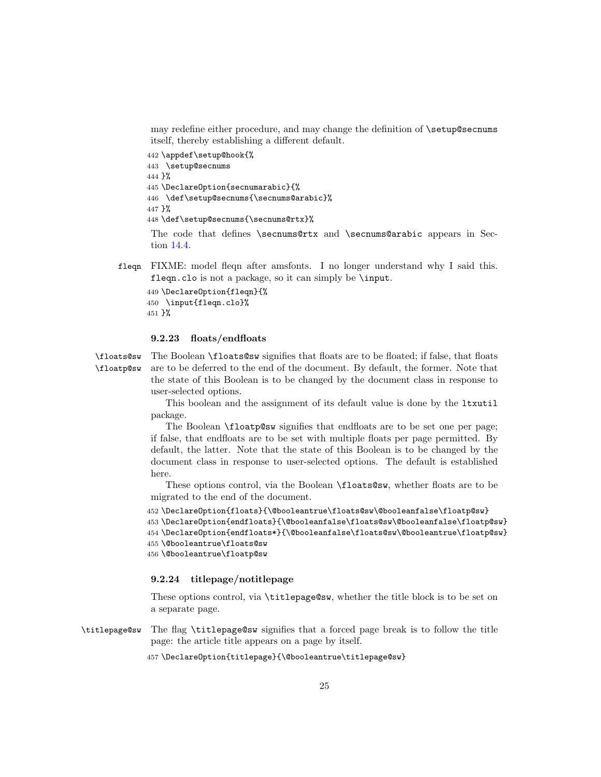may redefine either procedure, and may change the definition of \setup@secnums itself, thereby establishing a different default.

442 \appdef\setup@hook{%

```
443 \setup@secnums
444 }%
445 \DeclareOption{secnumarabic}{%
446 \def\setup@secnums{\secnums@arabic}%
447 }%
448 \def\setup@secnums{\secnums@rtx}%
```
The code that defines \secnums@rtx and \secnums@arabic appears in Section [14.4.](#page-38-0)

fleqn FIXME: model fleqn after amsfonts. I no longer understand why I said this. fleqn.clo is not a package, so it can simply be \input.

```
449 \DeclareOption{fleqn}{%
450 \input{fleqn.clo}%
451 }%
```
#### <span id="page-24-0"></span>9.2.23 floats/endfloats

```
\floats@sw
\floatp@sw
            The Boolean \floats@sw signifies that floats are to be floated; if false, that floats
            are to be deferred to the end of the document. By default, the former. Note that
             the state of this Boolean is to be changed by the document class in response to
             user-selected options.
```
This boolean and the assignment of its default value is done by the ltxutil package.

The Boolean **\floatp@sw** signifies that endfloats are to be set one per page; if false, that endfloats are to be set with multiple floats per page permitted. By default, the latter. Note that the state of this Boolean is to be changed by the document class in response to user-selected options. The default is established here.

These options control, via the Boolean \floats@sw, whether floats are to be migrated to the end of the document.

```
452 \DeclareOption{floats}{\@booleantrue\floats@sw\@booleanfalse\floatp@sw}
453 \DeclareOption{endfloats}{\@booleanfalse\floats@sw\@booleanfalse\floatp@sw}
454 \DeclareOption{endfloats*}{\@booleanfalse\floats@sw\@booleantrue\floatp@sw}
455 \@booleantrue\floats@sw
```
456 \@booleantrue\floatp@sw

#### <span id="page-24-1"></span>9.2.24 titlepage/notitlepage

These options control, via \titlepage@sw, whether the title block is to be set on a separate page.

\titlepage@sw The flag \titlepage@sw signifies that a forced page break is to follow the title page: the article title appears on a page by itself.

457 \DeclareOption{titlepage}{\@booleantrue\titlepage@sw}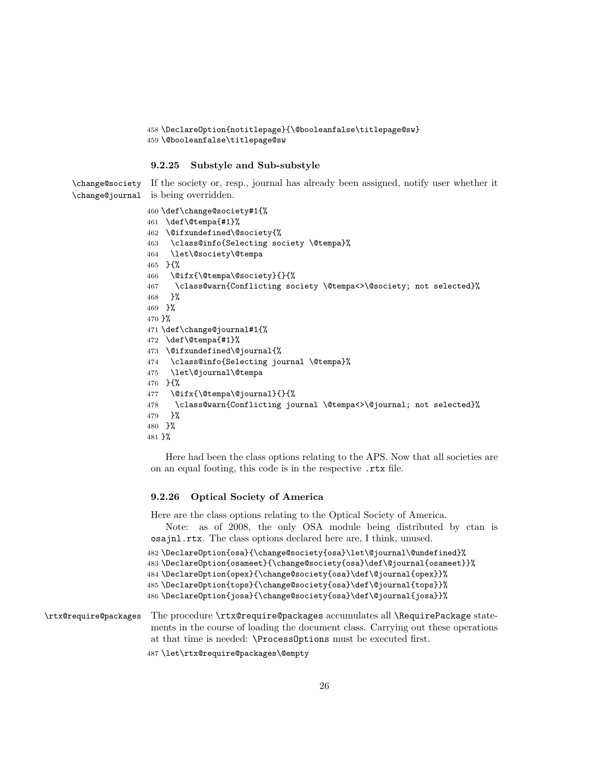```
458 \DeclareOption{notitlepage}{\@booleanfalse\titlepage@sw}
459 \@booleanfalse\titlepage@sw
```
#### <span id="page-25-0"></span>9.2.25 Substyle and Sub-substyle

\change@society If the society or, resp., journal has already been assigned, notify user whether it \change@journal is being overridden.

```
460 \def\change@society#1{%
461 \def\@tempa{#1}%
462 \@ifxundefined\@society{%
463 \class@info{Selecting society \@tempa}%
464 \let\@society\@tempa
465 }{%
466 \@ifx{\@tempa\@society}{}{%
467 \class@warn{Conflicting society \@tempa<>\@society; not selected}%
468 }%
469 }%
470 }%
471 \def\change@journal#1{%
472 \def\@tempa{#1}%
473 \@ifxundefined\@journal{%
474 \class@info{Selecting journal \@tempa}%
475 \let\@journal\@tempa
476 }{%
477 \@ifx{\@tempa\@journal}{}{%
478 \class@warn{Conflicting journal \@tempa<>\@journal; not selected}%
479 }%
480 }%
481 }%
```
Here had been the class options relating to the APS. Now that all societies are on an equal footing, this code is in the respective .rtx file.

#### <span id="page-25-1"></span>9.2.26 Optical Society of America

Here are the class options relating to the Optical Society of America.

Note: as of 2008, the only OSA module being distributed by ctan is osajnl.rtx. The class options declared here are, I think, unused.

```
482 \DeclareOption{osa}{\change@society{osa}\let\@journal\@undefined}%
483 \DeclareOption{osameet}{\change@society{osa}\def\@journal{osameet}}%
484 \DeclareOption{opex}{\change@society{osa}\def\@journal{opex}}%
485 \DeclareOption{tops}{\change@society{osa}\def\@journal{tops}}%
486 \DeclareOption{josa}{\change@society{osa}\def\@journal{josa}}%
```
\rtx@require@packages The procedure \rtx@require@packages accumulates all \RequirePackage statements in the course of loading the document class. Carrying out these operations at that time is needed: \ProcessOptions must be executed first.

\let\rtx@require@packages\@empty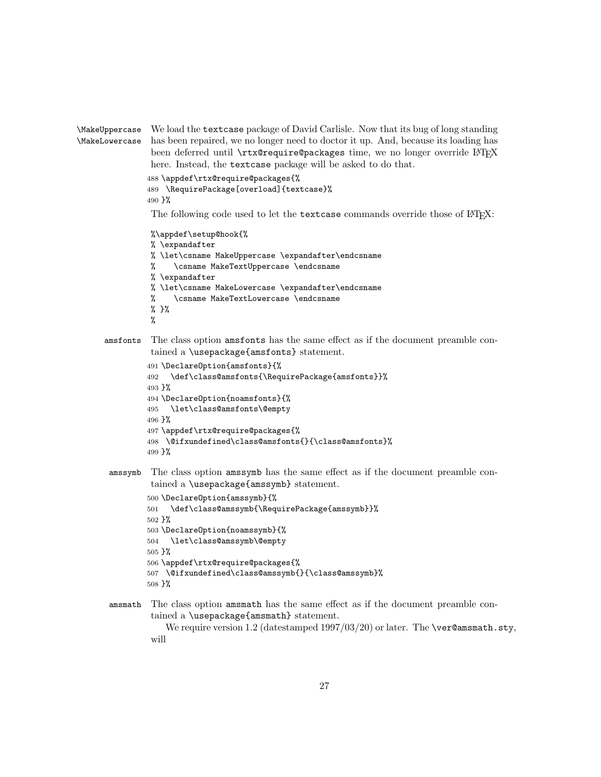```
\MakeUppercase
\MakeLowercase
                We load the textcase package of David Carlisle. Now that its bug of long standing
                has been repaired, we no longer need to doctor it up. And, because its loading has
                been deferred until \rtx@require@packages time, we no longer override LATFX
                here. Instead, the textcase package will be asked to do that.
               488 \appdef\rtx@require@packages{%
               489 \RequirePackage[overload]{textcase}%
               490 }%
                The following code used to let the textcase commands override those of LATEX:
                %\appdef\setup@hook{%
                % \expandafter
                % \let\csname MakeUppercase \expandafter\endcsname
                % \csname MakeTextUppercase \endcsname
                % \expandafter
                % \let\csname MakeLowercase \expandafter\endcsname
                % \csname MakeTextLowercase \endcsname
                % }%
                %
      amsfonts The class option amsfonts has the same effect as if the document preamble con-
                tained a \usepackage{amsfonts} statement.
               491 \DeclareOption{amsfonts}{%
               492 \def\class@amsfonts{\RequirePackage{amsfonts}}%
               493 }%
               494 \DeclareOption{noamsfonts}{%
               495 \let\class@amsfonts\@empty
               496 }%
               497 \appdef\rtx@require@packages{%
               498 \@ifxundefined\class@amsfonts{}{\class@amsfonts}%
               499 }%
       amssymb The class option amssymb has the same effect as if the document preamble con-
                tained a \usepackage{amssymb} statement.
               500 \DeclareOption{amssymb}{%
               501 \def\class@amssymb{\RequirePackage{amssymb}}%
               502 }%
               503 \DeclareOption{noamssymb}{%
               504 \let\class@amssymb\@empty
               505 }%
               506 \appdef\rtx@require@packages{%
               507 \@ifxundefined\class@amssymb{}{\class@amssymb}%
               508 }%
       amsmath The class option amsmath has the same effect as if the document preamble con-
                tained a \usepackage{amsmath} statement.
                   We require version 1.2 (datestamped 1997/03/20) or later. The \ver@amsmath.sty,
```

```
27
```
will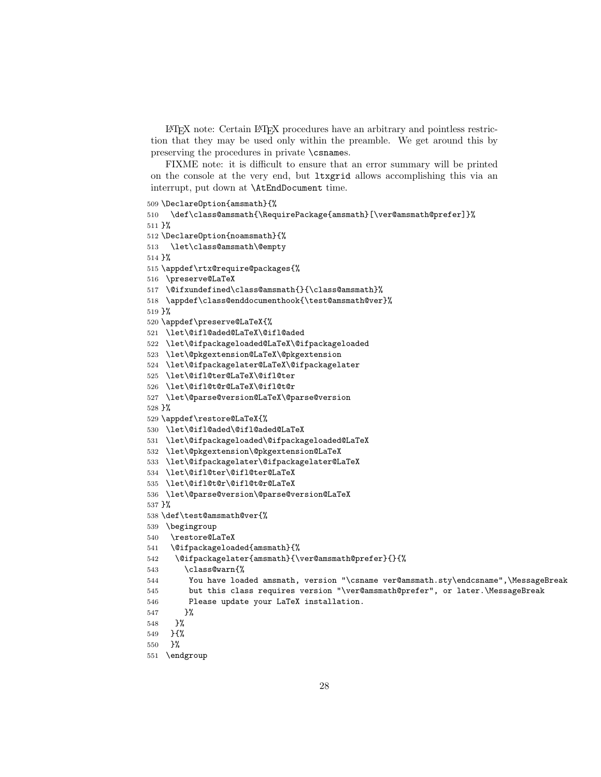LATEX note: Certain LATEX procedures have an arbitrary and pointless restriction that they may be used only within the preamble. We get around this by preserving the procedures in private \csnames.

FIXME note: it is difficult to ensure that an error summary will be printed on the console at the very end, but ltxgrid allows accomplishing this via an interrupt, put down at \AtEndDocument time.

```
509 \DeclareOption{amsmath}{%
510 \def\class@amsmath{\RequirePackage{amsmath}[\ver@amsmath@prefer]}%
511 }%
512 \DeclareOption{noamsmath}{%
513 \let\class@amsmath\@empty
514 }%
515 \appdef\rtx@require@packages{%
516 \preserve@LaTeX
517 \@ifxundefined\class@amsmath{}{\class@amsmath}%
518 \appdef\class@enddocumenthook{\test@amsmath@ver}%
519 }%
520 \appdef\preserve@LaTeX{%
521 \let\@ifl@aded@LaTeX\@ifl@aded
522 \let\@ifpackageloaded@LaTeX\@ifpackageloaded
523 \let\@pkgextension@LaTeX\@pkgextension
524 \let\@ifpackagelater@LaTeX\@ifpackagelater
525 \let\@ifl@ter@LaTeX\@ifl@ter
526 \let\@ifl@t@r@LaTeX\@ifl@t@r
527 \let\@parse@version@LaTeX\@parse@version
528 }%
529 \appdef\restore@LaTeX{%
530 \let\@ifl@aded\@ifl@aded@LaTeX
531 \let\@ifpackageloaded\@ifpackageloaded@LaTeX
532 \let\@pkgextension\@pkgextension@LaTeX
533 \let\@ifpackagelater\@ifpackagelater@LaTeX
534 \let\@ifl@ter\@ifl@ter@LaTeX
535 \let\@ifl@t@r\@ifl@t@r@LaTeX
536 \let\@parse@version\@parse@version@LaTeX
537 }%
538 \def\test@amsmath@ver{%
539 \begingroup
540 \restore@LaTeX
541 \@ifpackageloaded{amsmath}{%
542 \@ifpackagelater{amsmath}{\ver@amsmath@prefer}{}{%
543 \class@warn{%
544 You have loaded amsmath, version "\csname ver@amsmath.sty\endcsname",\MessageBreak
545 but this class requires version "\ver@amsmath@prefer", or later.\MessageBreak
546 Please update your LaTeX installation.
547 }%
548 }%
549 }{%
```

```
550 }%
```

```
551 \endgroup
```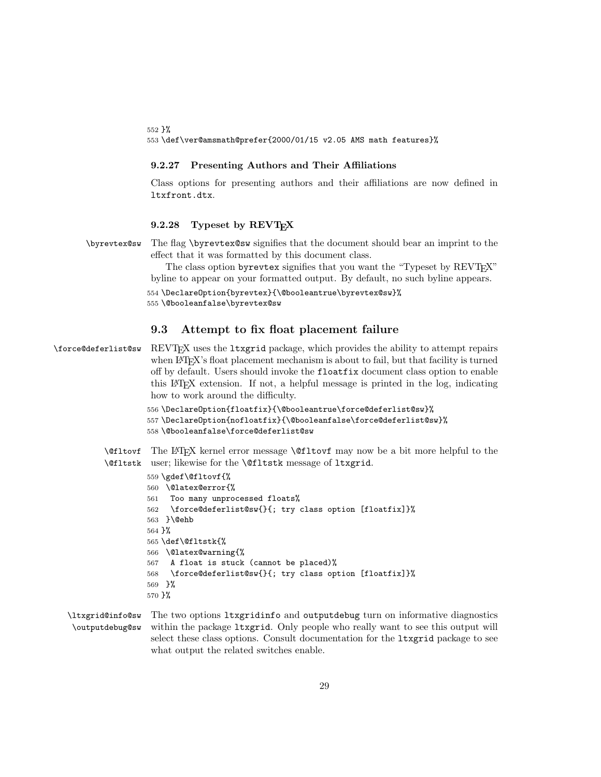552 }% 553 \def\ver@amsmath@prefer{2000/01/15 v2.05 AMS math features}%

#### <span id="page-28-0"></span>9.2.27 Presenting Authors and Their Affiliations

Class options for presenting authors and their affiliations are now defined in ltxfront.dtx.

#### <span id="page-28-1"></span>9.2.28 Typeset by REVT<sub>EX</sub>

\byrevtex@sw The flag \byrevtex@sw signifies that the document should bear an imprint to the effect that it was formatted by this document class.

> The class option byrevtex signifies that you want the "Typeset by REVTEX" byline to appear on your formatted output. By default, no such byline appears.

```
554 \DeclareOption{byrevtex}{\@booleantrue\byrevtex@sw}%
```
555 \@booleanfalse\byrevtex@sw

### <span id="page-28-2"></span>9.3 Attempt to fix float placement failure

\force@deferlist@sw REVTEX uses the ltxgrid package, which provides the ability to attempt repairs when LAT<sub>E</sub>X's float placement mechanism is about to fail, but that facility is turned off by default. Users should invoke the floatfix document class option to enable this LATEX extension. If not, a helpful message is printed in the log, indicating how to work around the difficulty.

```
556 \DeclareOption{floatfix}{\@booleantrue\force@deferlist@sw}%
557 \DeclareOption{nofloatfix}{\@booleanfalse\force@deferlist@sw}%
558 \@booleanfalse\force@deferlist@sw
```
\@fltovf The LATEX kernel error message \@fltovf may now be a bit more helpful to the \@fltstk user; likewise for the \@fltstk message of ltxgrid.

```
559 \gdef\@fltovf{%
560 \@latex@error{%
561 Too many unprocessed floats%
562 \force@deferlist@sw{}{; try class option [floatfix]}%
563 }\@ehb
564 }%
565 \def\@fltstk{%
566 \@latex@warning{%
567 A float is stuck (cannot be placed)%
568 \force@deferlist@sw{}{; try class option [floatfix]}%
569 }%
570 }%
```
\ltxgrid@info@sw \outputdebug@sw The two options ltxgridinfo and outputdebug turn on informative diagnostics within the package ltxgrid. Only people who really want to see this output will select these class options. Consult documentation for the ltxgrid package to see what output the related switches enable.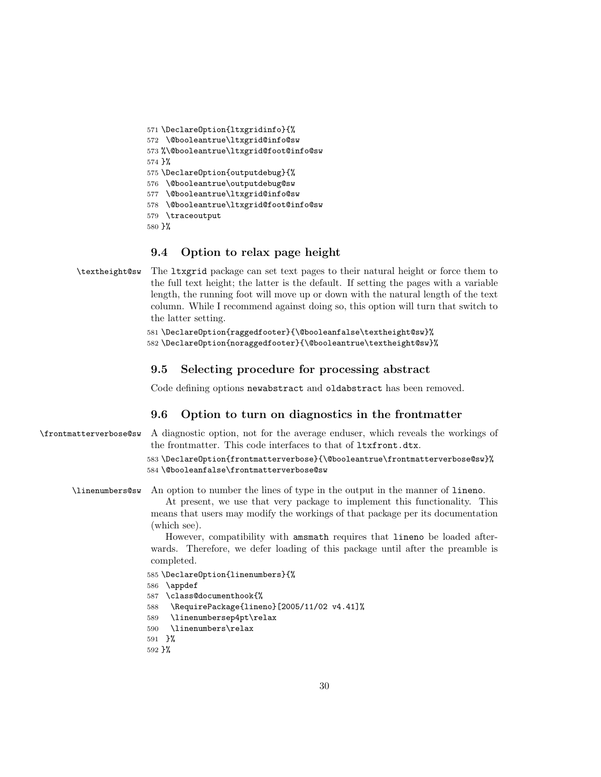```
571 \DeclareOption{ltxgridinfo}{%
572 \@booleantrue\ltxgrid@info@sw
573 %\@booleantrue\ltxgrid@foot@info@sw
574 }%
575 \DeclareOption{outputdebug}{%
576 \@booleantrue\outputdebug@sw
577 \@booleantrue\ltxgrid@info@sw
578 \@booleantrue\ltxgrid@foot@info@sw
579 \traceoutput
580 }%
```
# <span id="page-29-0"></span>9.4 Option to relax page height

```
\textheight@sw The ltxgrid package can set text pages to their natural height or force them to
                 the full text height; the latter is the default. If setting the pages with a variable
                 length, the running foot will move up or down with the natural length of the text
                 column. While I recommend against doing so, this option will turn that switch to
                 the latter setting.
```

```
581 \DeclareOption{raggedfooter}{\@booleanfalse\textheight@sw}%
582 \DeclareOption{noraggedfooter}{\@booleantrue\textheight@sw}%
```
### <span id="page-29-1"></span>9.5 Selecting procedure for processing abstract

Code defining options newabstract and oldabstract has been removed.

# <span id="page-29-2"></span>9.6 Option to turn on diagnostics in the frontmatter

```
\frontmatterverbose@sw A diagnostic option, not for the average enduser, which reveals the workings of
                         the frontmatter. This code interfaces to that of ltxfront.dtx.
```

```
583 \DeclareOption{frontmatterverbose}{\@booleantrue\frontmatterverbose@sw}%
584 \@booleanfalse\frontmatterverbose@sw
```
\linenumbers@sw An option to number the lines of type in the output in the manner of lineno.

At present, we use that very package to implement this functionality. This means that users may modify the workings of that package per its documentation (which see).

However, compatibility with amsmath requires that lineno be loaded afterwards. Therefore, we defer loading of this package until after the preamble is completed.

```
585 \DeclareOption{linenumbers}{%
```

```
586 \appdef
```
- 587 \class@documenthook{%
- 588 \RequirePackage{lineno}[2005/11/02 v4.41]%
- 589 \linenumbersep4pt\relax
- 590 \linenumbers\relax

```
591 }%
```

```
592 }%
```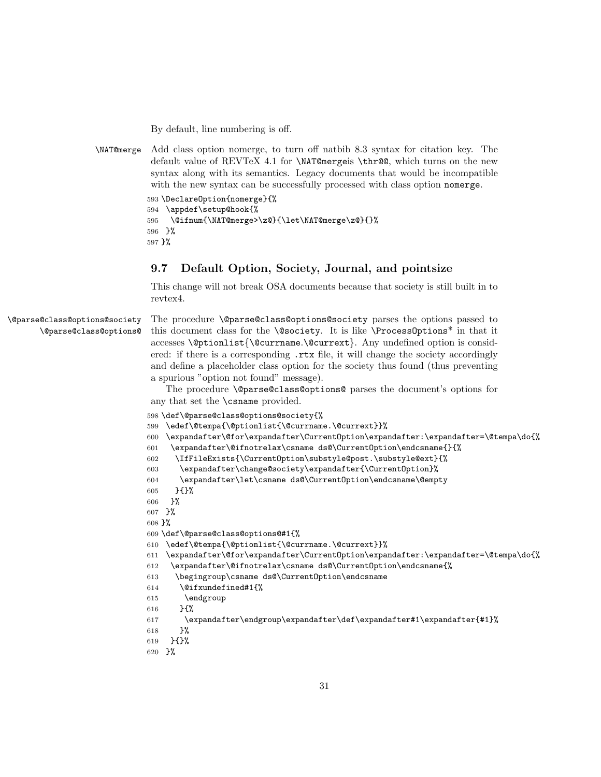By default, line numbering is off.

\NAT@merge Add class option nomerge, to turn off natbib 8.3 syntax for citation key. The default value of REVTeX 4.1 for \NAT@mergeis \thr@@, which turns on the new syntax along with its semantics. Legacy documents that would be incompatible with the new syntax can be successfully processed with class option nomerge.

```
593 \DeclareOption{nomerge}{%
594 \appdef\setup@hook{%
595 \@ifnum{\NAT@merge>\z@}{\let\NAT@merge\z@}{}%
596 }%
597 }%
```
# <span id="page-30-0"></span>9.7 Default Option, Society, Journal, and pointsize

This change will not break OSA documents because that society is still built in to revtex4.

```
\@parse@class@options@society
       \@parse@class@options@
```
The procedure **\@parse@class@options@society** parses the options passed to this document class for the **\@society**. It is like **\ProcessOptions**<sup>\*</sup> in that it accesses \@ptionlist{\@currname.\@currext}. Any undefined option is considered: if there is a corresponding .rtx file, it will change the society accordingly and define a placeholder class option for the society thus found (thus preventing a spurious "option not found" message).

The procedure \@parse@class@options@ parses the document's options for any that set the \csname provided.

```
598 \def\@parse@class@options@society{%
599 \edef\@tempa{\@ptionlist{\@currname.\@currext}}%
600 \expandafter\@for\expandafter\CurrentOption\expandafter:\expandafter=\@tempa\do{%
601 \expandafter\@ifnotrelax\csname ds@\CurrentOption\endcsname{}{%
602 \IfFileExists{\CurrentOption\substyle@post.\substyle@ext}{%
603 \expandafter\change@society\expandafter{\CurrentOption}%
604 \expandafter\let\csname ds@\CurrentOption\endcsname\@empty
605 }{}%
606 }%
607 }%
608 }%
609 \def\@parse@class@options@#1{%
610 \edef\@tempa{\@ptionlist{\@currname.\@currext}}%
611 \expandafter\@for\expandafter\CurrentOption\expandafter:\expandafter=\@tempa\do{%
612 \expandafter\@ifnotrelax\csname ds@\CurrentOption\endcsname{%
613 \begingroup\csname ds@\CurrentOption\endcsname
614 \@ifxundefined#1{%
615 \endgroup
616 }{%
617 \expandafter\endgroup\expandafter\def\expandafter#1\expandafter{#1}%
618 }%
619 }{}%
620 }%
```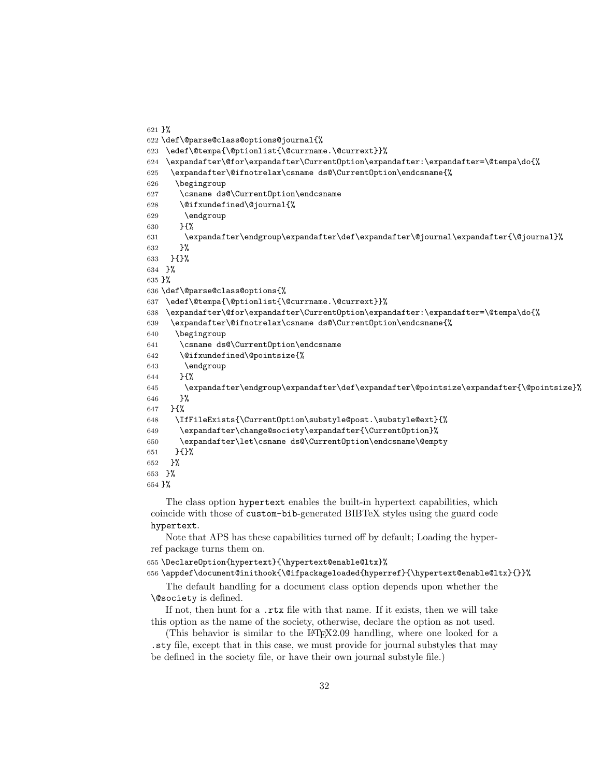```
621 }%
622 \def\@parse@class@options@journal{%
623 \edef\@tempa{\@ptionlist{\@currname.\@currext}}%
624 \expandafter\@for\expandafter\CurrentOption\expandafter:\expandafter=\@tempa\do{%
625 \expandafter\@ifnotrelax\csname ds@\CurrentOption\endcsname{%
626 \begingroup
627 \csname ds@\CurrentOption\endcsname
628 \@ifxundefined\@journal{%
629 \end{group}630 }{%
631 \expandafter\endgroup\expandafter\def\expandafter\@journal\expandafter{\@journal}%
632 }%
633 }{}%
634 }%
635 }%
636 \def\@parse@class@options{%
637 \edef\@tempa{\@ptionlist{\@currname.\@currext}}%
638 \expandafter\@for\expandafter\CurrentOption\expandafter:\expandafter=\@tempa\do{%
639 \expandafter\@ifnotrelax\csname ds@\CurrentOption\endcsname{%
640 \begingroup
641 \csname ds@\CurrentOption\endcsname
642 \@ifxundefined\@pointsize{%
643 \endgroup
644 }{%
645 \expandafter\endgroup\expandafter\def\expandafter\@pointsize\expandafter{\@pointsize}%
646 }%
647 }{%
648 \IfFileExists{\CurrentOption\substyle@post.\substyle@ext}{%
649 \expandafter\change@society\expandafter{\CurrentOption}%
650 \expandafter\let\csname ds@\CurrentOption\endcsname\@empty
651 }{}%
652 }%
653 }%
654 }%
```
The class option hypertext enables the built-in hypertext capabilities, which coincide with those of custom-bib-generated BIBTeX styles using the guard code hypertext.

Note that APS has these capabilities turned off by default; Loading the hyperref package turns them on.

```
655 \DeclareOption{hypertext}{\hypertext@enable@ltx}%
```
\appdef\document@inithook{\@ifpackageloaded{hyperref}{\hypertext@enable@ltx}{}}%

The default handling for a document class option depends upon whether the \@society is defined.

If not, then hunt for a .rtx file with that name. If it exists, then we will take this option as the name of the society, otherwise, declare the option as not used.

(This behavior is similar to the LAT<sub>E</sub>X2.09 handling, where one looked for a .sty file, except that in this case, we must provide for journal substyles that may be defined in the society file, or have their own journal substyle file.)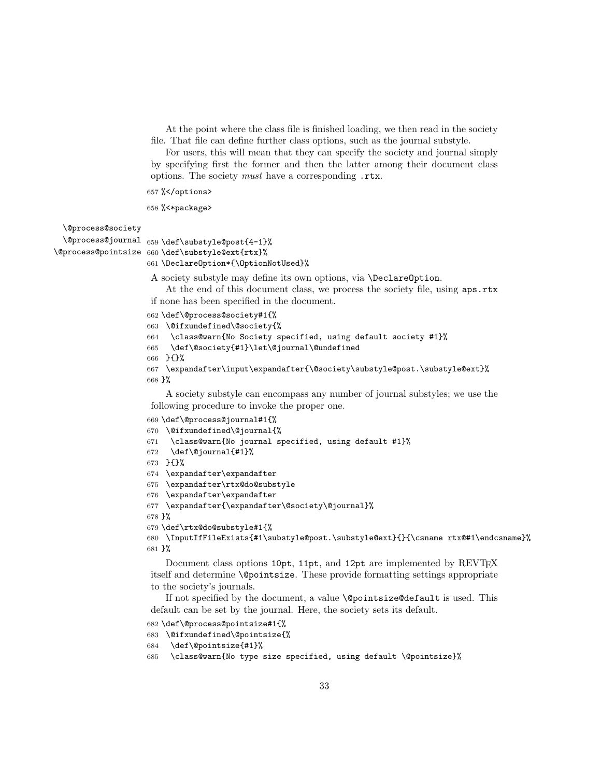At the point where the class file is finished loading, we then read in the society file. That file can define further class options, such as the journal substyle.

For users, this will mean that they can specify the society and journal simply by specifying first the former and then the latter among their document class options. The society must have a corresponding .rtx.

%</options>

```
658 %<*package>
```
\@process@society

```
\@process@journal
659 \def\substyle@post{4-1}%
```

```
\@process@pointsize
660 \def\substyle@ext{rtx}%
                    661 \DeclareOption*{\OptionNotUsed}%
```
A society substyle may define its own options, via \DeclareOption.

At the end of this document class, we process the society file, using aps.rtx if none has been specified in the document.

```
662 \def\@process@society#1{%
```

```
663 \@ifxundefined\@society{%
```

```
664 \class@warn{No Society specified, using default society #1}%
```

```
665 \def\@society{#1}\let\@journal\@undefined
```

```
666 }{}%
```

```
667 \expandafter\input\expandafter{\@society\substyle@post.\substyle@ext}%
668 }%
```
A society substyle can encompass any number of journal substyles; we use the following procedure to invoke the proper one.

```
669 \def\@process@journal#1{%
670 \@ifxundefined\@journal{%
671 \class@warn{No journal specified, using default #1}%
672 \def\@journal{#1}%
673 }{}%
674 \expandafter\expandafter
675 \expandafter\rtx@do@substyle
676 \expandafter\expandafter
677 \expandafter{\expandafter\@society\@journal}%
678 }%
679 \def\rtx@do@substyle#1{%
680 \InputIfFileExists{#1\substyle@post.\substyle@ext}{}{\csname rtx@#1\endcsname}%
681 }%
```
Document class options 10pt, 11pt, and 12pt are implemented by REVT<sub>F</sub>X itself and determine \@pointsize. These provide formatting settings appropriate to the society's journals.

If not specified by the document, a value \@pointsize@default is used. This default can be set by the journal. Here, the society sets its default.

```
682 \def\@process@pointsize#1{%
```

```
683 \@ifxundefined\@pointsize{%
```

```
684 \def\@pointsize{#1}%
```

```
685 \class@warn{No type size specified, using default \@pointsize}%
```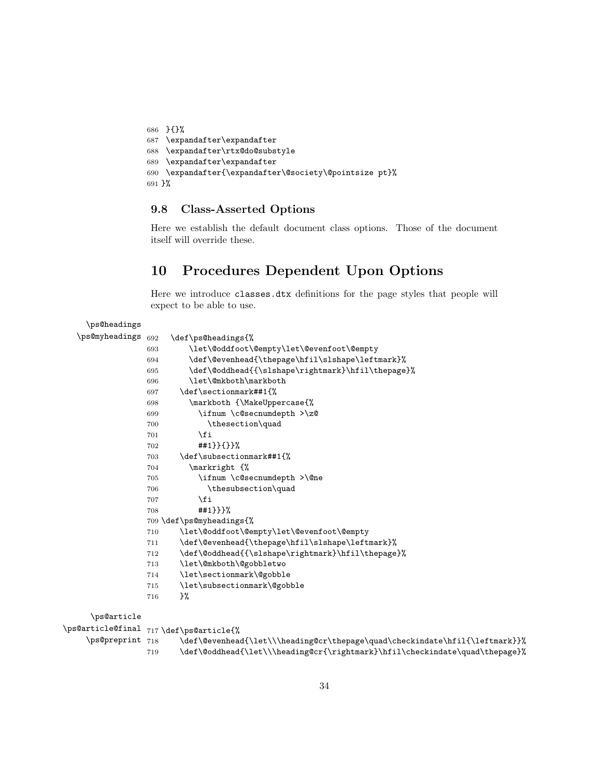```
686 }{}%
687 \expandafter\expandafter
688 \expandafter\rtx@do@substyle
689 \expandafter\expandafter
690 \expandafter{\expandafter\@society\@pointsize pt}%
691 }%
```
## <span id="page-33-0"></span>9.8 Class-Asserted Options

Here we establish the default document class options. Those of the document itself will override these.

# <span id="page-33-1"></span>10 Procedures Dependent Upon Options

Here we introduce classes.dtx definitions for the page styles that people will expect to be able to use.

```
\ps@headings
  \ps@myheadings 692 \def\ps@headings{%
                693 \let\@oddfoot\@empty\let\@evenfoot\@empty
                694 \def\@evenhead{\thepage\hfil\slshape\leftmark}%
                695 \def\@oddhead{{\slshape\rightmark}\hfil\thepage}%
                696 \let\@mkboth\markboth
                697 \def\sectionmark##1{%
                698 \markboth {\MakeUppercase{%
                699 \ifnum \c@secnumdepth >\z@
                700 \thesection\quad
                701 \fi
                702 ##1}}{}}%
                703 \def\subsectionmark##1{%
                704 \markright {%
                705 \ifnum \c@secnumdepth >\@ne
                706 \thesubsection\quad
                707 \fi
                708 ##1}}}%
                709 \def\ps@myheadings{%
                710 \let\@oddfoot\@empty\let\@evenfoot\@empty
                711 \def\@evenhead{\thepage\hfil\slshape\leftmark}%
                712 \def\@oddhead{{\slshape\rightmark}\hfil\thepage}%
                713 \let\@mkboth\@gobbletwo
                714 \let\sectionmark\@gobble
                715 \let\subsectionmark\@gobble
                716 }%
     \ps@article
\ps@article@final 717 \def\ps@article{%
    \ps@preprint 718
                      718 \def\@evenhead{\let\\\heading@cr\thepage\quad\checkindate\hfil{\leftmark}}%
                719 \def\@oddhead{\let\\\heading@cr{\rightmark}\hfil\checkindate\quad\thepage}%
```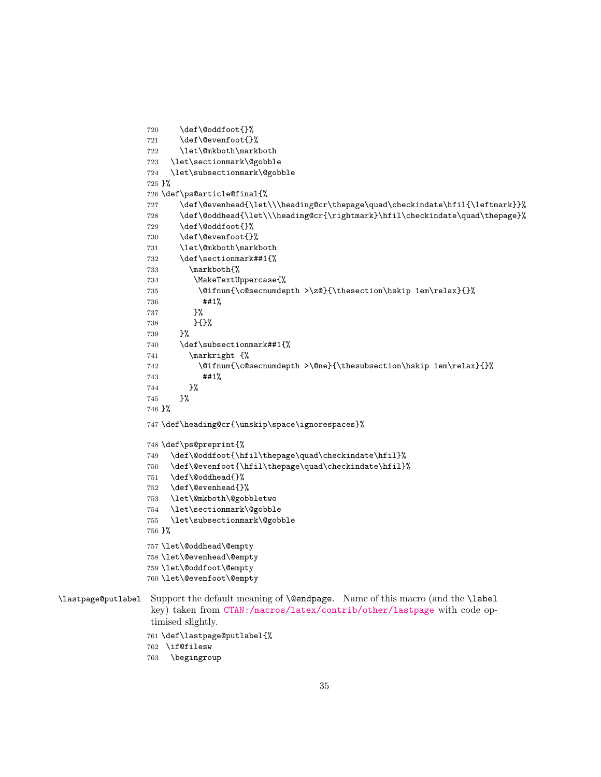```
720 \def\@oddfoot{}%
                 721 \def\@evenfoot{}%
                 722 \let\@mkboth\markboth
                 723 \let\sectionmark\@gobble
                 724 \let\subsectionmark\@gobble
                 725 }%
                 726 \def\ps@article@final{%
                 727 \def\@evenhead{\let\\\heading@cr\thepage\quad\checkindate\hfil{\leftmark}}%
                 728 \def\@oddhead{\let\\\heading@cr{\rightmark}\hfil\checkindate\quad\thepage}%
                 729 \def\@oddfoot{}%
                 730 \def\@evenfoot{}%
                 731 \let\@mkboth\markboth
                 732 \def\sectionmark##1{%
                 733 \markboth{%
                 734 \MakeTextUppercase{%
                 735 \@ifnum{\c@secnumdepth >\z@}{\thesection\hskip 1em\relax}{}%
                 736 ##1%
                 737 }%
                 738 }{}%
                 739 }%
                 740 \def\subsectionmark##1{%
                 741 \markright {%
                 742 \@ifnum{\c@secnumdepth >\@ne}{\thesubsection\hskip 1em\relax}{}%
                 743 ##1%
                 744 }%
                 745 }%
                 746 }%
                 747 \def\heading@cr{\unskip\space\ignorespaces}%
                 748 \def\ps@preprint{%
                 749 \def\@oddfoot{\hfil\thepage\quad\checkindate\hfil}%
                 750 \def\@evenfoot{\hfil\thepage\quad\checkindate\hfil}%
                 751 \def\@oddhead{}%
                 752 \def\@evenhead{}%
                 753 \let\@mkboth\@gobbletwo
                 754 \let\sectionmark\@gobble
                 755 \let\subsectionmark\@gobble
                 756 }%
                 757 \let\@oddhead\@empty
                 758 \let\@evenhead\@empty
                 759 \let\@oddfoot\@empty
                 760 \let\@evenfoot\@empty
\lastpage@putlabel Support the default meaning of \@endpage. Name of this macro (and the \label
                  key) taken from CTAN:/macros/latex/contrib/other/lastpage with code op-
```

```
timised slightly.
```

```
761 \def\lastpage@putlabel{%
```

```
762 \if@filesw
```

```
763 \begingroup
```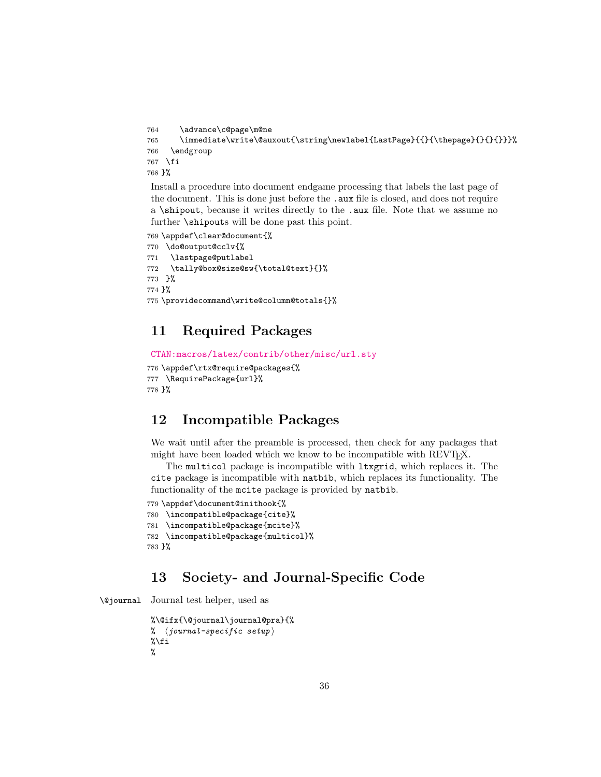```
764 \advance\c@page\m@ne
```

```
765 \immediate\write\@auxout{\string\newlabel{LastPage}{{}{\thepage}{}{}{}}}%
```

```
766 \endgroup
```

```
767 \fi
```
768 }%

Install a procedure into document endgame processing that labels the last page of the document. This is done just before the .aux file is closed, and does not require a \shipout, because it writes directly to the .aux file. Note that we assume no further \shipouts will be done past this point.

769 \appdef\clear@document{%

```
770 \do@output@cclv{%
```

```
771 \lastpage@putlabel
```

```
772 \tally@box@size@sw{\total@text}{}%
```
773 }%

774 }%

```
775 \providecommand\write@column@totals{}%
```
# <span id="page-35-0"></span>11 Required Packages

```
CTAN:macros/latex/contrib/other/misc/url.sty
```

```
776 \appdef\rtx@require@packages{%
777 \RequirePackage{url}%
778 }%
```
# <span id="page-35-1"></span>12 Incompatible Packages

We wait until after the preamble is processed, then check for any packages that might have been loaded which we know to be incompatible with REVT<sub>E</sub>X.

The multicol package is incompatible with ltxgrid, which replaces it. The cite package is incompatible with natbib, which replaces its functionality. The functionality of the mcite package is provided by natbib.

```
779 \appdef\document@inithook{%
780 \incompatible@package{cite}%
781 \incompatible@package{mcite}%
782 \incompatible@package{multicol}%
783 }%
```
# <span id="page-35-2"></span>13 Society- and Journal-Specific Code

```
\@journal Journal test helper, used as
```

```
%\@ifx{\@journal\journal@pra}{%
% \langle journal-specific setup)
\lambdai
%
```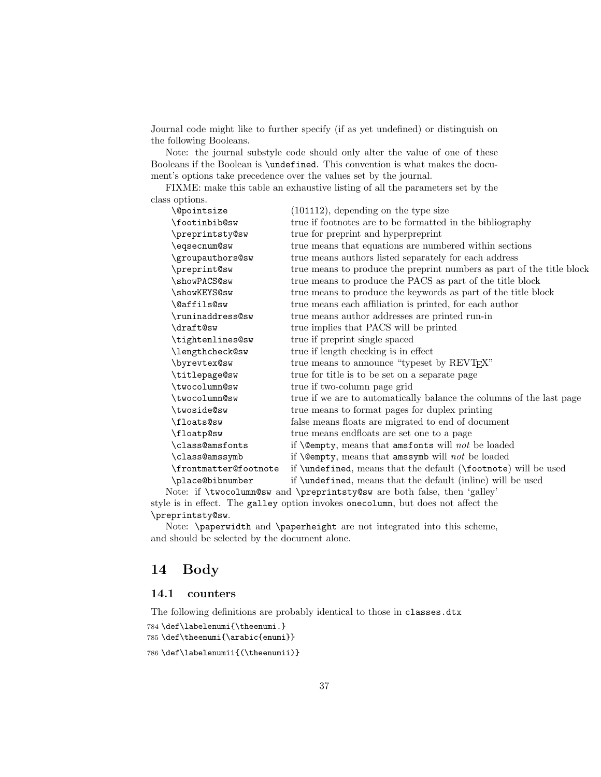Journal code might like to further specify (if as yet undefined) or distinguish on the following Booleans.

Note: the journal substyle code should only alter the value of one of these Booleans if the Boolean is \undefined. This convention is what makes the document's options take precedence over the values set by the journal.

FIXME: make this table an exhaustive listing of all the parameters set by the class options.

| <i><u><b>Nepointsize</b></u></i> | $(101112)$ , depending on the type size                               |
|----------------------------------|-----------------------------------------------------------------------|
| \footinbib@sw                    | true if footnotes are to be formatted in the bibliography             |
| \preprintsty@sw                  | true for preprint and hyperpreprint                                   |
| \eqsecnum@sw                     | true means that equations are numbered within sections                |
| \groupauthors@sw                 | true means authors listed separately for each address                 |
| \preprint@sw                     | true means to produce the preprint numbers as part of the title block |
| \showPACS@sw                     | true means to produce the PACS as part of the title block             |
| \showKEYS@sw                     | true means to produce the keywords as part of the title block         |
| \@affils@sw                      | true means each affiliation is printed, for each author               |
| \runinaddress@sw                 | true means author addresses are printed run-in                        |
| \draft@sw                        | true implies that PACS will be printed                                |
| \tightenlines@sw                 | true if preprint single spaced                                        |
| \lengthcheck@sw                  | true if length checking is in effect                                  |
| \byrevtex@sw                     | true means to announce "typeset by REVT <sub>F</sub> X"               |
| \titlepage@sw                    | true for title is to be set on a separate page                        |
| \twocolumn@sw                    | true if two-column page grid                                          |
| \twocolumn@sw                    | true if we are to automatically balance the columns of the last page  |
| \twoside@sw                      | true means to format pages for duplex printing                        |
| \floats@sw                       | false means floats are migrated to end of document                    |
| \floatp@sw                       | true means endfloats are set one to a page                            |
| \class@amsfonts                  | if <b>\@empty</b> , means that amsfonts will <i>not</i> be loaded     |
| \class@amssymb                   | if <b>\@empty</b> , means that amssymb will <i>not</i> be loaded      |
| \frontmatter@footnote            | if \undefined, means that the default (\footnote) will be used        |
| \place@bibnumber                 | if \undefined, means that the default (inline) will be used           |
|                                  |                                                                       |

Note: if \twocolumn@sw and \preprintsty@sw are both false, then 'galley' style is in effect. The galley option invokes onecolumn, but does not affect the \preprintsty@sw.

Note: \paperwidth and \paperheight are not integrated into this scheme, and should be selected by the document alone.

# 14 Body

# 14.1 counters

The following definitions are probably identical to those in classes.dtx

```
784 \def\labelenumi{\theenumi.}
785 \def\theenumi{\arabic{enumi}}
```

```
786 \def\labelenumii{(\theenumii)}
```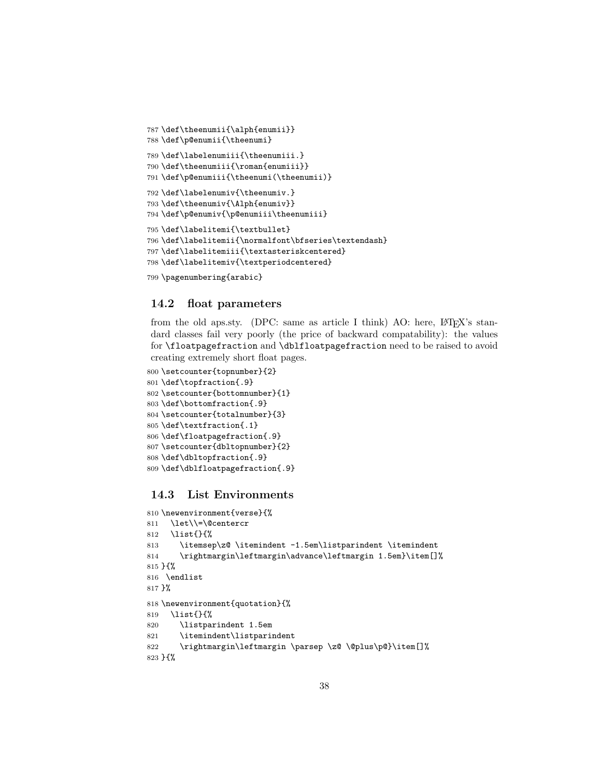```
787 \def\theenumii{\alph{enumii}}
788 \def\p@enumii{\theenumi}
789 \def\labelenumiii{\theenumiii.}
790 \def\theenumiii{\roman{enumiii}}
791 \def\p@enumiii{\theenumi(\theenumii)}
792 \def\labelenumiv{\theenumiv.}
793 \def\theenumiv{\Alph{enumiv}}
794 \def\p@enumiv{\p@enumiii\theenumiii}
795 \def\labelitemi{\textbullet}
796 \def\labelitemii{\normalfont\bfseries\textendash}
797 \def\labelitemiii{\textasteriskcentered}
798 \def\labelitemiv{\textperiodcentered}
799 \pagenumbering{arabic}
```
### 14.2 float parameters

from the old aps.sty. (DPC: same as article I think) AO: here,  $\text{LATEX's}$  standard classes fail very poorly (the price of backward compatability): the values for \floatpagefraction and \dblfloatpagefraction need to be raised to avoid creating extremely short float pages.

```
800 \setcounter{topnumber}{2}
801 \def\topfraction{.9}
802 \setcounter{bottomnumber}{1}
803 \def\bottomfraction{.9}
804 \setcounter{totalnumber}{3}
805 \def\textfraction{.1}
806 \def\floatpagefraction{.9}
807 \setcounter{dbltopnumber}{2}
808 \def\dbltopfraction{.9}
809 \def\dblfloatpagefraction{.9}
```
## 14.3 List Environments

```
810 \newenvironment{verse}{%
811 \let\\=\@centercr
812 \list{}{%
813 \itemsep\z@ \itemindent -1.5em\listparindent \itemindent
814 \rightmargin\leftmargin\advance\leftmargin 1.5em}\item[]%
815 }{%
816 \endlist
817 }%
818 \newenvironment{quotation}{%
819 \list{}{%
820 \listparindent 1.5em
821 \itemindent\listparindent
822 \rightmargin\leftmargin \parsep \z@ \@plus\p@}\item[]%
823 }{%
```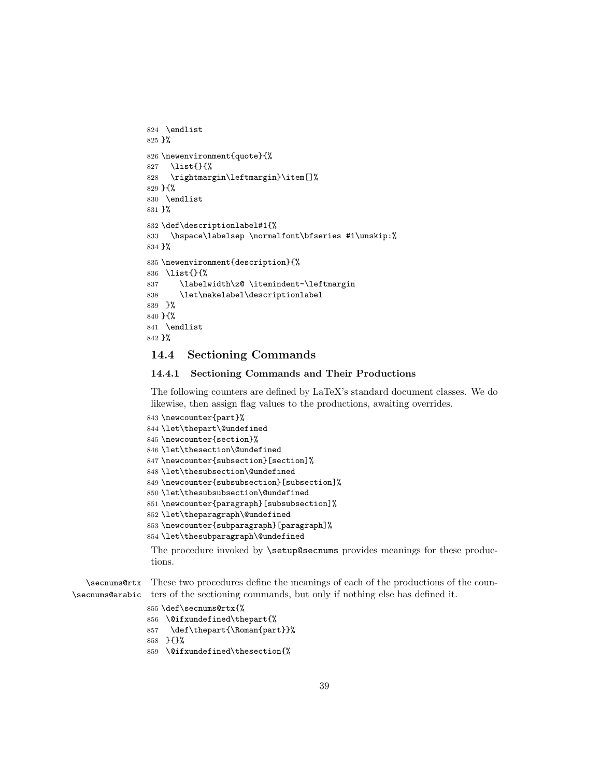```
824 \endlist
825 }%
826 \newenvironment{quote}{%
827 \list{}{%
828 \rightmargin\leftmargin}\item[]%
829 }{%
830 \endlist
831 }%
832 \def\descriptionlabel#1{%
833 \hspace\labelsep \normalfont\bfseries #1\unskip:%
834 }%
835 \newenvironment{description}{%
836 \list{}{%
837 \labelwidth\z@ \itemindent-\leftmargin
838 \let\makelabel\descriptionlabel
839 }%
840 }{%
841 \endlist
842 }%
```
# 14.4 Sectioning Commands

### 14.4.1 Sectioning Commands and Their Productions

The following counters are defined by LaTeX's standard document classes. We do likewise, then assign flag values to the productions, awaiting overrides.

```
843 \newcounter{part}%
844 \let\thepart\@undefined
845 \newcounter{section}%
846 \let\thesection\@undefined
847 \newcounter{subsection}[section]%
848 \let\thesubsection\@undefined
849 \newcounter{subsubsection}[subsection]%
850 \let\thesubsubsection\@undefined
851 \newcounter{paragraph}[subsubsection]%
852 \let\theparagraph\@undefined
853 \newcounter{subparagraph}[paragraph]%
854 \let\thesubparagraph\@undefined
```
The procedure invoked by \setup@secnums provides meanings for these productions.

\secnums@rtx \secnums@arabic These two procedures define the meanings of each of the productions of the counters of the sectioning commands, but only if nothing else has defined it.

```
855 \def\secnums@rtx{%
```

```
856 \@ifxundefined\thepart{%
```
- \def\thepart{\Roman{part}}%
- }{}%
- \@ifxundefined\thesection{%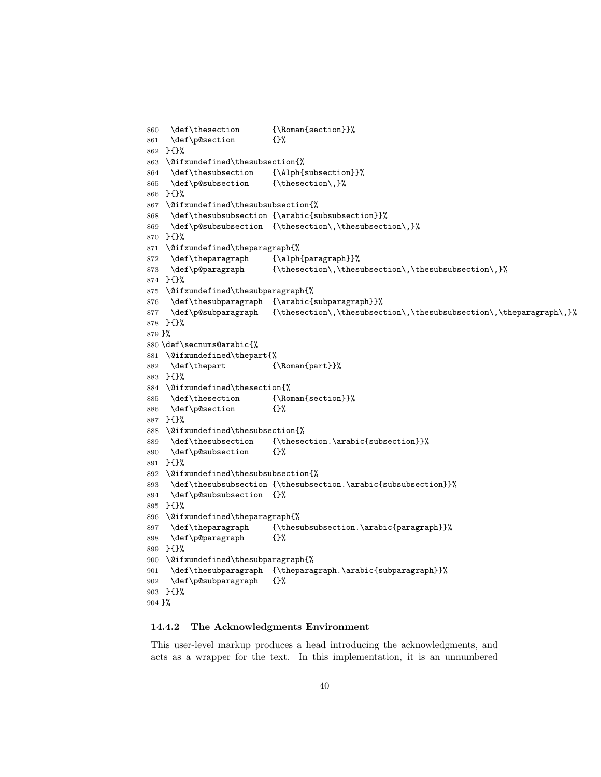```
860 \def\thesection {\Roman{section}}%
861 \def\p@section {}%
862 }{}%
863 \@ifxundefined\thesubsection{%
864 \def\thesubsection {\Alph{subsection}}%
865 \def\p@subsection {\thesection\,}%
866 }{}%
867 \@ifxundefined\thesubsubsection{%
868 \def\thesubsubsection {\arabic{subsubsection}}%
869 \def\p@subsubsection {\thesection\,\thesubsection\,}%
870 }{}%
871 \@ifxundefined\theparagraph{%
872 \def\theparagraph {\alph{paragraph}}%
873 \def\p@paragraph {\thesection\,\thesubsection\,\thesubsubsection\,}%
874 }{}%
875 \@ifxundefined\thesubparagraph{%
876 \def\thesubparagraph {\arabic{subparagraph}}%
877 \def\p@subparagraph {\thesection\,\thesubsection\,\thesubsubsection\,\theparagraph\,}%
878 }{}%
879 }%
880 \def\secnums@arabic{%
881 \@ifxundefined\thepart{%
882 \def\thepart {\Roman{part}}%
883 }{}%
884 \@ifxundefined\thesection{%
885 \def\thesection {\Roman{section}}%
886 \def\p@section {}%
887 }{}%
888 \@ifxundefined\thesubsection{%
889 \def\thesubsection {\thesection.\arabic{subsection}}%
890 \def\p@subsection {}%
891 }{}%
892 \@ifxundefined\thesubsubsection{%
893 \def\thesubsubsection {\thesubsection.\arabic{subsubsection}}%
894 \def\p@subsubsection {}%
895 }{}%
896 \@ifxundefined\theparagraph{%
897 \def\theparagraph {\thesubsubsection.\arabic{paragraph}}%
898 \def\p@paragraph {}%
899 }{}%
900 \@ifxundefined\thesubparagraph{%
901 \def\thesubparagraph {\theparagraph.\arabic{subparagraph}}%
902 \def\p@subparagraph {}%
903 }{}%
904 }%
```
#### 14.4.2 The Acknowledgments Environment

This user-level markup produces a head introducing the acknowledgments, and acts as a wrapper for the text. In this implementation, it is an unnumbered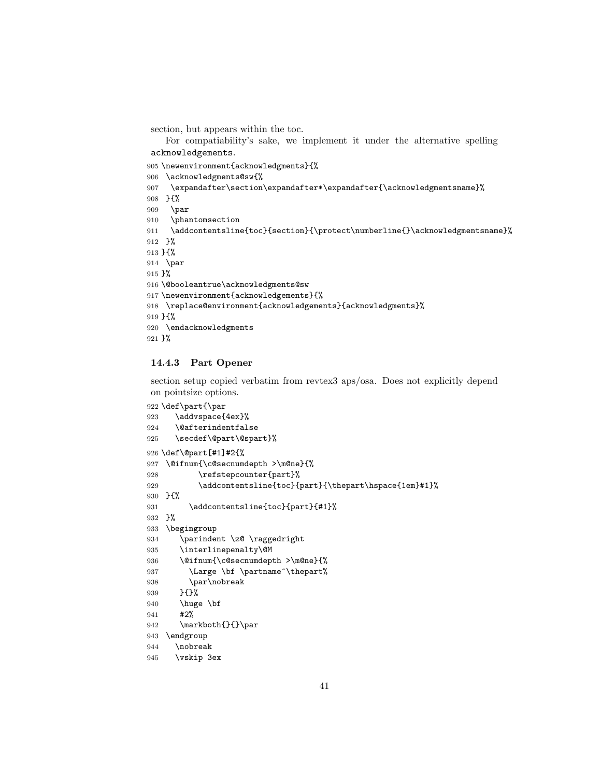section, but appears within the toc.

For compatiability's sake, we implement it under the alternative spelling acknowledgements.

```
905 \newenvironment{acknowledgments}{%
906 \acknowledgments@sw{%
907 \expandafter\section\expandafter*\expandafter{\acknowledgmentsname}%
908 }{%
909 \par
910 \phantomsection
911 \addcontentsline{toc}{section}{\protect\numberline{}\acknowledgmentsname}%
912 }%
913 }{%
914 \par
915 }%
916 \@booleantrue\acknowledgments@sw
917 \newenvironment{acknowledgements}{%
918 \replace@environment{acknowledgements}{acknowledgments}%
919 }{%
920 \endacknowledgments
921 }%
```
#### 14.4.3 Part Opener

section setup copied verbatim from revtex3 aps/osa. Does not explicitly depend on pointsize options.

```
922 \def\part{\par
923 \addvspace{4ex}%
924 \@afterindentfalse
925 \secdef\@part\@spart}%
926 \def\@part[#1]#2{%
927 \@ifnum{\c@secnumdepth >\m@ne}{%
928 \refstepcounter{part}%
929 \addcontentsline{toc}{part}{\thepart\hspace{1em}#1}%
930 }{%
931 \addcontentsline{toc}{part}{#1}%
932 }%
933 \begingroup
934 \parindent \z@ \raggedright
935 \interlinepenalty\@M
936 \@ifnum{\c@secnumdepth >\m@ne}{%
937 \Large \bf \partname~\thepart%
938 \par\nobreak
939 }{}%
940 \huge \bf
941 #2%
942 \markboth{}{}\par
943 \endgroup
944 \nobreak
945 \vskip 3ex
```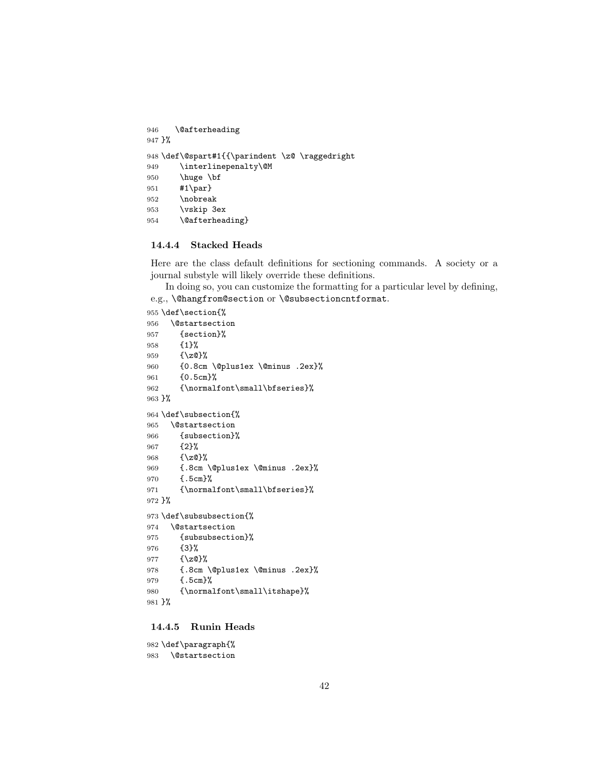```
946 \@afterheading
947 }%
948 \def\@spart#1{{\parindent \z@ \raggedright
949 \interlinepenalty\@M
950 \huge \bf
951 #1\par}
952 \nobreak
953 \vskip 3ex
954 \@afterheading}
```
## 14.4.4 Stacked Heads

Here are the class default definitions for sectioning commands. A society or a journal substyle will likely override these definitions.

In doing so, you can customize the formatting for a particular level by defining, e.g., \@hangfrom@section or \@subsectioncntformat.

```
955 \def\section{%
```

```
956 \@startsection
957 {section}%
958 {1}%
959 {\z@}%
960 {0.8cm \@plus1ex \@minus .2ex}%
961 {0.5cm}%
962 {\normalfont\small\bfseries}%
963 }%
964 \def\subsection{%
965 \@startsection
966 {subsection}%
967 {2}%
968 {\z@}%
969 {.8cm \@plus1ex \@minus .2ex}%
970 {.5cm}%
971 {\normalfont\small\bfseries}%
972 }%
973 \def\subsubsection{%
974 \@startsection
975 {subsubsection}%
976 {3}%
977 {\z@}%
978 {.8cm \@plus1ex \@minus .2ex}%
979 {.5cm}%
980 {\normalfont\small\itshape}%
981 }%
```
### 14.4.5 Runin Heads

 \def\paragraph{% \@startsection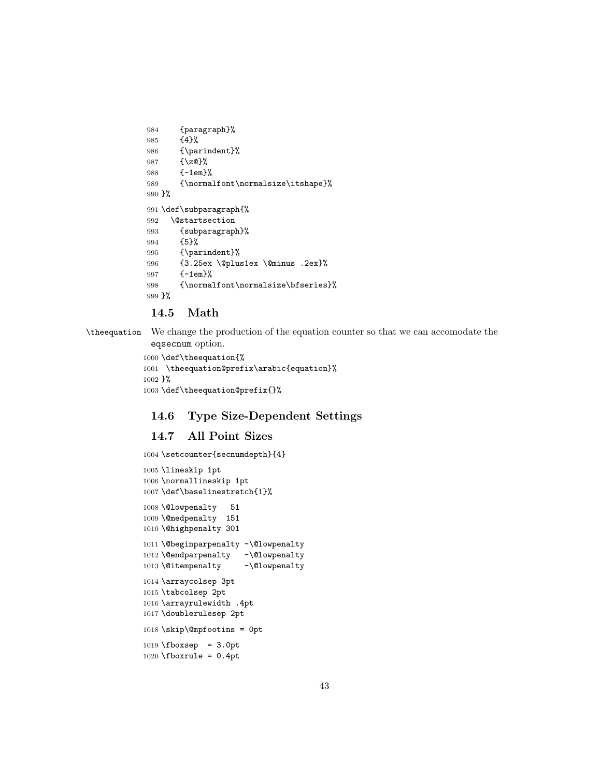```
984 {paragraph}%
985 {4}%
986 {\parindent}%
987 {\z@}%
988 {-1em}%
989 {\normalfont\normalsize\itshape}%
990 }%
991 \def\subparagraph{%
992 \@startsection
993 {subparagraph}%
994 {5}%
995 {\parindent}%
996 {3.25ex \@plus1ex \@minus .2ex}%
997 {-1em}%
998 {\normalfont\normalsize\bfseries}%
999 }%
```
# 14.5 Math

\theequation We change the production of the equation counter so that we can accomodate the eqsecnum option.

```
1000 \def\theequation{%
1001 \theequation@prefix\arabic{equation}%
1002 }%
1003 \def\theequation@prefix{}%
```
# 14.6 Type Size-Dependent Settings

## 14.7 All Point Sizes

```
1004 \setcounter{secnumdepth}{4}
1005 \lineskip 1pt
1006 \normallineskip 1pt
1007 \def\baselinestretch{1}%
1008 \@lowpenalty 51
1009 \@medpenalty 151
1010 \@highpenalty 301
1011 \@beginparpenalty -\@lowpenalty
1012 \@endparpenalty -\@lowpenalty
1013 \@itempenalty -\@lowpenalty
1014 \arraycolsep 3pt
1015 \tabcolsep 2pt
1016 \arrayrulewidth .4pt
1017 \doublerulesep 2pt
1018 \skip\@mpfootins = 0pt
1019 \fboxsep = 3.0pt
1020 \fboxrule = 0.4pt
```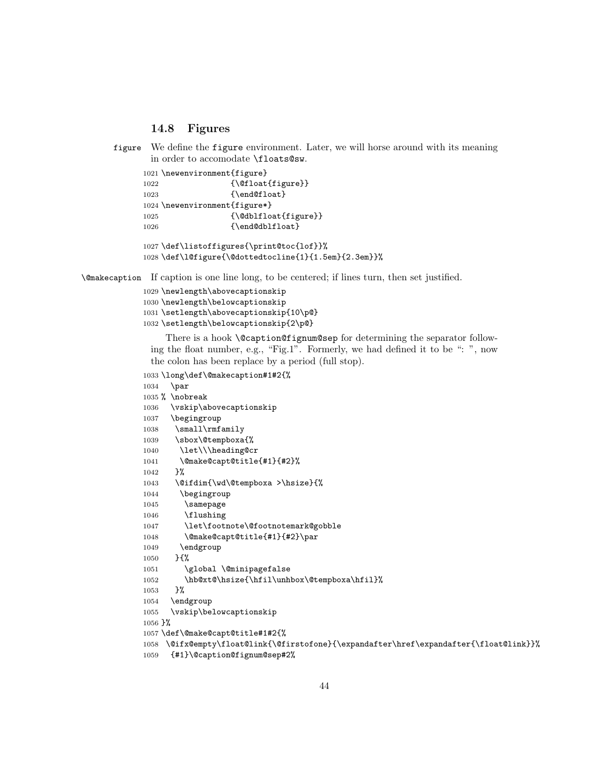## 14.8 Figures

```
figure We define the figure environment. Later, we will horse around with its meaning
        in order to accomodate \floats@sw.
```

```
1021 \newenvironment{figure}
1022 {\@float{figure}}
1023 {\end@float}
1024 \newenvironment{figure*}
1025 {\@dblfloat{figure}}
1026 {\end@dblfloat}
1027 \def\listoffigures{\print@toc{lof}}%
```

```
1028 \def\l@figure{\@dottedtocline{1}{1.5em}{2.3em}}%
```
\@makecaption If caption is one line long, to be centered; if lines turn, then set justified.

```
1029 \newlength\abovecaptionskip
1030 \newlength\belowcaptionskip
1031 \setlength\abovecaptionskip{10\p@}
1032 \setlength\belowcaptionskip{2\p@}
```
There is a hook **\@caption@fignum@sep** for determining the separator following the float number, e.g., "Fig.1". Formerly, we had defined it to be ": ", now the colon has been replace by a period (full stop).

```
1033 \long\def\@makecaption#1#2{%
1034 \par
1035 % \nobreak
1036 \vskip\abovecaptionskip
1037 \begingroup
1038 \small\rmfamily
1039 \sbox\@tempboxa{%
1040 \let\\\heading@cr
1041 \@make@capt@title{#1}{#2}%
1042 }%
1043 \@ifdim{\wd\@tempboxa >\hsize}{%
1044 \begingroup
1045 \samepage
1046 \flushing
1047 \let\footnote\@footnotemark@gobble
1048 \@make@capt@title{#1}{#2}\par
1049 \endgroup
1050 }{%
1051 \global \@minipagefalse
1052 \hb@xt@\hsize{\hfil\unhbox\@tempboxa\hfil}%
1053 }%
1054 \endgroup
1055 \vskip\belowcaptionskip
1056 }%
1057 \def\@make@capt@title#1#2{%
1058 \@ifx@empty\float@link{\@firstofone}{\expandafter\href\expandafter{\float@link}}%
1059 {#1}\@caption@fignum@sep#2%
```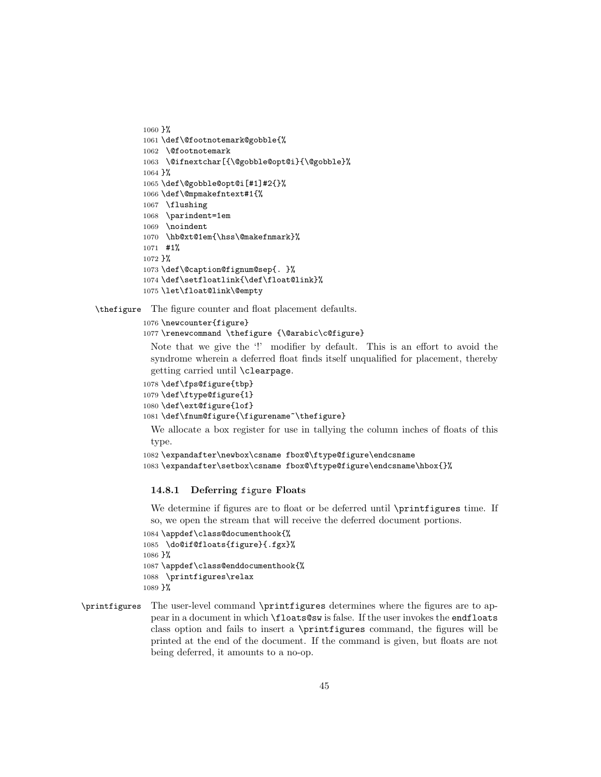```
1060 }%
1061 \def\@footnotemark@gobble{%
1062 \@footnotemark
1063 \@ifnextchar[{\@gobble@opt@i}{\@gobble}%
1064 }%
1065 \def\@gobble@opt@i[#1]#2{}%
1066 \def\@mpmakefntext#1{%
1067 \flushing
1068 \parindent=1em
1069 \noindent
1070 \hb@xt@1em{\hss\@makefnmark}%
1071 #1%
1072 }%
1073 \def\@caption@fignum@sep{. }%
1074 \def\setfloatlink{\def\float@link}%
1075 \let\float@link\@empty
```
\thefigure The figure counter and float placement defaults.

```
1076 \newcounter{figure}
```
\renewcommand \thefigure {\@arabic\c@figure}

Note that we give the '!' modifier by default. This is an effort to avoid the syndrome wherein a deferred float finds itself unqualified for placement, thereby getting carried until \clearpage.

```
1078 \def\fps@figure{tbp}
1079 \def\ftype@figure{1}
1080 \def\ext@figure{lof}
1081 \def\fnum@figure{\figurename~\thefigure}
```
We allocate a box register for use in tallying the column inches of floats of this type.

```
1082 \expandafter\newbox\csname fbox@\ftype@figure\endcsname
1083 \expandafter\setbox\csname fbox@\ftype@figure\endcsname\hbox{}%
```
### 14.8.1 Deferring figure Floats

We determine if figures are to float or be deferred until \printfigures time. If so, we open the stream that will receive the deferred document portions.

```
1084 \appdef\class@documenthook{%
1085 \do@if@floats{figure}{.fgx}%
1086 }%
1087 \appdef\class@enddocumenthook{%
1088 \printfigures\relax
1089 }%
```
\printfigures The user-level command \printfigures determines where the figures are to appear in a document in which \floats@sw is false. If the user invokes the endfloats class option and fails to insert a \printfigures command, the figures will be printed at the end of the document. If the command is given, but floats are not being deferred, it amounts to a no-op.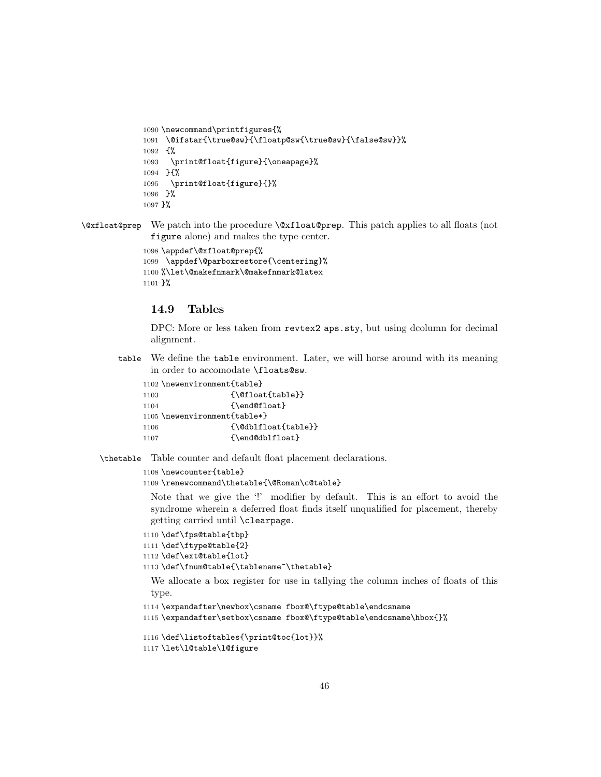```
1090 \newcommand\printfigures{%
1091 \@ifstar{\true@sw}{\floatp@sw{\true@sw}{\false@sw}}%
1092 {%
1093 \print@float{figure}{\oneapage}%
1094 }{%
1095 \print@float{figure}{}%
1096 }%
1097 }%
```
\@xfloat@prep We patch into the procedure \@xfloat@prep. This patch applies to all floats (not figure alone) and makes the type center.

```
1098 \appdef\@xfloat@prep{%
1099 \appdef\@parboxrestore{\centering}%
1100 %\let\@makefnmark\@makefnmark@latex
1101 }%
```
## 14.9 Tables

DPC: More or less taken from revtex2 aps.sty, but using dcolumn for decimal alignment.

table We define the table environment. Later, we will horse around with its meaning in order to accomodate \floats@sw.

|      | 1102 \newenvironment{table}               |
|------|-------------------------------------------|
| 1103 | $\{\Diamond$ Cfloat $\{\text{table}\}\}\$ |
| 1104 | {\end@float}                              |
|      | 1105 \newenvironment{table*}              |
| 1106 | {\@dblfloat{table}}                       |
| 1107 | {\end@dblfloat}                           |

\thetable Table counter and default float placement declarations.

```
1108 \newcounter{table}
```

```
1109 \renewcommand\thetable{\@Roman\c@table}
```
Note that we give the '!' modifier by default. This is an effort to avoid the syndrome wherein a deferred float finds itself unqualified for placement, thereby getting carried until \clearpage.

```
1110 \def\fps@table{tbp}
```

```
1111 \def\ftype@table{2}
```

```
1112 \def\ext@table{lot}
```

```
1113 \def\fnum@table{\tablename~\thetable}
```
We allocate a box register for use in tallying the column inches of floats of this type.

```
1114 \expandafter\newbox\csname fbox@\ftype@table\endcsname
```

```
1115 \expandafter\setbox\csname fbox@\ftype@table\endcsname\hbox{}%
```

```
1116 \def\listoftables{\print@toc{lot}}%
1117 \let\l@table\l@figure
```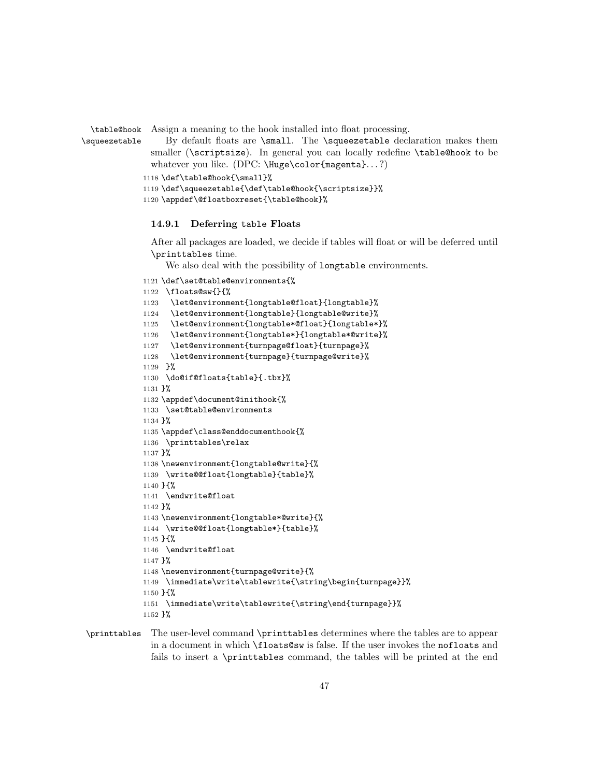```
\table@hook
             Assign a meaning to the hook installed into float processing.
```

```
\squeezetable
                  By default floats are \small. The \squeezetable declaration makes them
              smaller (\scriptsize). In general you can locally redefine \table@hook to be
              whatever you like. (DPC: \Huge\color{magenta}...?)
```

```
1118 \def\table@hook{\small}%
```

```
1119 \def\squeezetable{\def\table@hook{\scriptsize}}%
```

```
1120 \appdef\@floatboxreset{\table@hook}%
```
#### 14.9.1 Deferring table Floats

After all packages are loaded, we decide if tables will float or will be deferred until \printtables time.

We also deal with the possibility of longtable environments.

```
1121 \def\set@table@environments{%
1122 \floats@sw{}{%
1123 \let@environment{longtable@float}{longtable}%
1124 \let@environment{longtable}{longtable@write}%
1125 \let@environment{longtable*@float}{longtable*}%
1126 \let@environment{longtable*}{longtable*@write}%
1127 \let@environment{turnpage@float}{turnpage}%
1128 \let@environment{turnpage}{turnpage@write}%
1129 }%
1130 \do@if@floats{table}{.tbx}%
1131 }%
1132 \appdef\document@inithook{%
1133 \set@table@environments
1134 }%
1135 \appdef\class@enddocumenthook{%
1136 \printtables\relax
1137 }%
1138 \newenvironment{longtable@write}{%
1139 \write@@float{longtable}{table}%
1140 }{%
1141 \endwrite@float
1142 }%
1143 \newenvironment{longtable*@write}{%
1144 \write@@float{longtable*}{table}%
1145 }{%
1146 \endwrite@float
1147 }%
1148 \newenvironment{turnpage@write}{%
1149 \immediate\write\tablewrite{\string\begin{turnpage}}%
1150 }{%
1151 \immediate\write\tablewrite{\string\end{turnpage}}%
1152 }%
```
\printtables The user-level command \printtables determines where the tables are to appear in a document in which \floats@sw is false. If the user invokes the nofloats and fails to insert a \printtables command, the tables will be printed at the end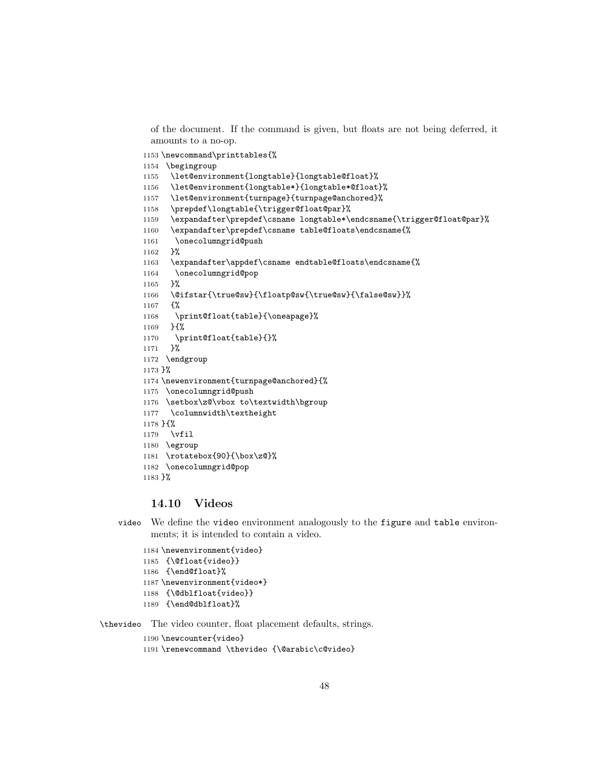of the document. If the command is given, but floats are not being deferred, it amounts to a no-op.

\newcommand\printtables{%

```
1154 \begingroup
1155 \let@environment{longtable}{longtable@float}%
1156 \let@environment{longtable*}{longtable*@float}%
1157 \let@environment{turnpage}{turnpage@anchored}%
1158 \prepdef\longtable{\trigger@float@par}%
1159 \expandafter\prepdef\csname longtable*\endcsname{\trigger@float@par}%
1160 \expandafter\prepdef\csname table@floats\endcsname{%
1161 \onecolumngrid@push
1162 }%
1163 \expandafter\appdef\csname endtable@floats\endcsname{%
1164 \onecolumngrid@pop
1165 }%
1166 \@ifstar{\true@sw}{\floatp@sw{\true@sw}{\false@sw}}%
1167 {%
1168 \print@float{table}{\oneapage}%
1169 }{%
1170 \print@float{table}{}%
1171 }%
1172 \endgroup
1173 }%
1174 \newenvironment{turnpage@anchored}{%
1175 \onecolumngrid@push
1176 \setbox\z@\vbox to\textwidth\bgroup
1177 \columnwidth\textheight
1178 }{%
1179 \vfil
1180 \egroup
1181 \rotatebox{90}{\box\z@}%
1182 \onecolumngrid@pop
1183 }%
```
## 14.10 Videos

video We define the video environment analogously to the figure and table environments; it is intended to contain a video.

```
1184 \newenvironment{video}
1185 {\@float{video}}
1186 {\end@float}%
1187 \newenvironment{video*}
1188 {\@dblfloat{video}}
1189 {\end@dblfloat}%
```
\thevideo The video counter, float placement defaults, strings.

```
1190 \newcounter{video}
```
\renewcommand \thevideo {\@arabic\c@video}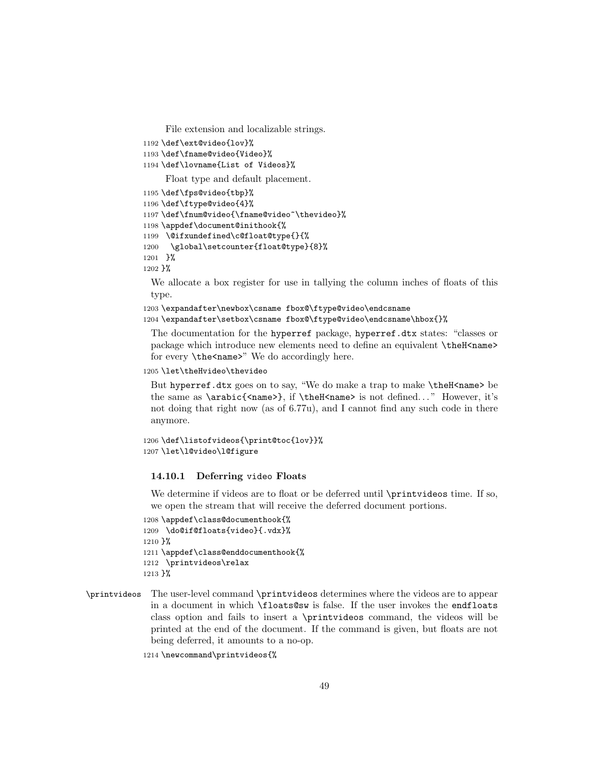File extension and localizable strings.

- 1192 \def\ext@video{lov}%
- 1193 \def\fname@video{Video}%
- 1194 \def\lovname{List of Videos}%

Float type and default placement.

```
1195 \def\fps@video{tbp}%
1196 \def\ftype@video{4}%
1197 \def\fnum@video{\fname@video~\thevideo}%
1198 \appdef\document@inithook{%
1199 \@ifxundefined\c@float@type{}{%
1200 \global\setcounter{float@type}{8}%
1201 }%
```

```
1202 }%
```
We allocate a box register for use in tallying the column inches of floats of this type.

1203 \expandafter\newbox\csname fbox@\ftype@video\endcsname

1204 \expandafter\setbox\csname fbox@\ftype@video\endcsname\hbox{}%

The documentation for the hyperref package, hyperref.dtx states: "classes or package which introduce new elements need to define an equivalent \theH<name> for every **\the<name>**" We do accordingly here.

### 1205 \let\theHvideo\thevideo

But hyperref.dtx goes on to say, "We do make a trap to make \theH<name> be the same as \arabic{<name>}, if \theH<name> is not defined. . . " However, it's not doing that right now (as of 6.77u), and I cannot find any such code in there anymore.

```
1206 \def\listofvideos{\print@toc{lov}}%
1207 \let\l@video\l@figure
```
#### 14.10.1 Deferring video Floats

We determine if videos are to float or be deferred until \printvideos time. If so, we open the stream that will receive the deferred document portions.

```
1208 \appdef\class@documenthook{%
1209 \do@if@floats{video}{.vdx}%
1210 }%
1211 \appdef\class@enddocumenthook{%
1212 \printvideos\relax
1213 }%
```

```
\printvideos The user-level command \printvideos determines where the videos are to appear
              in a document in which \floats@sw is false. If the user invokes the endfloats
              class option and fails to insert a \printvideos command, the videos will be
              printed at the end of the document. If the command is given, but floats are not
              being deferred, it amounts to a no-op.
```
1214 \newcommand\printvideos{%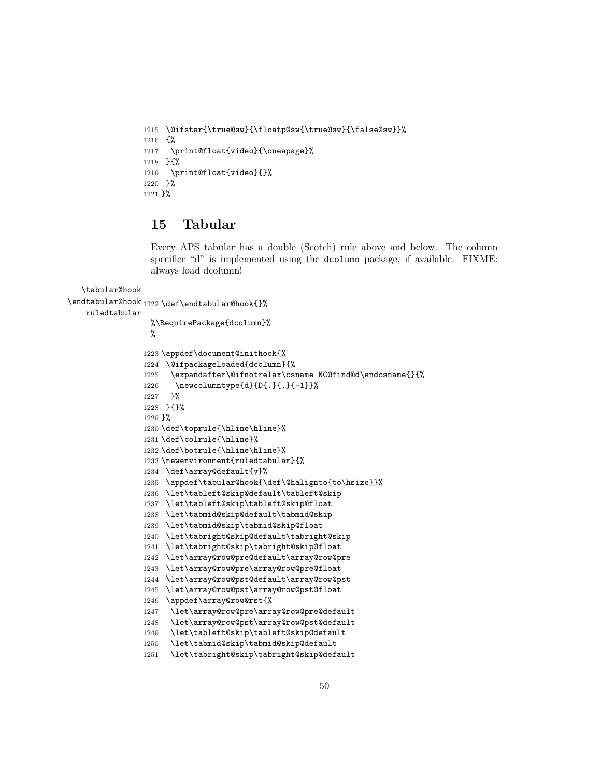```
1215 \@ifstar{\true@sw}{\floatp@sw{\true@sw}{\false@sw}}%
1216 {%
1217 \print@float{video}{\oneapage}%
1218 }{%
1219 \print@float{video}{}%
1220 }%
1221 }%
```
# 15 Tabular

Every APS tabular has a double (Scotch) rule above and below. The column specifier "d" is implemented using the dcolumn package, if available. FIXME: always load dcolumn!

```
\tabular@hook
\endtabular@hook 1222 \def\endtabular@hook{}%
   ruledtabular
                  %\RequirePackage{dcolumn}%
                  %
                1223 \appdef\document@inithook{%
                1224 \@ifpackageloaded{dcolumn}{%
                1225 \expandafter\@ifnotrelax\csname NC@find@d\endcsname{}{%
                1226 \newcolumntype{d}{D{.}{.}{-1}}%
                1227 }%
                1228 }{}%
                1229 }%
                1230 \def\toprule{\hline\hline}%
                1231 \def\colrule{\hline}%
                1232 \def\botrule{\hline\hline}%
                1233 \newenvironment{ruledtabular}{%
                1234 \def\array@default{v}%
                1235 \appdef\tabular@hook{\def\@halignto{to\hsize}}%
                1236 \let\tableft@skip@default\tableft@skip
                1237 \let\tableft@skip\tableft@skip@float
                1238 \let\tabmid@skip@default\tabmid@skip
                1239 \let\tabmid@skip\tabmid@skip@float
                1240 \let\tabright@skip@default\tabright@skip
                1241 \let\tabright@skip\tabright@skip@float
                1242 \let\array@row@pre@default\array@row@pre
                1243 \let\array@row@pre\array@row@pre@float
                1244 \let\array@row@pst@default\array@row@pst
                1245 \let\array@row@pst\array@row@pst@float
                1246 \appdef\array@row@rst{%
                1247 \let\array@row@pre\array@row@pre@default
                1248 \let\array@row@pst\array@row@pst@default
                1249 \let\tableft@skip\tableft@skip@default
                1250 \let\tabmid@skip\tabmid@skip@default
                1251 \let\tabright@skip\tabright@skip@default
```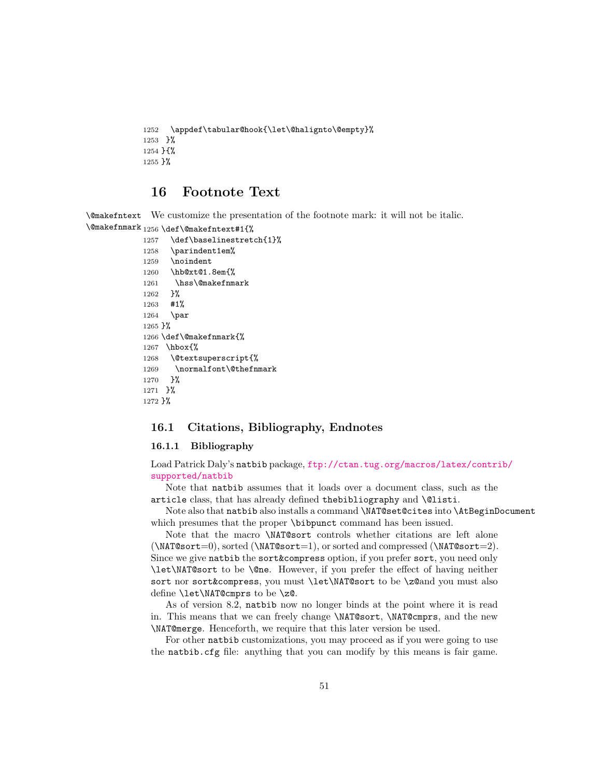```
1252 \appdef\tabular@hook{\let\@halignto\@empty}%
1253 }%
1254 }{%
1255 \pmb{\} \pmb{\%}
```
# 16 Footnote Text

\@makefntext We customize the presentation of the footnote mark: it will not be italic. \@makefnmark 1256 \def\@makefntext#1{%

```
1257 \def\baselinestretch{1}%
1258 \parindent1em%
1259 \noindent
1260 \hb@xt@1.8em{%
1261 \hss\@makefnmark
1262 }%
1263 #1%
1264 \par
1265 }%
1266 \def\@makefnmark{%
1267 \hbox{%
1268 \@textsuperscript{%
1269 \normalfont\@thefnmark
1270 }%
1271 }%
1272 }%
```
### 16.1 Citations, Bibliography, Endnotes

### 16.1.1 Bibliography

Load Patrick Daly's natbib package, [ftp://ctan.tug.org/macros/latex/contri](ftp://ctan.tug.org/macros/latex/contrib/supported/natbib)b/ [supported/natbib](ftp://ctan.tug.org/macros/latex/contrib/supported/natbib)

Note that natbib assumes that it loads over a document class, such as the article class, that has already defined the bibliography and *\@listi.* 

Note also that natbib also installs a command \NAT@set@cites into \AtBeginDocument which presumes that the proper \bibpunct command has been issued.

Note that the macro \NAT@sort controls whether citations are left alone  $(\NAT@sort=0)$ , sorted  $(\NAT@sort=1)$ , or sorted and compressed  $(\NAT@sort=2)$ . Since we give natbib the sort&compress option, if you prefer sort, you need only \let\NAT@sort to be \@ne. However, if you prefer the effect of having neither sort nor sort&compress, you must \let\NAT@sort to be \z@and you must also define \let\NAT@cmprs to be \z@.

As of version 8.2, natbib now no longer binds at the point where it is read in. This means that we can freely change \NAT@sort, \NAT@cmprs, and the new \NAT@merge. Henceforth, we require that this later version be used.

For other natbib customizations, you may proceed as if you were going to use the natbib.cfg file: anything that you can modify by this means is fair game.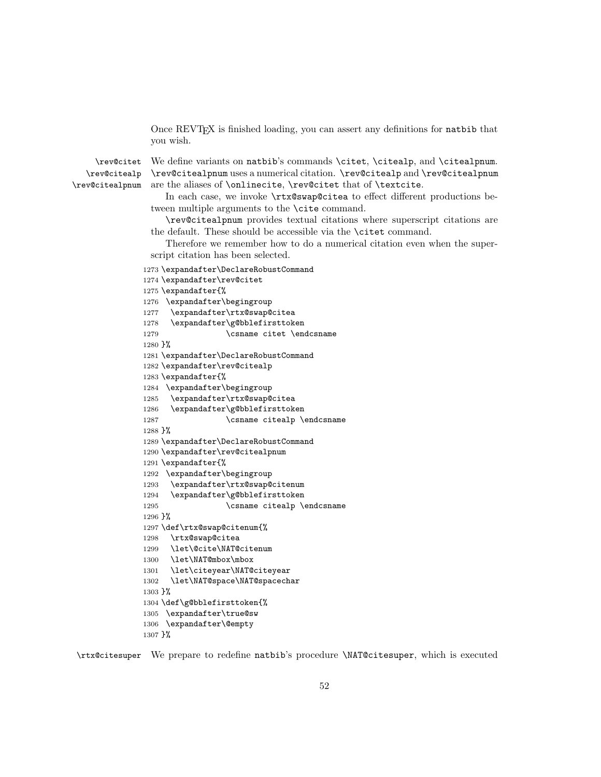Once REVTEX is finished loading, you can assert any definitions for natbib that you wish.

\rev@citealp

\rev@citet We define variants on natbib's commands \citet, \citealp, and \citealpnum. \rev@citealpnum are the aliases of \onlinecite, \rev@citet that of \textcite. \rev@citealpnum uses a numerical citation. \rev@citealp and \rev@citealpnum

> In each case, we invoke \rtx@swap@citea to effect different productions between multiple arguments to the \cite command.

> \rev@citealpnum provides textual citations where superscript citations are the default. These should be accessible via the \citet command.

> Therefore we remember how to do a numerical citation even when the superscript citation has been selected.

```
1273 \expandafter\DeclareRobustCommand
```

```
1274 \expandafter\rev@citet
1275 \expandafter{%
1276 \expandafter\begingroup
1277 \expandafter\rtx@swap@citea
1278 \expandafter\g@bblefirsttoken
1279 \csname citet \endcsname
1280 }%
1281 \expandafter\DeclareRobustCommand
1282 \expandafter\rev@citealp
1283 \expandafter{%
1284 \expandafter\begingroup
1285 \expandafter\rtx@swap@citea
1286 \expandafter\g@bblefirsttoken
1287 \csname citealp \endcsname
1288 }%
1289 \expandafter\DeclareRobustCommand
1290 \expandafter\rev@citealpnum
1291 \expandafter{%
1292 \expandafter\begingroup
1293 \expandafter\rtx@swap@citenum
1294 \expandafter\g@bblefirsttoken
1295 \csname citealp \endcsname
1296 }%
1297 \def\rtx@swap@citenum{%
1298 \rtx@swap@citea
1299 \let\@cite\NAT@citenum
1300 \let\NAT@mbox\mbox
1301 \let\citeyear\NAT@citeyear
1302 \let\NAT@space\NAT@spacechar
1303 }%
1304 \def\g@bblefirsttoken{%
1305 \expandafter\true@sw
1306 \expandafter\@empty
1307 }%
```
\rtx@citesuper We prepare to redefine natbib's procedure \NAT@citesuper, which is executed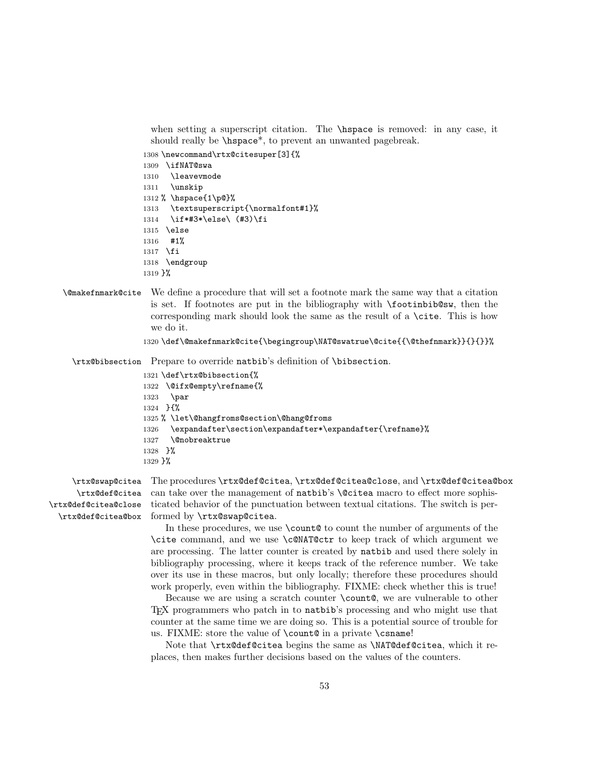when setting a superscript citation. The \hspace is removed: in any case, it should really be \hspace\*, to prevent an unwanted pagebreak.

1308 \newcommand\rtx@citesuper[3]{% 1309 \ifNAT@swa 1310 \leavevmode 1311 \unskip 1312 % \hspace{1\p@}% 1313 \textsuperscript{\normalfont#1}% 1314 \if\*#3\*\else\ (#3)\fi 1315 \else 1316 #1% 1317 \fi 1318 \endgroup 1319 }%

- \@makefnmark@cite We define a procedure that will set a footnote mark the same way that a citation is set. If footnotes are put in the bibliography with \footinbib@sw, then the corresponding mark should look the same as the result of a \cite. This is how we do it.
	- 1320 \def\@makefnmark@cite{\begingroup\NAT@swatrue\@cite{{\@thefnmark}}{}{}}%

\rtx@bibsection Prepare to override natbib's definition of \bibsection.

```
1321 \def\rtx@bibsection{%
1322 \@ifx@empty\refname{%
1323 \par
1324 }{%
1325 % \let\@hangfroms@section\@hang@froms
1326 \expandafter\section\expandafter*\expandafter{\refname}%
1327 \@nobreaktrue
1328 }%
1329 }%
```
\rtx@def@citea \rtx@def@citea@close

\rtx@swap@citea The procedures \rtx@def@citea, \rtx@def@citea@close, and \rtx@def@citea@box \rtx@def@citea@box formed by \rtx@swap@citea. can take over the management of natbib's \@citea macro to effect more sophisticated behavior of the punctuation between textual citations. The switch is per-

> In these procedures, we use  $\count@$  to count the number of arguments of the \cite command, and we use \c@NAT@ctr to keep track of which argument we are processing. The latter counter is created by natbib and used there solely in bibliography processing, where it keeps track of the reference number. We take over its use in these macros, but only locally; therefore these procedures should work properly, even within the bibliography. FIXME: check whether this is true!

> Because we are using a scratch counter **\count**  $\&$ , we are vulnerable to other TEX programmers who patch in to natbib's processing and who might use that counter at the same time we are doing so. This is a potential source of trouble for us. FIXME: store the value of \count@ in a private \csname!

> Note that \rtx@def@citea begins the same as \NAT@def@citea, which it replaces, then makes further decisions based on the values of the counters.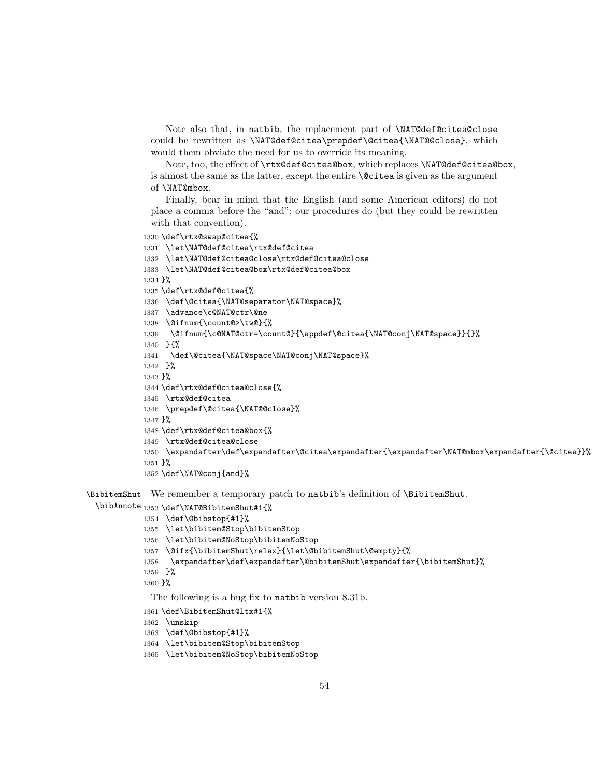Note also that, in natbib, the replacement part of \NAT@def@citea@close could be rewritten as \NAT@def@citea\prepdef\@citea{\NAT@@close}, which would them obviate the need for us to override its meaning.

Note, too, the effect of \rtx@def@citea@box, which replaces \NAT@def@citea@box, is almost the same as the latter, except the entire \@citea is given as the argument of \NAT@mbox.

Finally, bear in mind that the English (and some American editors) do not place a comma before the "and"; our procedures do (but they could be rewritten with that convention).

```
1330 \def\rtx@swap@citea{%
1331 \let\NAT@def@citea\rtx@def@citea
1332 \let\NAT@def@citea@close\rtx@def@citea@close
1333 \let\NAT@def@citea@box\rtx@def@citea@box
1334 }%
1335 \def\rtx@def@citea{%
1336 \def\@citea{\NAT@separator\NAT@space}%
1337 \advance\c@NAT@ctr\@ne
1338 \@ifnum{\count@>\tw@}{%
1339 \@ifnum{\c@NAT@ctr=\count@}{\appdef\@citea{\NAT@conj\NAT@space}}{}%
1340 }{%
1341 \def\@citea{\NAT@space\NAT@conj\NAT@space}%
1342 }%
1343 }%
1344 \def\rtx@def@citea@close{%
1345 \rtx@def@citea
1346 \prepdef\@citea{\NAT@@close}%
1347 }%
1348 \def\rtx@def@citea@box{%
1349 \rtx@def@citea@close
1350 \expandafter\def\expandafter\@citea\expandafter{\expandafter\NAT@mbox\expandafter{\@citea}}%
1351 }%
1352 \def\NAT@conj{and}%
```
\BibitemShut We remember a temporary patch to natbib's definition of \BibitemShut.

\bibAnnote 1353 \def\NAT@BibitemShut#1{%

```
1354 \def\@bibstop{#1}%
```
- \let\bibitem@Stop\bibitemStop
- \let\bibitem@NoStop\bibitemNoStop
- \@ifx{\bibitemShut\relax}{\let\@bibitemShut\@empty}{%
- \expandafter\def\expandafter\@bibitemShut\expandafter{\bibitemShut}%
- }%

}%

The following is a bug fix to natbib version 8.31b.

- \def\BibitemShut@ltx#1{%
- \unskip
- \def\@bibstop{#1}%

```
1364 \let\bibitem@Stop\bibitemStop
```
\let\bibitem@NoStop\bibitemNoStop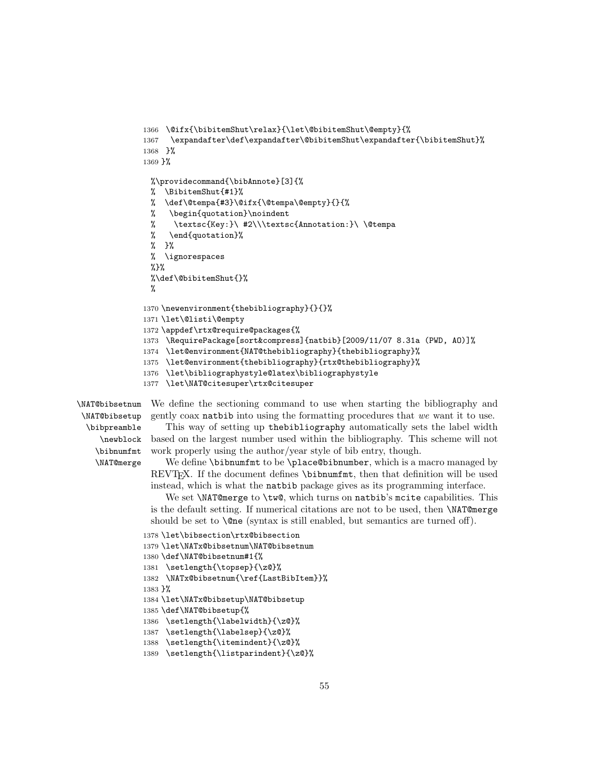```
1366 \@ifx{\bibitemShut\relax}{\let\@bibitemShut\@empty}{%
1367 \expandafter\def\expandafter\@bibitemShut\expandafter{\bibitemShut}%
1368 }%
1369 }%
 %\providecommand{\bibAnnote}[3]{%
 % \BibitemShut{#1}%
 % \def\@tempa{#3}\@ifx{\@tempa\@empty}{}{%
 % \begin{quotation}\noindent
 % \textsc{Key:}\ #2\\\textsc{Annotation:}\ \@tempa
 % \end{quotation}%
 % }%
 % \ignorespaces
 %%\def\@bibitemShut{}%
 %
1370 \newenvironment{thebibliography}{}{}%
1371 \let\@listi\@empty
1372 \appdef\rtx@require@packages{%
1373 \RequirePackage[sort&compress]{natbib}[2009/11/07 8.31a (PWD, AO)]%
1374 \let@environment{NAT@thebibliography}{thebibliography}%
1375 \let@environment{thebibliography}{rtx@thebibliography}%
1376 \let\bibliographystyle@latex\bibliographystyle
1377 \let\NAT@citesuper\rtx@citesuper
```
\NAT@bibsetnum \NAT@bibsetup \bibpreamble \newblock \bibnumfmt \NAT@merge

We define the sectioning command to use when starting the bibliography and gently coax natbib into using the formatting procedures that we want it to use.

This way of setting up thebibliography automatically sets the label width based on the largest number used within the bibliography. This scheme will not work properly using the author/year style of bib entry, though.

We define \bibnumfmt to be \place@bibnumber, which is a macro managed by REVTEX. If the document defines \bibnumfmt, then that definition will be used instead, which is what the natbib package gives as its programming interface.

We set **\NAT@merge** to **\tw@**, which turns on natbib's mcite capabilities. This is the default setting. If numerical citations are not to be used, then \NAT@merge should be set to  $\textcircled{}}$  (syntax is still enabled, but semantics are turned off).

```
1378 \let\bibsection\rtx@bibsection
```

```
1379 \let\NATx@bibsetnum\NAT@bibsetnum
```

```
1380 \def\NAT@bibsetnum#1{%
```

```
1381 \setlength{\topsep}{\z@}%
```

```
1382 \NATx@bibsetnum{\ref{LastBibItem}}%
```

```
1383 }%
```

```
1384 \let\NATx@bibsetup\NAT@bibsetup
```

```
1385 \def\NAT@bibsetup{%
```

```
1386 \setlength{\labelwidth}{\z@}%
```

```
1387 \setlength{\labelsep}{\z@}%
```

```
1388 \setlength{\itemindent}{\z@}%
```

```
1389 \setlength{\listparindent}{\z@}%
```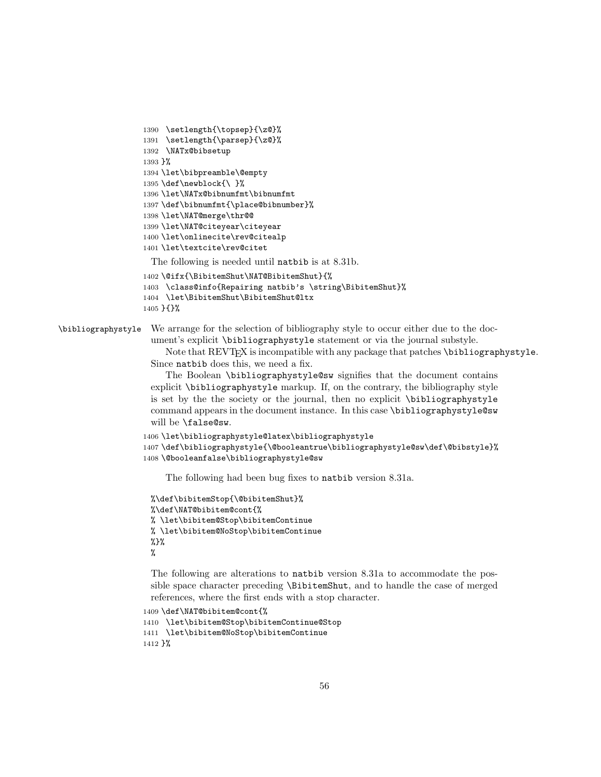```
1390 \setlength{\topsep}{\z@}%
1391 \setlength{\parsep}{\z@}%
1392 \NATx@bibsetup
1393 }%
1394 \let\bibpreamble\@empty
1395 \def\newblock{\ }%
1396 \let\NATx@bibnumfmt\bibnumfmt
1397 \def\bibnumfmt{\place@bibnumber}%
1398 \let\NAT@merge\thr@@
1399 \let\NAT@citeyear\citeyear
1400 \let\onlinecite\rev@citealp
1401 \let\textcite\rev@citet
 The following is needed until natbib is at 8.31b.
1402 \@ifx{\BibitemShut\NAT@BibitemShut}{%
```

```
1403 \class@info{Repairing natbib's \string\BibitemShut}%
```

```
1404 \let\BibitemShut\BibitemShut@ltx
1405 }{}%
```
\bibliographystyle We arrange for the selection of bibliography style to occur either due to the document's explicit \bibliographystyle statement or via the journal substyle.

> Note that REVT<sub>F</sub>X is incompatible with any package that patches \bibliographystyle. Since natbib does this, we need a fix.

The Boolean \bibliographystyle@sw signifies that the document contains explicit \bibliographystyle markup. If, on the contrary, the bibliography style is set by the the society or the journal, then no explicit \bibliographystyle command appears in the document instance. In this case \bibliographystyle@sw will be \false@sw.

```
1406 \let\bibliographystyle@latex\bibliographystyle
1407 \def\bibliographystyle{\@booleantrue\bibliographystyle@sw\def\@bibstyle}%
1408 \@booleanfalse\bibliographystyle@sw
```
The following had been bug fixes to natbib version 8.31a.

```
%\def\bibitemStop{\@bibitemShut}%
%\def\NAT@bibitem@cont{%
% \let\bibitem@Stop\bibitemContinue
% \let\bibitem@NoStop\bibitemContinue
%%
```
The following are alterations to natbib version 8.31a to accommodate the possible space character preceding \BibitemShut, and to handle the case of merged references, where the first ends with a stop character.

```
1409 \def\NAT@bibitem@cont{%
1410 \let\bibitem@Stop\bibitemContinue@Stop
```

```
1411 \let\bibitem@NoStop\bibitemContinue
1412 }%
```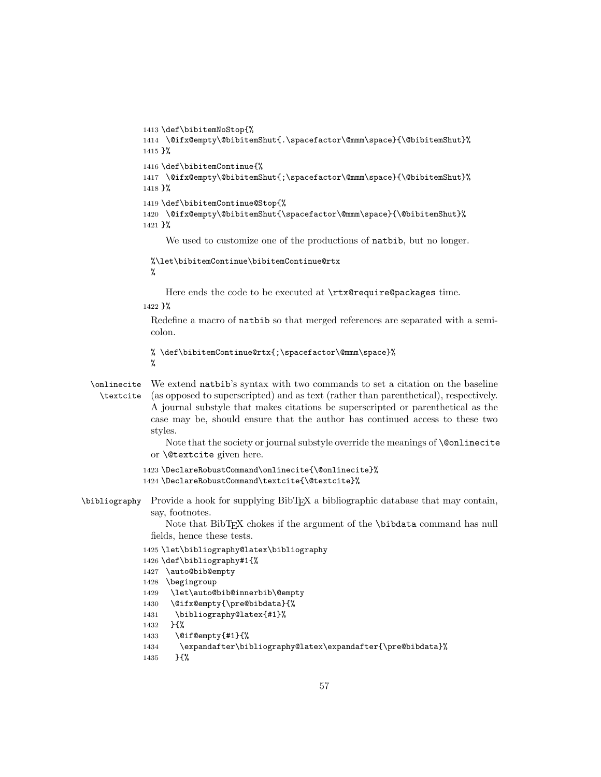```
1413 \def\bibitemNoStop{%
              1414 \@ifx@empty\@bibitemShut{.\spacefactor\@mmm\space}{\@bibitemShut}%
             1415 }%
              1416 \def\bibitemContinue{%
              1417 \@ifx@empty\@bibitemShut{;\spacefactor\@mmm\space}{\@bibitemShut}%
             1418 }%
             1419 \def\bibitemContinue@Stop{%
              1420 \@ifx@empty\@bibitemShut{\spacefactor\@mmm\space}{\@bibitemShut}%
              1421 }%
                   We used to customize one of the productions of natbib, but no longer.
               %\let\bibitemContinue\bibitemContinue@rtx
               %
                  Here ends the code to be executed at \rtx@require@packages time.
              1422 }%
               Redefine a macro of natbib so that merged references are separated with a semi-
               colon.
               % \def\bibitemContinue@rtx{;\spacefactor\@mmm\space}%
               %
  \onlinecite
We extend natbib's syntax with two commands to set a citation on the baseline
    \textcite
(as opposed to superscripted) and as text (rather than parenthetical), respectively.
               A journal substyle that makes citations be superscripted or parenthetical as the
               case may be, should ensure that the author has continued access to these two
               styles.
                   Note that the society or journal substyle override the meanings of \@onlinecite
               or \@textcite given here.
              1423 \DeclareRobustCommand\onlinecite{\@onlinecite}%
              1424 \DeclareRobustCommand\textcite{\@textcite}%
\bibliography Provide a hook for supplying BibTEX a bibliographic database that may contain,
               say, footnotes.
                   Note that BibTEX chokes if the argument of the \bibdata command has null
               fields, hence these tests.
              1425 \let\bibliography@latex\bibliography
              1426 \def\bibliography#1{%
              1427 \auto@bib@empty
              1428 \begingroup
              1429 \let\auto@bib@innerbib\@empty
              1430 \@ifx@empty{\pre@bibdata}{%
              1431 \bibliography@latex{#1}%
             1432 }{%
              1433 \@if@empty{#1}{%
             1434 \expandafter\bibliography@latex\expandafter{\pre@bibdata}%
```
1435 }{%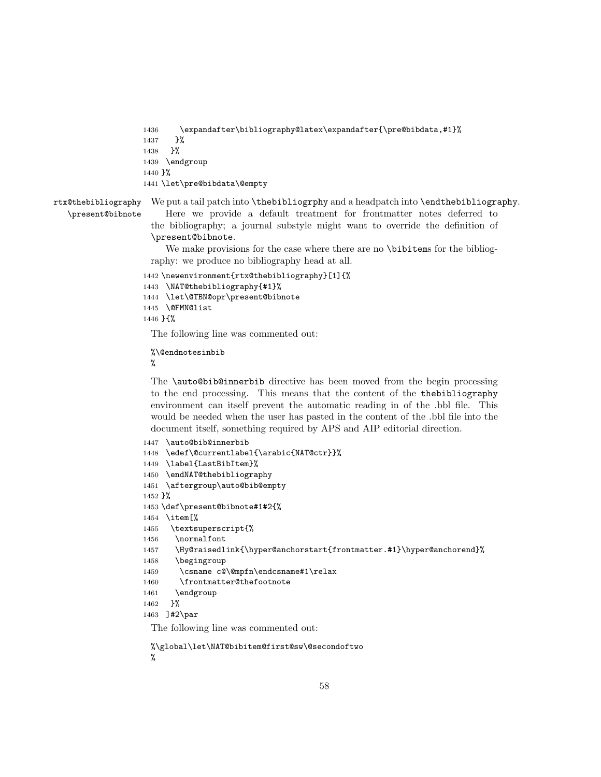```
1436 \expandafter\bibliography@latex\expandafter{\pre@bibdata,#1}%
1437 }%
1438 }%
1439 \endgroup
1440 }%
1441 \let\pre@bibdata\@empty
```
rtx@thebibliography \present@bibnote We put a tail patch into **\thebibliogrphy** and a headpatch into **\endthebibliography**.

Here we provide a default treatment for frontmatter notes deferred to the bibliography; a journal substyle might want to override the definition of \present@bibnote.

We make provisions for the case where there are no \bibitems for the bibliography: we produce no bibliography head at all.

```
1442 \newenvironment{rtx@thebibliography}[1]{%
1443 \NAT@thebibliography{#1}%
1444 \let\@TBN@opr\present@bibnote
1445 \@FMN@list
1446 }{%
```
The following line was commented out:

%\@endnotesinbib %

The \auto@bib@innerbib directive has been moved from the begin processing to the end processing. This means that the content of the thebibliography environment can itself prevent the automatic reading in of the .bbl file. This would be needed when the user has pasted in the content of the .bbl file into the document itself, something required by APS and AIP editorial direction.

```
1447 \auto@bib@innerbib
1448 \edef\@currentlabel{\arabic{NAT@ctr}}%
1449 \label{LastBibItem}%
1450 \endNAT@thebibliography
1451 \aftergroup\auto@bib@empty
1452 }%
1453 \def\present@bibnote#1#2{%
1454 \item[%
1455 \textsuperscript{%
1456 \normalfont
1457 \Hy@raisedlink{\hyper@anchorstart{frontmatter.#1}\hyper@anchorend}%
1458 \begingroup
1459 \csname c@\@mpfn\endcsname#1\relax
1460 \frontmatter@thefootnote
1461 \endgroup
1462 }%
1463 ]#2\par
 The following line was commented out:
```
%\global\let\NAT@bibitem@first@sw\@secondoftwo %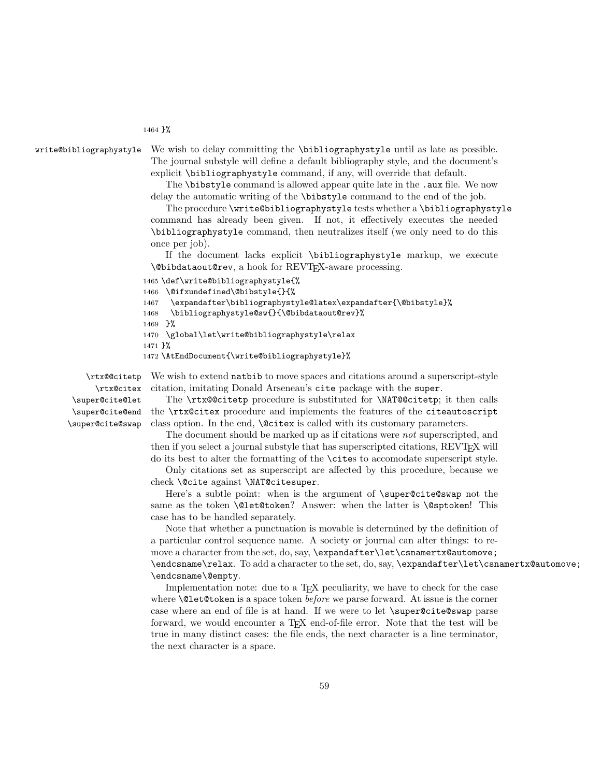#### 1464 }%

write@bibliographystyle We wish to delay committing the \bibliographystyle until as late as possible. The journal substyle will define a default bibliography style, and the document's explicit \bibliographystyle command, if any, will override that default.

The **\bibstyle** command is allowed appear quite late in the .aux file. We now delay the automatic writing of the \bibstyle command to the end of the job.

The procedure \write@bibliographystyle tests whether a \bibliographystyle command has already been given. If not, it effectively executes the needed \bibliographystyle command, then neutralizes itself (we only need to do this once per job).

If the document lacks explicit \bibliographystyle markup, we execute \@bibdataout@rev, a hook for REVTEX-aware processing.

```
1465 \def\write@bibliographystyle{%
```

```
1466 \@ifxundefined\@bibstyle{}{%
```

```
1467 \expandafter\bibliographystyle@latex\expandafter{\@bibstyle}%
```

```
1468 \bibliographystyle@sw{}{\@bibdataout@rev}%
```

```
1469 }%
```

```
1470 \global\let\write@bibliographystyle\relax
```

```
1471 }%
```

```
1472 \AtEndDocument{\write@bibliographystyle}%
```
\rtx@@citetp \rtx@citex \super@cite@let \super@cite@end \super@cite@swap

We wish to extend natbib to move spaces and citations around a superscript-style citation, imitating Donald Arseneau's cite package with the super.

The \rtx@@citetp procedure is substituted for \NAT@@citetp; it then calls the \rtx@citex procedure and implements the features of the citeautoscript class option. In the end, \@citex is called with its customary parameters.

The document should be marked up as if citations were not superscripted, and then if you select a journal substyle that has superscripted citations, REVT<sub>F</sub>X will do its best to alter the formatting of the \cites to accomodate superscript style.

Only citations set as superscript are affected by this procedure, because we check \@cite against \NAT@citesuper.

Here's a subtle point: when is the argument of \super@cite@swap not the same as the token **\@let@token?** Answer: when the latter is **\@sptoken!** This case has to be handled separately.

Note that whether a punctuation is movable is determined by the definition of a particular control sequence name. A society or journal can alter things: to remove a character from the set, do, say, \expandafter\let\csnamertx@automove; \endcsname\relax. To add a character to the set, do, say, \expandafter\let\csnamertx@automove; \endcsname\@empty.

Implementation note: due to a T<sub>E</sub>X peculiarity, we have to check for the case where **\@let@token** is a space token *before* we parse forward. At issue is the corner case where an end of file is at hand. If we were to let \super@cite@swap parse forward, we would encounter a T<sub>E</sub>X end-of-file error. Note that the test will be true in many distinct cases: the file ends, the next character is a line terminator, the next character is a space.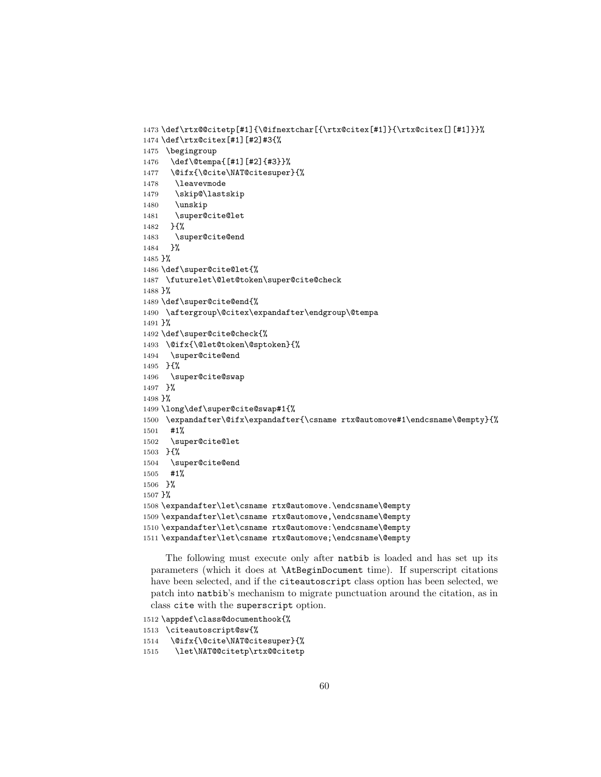```
1473 \def\rtx@@citetp[#1]{\@ifnextchar[{\rtx@citex[#1]}{\rtx@citex[][#1]}}%
1474 \def\rtx@citex[#1][#2]#3{%
1475 \begingroup
1476 \def\@tempa{[#1][#2]{#3}}%
1477 \@ifx{\@cite\NAT@citesuper}{%
1478 \leavevmode
1479 \skip@\lastskip
1480 \unskip
1481 \super@cite@let
1482 }{%
1483 \super@cite@end
1484 }%
1485 }%
1486 \def\super@cite@let{%
1487 \futurelet\@let@token\super@cite@check
1488 }%
1489 \def\super@cite@end{%
1490 \aftergroup\@citex\expandafter\endgroup\@tempa
1491 }%
1492 \def\super@cite@check{%
1493 \@ifx{\@let@token\@sptoken}{%
1494 \super@cite@end
1495 }{%
1496 \super@cite@swap
1497 }%
1498 }%
1499 \long\def\super@cite@swap#1{%
1500 \expandafter\@ifx\expandafter{\csname rtx@automove#1\endcsname\@empty}{%
1501 #1%
1502 \super@cite@let
1503 }{%
1504 \super@cite@end
1505 #1%
1506 }%
1507 }%
1508 \expandafter\let\csname rtx@automove.\endcsname\@empty
1509 \expandafter\let\csname rtx@automove,\endcsname\@empty
1510 \expandafter\let\csname rtx@automove:\endcsname\@empty
1511 \expandafter\let\csname rtx@automove;\endcsname\@empty
```
The following must execute only after natbib is loaded and has set up its parameters (which it does at \AtBeginDocument time). If superscript citations have been selected, and if the citeautoscript class option has been selected, we patch into natbib's mechanism to migrate punctuation around the citation, as in class cite with the superscript option.

```
1512 \appdef\class@documenthook{%
1513 \citeautoscript@sw{%
1514 \@ifx{\@cite\NAT@citesuper}{%
1515 \let\NAT@@citetp\rtx@@citetp
```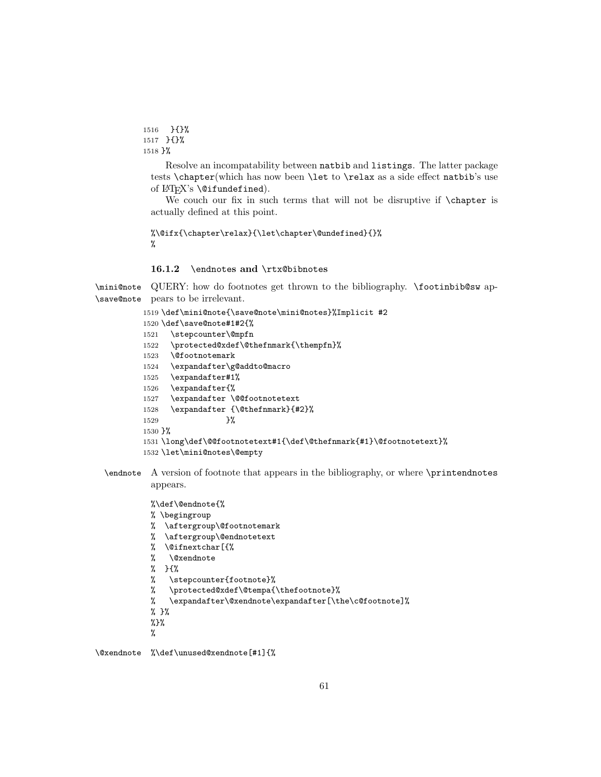```
1516 }{}%
1517 }{}%
1518 }%
```
Resolve an incompatability between natbib and listings. The latter package tests \chapter(which has now been \let to \relax as a side effect natbib's use of LAT<sub>E</sub>X's **\@ifundefined**).

We couch our fix in such terms that will not be disruptive if **\chapter** is actually defined at this point.

```
%\@ifx{\chapter\relax}{\let\chapter\@undefined}{}%
%
```
### 16.1.2 \endnotes and \rtx@bibnotes

\mini@note QUERY: how do footnotes get thrown to the bibliography. \footinbib@sw ap-\save@note pears to be irrelevant.

```
1519 \def\mini@note{\save@note\mini@notes}%Implicit #2
1520 \def\save@note#1#2{%
1521 \stepcounter\@mpfn
1522 \protected@xdef\@thefnmark{\thempfn}%
1523 \@footnotemark
1524 \expandafter\g@addto@macro
1525 \expandafter#1%
1526 \expandafter{%
1527 \expandafter \@@footnotetext
1528 \expandafter {\@thefnmark}{#2}%
1529 }%
1530 }%
1531 \long\def\@@footnotetext#1{\def\@thefnmark{#1}\@footnotetext}%
1532 \let\mini@notes\@empty
```
\endnote A version of footnote that appears in the bibliography, or where \printendnotes appears.

%\def\@endnote{%

- % \begingroup
- % \aftergroup\@footnotemark
- % \aftergroup\@endnotetext
- % \@ifnextchar[{%
- % \@xendnote
- % }{%
- % \stepcounter{footnote}%
- % \protected@xdef\@tempa{\thefootnote}%
- % \expandafter\@xendnote\expandafter[\the\c@footnote]%
- % }%
- %}%
- %

\@xendnote %\def\unused@xendnote[#1]{%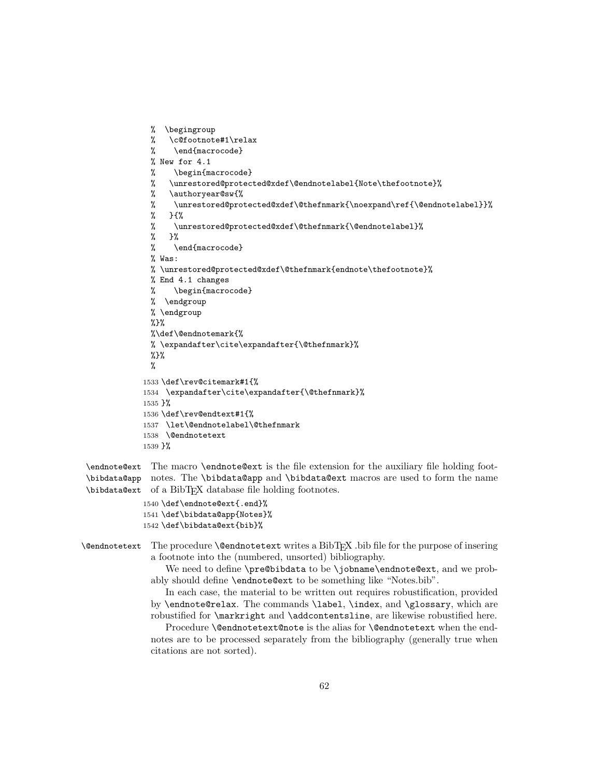```
% \begingroup
 % \c@footnote#1\relax
 % \end{macrocode}
 % New for 4.1
 % \begin{macrocode}
 % \unrestored@protected@xdef\@endnotelabel{Note\thefootnote}%
 % \authoryear@sw{%
 % \unrestored@protected@xdef\@thefnmark{\noexpand\ref{\@endnotelabel}}%
 % }{%
 % \unrestored@protected@xdef\@thefnmark{\@endnotelabel}%
 % }%
 % \end{macrocode}
 % Was:
 % \unrestored@protected@xdef\@thefnmark{endnote\thefootnote}%
 % End 4.1 changes
 % \begin{macrocode}
 % \endgroup
 % \endgroup
 %}%
 %\def\@endnotemark{%
 % \expandafter\cite\expandafter{\@thefnmark}%
 %}%
 %
1533 \def\rev@citemark#1{%
1534 \expandafter\cite\expandafter{\@thefnmark}%
1535 }%
1536 \def\rev@endtext#1{%
1537 \let\@endnotelabel\@thefnmark
1538 \@endnotetext
1539 }%
```
\endnote@ext The macro \endnote@ext is the file extension for the auxiliary file holding foot-\bibdata@app notes. The \bibdata@app and \bibdata@ext macros are used to form the name \bibdata@ext of a BibTEX database file holding footnotes.

> 1540 \def\endnote@ext{.end}% 1541 \def\bibdata@app{Notes}% 1542 \def\bibdata@ext{bib}%

 $\Diamond$ endnotetext The procedure  $\Diamond$ endnotetext writes a BibT<sub>EX</sub>. bib file for the purpose of insering a footnote into the (numbered, unsorted) bibliography.

We need to define \pre@bibdata to be \jobname\endnote@ext, and we probably should define \endnote@ext to be something like "Notes.bib".

In each case, the material to be written out requires robustification, provided by \endnote@relax. The commands \label, \index, and \glossary, which are robustified for \markright and \addcontentsline, are likewise robustified here.

Procedure **\@endnotetext@note** is the alias for **\@endnotetext** when the endnotes are to be processed separately from the bibliography (generally true when citations are not sorted).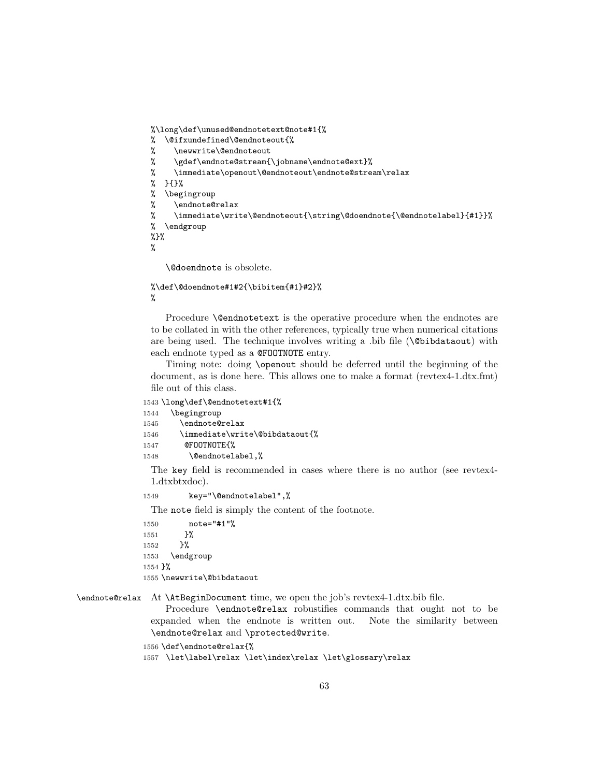```
%\long\def\unused@endnotetext@note#1{%
% \@ifxundefined\@endnoteout{%
% \newwrite\@endnoteout
% \gdef\endnote@stream{\jobname\endnote@ext}%
% \immediate\openout\@endnoteout\endnote@stream\relax
% }{}%
% \begingroup
% \endnote@relax
% \immediate\write\@endnoteout{\string\@doendnote{\@endnotelabel}{#1}}%
% \endgroup
%}%
%
```
\@doendnote is obsolete.

```
%\def\@doendnote#1#2{\bibitem{#1}#2}%
%
```
Procedure **\@endnotetext** is the operative procedure when the endnotes are to be collated in with the other references, typically true when numerical citations are being used. The technique involves writing a .bib file  $(\Diamond \text{bibdataout})$  with each endnote typed as a @FOOTNOTE entry.

Timing note: doing \openout should be deferred until the beginning of the document, as is done here. This allows one to make a format (revtex4-1.dtx.fmt) file out of this class.

```
1543 \long\def\@endnotetext#1{%
```

```
1544 \begingroup
```

```
1545 \endnote@relax
1546 \immediate\write\@bibdataout{%
```

```
1547 @FOOTNOTE{%
```

```
1548 \@endnotelabel,%
```
The key field is recommended in cases where there is no author (see revtex4- 1.dtxbtxdoc).

```
1549 key="\@endnotelabel",%
```
The note field is simply the content of the footnote.

1550 note="#1"% 1551 }% 1552 }% 1553 \endgroup 1554 }% 1555 \newwrite\@bibdataout

\endnote@relax At \AtBeginDocument time, we open the job's revtex4-1.dtx.bib file.

Procedure \endnote@relax robustifies commands that ought not to be expanded when the endnote is written out. Note the similarity between \endnote@relax and \protected@write.

```
1556 \def\endnote@relax{%
```
1557 \let\label\relax \let\index\relax \let\glossary\relax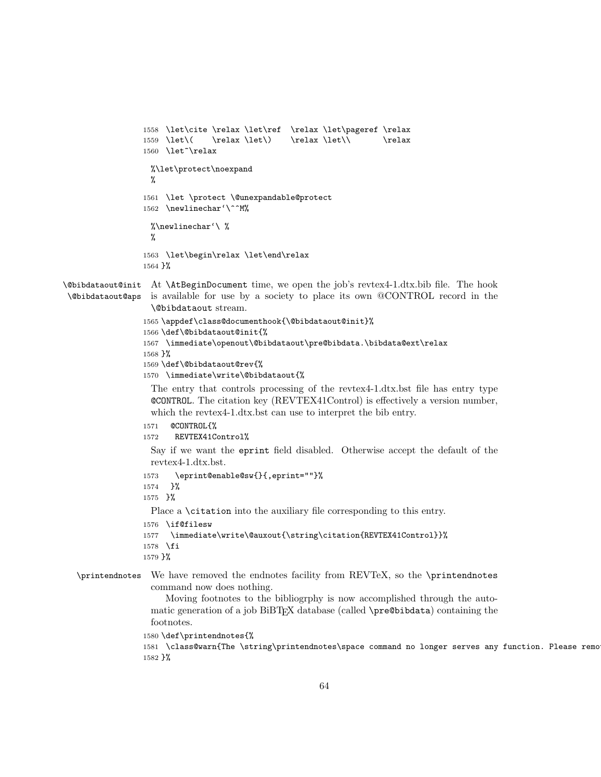```
1558 \let\cite \relax \let\ref \relax \let\pageref \relax
                 1559 \let\( \relax \let\) \relax \let\\ \relax
                 1560 \let<sup>~</sup>\relax
                   %\let\protect\noexpand
                   %
                 1561 \let \protect \@unexpandable@protect
                 1562 \newlinechar'\^^M%
                   %\newlinechar'\ %
                   %
                 1563 \let\begin\relax \let\end\relax
                 1564 }%
\@bibdataout@init
At \AtBeginDocument time, we open the job's revtex4-1.dtx.bib file. The hook
 \@bibdataout@aps
is available for use by a society to place its own @CONTROL record in the
                   \@bibdataout stream.
                 1565 \appdef\class@documenthook{\@bibdataout@init}%
                 1566 \def\@bibdataout@init{%
                 1567 \immediate\openout\@bibdataout\pre@bibdata.\bibdata@ext\relax
                 1568 }%
                 1569 \def\@bibdataout@rev{%
                 1570 \immediate\write\@bibdataout{%
                   The entry that controls processing of the revtex4-1.dtx.bst file has entry type
                   @CONTROL. The citation key (REVTEX41Control) is effectively a version number,
                   which the revtex4-1.dtx.bst can use to interpret the bib entry.
                 1571 @CONTROL{%
                 1572 REVTEX41Control%
                   Say if we want the eprint field disabled. Otherwise accept the default of the
                   revtex4-1.dtx.bst.
                 1573 \eprint@enable@sw{}{,eprint=""}%
                 1574 }%
                 1575 }%
                   Place a \citation into the auxiliary file corresponding to this entry.
                 1576 \if@filesw
                 1577 \immediate\write\@auxout{\string\citation{REVTEX41Control}}%
                 1578 \fi
                 1579 }%
  \printendnotes We have removed the endnotes facility from REVTeX, so the \printendnotes
                   command now does nothing.
                      Moving footnotes to the bibliogrphy is now accomplished through the auto-
                   matic generation of a job BiBTEX database (called \pre@bibdata) containing the
```
1580 \def\printendnotes{% 1581 \class@warn{The \string\printendnotes\space command no longer serves any function. Please remo 1582 }%

footnotes.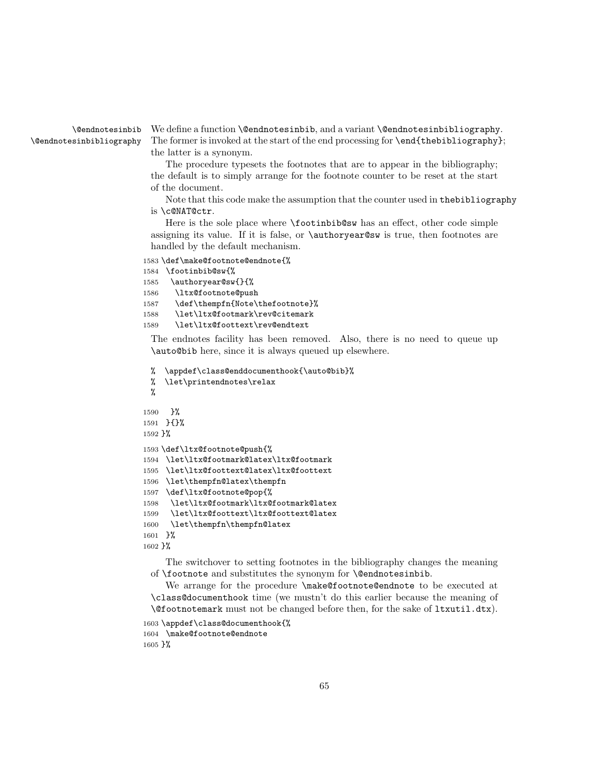\@endnotesinbib \@endnotesinbibliography

We define a function **\@endnotesinbib**, and a variant **\@endnotesinbibliography**. The former is invoked at the start of the end processing for  $\end{math}$ end{thebibliography}; the latter is a synonym.

The procedure typesets the footnotes that are to appear in the bibliography; the default is to simply arrange for the footnote counter to be reset at the start of the document.

Note that this code make the assumption that the counter used in thebibliography is \c@NAT@ctr.

Here is the sole place where \footinbib@sw has an effect, other code simple assigning its value. If it is false, or \authoryear@sw is true, then footnotes are handled by the default mechanism.

```
1583 \def\make@footnote@endnote{%
1584 \footinbib@sw{%
```

```
1585 \authoryear@sw{}{%
```

```
1586 \ltx@footnote@push
```

```
1587 \def\thempfn{Note\thefootnote}%
```

```
1588 \let\ltx@footmark\rev@citemark
```

```
1589 \let\ltx@foottext\rev@endtext
```
The endnotes facility has been removed. Also, there is no need to queue up \auto@bib here, since it is always queued up elsewhere.

```
% \appdef\class@enddocumenthook{\auto@bib}%
 % \let\printendnotes\relax
 %
1590 }%
1591 }{}%
1592 }%
1593 \def\ltx@footnote@push{%
1594 \let\ltx@footmark@latex\ltx@footmark
1595 \let\ltx@foottext@latex\ltx@foottext
1596 \let\thempfn@latex\thempfn
1597 \def\ltx@footnote@pop{%
1598 \let\ltx@footmark\ltx@footmark@latex
1599 \let\ltx@foottext\ltx@foottext@latex
1600 \let\thempfn\thempfn@latex
1601 }%
1602 }%
```
The switchover to setting footnotes in the bibliography changes the meaning of \footnote and substitutes the synonym for \@endnotesinbib.

We arrange for the procedure \make@footnote@endnote to be executed at \class@documenthook time (we mustn't do this earlier because the meaning of \@footnotemark must not be changed before then, for the sake of ltxutil.dtx).

```
1603 \appdef\class@documenthook{%
1604 \make@footnote@endnote
1605 }%
```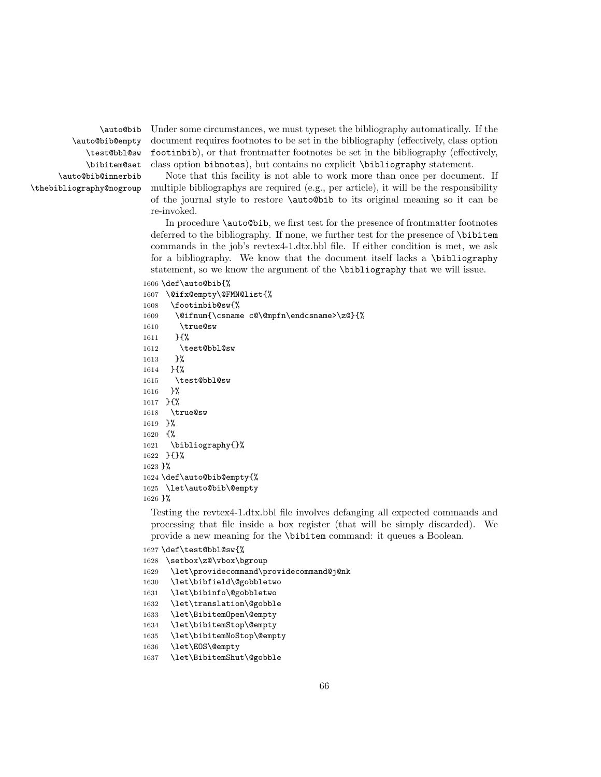\auto@bib \auto@bib@empty \test@bbl@sw \bibitem@set \auto@bib@innerbib \thebibliography@nogroup Under some circumstances, we must typeset the bibliography automatically. If the document requires footnotes to be set in the bibliography (effectively, class option footinbib), or that frontmatter footnotes be set in the bibliography (effectively, class option bibnotes), but contains no explicit \bibliography statement.

Note that this facility is not able to work more than once per document. If multiple bibliographys are required (e.g., per article), it will be the responsibility of the journal style to restore \auto@bib to its original meaning so it can be re-invoked.

In procedure \auto@bib, we first test for the presence of frontmatter footnotes deferred to the bibliography. If none, we further test for the presence of \bibitem commands in the job's revtex4-1.dtx.bbl file. If either condition is met, we ask for a bibliography. We know that the document itself lacks a \bibliography statement, so we know the argument of the \bibliography that we will issue.

#### 1606 \def\auto@bib{%

|                  | 1607 \@ifx@empty\@FMN@list{%                   |
|------------------|------------------------------------------------|
|                  | $1608$ \footinbib@sw{%                         |
|                  | 1609 \@ifnum{\csname c@\@mpfn\endcsname>\z@}{% |
| 1610             | \true@sw                                       |
| 1611             | $\mathcal{H}$                                  |
|                  | 1612 \test@bbl@sw                              |
|                  | 1613 }%                                        |
|                  | 1614 }{%                                       |
|                  | 1615 \test@bbl@sw                              |
|                  | $1616$ }%                                      |
|                  | 1617 }{%                                       |
|                  | 1618 \true@sw                                  |
|                  | 1619 }%                                        |
|                  | 1620 {%                                        |
|                  | $1621$ \bibliography{}%                        |
|                  | 1622 }{}%                                      |
| 1623 }%          |                                                |
|                  | 1624 \def\auto@bib@empty{%                     |
|                  | 1625 \let\auto@bib\@empty                      |
| 1626 }%          |                                                |
| . . <del>.</del> | $\blacksquare$<br>$\mathbf{1}$ $\mathbf{c}$    |

Testing the revtex4-1.dtx.bbl file involves defanging all expected commands and processing that file inside a box register (that will be simply discarded). We provide a new meaning for the \bibitem command: it queues a Boolean.

```
1627 \def\test@bbl@sw{%
```

```
1628 \setbox\z@\vbox\bgroup
```

```
1629 \let\providecommand\providecommand@j@nk
```

```
1630 \let\bibfield\@gobbletwo
```

```
1631 \let\bibinfo\@gobbletwo
```
- 1632 \let\translation\@gobble
- 1633 \let\BibitemOpen\@empty
- 1634 \let\bibitemStop\@empty
- 1635 \let\bibitemNoStop\@empty
- 1636 \let\EOS\@empty

```
1637 \let\BibitemShut\@gobble
```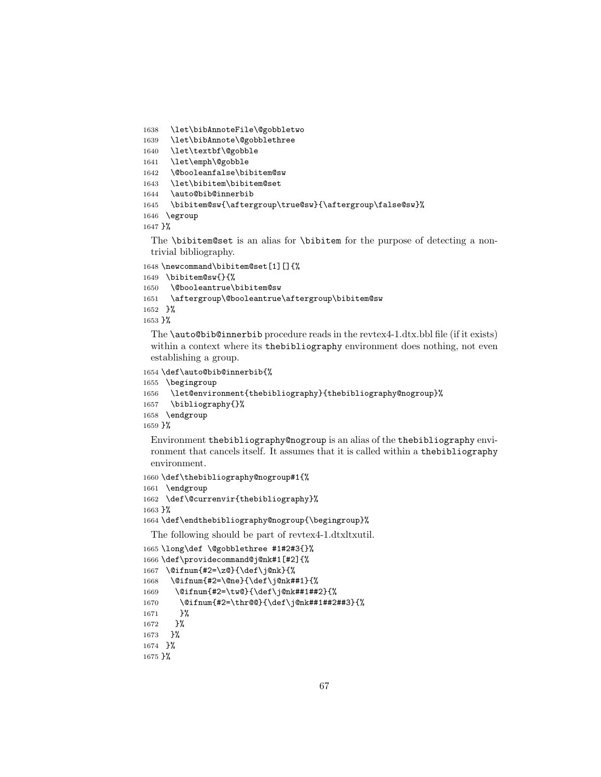```
1638 \let\bibAnnoteFile\@gobbletwo
```
\let\bibAnnote\@gobblethree

```
1640 \let\textbf\@gobble
```

```
1641 \let\emph\@gobble
```

```
1642 \@booleanfalse\bibitem@sw
```

```
1643 \let\bibitem\bibitem@set
```

```
1644 \auto@bib@innerbib
```

```
1645 \bibitem@sw{\aftergroup\true@sw}{\aftergroup\false@sw}%
```

```
1646 \egroup
```
}%

The **\bibitem@set** is an alias for **\bibitem** for the purpose of detecting a nontrivial bibliography.

```
1648 \newcommand\bibitem@set[1][]{%
```

```
1649 \bibitem@sw{}{%
```

```
1650 \@booleantrue\bibitem@sw
```

```
1651 \aftergroup\@booleantrue\aftergroup\bibitem@sw
```

```
1652 }%
```
}%

The \auto@bib@innerbib procedure reads in the revtex4-1.dtx.bbl file (if it exists) within a context where its the bibliography environment does nothing, not even establishing a group.

```
1654 \def\auto@bib@innerbib{%
```

```
1655 \begingroup
```

```
1656 \let@environment{thebibliography}{thebibliography@nogroup}%
```

```
1657 \bibliography{}%
```

```
1658 \endgroup
```

```
1659 }%
```
Environment thebibliography@nogroup is an alias of the thebibliography environment that cancels itself. It assumes that it is called within a thebibliography environment.

```
1660 \def\thebibliography@nogroup#1{%
1661 \endgroup
1662 \def\@currenvir{thebibliography}%
1663 }%
```
\def\endthebibliography@nogroup{\begingroup}%

The following should be part of revtex4-1.dtxltxutil.

```
1665 \long\def \@gobblethree #1#2#3{}%
1666 \def\providecommand@j@nk#1[#2]{%
1667 \@ifnum{#2=\z@}{\def\j@nk}{%
1668 \@ifnum{#2=\@ne}{\def\j@nk##1}{%
1669 \@ifnum{#2=\tw@}{\def\j@nk##1##2}{%
1670 \@ifnum{#2=\thr@@}{\def\j@nk##1##2##3}{%
1671 }%
1672 }%
1673 }%
1674 }%
1675 }%
```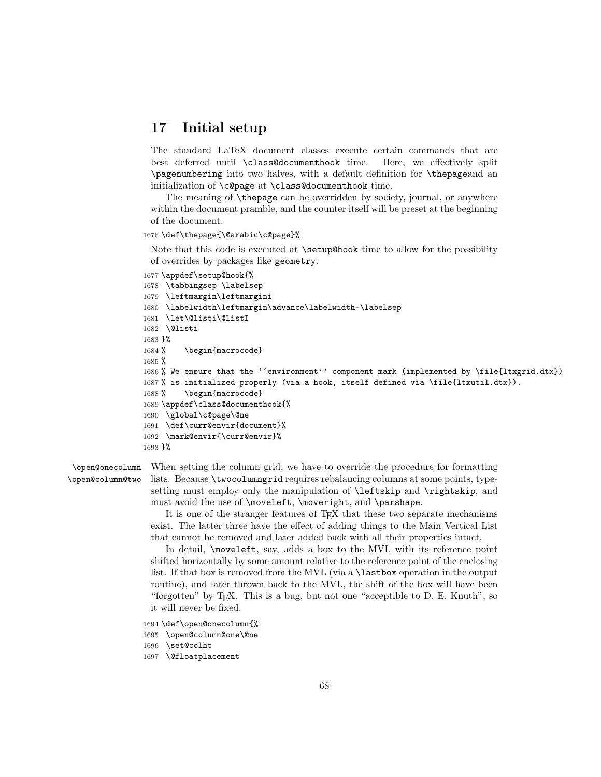# 17 Initial setup

The standard LaTeX document classes execute certain commands that are best deferred until \class@documenthook time. Here, we effectively split \pagenumbering into two halves, with a default definition for \thepageand an initialization of \c@page at \class@documenthook time.

The meaning of \thepage can be overridden by society, journal, or anywhere within the document pramble, and the counter itself will be preset at the beginning of the document.

#### 1676 \def\thepage{\@arabic\c@page}%

Note that this code is executed at **\setup@hook** time to allow for the possibility of overrides by packages like geometry.

```
1677 \appdef\setup@hook{%
1678 \tabbingsep \labelsep
1679 \leftmargin\leftmargini
1680 \labelwidth\leftmargin\advance\labelwidth-\labelsep
1681 \let\@listi\@listI
1682 \@listi
1683 }%
1684 % \begin{macrocode}
1685 %
1686 % We ensure that the ''environment'' component mark (implemented by \file{ltxgrid.dtx})
1687 % is initialized properly (via a hook, itself defined via \file{ltxutil.dtx}).
1688 % \begin{macrocode}
1689 \appdef\class@documenthook{%
1690 \global\c@page\@ne
1691 \def\curr@envir{document}%
1692 \mark@envir{\curr@envir}%
1693 }%
```
\open@column@two

\open@onecolumn When setting the column grid, we have to override the procedure for formatting lists. Because \twocolumngrid requires rebalancing columns at some points, typesetting must employ only the manipulation of \leftskip and \rightskip, and must avoid the use of \moveleft, \moveright, and \parshape.

> It is one of the stranger features of T<sub>E</sub>X that these two separate mechanisms exist. The latter three have the effect of adding things to the Main Vertical List that cannot be removed and later added back with all their properties intact.

> In detail, \moveleft, say, adds a box to the MVL with its reference point shifted horizontally by some amount relative to the reference point of the enclosing list. If that box is removed from the MVL (via a \lastbox operation in the output routine), and later thrown back to the MVL, the shift of the box will have been "forgotten" by T<sub>E</sub>X. This is a bug, but not one "acceptible to D. E. Knuth", so it will never be fixed.

```
1694 \def\open@onecolumn{%
```

```
1695 \open@column@one\@ne
```

```
1696 \set@colht
```

```
1697 \@floatplacement
```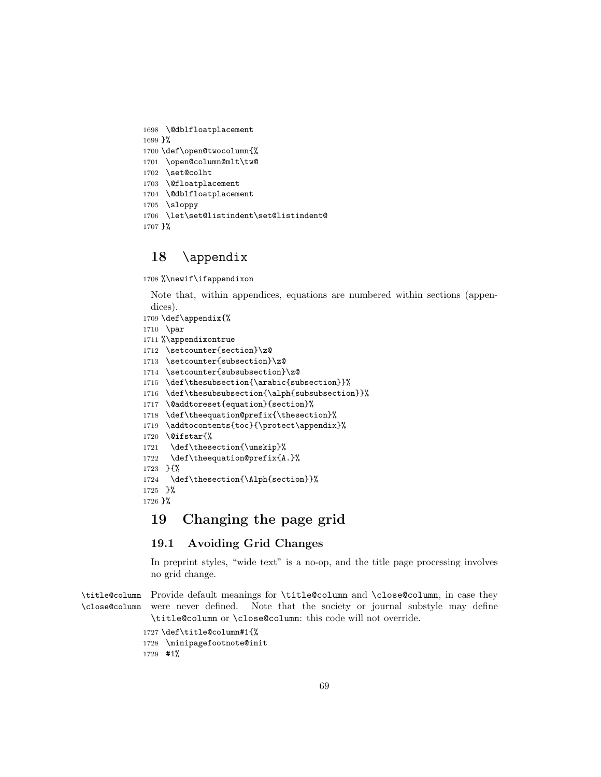```
1698 \@dblfloatplacement
1699 }%
1700 \def\open@twocolumn{%
1701 \open@column@mlt\tw@
1702 \set@colht
1703 \@floatplacement
1704 \@dblfloatplacement
1705 \sloppy
1706 \let\set@listindent\set@listindent@
1707 }%
```
# \appendix

%\newif\ifappendixon

Note that, within appendices, equations are numbered within sections (appendices).

\def\appendix{%

```
1710 \par
```
%\appendixontrue

\setcounter{section}\z@

\setcounter{subsection}\z@

\setcounter{subsubsection}\z@

\def\thesubsection{\arabic{subsection}}%

\def\thesubsubsection{\alph{subsubsection}}%

\@addtoreset{equation}{section}%

\def\theequation@prefix{\thesection}%

\addtocontents{toc}{\protect\appendix}%

\@ifstar{%

\def\thesection{\unskip}%

 \def\theequation@prefix{A.}% }{%

1724 \def\thesection{\Alph{section}}%

 }% }%

# 19 Changing the page grid

# 19.1 Avoiding Grid Changes

In preprint styles, "wide text" is a no-op, and the title page processing involves no grid change.

\title@column Provide default meanings for \title@column and \close@column, in case they \close@column were never defined. Note that the society or journal substyle may define \title@column or \close@column: this code will not override.

> \def\title@column#1{% \minipagefootnote@init #1%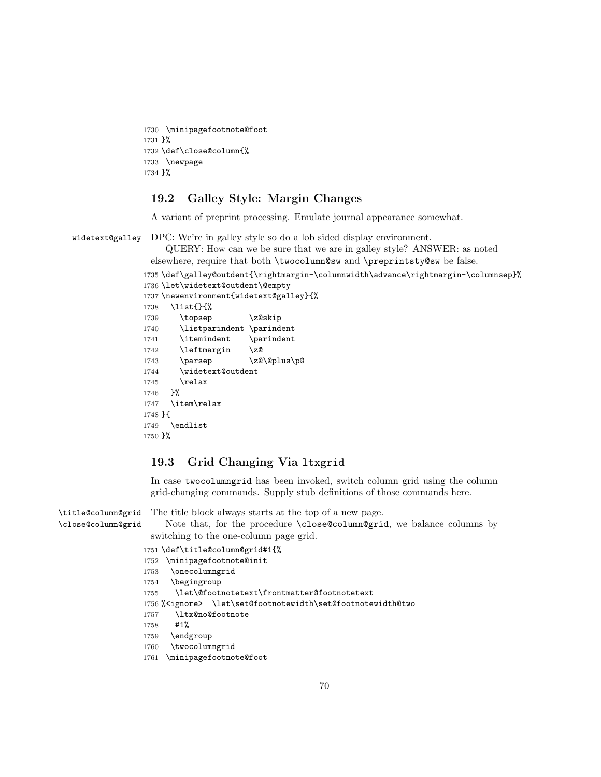```
1730 \minipagefootnote@foot
1731 }%
1732 \def\close@column{%
1733 \newpage
1734 }%
```
## 19.2 Galley Style: Margin Changes

A variant of preprint processing. Emulate journal appearance somewhat.

widetext@galley DPC: We're in galley style so do a lob sided display environment.

QUERY: How can we be sure that we are in galley style? ANSWER: as noted elsewhere, require that both \twocolumn@sw and \preprintsty@sw be false.

```
1735 \def\galley@outdent{\rightmargin-\columnwidth\advance\rightmargin-\columnsep}%
1736 \let\widetext@outdent\@empty
```

```
1737 \newenvironment{widetext@galley}{%
1738 \list{}{%
1739 \topsep \z@skip
1740 \listparindent \parindent
1741 \itemindent \parindent
1742 \leftmargin \z@
1743 \parsep \z@\@plus\p@
1744 \widetext@outdent
1745 \relax
1746 }%
1747 \item\relax
1748 }{
1749 \endlist
1750 }%
```
## 19.3 Grid Changing Via ltxgrid

In case twocolumngrid has been invoked, switch column grid using the column grid-changing commands. Supply stub definitions of those commands here.

\title@column@grid \close@column@grid The title block always starts at the top of a new page. Note that, for the procedure \close@column@grid, we balance columns by switching to the one-column page grid. \def\title@column@grid#1{% \minipagefootnote@init \onecolumngrid \begingroup \let\@footnotetext\frontmatter@footnotetext %<ignore> \let\set@footnotewidth\set@footnotewidth@two

```
1757 \ltx@no@footnote
```

```
1758 #1%
```

```
1759 \endgroup
```

```
1760 \twocolumngrid
```

```
1761 \minipagefootnote@foot
```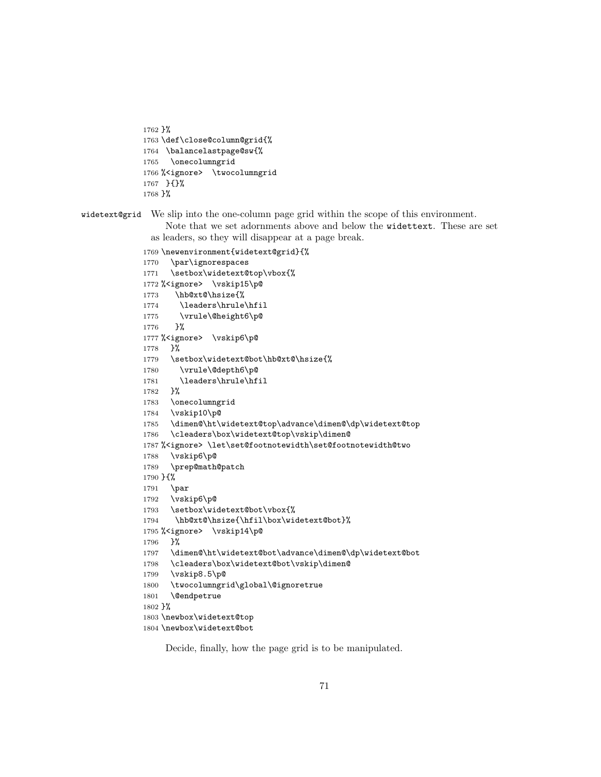```
1762 }%
1763 \def\close@column@grid{%
1764 \balancelastpage@sw{%
1765 \onecolumngrid
1766 % <ignore> \twocolumngrid
1767 }{}%
1768 }%
```
widetext@grid We slip into the one-column page grid within the scope of this environment.

Note that we set adornments above and below the widettext. These are set as leaders, so they will disappear at a page break.

```
1769 \newenvironment{widetext@grid}{%
1770 \par\ignorespaces
1771 \setbox\widetext@top\vbox{%
1772 % <ignore> \vskip15\p@
1773 \hb@xt@\hsize{%
1774 \leaders\hrule\hfil
1775 \vrule\@height6\p@
1776 }%
1777 % <ignore> \vskip6\p@
1778 }%
1779 \setbox\widetext@bot\hb@xt@\hsize{%
1780 \vrule\@depth6\p@
1781 \leaders\hrule\hfil
1782 }%
1783 \onecolumngrid
1784 \vskip10\p@
1785 \dimen@\ht\widetext@top\advance\dimen@\dp\widetext@top
1786 \cleaders\box\widetext@top\vskip\dimen@
1787 %<ignore> \let\set@footnotewidth\set@footnotewidth@two
1788 \vskip6\p@
1789 \prep@math@patch
1790 }{%
1791 \par
1792 \vskip6\p@
1793 \setbox\widetext@bot\vbox{%
1794 \hb@xt@\hsize{\hfil\box\widetext@bot}%
1795 % <ignore> \vskip14\p@
1796 }%
1797 \dimen@\ht\widetext@bot\advance\dimen@\dp\widetext@bot
1798 \cleaders\box\widetext@bot\vskip\dimen@
1799 \vskip8.5\p@
1800 \twocolumngrid\global\@ignoretrue
1801 \@endpetrue
1802 }%
1803 \newbox\widetext@top
1804 \newbox\widetext@bot
```
Decide, finally, how the page grid is to be manipulated.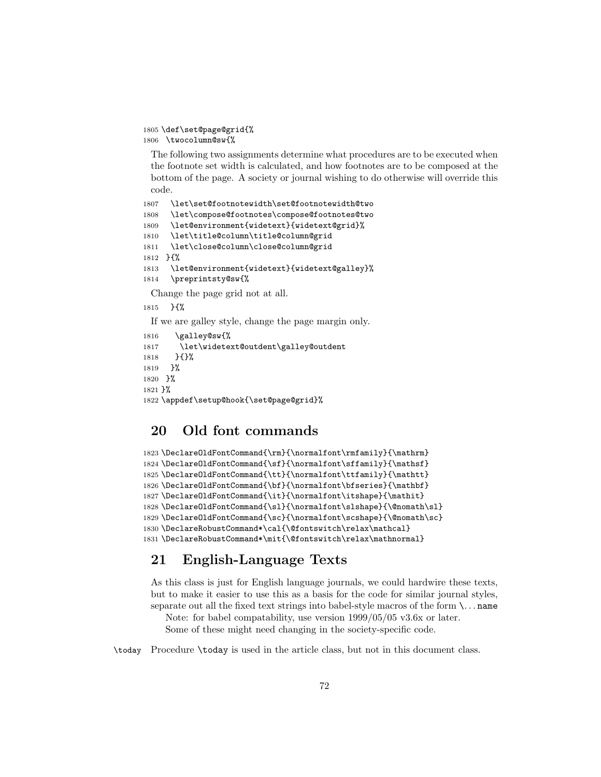```
1805 \def\set@page@grid{%
1806 \twocolumn@sw{%
```
The following two assignments determine what procedures are to be executed when the footnote set width is calculated, and how footnotes are to be composed at the bottom of the page. A society or journal wishing to do otherwise will override this code.

```
1807 \let\set@footnotewidth\set@footnotewidth@two
1808 \let\compose@footnotes\compose@footnotes@two
1809 \let@environment{widetext}{widetext@grid}%
1810 \let\title@column\title@column@grid
1811 \let\close@column\close@column@grid
1812 }{%
1813 \let@environment{widetext}{widetext@galley}%
1814 \preprintsty@sw{%
 Change the page grid not at all.
1815 }{%
 If we are galley style, change the page margin only.
```

```
1816 \galley@sw{%
1817 \let\widetext@outdent\galley@outdent
1818 }{}%
1819 }%
1820 }%
1821 }%
1822 \appdef\setup@hook{\set@page@grid}%
```
# 20 Old font commands

```
1823 \DeclareOldFontCommand{\rm}{\normalfont\rmfamily}{\mathrm}
1824 \DeclareOldFontCommand{\sf}{\normalfont\sffamily}{\mathsf}
1825 \DeclareOldFontCommand{\tt}{\normalfont\ttfamily}{\mathtt}
1826 \DeclareOldFontCommand{\bf}{\normalfont\bfseries}{\mathbf}
1827\DeclareOldFontCommand{\it}{\normalfont\itshape}{\mathit}
1828 \DeclareOldFontCommand{\sl}{\normalfont\slshape}{\@nomath\sl}
1829 \DeclareOldFontCommand{\sc}{\normalfont\scshape}{\@nomath\sc}
1830 \DeclareRobustCommand*\cal{\@fontswitch\relax\mathcal}
1831 \DeclareRobustCommand*\mit{\@fontswitch\relax\mathnormal}
```
# 21 English-Language Texts

As this class is just for English language journals, we could hardwire these texts, but to make it easier to use this as a basis for the code for similar journal styles, separate out all the fixed text strings into babel-style macros of the form  $\ldots$  name

Note: for babel compatability, use version 1999/05/05 v3.6x or later. Some of these might need changing in the society-specific code.

\today Procedure \today is used in the article class, but not in this document class.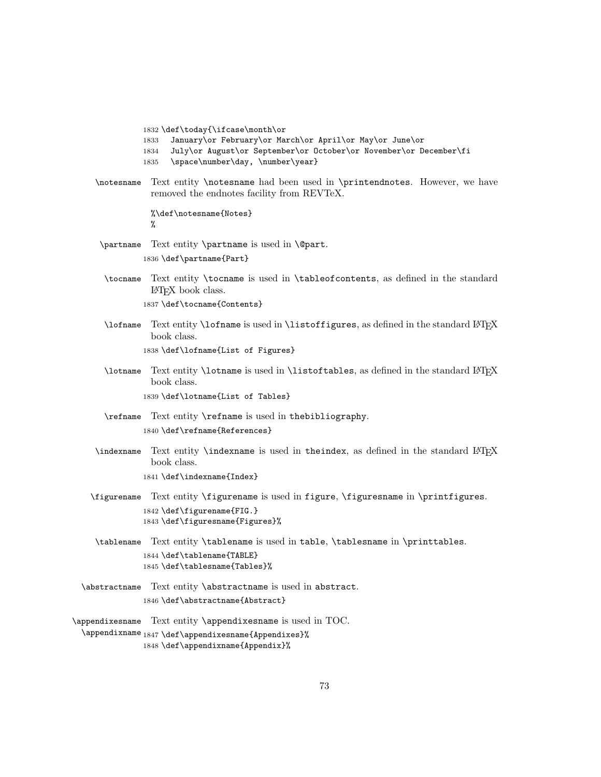1832 \def\today{\ifcase\month\or

- 1833 January\or February\or March\or April\or May\or June\or
- 1834 July\or August\or September\or October\or November\or December\fi
- 1835 \space\number\day, \number\year}
- \notesname Text entity \notesname had been used in \printendnotes. However, we have removed the endnotes facility from REVTeX.

%\def\notesname{Notes} %

- \partname Text entity \partname is used in \@part. 1836 \def\partname{Part}
- \tocname Text entity \tocname is used in \tableofcontents, as defined in the standard  $LATEX$  book class. 1837 \def\tocname{Contents}
- \lofname Text entity \lofname is used in \listoffigures, as defined in the standard LATEX book class. 1838 \def\lofname{List of Figures}
- \lotname Text entity \lotname is used in \listoftables, as defined in the standard LATEX book class.

1839 \def\lotname{List of Tables}

- \refname Text entity \refname is used in thebibliography. 1840 \def\refname{References}
- \indexname Text entity \indexname is used in theindex, as defined in the standard LATEX book class. 1841 \def\indexname{Index}
- \figurename Text entity \figurename is used in figure, \figuresname in \printfigures. 1842 \def\figurename{FIG.} 1843 \def\figuresname{Figures}%
- \tablename Text entity \tablename is used in table, \tablesname in \printtables. 1844 \def\tablename{TABLE} 1845 \def\tablesname{Tables}%
- \abstractname Text entity \abstractname is used in abstract. 1846 \def\abstractname{Abstract}
- \appendixesname Text entity \appendixesname is used in TOC. \appendixname 1847 \def\appendixesname{Appendixes}% 1848 \def\appendixname{Appendix}%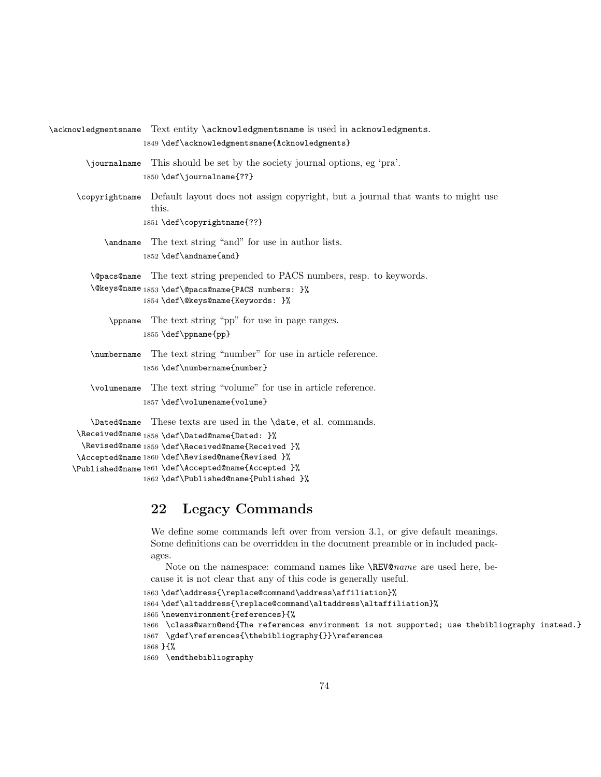\acknowledgmentsname Text entity \acknowledgmentsname is used in acknowledgments. 1849 \def\acknowledgmentsname{Acknowledgments} \journalname This should be set by the society journal options, eg 'pra'. 1850 \def\journalname{??} \copyrightname Default layout does not assign copyright, but a journal that wants to might use this. 1851 \def\copyrightname{??} \andname The text string "and" for use in author lists. 1852 \def\andname{and} \@pacs@name The text string prepended to PACS numbers, resp. to keywords. \@keys@name 1853 \def\@pacs@name{PACS numbers: }% 1854 \def\@keys@name{Keywords: }% \ppname The text string "pp" for use in page ranges. 1855 \def\ppname{pp} \numbername The text string "number" for use in article reference. 1856 \def\numbername{number} \volumename The text string "volume" for use in article reference. 1857 \def\volumename{volume} \Dated@name These texts are used in the \date, et al. commands. \Received@name 1858 \def\Dated@name{Dated: }% \Revised@name 1859 \def\Received@name{Received }% \Accepted@name 1860 \def\Revised@name{Revised }% \Published@name 1861 \def\Accepted@name{Accepted }%

# 1862 \def\Published@name{Published }%

# 22 Legacy Commands

We define some commands left over from version 3.1, or give default meanings. Some definitions can be overridden in the document preamble or in included packages.

Note on the namespace: command names like \REV@name are used here, because it is not clear that any of this code is generally useful.

```
1863 \def\address{\replace@command\address\affiliation}%
1864 \def\altaddress{\replace@command\altaddress\altaffiliation}%
1865 \newenvironment{references}{%
1866 \class@warn@end{The references environment is not supported; use thebibliography instead.}
1867 \gdef\references{\thebibliography{}}\references
1868 }{%
1869 \endthebibliography
```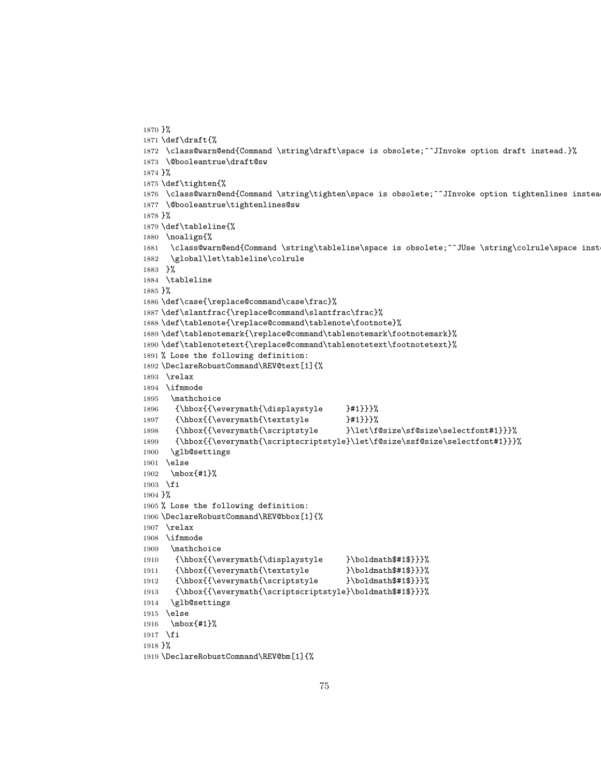```
1870 }%
1871 \def\draft{%
1872 \class@warn@end{Command \string\draft\space is obsolete;^^JInvoke option draft instead.}%
1873 \@booleantrue\draft@sw
1874 }%
1875 \def\tighten{%
1876 \class@warn@end{Command \string\tighten\space is obsolete;^^JInvoke option tightenlines instea
1877 \@booleantrue\tightenlines@sw
1878 }%
1879 \def\tableline{%
1880 \noalign{%
1881 \class@warn@end{Command \string\tableline\space is obsolete;^^JUse \string\colrule\space inst
1882 \global\let\tableline\colrule
1883 }%
1884 \tableline
1885 }%
1886 \def\case{\replace@command\case\frac}%
1887 \def\slantfrac{\replace@command\slantfrac\frac}%
1888 \def\tablenote{\replace@command\tablenote\footnote}%
1889 \def\tablenotemark{\replace@command\tablenotemark\footnotemark}%
1890 \def\tablenotetext{\replace@command\tablenotetext\footnotetext}%
1891 % Lose the following definition:
1892 \DeclareRobustCommand\REV@text[1]{%
1893 \relax
1894 \ifmmode
1895 \mathchoice
1896 {\hbox{{\everymath{\displaystyle }#1}}}%
1897 {\hbox{{\everymath{\textstyle }#1}}}%
1898 {\hbox{{\everymath{\scriptstyle }\let\f@size\sf@size\selectfont#1}}}%
1899 {\hbox{{\everymath{\scriptscriptstyle}\let\f@size\ssf@size\selectfont#1}}}%
1900 \glb@settings
1901 \else
1902 \mbox{#1}%
1903 \fi
1904 }%
1905 % Lose the following definition:
1906 \DeclareRobustCommand\REV@bbox[1]{%
1907 \relax
1908 \ifmmode
1909 \mathchoice
1910 {\hbox{{\everymath{\displaystyle }\boldmath$#1$}}}%
1911 {\hbox{{\everymath{\textstyle }\boldmath$#1$}}}%
1912 {\hbox{{\everymath{\scriptstyle }\boldmath$#1$}}}%
1913 {\hbox{{\everymath{\scriptscriptstyle}\boldmath$#1$}}}%
1914 \glb@settings
1915 \else
1916 \mbox{#1}%
1917 \fi
1918 }%
1919 \DeclareRobustCommand\REV@bm[1]{%
```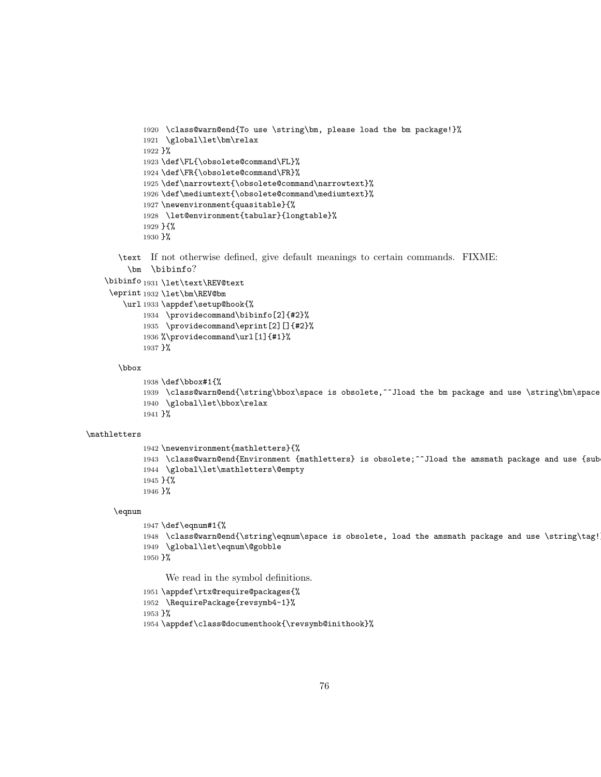```
1920 \class@warn@end{To use \string\bm, please load the bm package!}%
1921 \global\let\bm\relax
1922 }%
1923 \def\FL{\obsolete@command\FL}%
1924 \def\FR{\obsolete@command\FR}%
1925 \def\narrowtext{\obsolete@command\narrowtext}%
1926 \def\mediumtext{\obsolete@command\mediumtext}%
1927 \newenvironment{quasitable}{%
1928 \let@environment{tabular}{longtable}%
1929 }{%
1930 }%
```
\text If not otherwise defined, give default meanings to certain commands. FIXME: \bm \bibinfo?

```
\bibinfo
1931 \let\text\REV@text
```

```
\eprint
1932 \let\bm\REV@bm
```

```
\url
1933 \appdef\setup@hook{%
    1934 \providecommand\bibinfo[2]{#2}%
    1935 \providecommand\eprint[2][]{#2}%
    1936 %\providecommand\url[1]{#1}%
    1937 }%
```
### \bbox

```
1938 \def\bbox#1{%
1939 \class@warn@end{\string\bbox\space is obsolete,^^Jload the bm package and use \string\bm\space
1940 \global\let\bbox\relax
1941 }%
```
#### \mathletters

```
1942 \newenvironment{mathletters}{%
1943 \class@warn@end{Environment {mathletters} is obsolete;^^Jload the amsmath package and use {sub
1944 \global\let\mathletters\@empty
1945 }{%
1946 }%
```
### \eqnum

```
1947 \def\eqnum#1{%
1948 \class@warn@end{\string\eqnum\space is obsolete, load the amsmath package and use \string\tag!
1949 \global\let\eqnum\@gobble
1950 }%
```
We read in the symbol definitions.

```
1951 \appdef\rtx@require@packages{%
1952 \RequirePackage{revsymb4-1}%
1953 }%
1954 \appdef\class@documenthook{\revsymb@inithook}%
```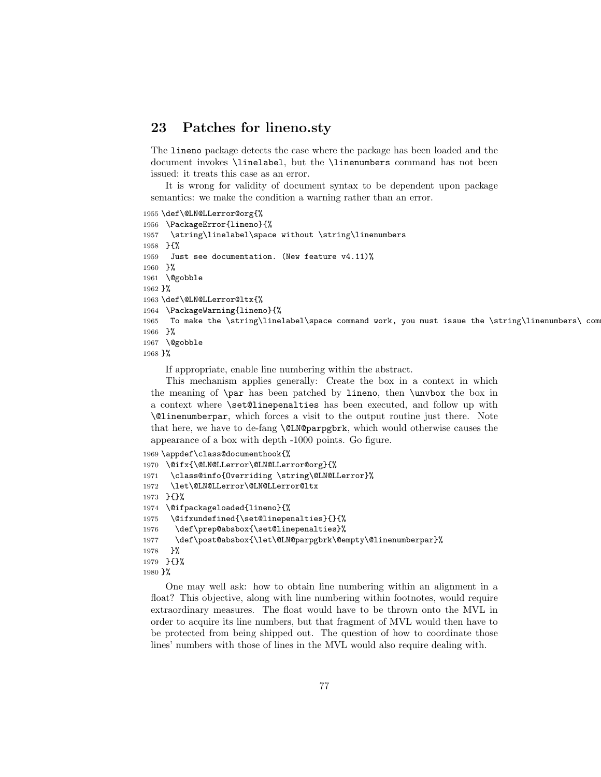# 23 Patches for lineno.sty

The lineno package detects the case where the package has been loaded and the document invokes \linelabel, but the \linenumbers command has not been issued: it treats this case as an error.

It is wrong for validity of document syntax to be dependent upon package semantics: we make the condition a warning rather than an error.

```
1955 \def\@LN@LLerror@org{%
1956 \PackageError{lineno}{%
1957 \string\linelabel\space without \string\linenumbers
1958 }{%
1959 Just see documentation. (New feature v4.11)%
1960 }%
1961 \@gobble
1962 }%
1963 \def\@LN@LLerror@ltx{%
1964 \PackageWarning{lineno}{%
1965 To make the \string\linelabel\space command work, you must issue the \string\linenumbers\ command
1966 }%
1967 \@gobble
1968 }%
```
If appropriate, enable line numbering within the abstract.

This mechanism applies generally: Create the box in a context in which the meaning of \par has been patched by lineno, then \unvbox the box in a context where \set@linepenalties has been executed, and follow up with \@linenumberpar, which forces a visit to the output routine just there. Note that here, we have to de-fang \@LN@parpgbrk, which would otherwise causes the appearance of a box with depth -1000 points. Go figure.

```
1969 \appdef\class@documenthook{%
1970 \@ifx{\@LN@LLerror\@LN@LLerror@org}{%
1971 \class@info{Overriding \string\@LN@LLerror}%
1972 \let\@LN@LLerror\@LN@LLerror@ltx
1973 }{}%
1974 \@ifpackageloaded{lineno}{%
1975 \@ifxundefined{\set@linepenalties}{}{%
1976 \def\prep@absbox{\set@linepenalties}%
1977 \def\post@absbox{\let\@LN@parpgbrk\@empty\@linenumberpar}%
1978 }%
1979 }{}%
1980 }%
```
One may well ask: how to obtain line numbering within an alignment in a float? This objective, along with line numbering within footnotes, would require extraordinary measures. The float would have to be thrown onto the MVL in order to acquire its line numbers, but that fragment of MVL would then have to be protected from being shipped out. The question of how to coordinate those lines' numbers with those of lines in the MVL would also require dealing with.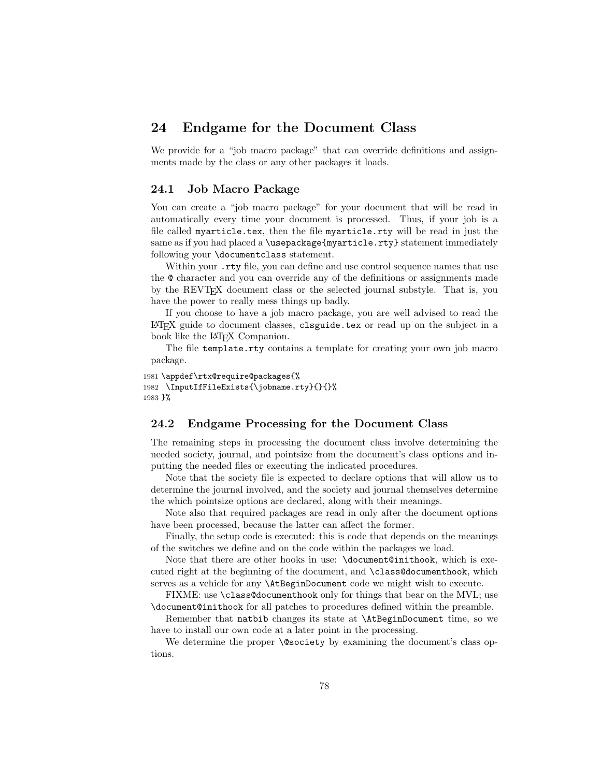# 24 Endgame for the Document Class

We provide for a "job macro package" that can override definitions and assignments made by the class or any other packages it loads.

# 24.1 Job Macro Package

You can create a "job macro package" for your document that will be read in automatically every time your document is processed. Thus, if your job is a file called myarticle.tex, then the file myarticle.rty will be read in just the same as if you had placed a \usepackage{myarticle.rty} statement immediately following your \documentclass statement.

Within your . **rty** file, you can define and use control sequence names that use the @ character and you can override any of the definitions or assignments made by the REVTEX document class or the selected journal substyle. That is, you have the power to really mess things up badly.

If you choose to have a job macro package, you are well advised to read the LATEX guide to document classes, clsguide.tex or read up on the subject in a book like the L<sup>AT</sup>FX Companion.

The file template.rty contains a template for creating your own job macro package.

```
1981 \appdef\rtx@require@packages{%
1982 \InputIfFileExists{\jobname.rty}{}{}%
1983 }%
```
# 24.2 Endgame Processing for the Document Class

The remaining steps in processing the document class involve determining the needed society, journal, and pointsize from the document's class options and inputting the needed files or executing the indicated procedures.

Note that the society file is expected to declare options that will allow us to determine the journal involved, and the society and journal themselves determine the which pointsize options are declared, along with their meanings.

Note also that required packages are read in only after the document options have been processed, because the latter can affect the former.

Finally, the setup code is executed: this is code that depends on the meanings of the switches we define and on the code within the packages we load.

Note that there are other hooks in use: \document@inithook, which is executed right at the beginning of the document, and \class@documenthook, which serves as a vehicle for any \AtBeginDocument code we might wish to execute.

FIXME: use \class@documenthook only for things that bear on the MVL; use \document@inithook for all patches to procedures defined within the preamble.

Remember that natbib changes its state at \AtBeginDocument time, so we have to install our own code at a later point in the processing.

We determine the proper **\@society** by examining the document's class options.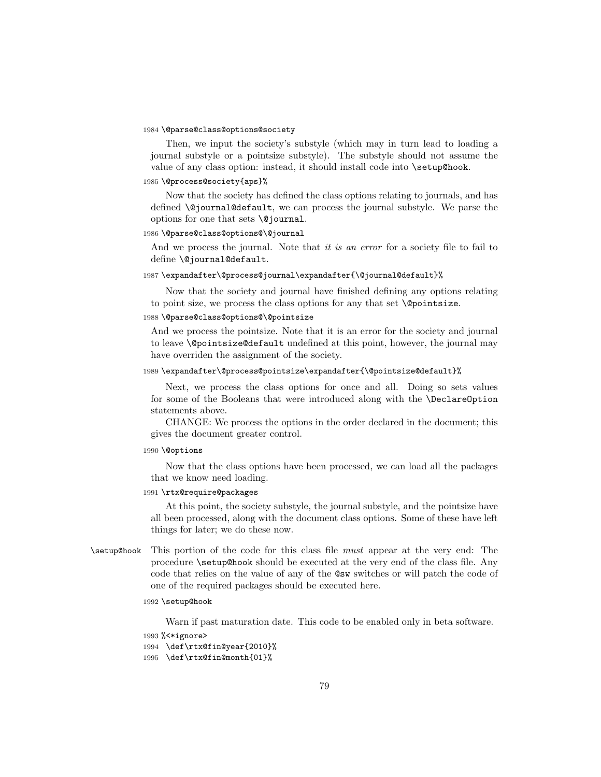### 1984 \@parse@class@options@society

Then, we input the society's substyle (which may in turn lead to loading a journal substyle or a pointsize substyle). The substyle should not assume the value of any class option: instead, it should install code into \setup@hook.

#### 1985 \@process@society{aps}%

Now that the society has defined the class options relating to journals, and has defined \@journal@default, we can process the journal substyle. We parse the options for one that sets \@journal.

#### 1986 \@parse@class@options@\@journal

And we process the journal. Note that *it is an error* for a society file to fail to define \@journal@default.

### 1987 \expandafter\@process@journal\expandafter{\@journal@default}%

Now that the society and journal have finished defining any options relating to point size, we process the class options for any that set \@pointsize.

## 1988 \@parse@class@options@\@pointsize

And we process the pointsize. Note that it is an error for the society and journal to leave \@pointsize@default undefined at this point, however, the journal may have overriden the assignment of the society.

### 1989 \expandafter\@process@pointsize\expandafter{\@pointsize@default}%

Next, we process the class options for once and all. Doing so sets values for some of the Booleans that were introduced along with the \DeclareOption statements above.

CHANGE: We process the options in the order declared in the document; this gives the document greater control.

#### 1990 \@options

Now that the class options have been processed, we can load all the packages that we know need loading.

### 1991 \rtx@require@packages

At this point, the society substyle, the journal substyle, and the pointsize have all been processed, along with the document class options. Some of these have left things for later; we do these now.

\setup@hook This portion of the code for this class file must appear at the very end: The procedure \setup@hook should be executed at the very end of the class file. Any code that relies on the value of any of the @sw switches or will patch the code of one of the required packages should be executed here.

### 1992 \setup@hook

Warn if past maturation date. This code to be enabled only in beta software.

```
1993 %<*ignore>
1994 \def\rtx@fin@year{2010}%
1995 \def\rtx@fin@month{01}%
```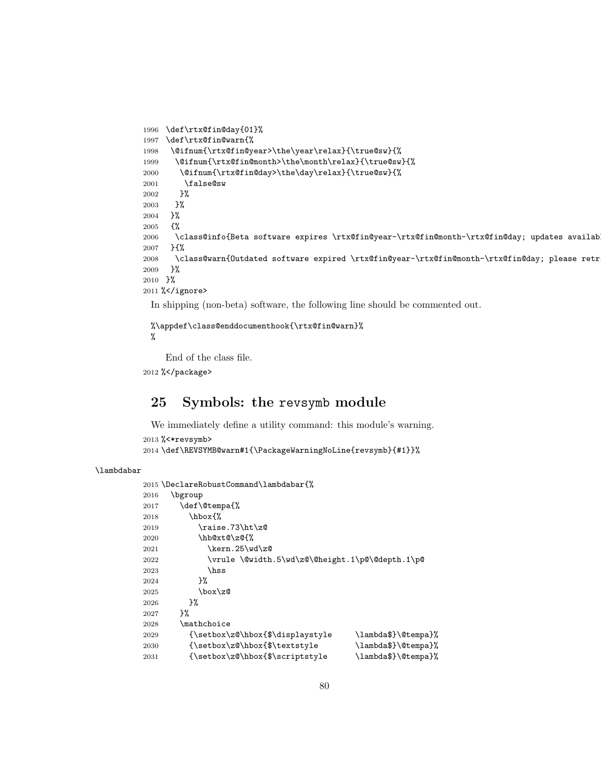```
1996 \def\rtx@fin@day{01}%
1997 \def\rtx@fin@warn{%
1998 \@ifnum{\rtx@fin@year>\the\year\relax}{\true@sw}{%
1999 \@ifnum{\rtx@fin@month>\the\month\relax}{\true@sw}{%
2000 \@ifnum{\rtx@fin@day>\the\day\relax}{\true@sw}{%
2001 \false@sw
2002 }%
2003 }%
2004 }%
2005 {%
2006 \class@info{Beta software expires \rtx@fin@year-\rtx@fin@month-\rtx@fin@day; updates availab
2007 }{%
2008 \class@warn{Outdated software expired \rtx@fin@year-\rtx@fin@month-\rtx@fin@day; please retr
2009 }%
2010 }%
2011 %</ignore>
```
In shipping (non-beta) software, the following line should be commented out.

```
%\appdef\class@enddocumenthook{\rtx@fin@warn}%
%
```
End of the class file.

%</package>

# 25 Symbols: the revsymb module

We immediately define a utility command: this module's warning.

```
2013 %<*revsymb>
2014 \def\REVSYMB@warn#1{\PackageWarningNoLine{revsymb}{#1}}%
```
### \lambdabar

```
2015 \DeclareRobustCommand\lambdabar{%
2016 \bgroup
2017 \def\@tempa{%
2018 \hbox{%
2019 \raise.73\ht\z@
2020 \hb@xt@\z@{%
2021 \kern.25\wd\z@
2022 \vrule \@width.5\wd\z@\@height.1\p@\@depth.1\p@
2023 \hss
2024 }%
2025 \box\z@
2026 }%
2027 }%
2028 \mathchoice
2029 {\setbox\z@\hbox{$\displaystyle \lambda$}\@tempa}%
2030 {\setbox\z@\hbox{$\textstyle \lambda$}\@tempa}%
2031 {\setbox\z@\hbox{$\scriptstyle \lambda$}\@tempa}%
```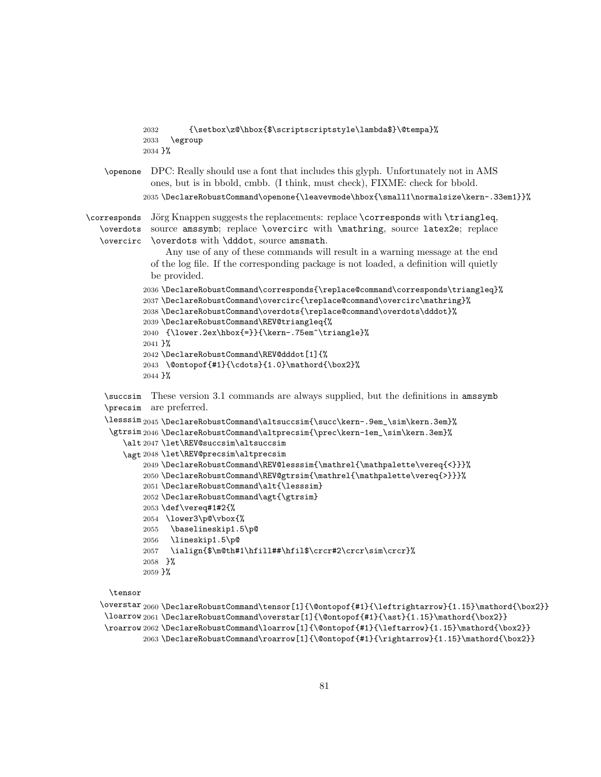```
2032 {\setbox\z@\hbox{$\scriptscriptstyle\lambda$}\@tempa}%
            2033 \egroup
            2034 }%
   \openone DPC: Really should use a font that includes this glyph. Unfortunately not in AMS
              ones, but is in bbold, cmbb. (I think, must check), FIXME: check for bbold.
            2035 \DeclareRobustCommand\openone{\leavevmode\hbox{\small1\normalsize\kern-.33em1}}%
\corresponds
J¨org Knappen suggests the replacements: replace \corresponds with \triangleq,
   \overdots
source amssymb; replace \overcirc with \mathring, source latex2e; replace
   \overcirc
\overdots with \dddot, source amsmath.
                 Any use of any of these commands will result in a warning message at the end
              of the log file. If the corresponding package is not loaded, a definition will quietly
              be provided.
            2036 \DeclareRobustCommand\corresponds{\replace@command\corresponds\triangleq}%
            2037 \DeclareRobustCommand\overcirc{\replace@command\overcirc\mathring}%
            2038 \DeclareRobustCommand\overdots{\replace@command\overdots\dddot}%
            2039 \DeclareRobustCommand\REV@triangleq{%
            2040 {\lower.2ex\hbox{=}}{\kern-.75em^\triangle}%
            2041 }%
            2042 \DeclareRobustCommand\REV@dddot[1]{%
            2043 \@ontopof{#1}{\cdots}{1.0}\mathord{\box2}%
            2044 }%
    \succsim
These version 3.1 commands are always supplied, but the definitions in amssymb
    \precsim
are preferred.
    \lesssim
2045 \DeclareRobustCommand\altsuccsim{\succ\kern-.9em_\sim\kern.3em}%
     \gtrsim
2046 \DeclareRobustCommand\altprecsim{\prec\kern-1em_\sim\kern.3em}%
        \alt
2047 \let\REV@succsim\altsuccsim
        \agt
2048 \let\REV@precsim\altprecsim
            2049 \DeclareRobustCommand\REV@lesssim{\mathrel{\mathpalette\vereq{<}}}%
            2050 \DeclareRobustCommand\REV@gtrsim{\mathrel{\mathpalette\vereq{>}}}%
            2051 \DeclareRobustCommand\alt{\lesssim}
            2052 \DeclareRobustCommand\agt{\gtrsim}
            2053 \def\vereq#1#2{%
            2054 \lower3\p@\vbox{%
            2055 \baselineskip1.5\p@
            2056 \lineskip1.5\p@
            2057 \ialign{$\m@th#1\hfill##\hfil$\crcr#2\crcr\sim\crcr}%
            2058 }%
            2059 }%
    \tensor
```

```
\overstar
2060 \DeclareRobustCommand\tensor[1]{\@ontopof{#1}{\leftrightarrow}{1.15}\mathord{\box2}}
 \loarrow
2061 \DeclareRobustCommand\overstar[1]{\@ontopof{#1}{\ast}{1.15}\mathord{\box2}}
 \roarrow
2062 \DeclareRobustCommand\loarrow[1]{\@ontopof{#1}{\leftarrow}{1.15}\mathord{\box2}}
         2063 \DeclareRobustCommand\roarrow[1]{\@ontopof{#1}{\rightarrow}{1.15}\mathord{\box2}}
```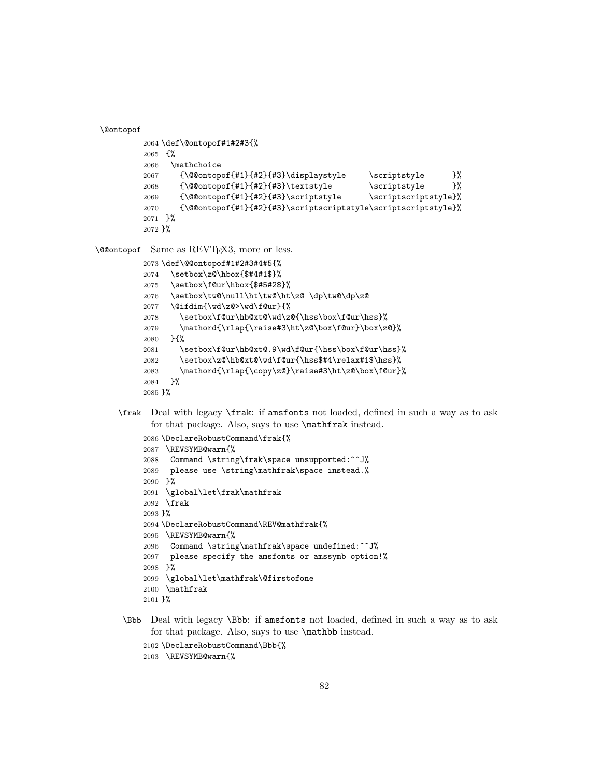\@ontopof

```
2064 \def\@ontopof#1#2#3{%
2065 {%
2066 \mathchoice
2067 {\@@ontopof{#1}{#2}{#3}\displaystyle \scriptstyle }%
2068 {\@@ontopof{#1}{#2}{#3}\textstyle \scriptstyle }%
2069 {\@@ontopof{#1}{#2}{#3}\scriptstyle \scriptscriptstyle}%
2070 {\@@ontopof{#1}{#2}{#3}\scriptscriptstyle\scriptscriptstyle}%
2071 }%
2072 }%
```
\@@ontopof Same as REVTEX3, more or less.

```
2073 \def\@@ontopof#1#2#3#4#5{%
2074 \setbox\z@\hbox{$#4#1$}%
2075 \setbox\f@ur\hbox{$#5#2$}%
2076 \setbox\tw@\null\ht\tw@\ht\z@ \dp\tw@\dp\z@
2077 \@ifdim{\wd\z@>\wd\f@ur}{%
2078 \setbox\f@ur\hb@xt@\wd\z@{\hss\box\f@ur\hss}%
2079 \mathord{\rlap{\raise#3\ht\z@\box\f@ur}\box\z@}%
2080 }{%
2081 \setbox\f@ur\hb@xt@.9\wd\f@ur{\hss\box\f@ur\hss}%
2082 \setbox\z@\hb@xt@\wd\f@ur{\hss$#4\relax#1$\hss}%
2083 \mathord{\rlap{\copy\z@}\raise#3\ht\z@\box\f@ur}%
2084 }%
2085 }%
```
\frak Deal with legacy \frak: if amsfonts not loaded, defined in such a way as to ask for that package. Also, says to use **\mathfrak** instead.

```
2086 \DeclareRobustCommand\frak{%
2087 \REVSYMB@warn{%
2088 Command \string\frak\space unsupported:^^J%
2089 please use \string\mathfrak\space instead.%
2090 }%
2091 \global\let\frak\mathfrak
2092 \frak
2093 }%
2094 \DeclareRobustCommand\REV@mathfrak{%
2095 \REVSYMB@warn{%
2096 Command \string\mathfrak\space undefined:^^J%
2097 please specify the amsfonts or amssymb option!%
2098 }%
2099 \global\let\mathfrak\@firstofone
2100 \mathfrak
2101 }%
```
\Bbb Deal with legacy \Bbb: if amsfonts not loaded, defined in such a way as to ask for that package. Also, says to use \mathbb instead.

```
2102 \DeclareRobustCommand\Bbb{%
```

```
2103 \REVSYMB@warn{%
```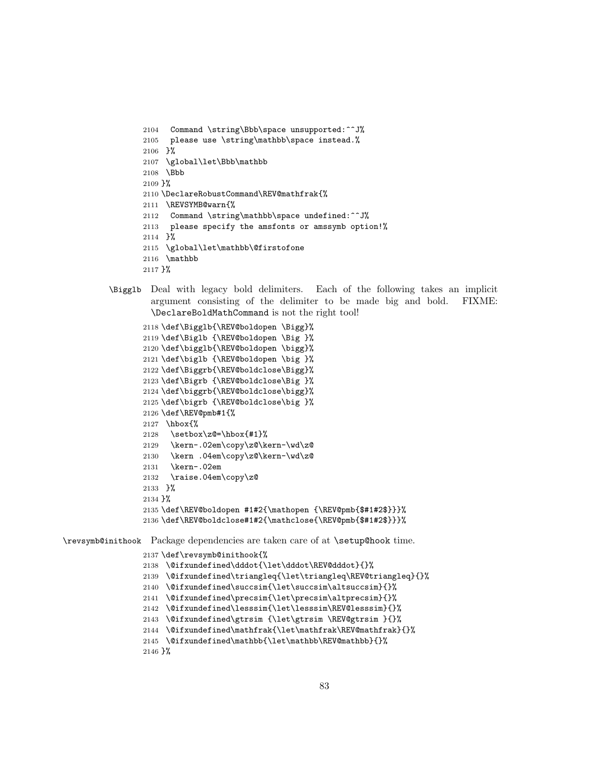```
2104 Command \string\Bbb\space unsupported:^^J%
2105 please use \string\mathbb\space instead.%
2106 }%
2107 \global\let\Bbb\mathbb
2108 \Bbb
2109 }%
2110 \DeclareRobustCommand\REV@mathfrak{%
2111 \REVSYMB@warn{%
2112 Command \string\mathbb\space undefined:^^J%
2113 please specify the amsfonts or amssymb option!%
2114 }%
2115 \global\let\mathbb\@firstofone
2116 \mathbb
2117 }%
```
\Bigglb Deal with legacy bold delimiters. Each of the following takes an implicit argument consisting of the delimiter to be made big and bold. FIXME: \DeclareBoldMathCommand is not the right tool!

```
2118 \def\Bigglb{\REV@boldopen \Bigg}%
2119 \def\Biglb {\REV@boldopen \Big }%
2120 \def\bigglb{\REV@boldopen \bigg}%
2121 \def\biglb {\REV@boldopen \big }%
2122 \def\Biggrb{\REV@boldclose\Bigg}%
2123 \def\Bigrb {\REV@boldclose\Big }%
2124 \def\biggrb{\REV@boldclose\bigg}%
2125 \def\bigrb {\REV@boldclose\big }%
2126 \def\REV@pmb#1{%
2127 \hbox{%
2128 \setbox\zQ=\hbox{hbox{#1}}%
2129 \kern-.02em\copy\z@\kern-\wd\z@
2130 \kern .04em\copy\z@\kern-\wd\z@
2131 \kern-.02em
2132 \raise.04em\copy\z@
2133 }%
2134 }%
2135 \def\REV@boldopen #1#2{\mathopen {\REV@pmb{$#1#2$}}}%
2136 \def\REV@boldclose#1#2{\mathclose{\REV@pmb{$#1#2$}}}%
```
\revsymb@inithook Package dependencies are taken care of at \setup@hook time.

```
2137 \def\revsymb@inithook{%
2138 \@ifxundefined\dddot{\let\dddot\REV@dddot}{}%
2139 \@ifxundefined\triangleq{\let\triangleq\REV@triangleq}{}%
2140 \@ifxundefined\succsim{\let\succsim\altsuccsim}{}%
2141 \@ifxundefined\precsim{\let\precsim\altprecsim}{}%
2142 \@ifxundefined\lesssim{\let\lesssim\REV@lesssim}{}%
2143 \@ifxundefined\gtrsim {\let\gtrsim \REV@gtrsim }{}%
2144 \@ifxundefined\mathfrak{\let\mathfrak\REV@mathfrak}{}%
2145 \@ifxundefined\mathbb{\let\mathbb\REV@mathbb}{}%
2146 }%
```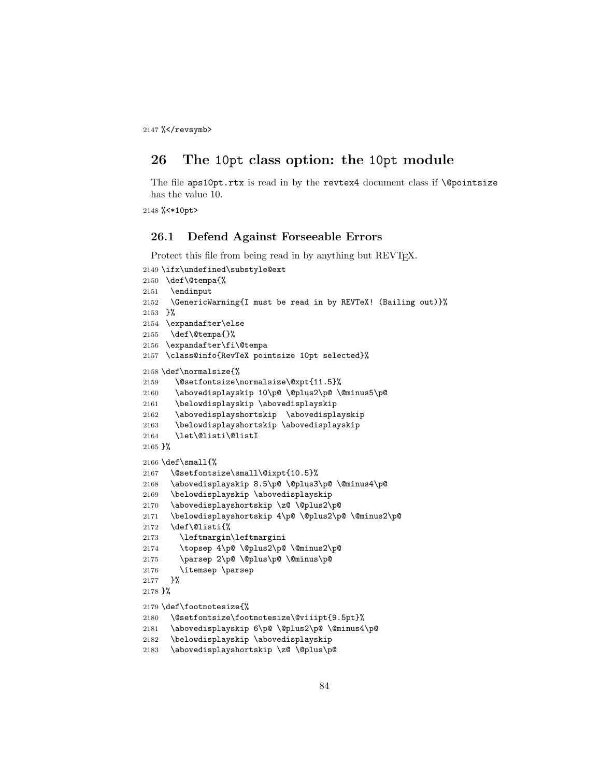2147 %</revsymb>

# 26 The 10pt class option: the 10pt module

The file aps10pt.rtx is read in by the revtex4 document class if *\*@pointsize has the value 10.

%<\*10pt>

# 26.1 Defend Against Forseeable Errors

Protect this file from being read in by anything but REVT<sub>EX</sub>.

```
2149 \ifx\undefined\substyle@ext
2150 \def\@tempa{%
2151 \endinput
2152 \GenericWarning{I must be read in by REVTeX! (Bailing out)}%
2153 }%
2154 \expandafter\else
2155 \def\@tempa{}%
2156 \expandafter\fi\@tempa
2157 \class@info{RevTeX pointsize 10pt selected}%
2158 \def\normalsize{%
2159 \@setfontsize\normalsize\@xpt{11.5}%
2160 \abovedisplayskip 10\p@ \@plus2\p@ \@minus5\p@
2161 \belowdisplayskip \abovedisplayskip
2162 \abovedisplayshortskip \abovedisplayskip
2163 \belowdisplayshortskip \abovedisplayskip
2164 \let\@listi\@listI
2165 }%
2166 \def\small{%
2167 \@setfontsize\small\@ixpt{10.5}%
2168 \abovedisplayskip 8.5\p@ \@plus3\p@ \@minus4\p@
2169 \belowdisplayskip \abovedisplayskip
2170 \abovedisplayshortskip \z@ \@plus2\p@
2171 \belowdisplayshortskip 4\p@ \@plus2\p@ \@minus2\p@
2172 \def\@listi{%
2173 \leftmargin\leftmargini
2174 \topsep 4\p@ \@plus2\p@ \@minus2\p@
2175 \parsep 2\p@ \@plus\p@ \@minus\p@
2176 \itemsep \parsep
2177 }%
2178 }%
2179 \def\footnotesize{%
2180 \@setfontsize\footnotesize\@viiipt{9.5pt}%
2181 \abovedisplayskip 6\p@ \@plus2\p@ \@minus4\p@
2182 \belowdisplayskip \abovedisplayskip
2183 \abovedisplayshortskip \z@ \@plus\p@
```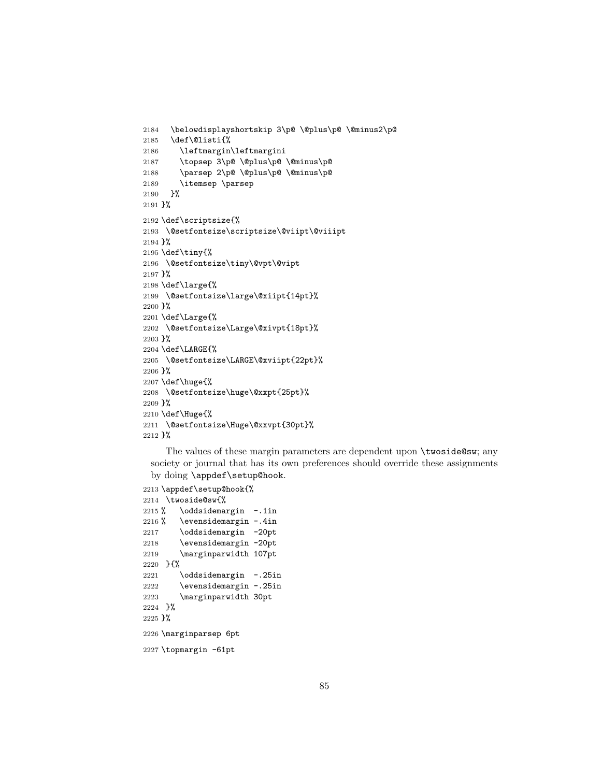```
2184 \belowdisplayshortskip 3\p@ \@plus\p@ \@minus2\p@
2185 \def\@listi{%
2186 \leftmargin\leftmargini
2187 \topsep 3\p@ \@plus\p@ \@minus\p@
2188 \parsep 2\p@ \@plus\p@ \@minus\p@
2189 \itemsep \parsep
2190 }%
2191 }%
2192 \def\scriptsize{%
2193 \@setfontsize\scriptsize\@viipt\@viiipt
2194 }%
2195 \def\tiny{%
2196 \@setfontsize\tiny\@vpt\@vipt
2197 }%
2198 \def\large{%
2199 \@setfontsize\large\@xiipt{14pt}%
2200 }%
2201 \def\Large{%
2202 \@setfontsize\Large\@xivpt{18pt}%
2203 }%
2204 \def\LARGE{%
2205 \@setfontsize\LARGE\@xviipt{22pt}%
2206 }%
2207 \def\huge{%
2208 \@setfontsize\huge\@xxpt{25pt}%
2209 }%
2210 \def\Huge{%
2211 \@setfontsize\Huge\@xxvpt{30pt}%
2212 }%
```
The values of these margin parameters are dependent upon \twoside@sw; any society or journal that has its own preferences should override these assignments by doing \appdef\setup@hook.

```
2213 \appdef\setup@hook{%
2214 \twoside@sw{%
2215 % \oddsidemargin -.1in
2216 % \evensidemargin -.4in
2217 \oddsidemargin -20pt
2218 \evensidemargin -20pt
2219 \marginparwidth 107pt
2220 }{%
2221 \oddsidemargin -.25in
2222 \evensidemargin -.25in
2223 \marginparwidth 30pt
2224 }%
2225 }%
2226 \marginparsep 6pt
2227 \topmargin -61pt
```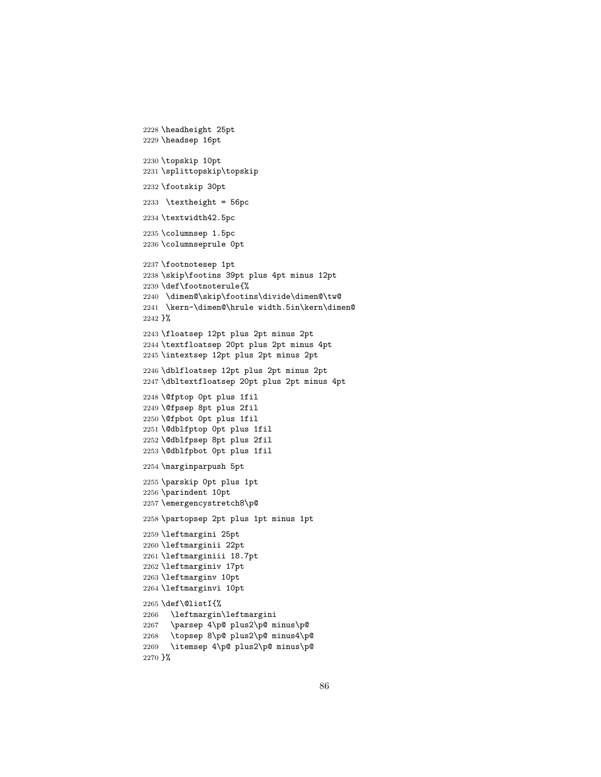```
2228 \headheight 25pt
2229 \headsep 16pt
2230 \topskip 10pt
2231 \splittopskip\topskip
2232 \footskip 30pt
2233 \textheight = 56pc
2234 \textwidth42.5pc
2235 \columnsep 1.5pc
2236 \columnseprule 0pt
2237 \footnotesep 1pt
2238 \skip\footins 39pt plus 4pt minus 12pt
2239 \def\footnoterule{%
2240 \dimen@\skip\footins\divide\dimen@\tw@
2241 \kern-\dimen@\hrule width.5in\kern\dimen@
2242 }%
2243 \floatsep 12pt plus 2pt minus 2pt
2244 \textfloatsep 20pt plus 2pt minus 4pt
2245 \intextsep 12pt plus 2pt minus 2pt
2246 \dblfloatsep 12pt plus 2pt minus 2pt
2247 \dbltextfloatsep 20pt plus 2pt minus 4pt
2248 \@fptop 0pt plus 1fil
2249 \@fpsep 8pt plus 2fil
2250 \@fpbot 0pt plus 1fil
2251 \@dblfptop 0pt plus 1fil
2252 \@dblfpsep 8pt plus 2fil
2253 \@dblfpbot 0pt plus 1fil
2254 \marginparpush 5pt
2255 \parskip 0pt plus 1pt
2256 \parindent 10pt
2257 \emergencystretch8\p@
2258 \partopsep 2pt plus 1pt minus 1pt
2259 \leftmargini 25pt
2260 \leftmarginii 22pt
2261 \leftmarginiii 18.7pt
2262 \leftmarginiv 17pt
2263 \leftmarginv 10pt
2264 \leftmarginvi 10pt
2265 \def\@listI{%
2266 \leftmargin\leftmargini
2267 \parsep 4\p@ plus2\p@ minus\p@
2268 \topsep 8\p@ plus2\p@ minus4\p@
2269 \itemsep 4\p@ plus2\p@ minus\p@
2270 }%
```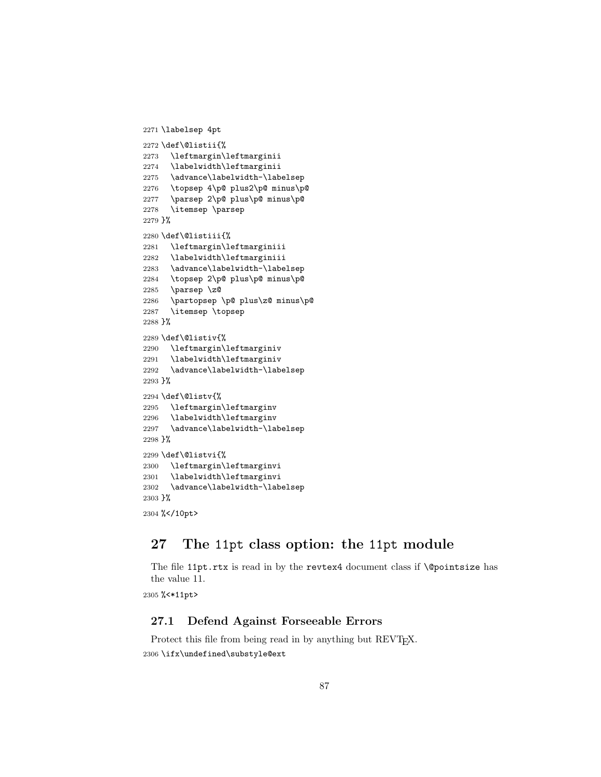```
2271 \labelsep 4pt
2272 \def\@listii{%
2273 \leftmargin\leftmarginii
2274 \labelwidth\leftmarginii
2275 \advance\labelwidth-\labelsep
2276 \topsep 4\p@ plus2\p@ minus\p@
2277 \parsep 2\p@ plus\p@ minus\p@
2278 \itemsep \parsep
2279 }%
2280 \def\@listiii{%
2281 \leftmargin\leftmarginiii
2282 \labelwidth\leftmarginiii
2283 \advance\labelwidth-\labelsep
2284 \topsep 2\p@ plus\p@ minus\p@
2285 \parsep \z@
2286 \partopsep \p@ plus\z@ minus\p@
2287 \itemsep \topsep
2288 }%
2289 \def\@listiv{%
2290 \leftmargin\leftmarginiv
2291 \labelwidth\leftmarginiv
2292 \advance\labelwidth-\labelsep
2293 }%
2294 \def\@listv{%
2295 \leftmargin\leftmarginv
2296 \labelwidth\leftmarginv
2297 \advance\labelwidth-\labelsep
2298 }%
2299 \def\@listvi{%
2300 \leftmargin\leftmarginvi
2301 \labelwidth\leftmarginvi
2302 \advance\labelwidth-\labelsep
2303 }%
2304 %</10pt>
```
# 27 The 11pt class option: the 11pt module

The file 11pt.rtx is read in by the revtex4 document class if *\@pointsize has* the value 11.

%<\*11pt>

# 27.1 Defend Against Forseeable Errors

Protect this file from being read in by anything but REVT<sub>E</sub>X. \ifx\undefined\substyle@ext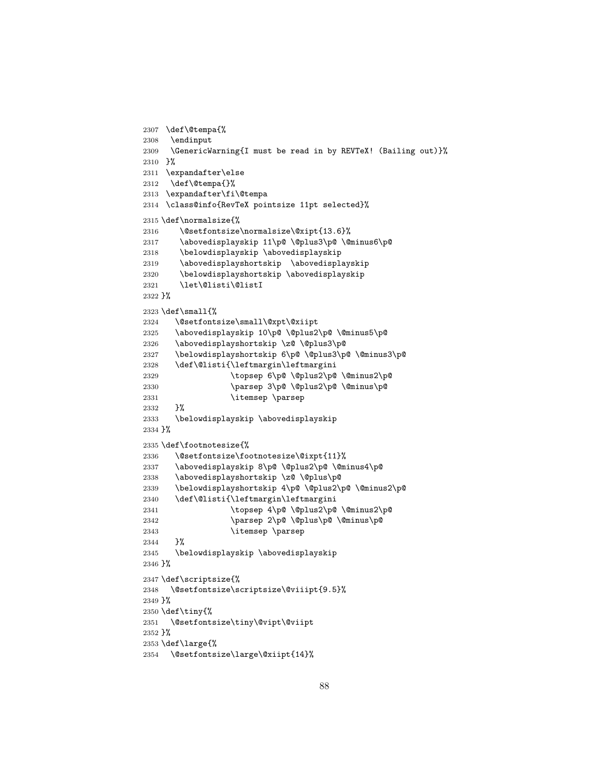```
2307 \def\@tempa{%
2308 \endinput
2309 \GenericWarning{I must be read in by REVTeX! (Bailing out)}%
2310 }%
2311 \expandafter\else
2312 \def\@tempa{}%
2313 \expandafter\fi\@tempa
2314 \class@info{RevTeX pointsize 11pt selected}%
2315 \def\normalsize{%
2316 \@setfontsize\normalsize\@xipt{13.6}%<br>2317 \abovedisplayskip 11\p@\@plus3\p@\@
       \abovedisplayskip 11\p@ \@plus3\p@ \@minus6\p@
2318 \belowdisplayskip \abovedisplayskip
2319 \abovedisplayshortskip \abovedisplayskip
2320 \belowdisplayshortskip \abovedisplayskip
2321 \let\@listi\@listI
2322 }%
2323 \def\small{%
2324 \@setfontsize\small\@xpt\@xiipt
2325 \abovedisplayskip 10\p@ \@plus2\p@ \@minus5\p@
2326 \abovedisplayshortskip \z@ \@plus3\p@
2327 \belowdisplayshortskip 6\p@ \@plus3\p@ \@minus3\p@
2328 \def\@listi{\leftmargin\leftmargini
2329 \topsep 6\p@ \@plus2\p@ \@minus2\p@
2330 \parsep 3\p@ \@plus2\p@ \@minus\p@
2331 \itemsep \parsep
2332 }%
2333 \belowdisplayskip \abovedisplayskip
2334 }%
2335 \def\footnotesize{%
2336 \@setfontsize\footnotesize\@ixpt{11}%
2337 \abovedisplayskip 8\p@ \@plus2\p@ \@minus4\p@
2338 \abovedisplayshortskip \z@ \@plus\p@
2339 \belowdisplayshortskip 4\p@ \@plus2\p@ \@minus2\p@
2340 \def\@listi{\leftmargin\leftmargini
2341 \topsep 4\p@ \@plus2\p@ \@minus2\p@
2342 \parsep 2\p@ \@plus\p@ \@minus\p@
2343 \itemsep \parsep
2344 }%
2345 \belowdisplayskip \abovedisplayskip
2346 }%
2347 \def\scriptsize{%
2348 \@setfontsize\scriptsize\@viiipt{9.5}%
2349 }%
2350 \def\tiny{%
2351 \@setfontsize\tiny\@vipt\@viipt
2352 }%
2353 \def\large{%
2354 \@setfontsize\large\@xiipt{14}%
```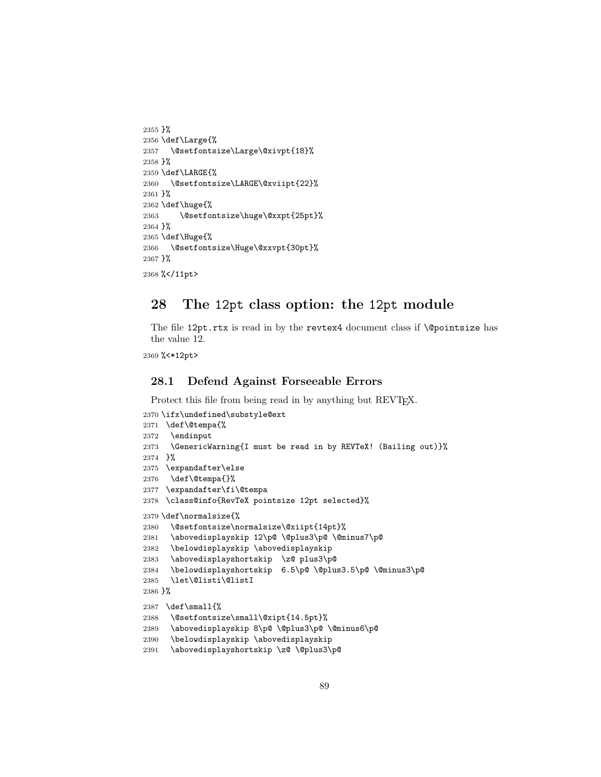```
2355 }%
2356 \def\Large{%
2357 \@setfontsize\Large\@xivpt{18}%
2358 }%
2359 \def\LARGE{%
2360 \@setfontsize\LARGE\@xviipt{22}%
2361 }%
2362 \def\huge{%
2363 \@setfontsize\huge\@xxpt{25pt}%
2364 }%
2365 \def\Huge{%
2366 \@setfontsize\Huge\@xxvpt{30pt}%
2367 }%
2368 %</11pt>
```
# 28 The 12pt class option: the 12pt module

The file 12pt.rtx is read in by the revtex4 document class if *\@pointsize has* the value 12.

%<\*12pt>

# 28.1 Defend Against Forseeable Errors

Protect this file from being read in by anything but REVT<sub>F</sub>X.

```
2370 \ifx\undefined\substyle@ext
2371 \def\@tempa{%
2372 \endinput
2373 \GenericWarning{I must be read in by REVTeX! (Bailing out)}%
2374 }%
2375 \expandafter\else
2376 \def\@tempa{}%
2377 \expandafter\fi\@tempa
2378 \class@info{RevTeX pointsize 12pt selected}%
2379 \def\normalsize{%
2380 \@setfontsize\normalsize\@xiipt{14pt}%
2381 \abovedisplayskip 12\p@ \@plus3\p@ \@minus7\p@
2382 \belowdisplayskip \abovedisplayskip
2383 \abovedisplayshortskip \z@ plus3\p@
2384 \belowdisplayshortskip 6.5\p@ \@plus3.5\p@ \@minus3\p@
2385 \let\@listi\@listI
2386 }%
2387 \def\small{%
2388 \@setfontsize\small\@xipt{14.5pt}%
2389 \abovedisplayskip 8\p@ \@plus3\p@ \@minus6\p@
2390 \belowdisplayskip \abovedisplayskip
2391 \abovedisplayshortskip \z@ \@plus3\p@
```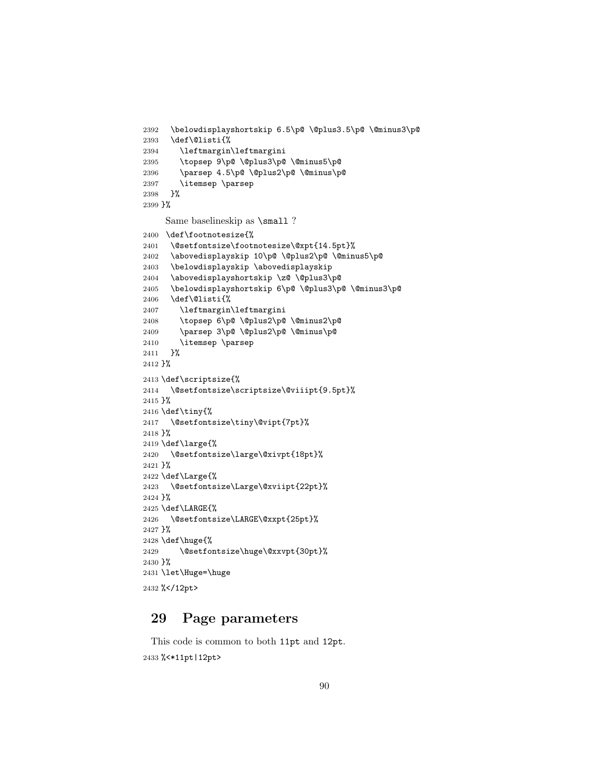```
2393 \def\@listi{%
2394 \leftmargin\leftmargini
2395 \topsep 9\p@ \@plus3\p@ \@minus5\p@
2396 \parsep 4.5\p@ \@plus2\p@ \@minus\p@
2397 \itemsep \parsep
2398 }%
2399 }%
     Same baselineskip as \small ?
2400 \def\footnotesize{%
2401 \@setfontsize\footnotesize\@xpt{14.5pt}%
2402 \abovedisplayskip 10\p@ \@plus2\p@ \@minus5\p@
2403 \belowdisplayskip \abovedisplayskip
2404 \abovedisplayshortskip \z@ \@plus3\p@
2405 \belowdisplayshortskip 6\p@ \@plus3\p@ \@minus3\p@
2406 \def\@listi{%
2407 \leftmargin\leftmargini
2408 \topsep 6\p@ \@plus2\p@ \@minus2\p@
2409 \parsep 3\p@ \@plus2\p@ \@minus\p@
2410 \itemsep \parsep
2411 }%
2412 }%
2413 \def\scriptsize{%
2414 \@setfontsize\scriptsize\@viiipt{9.5pt}%
2415 }%
2416 \def\tiny{%
2417 \@setfontsize\tiny\@vipt{7pt}%
2418 }%
2419 \def\large{%
2420 \@setfontsize\large\@xivpt{18pt}%
2421 }%
2422 \def\Large{%
2423 \@setfontsize\Large\@xviipt{22pt}%
2424 }%
2425 \def\LARGE{%
2426 \@setfontsize\LARGE\@xxpt{25pt}%
2427 }%
2428 \def\huge{%
2429 \@setfontsize\huge\@xxvpt{30pt}%
2430 }%
2431 \let\Huge=\huge
2432 %</12pt>
```
\belowdisplayshortskip 6.5\p@ \@plus3.5\p@ \@minus3\p@

# 29 Page parameters

This code is common to both 11pt and 12pt. %<\*11pt|12pt>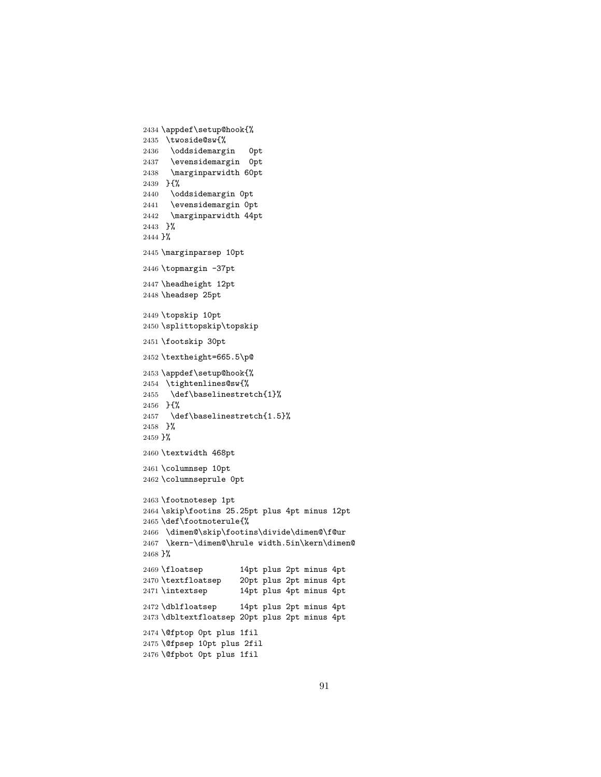```
2435 \twoside@sw{%
2436 \oddsidemargin 0pt
2437 \evensidemargin 0pt
2438 \marginparwidth 60pt
2439 }{%
2440 \oddsidemargin 0pt
2441 \evensidemargin 0pt
2442 \marginparwidth 44pt
2443 }%
2444 }%
2445 \marginparsep 10pt
2446 \topmargin -37pt
2447 \headheight 12pt
2448 \headsep 25pt
2449 \topskip 10pt
2450 \splittopskip\topskip
2451 \footskip 30pt
2452 \textheight=665.5\p@
2453 \appdef\setup@hook{%
2454 \tightenlines@sw{%
2455 \def\baselinestretch{1}%
2456 }{%
2457 \def\baselinestretch{1.5}%
2458 }%
2459 }%
2460 \textwidth 468pt
2461 \columnsep 10pt
2462 \columnseprule 0pt
2463 \footnotesep 1pt
2464 \skip\footins 25.25pt plus 4pt minus 12pt
2465 \def\footnoterule{%
2466 \dimen@\skip\footins\divide\dimen@\f@ur
2467 \kern-\dimen@\hrule width.5in\kern\dimen@
2468 }%
2469 \floatsep 14pt plus 2pt minus 4pt
2470 \textfloatsep 20pt plus 2pt minus 4pt
2471 \intextsep 14pt plus 4pt minus 4pt
2472 \dblfloatsep 14pt plus 2pt minus 4pt
2473 \dbltextfloatsep 20pt plus 2pt minus 4pt
2474 \@fptop 0pt plus 1fil
2475 \@fpsep 10pt plus 2fil
2476 \@fpbot 0pt plus 1fil
```
\appdef\setup@hook{%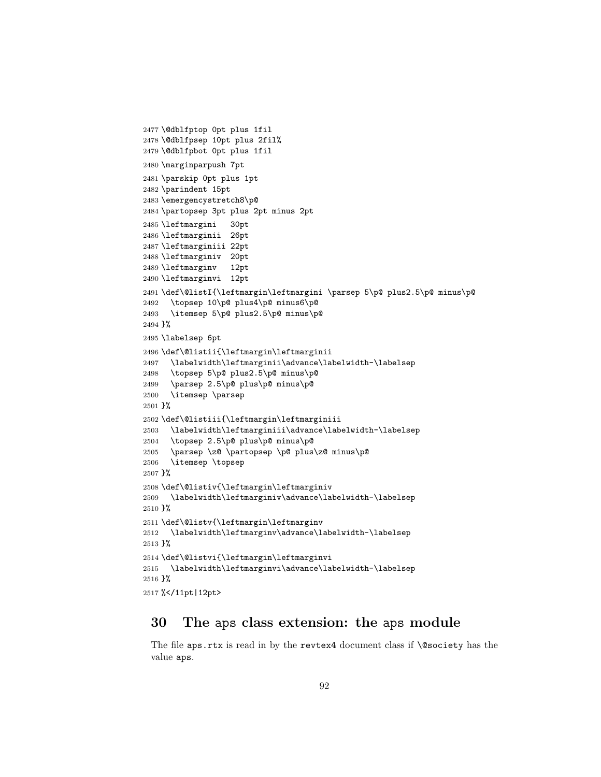```
2477 \@dblfptop 0pt plus 1fil
2478 \@dblfpsep 10pt plus 2fil%
2479 \@dblfpbot 0pt plus 1fil
2480 \marginparpush 7pt
2481 \parskip 0pt plus 1pt
2482 \parindent 15pt
2483 \emergencystretch8\p@
2484 \partopsep 3pt plus 2pt minus 2pt
2485 \leftmargini 30pt
2486 \leftmarginii 26pt
2487 \leftmarginiii 22pt
2488 \leftmarginiv 20pt
2489 \leftmarginv 12pt
2490 \leftmarginvi 12pt
2491 \def\@listI{\leftmargin\leftmargini \parsep 5\p@ plus2.5\p@ minus\p@
2492 \topsep 10\p@ plus4\p@ minus6\p@
2493 \itemsep 5\p@ plus2.5\p@ minus\p@
2494 }%
2495 \labelsep 6pt
2496 \def\@listii{\leftmargin\leftmarginii
2497 \labelwidth\leftmarginii\advance\labelwidth-\labelsep
2498 \topsep 5\p@ plus2.5\p@ minus\p@
2499 \parsep 2.5\p@ plus\p@ minus\p@
2500 \itemsep \parsep
2501 }%
2502 \def\@listiii{\leftmargin\leftmarginiii
2503 \labelwidth\leftmarginiii\advance\labelwidth-\labelsep
2504 \topsep 2.5\p@ plus\p@ minus\p@
2505 \parsep \z@ \partopsep \p@ plus\z@ minus\p@
2506 \itemsep \topsep
2507 }%
2508 \def\@listiv{\leftmargin\leftmarginiv
2509 \labelwidth\leftmarginiv\advance\labelwidth-\labelsep
2510 }%
2511 \def\@listv{\leftmargin\leftmarginv
2512 \labelwidth\leftmarginv\advance\labelwidth-\labelsep
2513 }%
2514 \def\@listvi{\leftmargin\leftmarginvi
2515 \labelwidth\leftmarginvi\advance\labelwidth-\labelsep
2516 }%
2517 %</11pt|12pt>
```
# 30 The aps class extension: the aps module

The file aps.rtx is read in by the revtex4 document class if  $\text{Qsociety}$  has the value aps.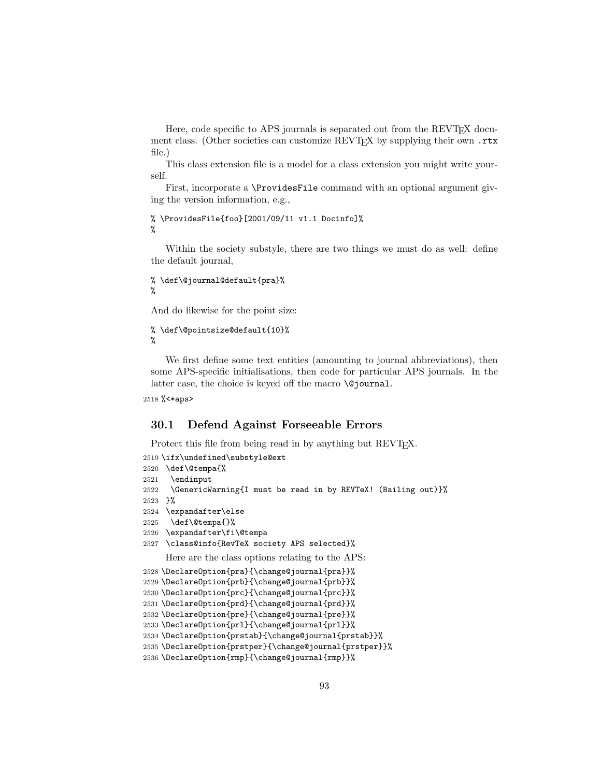Here, code specific to APS journals is separated out from the REVT<sub>F</sub>X document class. (Other societies can customize REVTEX by supplying their own .rtx file.)

This class extension file is a model for a class extension you might write yourself.

First, incorporate a \ProvidesFile command with an optional argument giving the version information, e.g.,

```
% \ProvidesFile{foo}[2001/09/11 v1.1 Docinfo]%
%
```
Within the society substyle, there are two things we must do as well: define the default journal,

```
% \def\@journal@default{pra}%
%
```
And do likewise for the point size:

```
% \def\@pointsize@default{10}%
%
```
We first define some text entities (amounting to journal abbreviations), then some APS-specific initialisations, then code for particular APS journals. In the latter case, the choice is keyed off the macro **\@journal**.

```
2518 %<*aps>
```
## 30.1 Defend Against Forseeable Errors

Protect this file from being read in by anything but REVT<sub>F</sub>X.

```
2519 \ifx\undefined\substyle@ext
2520 \def\@tempa{%
2521 \endinput
2522 \GenericWarning{I must be read in by REVTeX! (Bailing out)}%
2523 }%
2524 \expandafter\else
2525 \def\@tempa{}%
2526 \expandafter\fi\@tempa
2527 \class@info{RevTeX society APS selected}%
     Here are the class options relating to the APS:
2528 \DeclareOption{pra}{\change@journal{pra}}%
2529 \DeclareOption{prb}{\change@journal{prb}}%
2530 \DeclareOption{prc}{\change@journal{prc}}%
2531 \DeclareOption{prd}{\change@journal{prd}}%
2532 \DeclareOption{pre}{\change@journal{pre}}%
2533 \DeclareOption{prl}{\change@journal{prl}}%
2534 \DeclareOption{prstab}{\change@journal{prstab}}%
2535 \DeclareOption{prstper}{\change@journal{prstper}}%
2536 \DeclareOption{rmp}{\change@journal{rmp}}%
```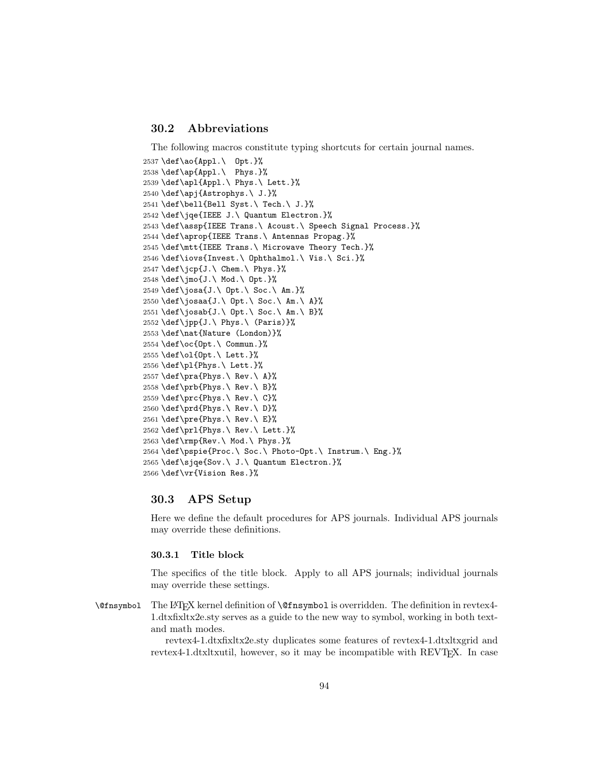# 30.2 Abbreviations

The following macros constitute typing shortcuts for certain journal names.

```
2537 \def\ao{Appl.\ Opt.}%
2538 \def\ap{Appl.\ Phys.}%
2539 \def\apl{Appl.\ Phys.\ Lett.}%
2540 \def\apj{Astrophys.\ J.}%
2541 \def\bell{Bell Syst.\ Tech.\ J.}%
2542 \def\jqe{IEEE J.\ Quantum Electron.}%
2543 \def\assp{IEEE Trans.\ Acoust.\ Speech Signal Process.}%
2544 \def\aprop{IEEE Trans.\ Antennas Propag.}%
2545 \def\mtt{IEEE Trans.\ Microwave Theory Tech.}%
2546 \def\iovs{Invest.\ Ophthalmol.\ Vis.\ Sci.}%
2547 \def\j{\jmath}cp{J.\ Chem.\ Phys.}%
2548 \def\jmo{J.\ Mod.\ Opt.}%
2549 \def\josa{J.\ Opt.\ Soc.\ Am.}%
2550 \def\josaa{J.\ Opt.\ Soc.\ Am.\ A}%
2551 \def\josab{J.\ Opt.\ Soc.\ Am.\ B}%
2552 \def\jpp{J.\ Phys.\ (Paris)}%
2553 \def\nat{Nature (London)}%
2554 \def\oc{Opt.\ Commun.}%
2555 \def\ol{Opt.\ Lett.}%
2556 \def\pl{Phys.\ Lett.}%
2557 \def\pra{Phys.\ Rev.\ A}%
2558 \def\prb{Phys.\ Rev.\ B}%
2559 \def\prc{Phys.\ Rev.\ C}%
2560 \def\prd{Phys.\ Rev.\ D}%
2561 \def\pre{Phys.\ Rev.\ E}%
2562 \def\prl{Phys.\ Rev.\ Lett.}%
2563 \def\rmp{Rev.\ Mod.\ Phys.}%
2564 \def\pspie{Proc.\ Soc.\ Photo-Opt.\ Instrum.\ Eng.}%
2565 \def\sjqe{Sov.\ J.\ Quantum Electron.}%
2566 \def\vr{Vision Res.}%
```
### 30.3 APS Setup

Here we define the default procedures for APS journals. Individual APS journals may override these definitions.

## 30.3.1 Title block

The specifics of the title block. Apply to all APS journals; individual journals may override these settings.

\@fnsymbol The LATEX kernel definition of \@fnsymbol is overridden. The definition in revtex4- 1.dtxfixltx2e.sty serves as a guide to the new way to symbol, working in both textand math modes.

> revtex4-1.dtxfixltx2e.sty duplicates some features of revtex4-1.dtxltxgrid and revtex4-1.dtxltxutil, however, so it may be incompatible with REVT<sub>F</sub>X. In case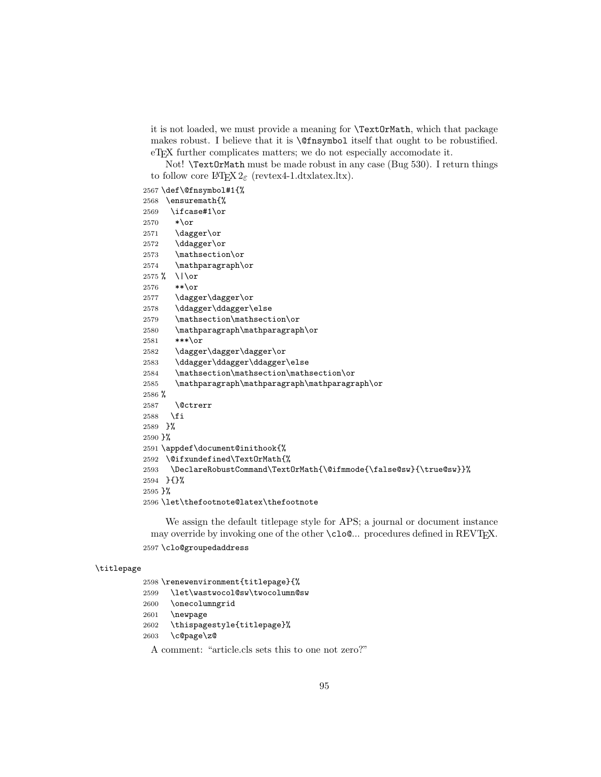it is not loaded, we must provide a meaning for \TextOrMath, which that package makes robust. I believe that it is \@fnsymbol itself that ought to be robustified. eT<sub>E</sub>X further complicates matters; we do not especially accomodate it.

Not! \TextOrMath must be made robust in any case (Bug 530). I return things to follow core  $\text{LipX } 2_{\varepsilon}$  (revtex4-1.dtxlatex.ltx).

\def\@fnsymbol#1{%

|                      | $2001$ (del (sillo ympolwick)                                     |
|----------------------|-------------------------------------------------------------------|
| 2568                 | \ensuremath{%                                                     |
| 2569                 | \ifcase#1\or                                                      |
| 2570                 | $*$ \or                                                           |
| 2571                 | \dagger\or                                                        |
| 2572                 | \ddagger\or                                                       |
| 2573                 | \mathsection\or                                                   |
| 2574                 | \mathparagraph\or                                                 |
| $2575$ %             | $\bigcup$                                                         |
| 2576                 | $**\or$                                                           |
| 2577                 | \dagger\dagger\or                                                 |
| 2578                 | \ddagger\ddagger\else                                             |
| 2579                 | \mathsection\mathsection\or                                       |
| 2580                 | \mathparagraph\mathparagraph\or                                   |
| 2581                 | $***$ \or                                                         |
| 2582                 | \dagger\dagger\dagger\or                                          |
| 2583                 | \ddagger\ddagger\ddagger\else                                     |
| 2584                 | \mathsection\mathsection\mathsection\or                           |
| 2585                 | \mathparagraph\mathparagraph\mathparagraph\or                     |
| $2586~\%$            |                                                                   |
| 2587                 | <i><u><b>Netrerr</b></u></i>                                      |
| 2588                 | ∣ ∖fi                                                             |
| $2589$ $\frac{1}{6}$ |                                                                   |
| $2590$ }%            |                                                                   |
|                      | 2591 \appdef\document@inithook{%                                  |
|                      | 2592 \@ifxundefined\TextOrMath{%                                  |
| 2593                 | \DeclareRobustCommand\TextOrMath{\@ifmmode{\false@sw}{\true@sw}}% |
|                      | 2594 HH%                                                          |
| $2595$ }%            |                                                                   |
|                      | 2596 \let\thefootnote@latex\thefootnote                           |

We assign the default titlepage style for APS; a journal or document instance may override by invoking one of the other  $\c{close}$ ... procedures defined in REVTEX. \clo@groupedaddress

## \titlepage

 \renewenvironment{titlepage}{% \let\wastwocol@sw\twocolumn@sw \onecolumngrid \newpage \thispagestyle{titlepage}% \c@page\z@ A comment: "article.cls sets this to one not zero?"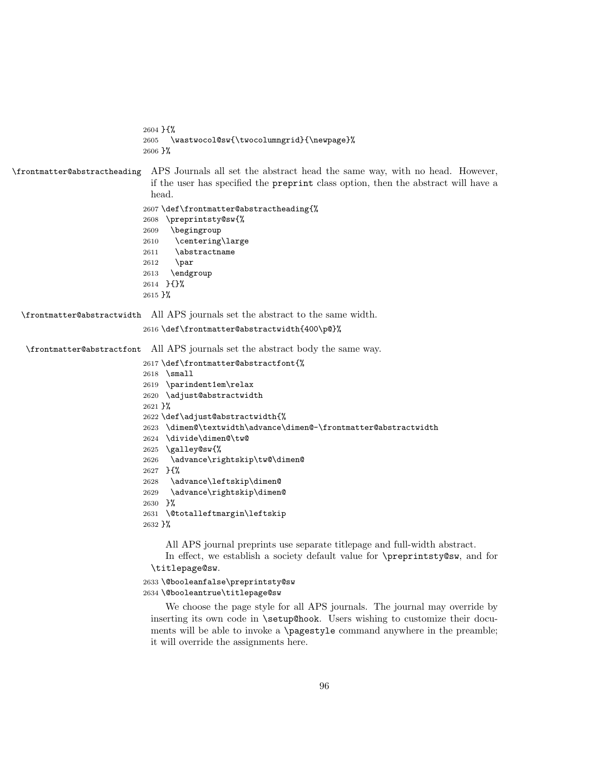```
2604 }{%
                             2605 \wastwocol@sw{\twocolumngrid}{\newpage}%
                             2606 }%
\frontmatter@abstractheading APS Journals all set the abstract head the same way, with no head. However,
                              if the user has specified the preprint class option, then the abstract will have a
                              head.
                             2607 \def\frontmatter@abstractheading{%
                             2608 \preprintsty@sw{%
                             2609 \begingroup
                             2610 \centering\large
                             2611 \abstractname
                             2612 \par
                             2613 \endgroup
                             2614 }{}%
                             2615 }%
 \frontmatter@abstractwidth All APS journals set the abstract to the same width.
                             2616 \def\frontmatter@abstractwidth{400\p@}%
   \frontmatter@abstractfont All APS journals set the abstract body the same way.
                             2617 \def\frontmatter@abstractfont{%
                             2618 \small
                             2619 \parindent1em\relax
                             2620 \adjust@abstractwidth
                             2621 }%
                             2622 \def\adjust@abstractwidth{%
                             2623 \dimen@\textwidth\advance\dimen@-\frontmatter@abstractwidth
                             2624 \divide\dimen@\tw@
                             2625 \galley@sw{%
                             2626 \advance\rightskip\tw@\dimen@
                             2627 }{%
                             2628 \advance\leftskip\dimen@
                             2629 \advance\rightskip\dimen@
                             2630 }%
                             2631 \@totalleftmargin\leftskip
                             2632 }%
                                  All APS journal preprints use separate titlepage and full-width abstract.
                                  In effect, we establish a society default value for \preprintsty@sw, and for
                              \titlepage@sw.
                             2633 \@booleanfalse\preprintsty@sw
                             2634 \@booleantrue\titlepage@sw
                                  We choose the page style for all APS journals. The journal may override by
                              inserting its own code in \setup@hook. Users wishing to customize their docu-
                              ments will be able to invoke a \pagestyle command anywhere in the preamble;
```
it will override the assignments here.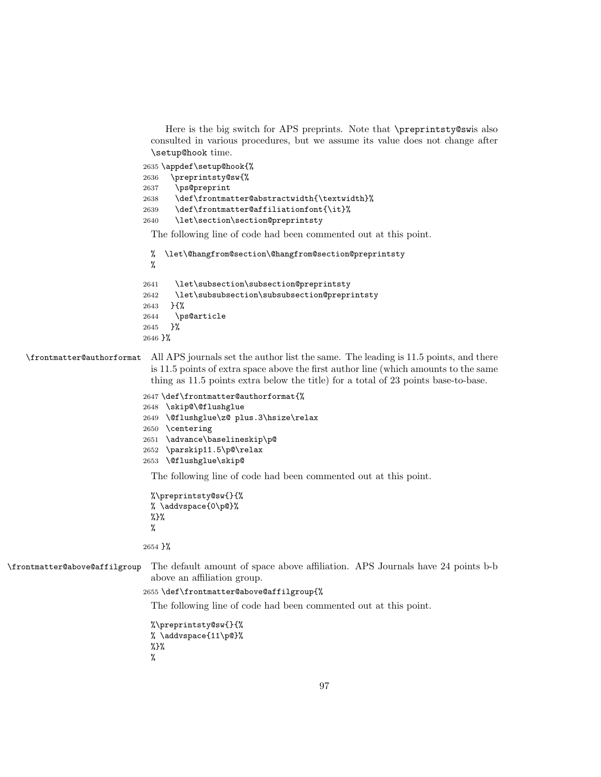Here is the big switch for APS preprints. Note that \preprintsty@swis also consulted in various procedures, but we assume its value does not change after \setup@hook time.

```
2635 \appdef\setup@hook{%
2636 \preprintsty@sw{%
2637 \ps@preprint
2638 \def\frontmatter@abstractwidth{\textwidth}%
2639 \def\frontmatter@affiliationfont{\it}%
2640 \let\section\section@preprintsty
```
The following line of code had been commented out at this point.

```
% \let\@hangfrom@section\@hangfrom@section@preprintsty
 %
2641 \let\subsection\subsection@preprintsty
2642 \let\subsubsection\subsubsection@preprintsty
2643 }{%
2644 \ps@article
2645 }%
2646 }%
```
\frontmatter@authorformat All APS journals set the author list the same. The leading is 11.5 points, and there is 11.5 points of extra space above the first author line (which amounts to the same thing as 11.5 points extra below the title) for a total of 23 points base-to-base.

```
2647 \def\frontmatter@authorformat{%
2648 \skip@\@flushglue
2649 \@flushglue\z@ plus.3\hsize\relax
2650 \centering
2651 \advance\baselineskip\p@
2652 \parskip11.5\p@\relax
2653 \@flushglue\skip@
```
The following line of code had been commented out at this point.

```
%\preprintsty@sw{}{%
% \addvspace{0\p@}%
%}%
%
```
2654 }%

\frontmatter@above@affilgroup The default amount of space above affiliation. APS Journals have 24 points b-b above an affiliation group.

### 2655 \def\frontmatter@above@affilgroup{%

The following line of code had been commented out at this point.

%\preprintsty@sw{}{% % \addvspace{11\p@}% %}% %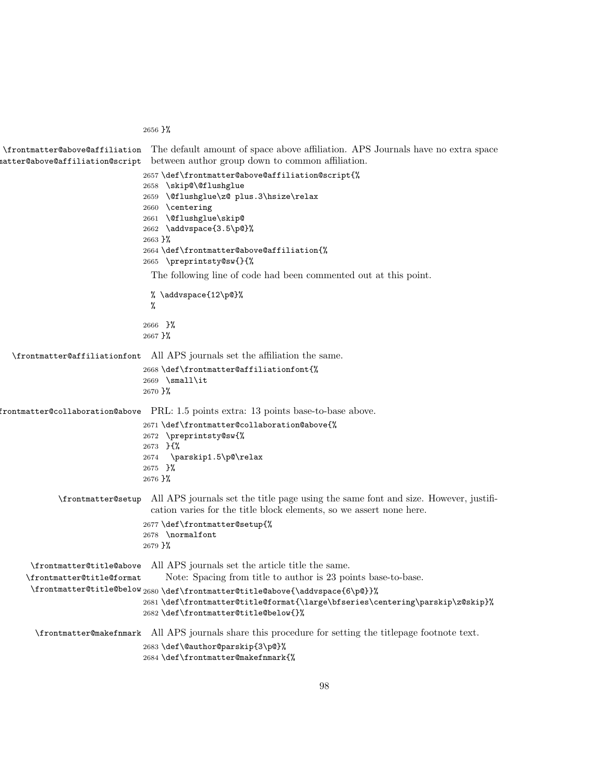}%

natter@above@affiliation@script between author group down to common affiliation.

```
2657 \def\frontmatter@above@affiliation@script{%
                                2658 \skip@\@flushglue
                                2659 \@flushglue\z@ plus.3\hsize\relax
                                2660 \centering
                                2661 \@flushglue\skip@
                                2662 \addvspace{3.5\p@}%
                                2663 }%
                                2664 \def\frontmatter@above@affiliation{%
                                2665 \preprintsty@sw{}{%
                                  The following line of code had been commented out at this point.
                                  % \addvspace{12\p@}%
                                  %
                                2666 }%
                                2667 }%
  \frontmatter@affiliationfont All APS journals set the affiliation the same.
                                2668 \def\frontmatter@affiliationfont{%
                                2669 \small\it
                                2670 }%
\frac{1}{2} frontmatter@collaboration@above PRL: 1.5 points extra: 13 points base-to-base above.
                                2671 \def\frontmatter@collaboration@above{%
                                2672 \preprintsty@sw{%
                                2673 }{%
                                2674 \parskip1.5\p@\relax
                                2675 }%
                                2676 }%
             \frontmatter@setup All APS journals set the title page using the same font and size. However, justifi-
                                  cation varies for the title block elements, so we assert none here.
```
\frontmatter@above@affiliation The default amount of space above affiliation. APS Journals have no extra space

 \normalfont }% \frontmatter@title@above \frontmatter@title@format \frontmatter@title@below 2680 \def\frontmatter@title@above{\addvspace{6\p@}}% All APS journals set the article title the same. Note: Spacing from title to author is 23 points base-to-base. \def\frontmatter@title@format{\large\bfseries\centering\parskip\z@skip}% \def\frontmatter@title@below{}% \frontmatter@makefnmark All APS journals share this procedure for setting the titlepage footnote text. \def\@author@parskip{3\p@}% \def\frontmatter@makefnmark{%

\def\frontmatter@setup{%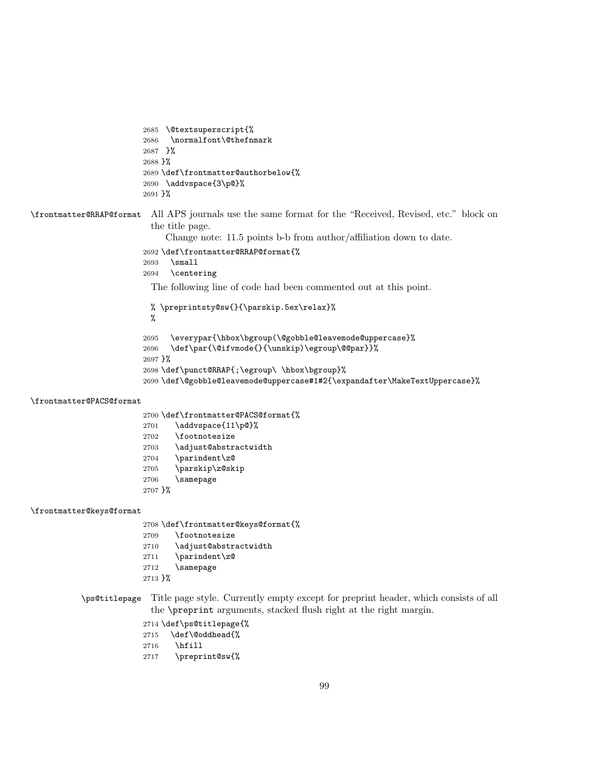```
2685 \@textsuperscript{%
2686 \normalfont\@thefnmark
2687 }%
2688 }%
2689 \def\frontmatter@authorbelow{%
2690 \addvspace{3\p@}%
2691 }%
```
\frontmatter@RRAP@format All APS journals use the same format for the "Received, Revised, etc." block on the title page.

Change note: 11.5 points b-b from author/affiliation down to date.

```
2692 \def\frontmatter@RRAP@format{%
```
- \small
- \centering

The following line of code had been commented out at this point.

```
% \preprintsty@sw{}{\parskip.5ex\relax}%
 %
2695 \everypar{\hbox\bgroup(\@gobble@leavemode@uppercase}%
2696 \def\par{\@ifvmode{}{\unskip)\egroup\@@par}}%
2697 }%
2698 \def\punct@RRAP{;\egroup\ \hbox\bgroup}%
2699 \def\@gobble@leavemode@uppercase#1#2{\expandafter\MakeTextUppercase}%
```
#### \frontmatter@PACS@format

|           | 2700 \def \frontmatter@PACS@format{% |
|-----------|--------------------------------------|
| 2701      | \addvspace{11\p@}%                   |
| 2702      | <i><u><b>\footnotesize</b></u></i>   |
| 2703      | \adjust@abstractwidth                |
| 2704      | \parindent\z@                        |
| 2705      | \parskip\z@skip                      |
| 2706      | \samepage                            |
| $2707$ }% |                                      |

#### \frontmatter@keys@format

\def\frontmatter@keys@format{%

- \footnotesize
- 2710 \adjust@abstractwidth
- \parindent\z@
- \samepage
- }%
- \ps@titlepage Title page style. Currently empty except for preprint header, which consists of all the \preprint arguments, stacked flush right at the right margin.

\def\ps@titlepage{%

- 2715 \def\@oddhead{%
- \hfill
- \preprint@sw{%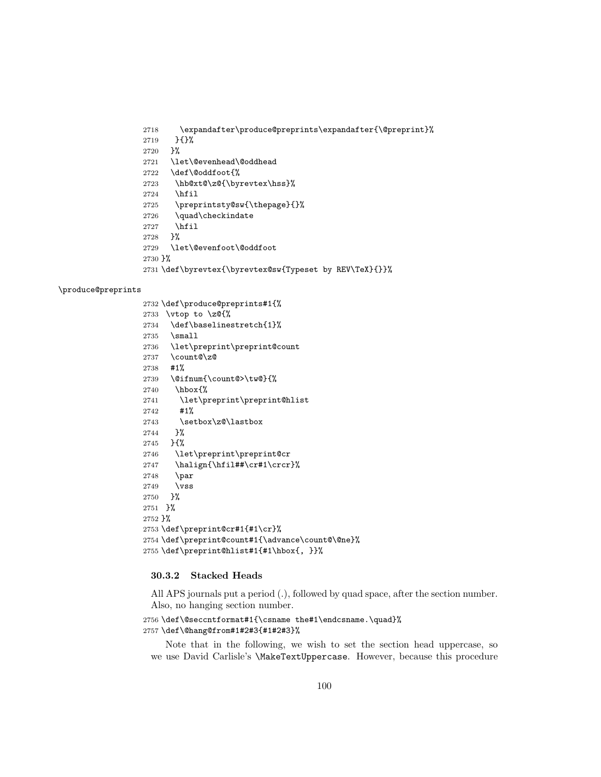```
2718 \expandafter\produce@preprints\expandafter{\@preprint}%
2719 }{}%<br>2720 }%
27202721 \let\@evenhead\@oddhead
2722 \def\@oddfoot{%
2723 \hb@xt@\z@{\byrevtex\hss}%
2724 \hfil
2725 \preprintsty@sw{\thepage}{}%
2726 \quad\checkindate
2727 \hfil
2728 }%
2729 \let\@evenfoot\@oddfoot
2730 }%
2731 \def\byrevtex{\byrevtex@sw{Typeset by REV\TeX}{}}%
```
### \produce@preprints

|                      | 2732 \def\produce@preprints#1{%                  |
|----------------------|--------------------------------------------------|
| 2733                 | $\forall$ rtop to $\angle$ z@{%                  |
|                      | 2734 \def\baselinestretch{1}%                    |
|                      | $2735$ \small                                    |
|                      | 2736 \let\preprint\preprint@count                |
|                      | $2737 \ \text{count@}\z0$                        |
| 2738                 | #1%                                              |
|                      | 2739 \@ifnum{\count@>\tw@}{%                     |
| 2740                 | \hbox{%                                          |
| 2741                 | \let\preprint\preprint@hlist                     |
| 2742                 | #1%                                              |
| 2743                 | \setbox\z@\lastbox                               |
| 2744                 | }%                                               |
|                      | $2745$ } {%                                      |
| 2746                 | \let\preprint\preprint@cr                        |
| 2747                 | \halign{\hfil##\cr#1\crcr}%                      |
| 2748                 | \par                                             |
|                      | $2749$ \vss                                      |
|                      | $2750$ $\frac{1}{6}$                             |
| $2751$ $\frac{1}{6}$ |                                                  |
| $2752 \frac{1}{6}$   |                                                  |
|                      | 2753 \def\preprint@cr#1{#1\cr}%                  |
|                      | 2754 \def\preprint@count#1{\advance\count@\@ne}% |
|                      | 2755 \def\preprint@hlist#1{#1\hbox{, }}%         |

## 30.3.2 Stacked Heads

All APS journals put a period (.), followed by quad space, after the section number. Also, no hanging section number.

```
2756 \def\@seccntformat#1{\csname the#1\endcsname.\quad}%
2757 \def\@hang@from#1#2#3{#1#2#3}%
```
Note that in the following, we wish to set the section head uppercase, so we use David Carlisle's \MakeTextUppercase. However, because this procedure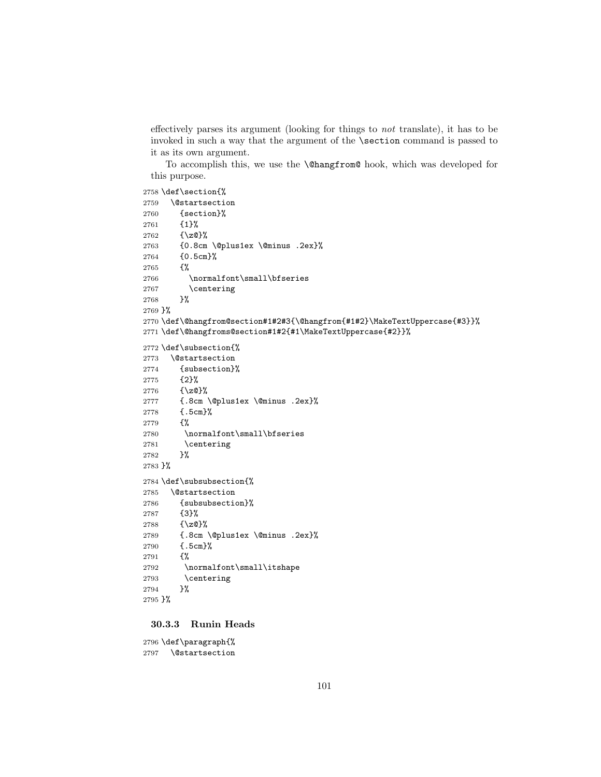effectively parses its argument (looking for things to not translate), it has to be invoked in such a way that the argument of the \section command is passed to it as its own argument.

To accomplish this, we use the \@hangfrom@ hook, which was developed for this purpose.

```
2758 \def\section{%
2759 \@startsection
2760 {section}%
2761 {1}%
2762 \{ \zeta \}2763 {0.8cm \@plus1ex \@minus .2ex}%
2764 {0.5cm}%
2765 {%
2766 \normalfont\small\bfseries
2767 \centering
2768 }%
2769 }%
2770 \def\@hangfrom@section#1#2#3{\@hangfrom{#1#2}\MakeTextUppercase{#3}}%
2771 \def\@hangfroms@section#1#2{#1\MakeTextUppercase{#2}}%
2772 \def\subsection{%
2773 \@startsection
2774 {subsection}%
2775 {2}%
2776 {\z@}%
2777 {.8cm \@plus1ex \@minus .2ex}%
2778 {.5cm}%
2779 {%
2780 \normalfont\small\bfseries
2781 \centering
2782 }%
2783 }%
2784 \def\subsubsection{%
2785 \@startsection
2786 {subsubsection}%
2787 {3}%
2788 {\z@}%
2789 {.8cm \@plus1ex \@minus .2ex}%
2790 {.5cm}%
2791 {%
2792 \normalfont\small\itshape
2793 \centering
2794 }%
2795 }%
```
# 30.3.3 Runin Heads

 \def\paragraph{% \@startsection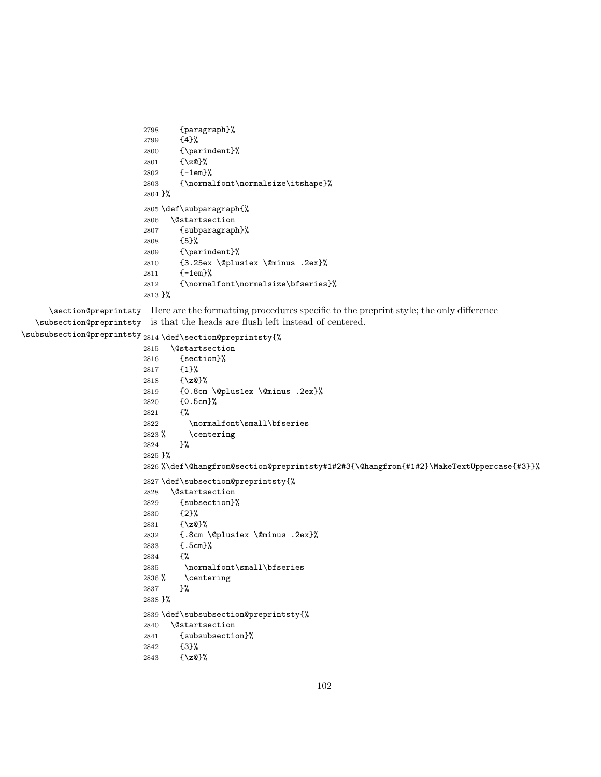```
2798 {paragraph}%
2799 {4}%
2800 {\parindent}%
2801 {\z@}%
2802 {-1em}%
2803 {\normalfont\normalsize\itshape}%
2804 }%
2805 \def\subparagraph{%
2806 \@startsection
2807 {subparagraph}%
2808 {5}%
2809 {\parindent}%
2810 {3.25ex \@plus1ex \@minus .2ex}%
2811 {-1em}%
2812 {\normalfont\normalsize\bfseries}%
2813 }%
```
\section@preprintsty Here are the formatting procedures specific to the preprint style; the only difference \subsection@preprintsty is that the heads are flush left instead of centered.

```
\verb|\subselection@preprintsy|2814 \def\section@preprintsy{%
```

```
2815 \@startsection
2816 {section}%
2817 {1}%
2818 {\z@}%
2819 {0.8cm \@plus1ex \@minus .2ex}%
2820 {0.5cm}%
2821 {%
2822 \normalfont\small\bfseries
2823 % \centering
2824 }%
2825 }%
2826 %\def\@hangfrom@section@preprintsty#1#2#3{\@hangfrom{#1#2}\MakeTextUppercase{#3}}%
2827 \def\subsection@preprintsty{%
2828 \@startsection
2829 {subsection}%
2830 {2}%
2831 {\z@}%
2832 {.8cm \@plus1ex \@minus .2ex}%
2833 {.5cm}%
2834 {%
2835 \normalfont\small\bfseries
2836 % \centering
2837 }%
2838 }%
2839 \def\subsubsection@preprintsty{%
2840 \@startsection
2841 {subsubsection}%
2842 {3}%
2843 {\z@}%
```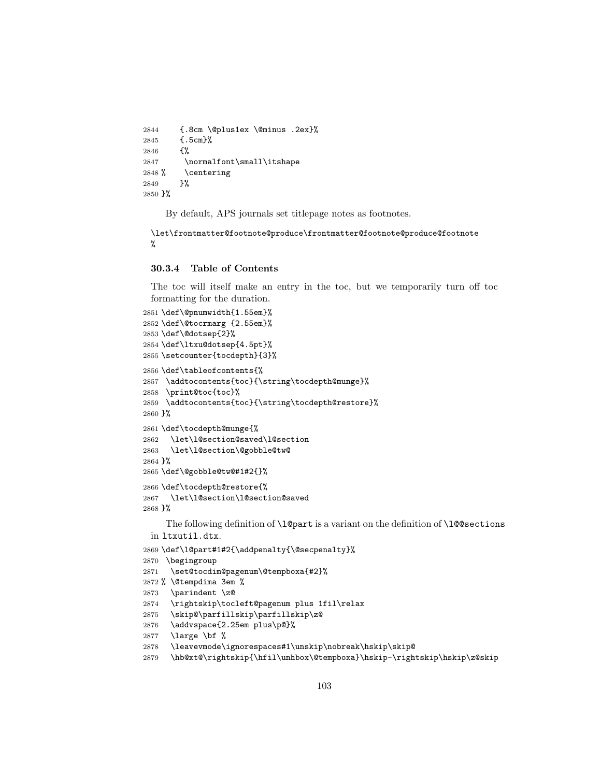```
2844 {.8cm \@plus1ex \@minus .2ex}%
2845 {.5cm}%
2846 {%
2847 \normalfont\small\itshape
2848 % \centering
2849 }%
2850 }%
```
By default, APS journals set titlepage notes as footnotes.

```
\let\frontmatter@footnote@produce\frontmatter@footnote@produce@footnote
%
```
### 30.3.4 Table of Contents

The toc will itself make an entry in the toc, but we temporarily turn off toc formatting for the duration.

```
2851 \def\@pnumwidth{1.55em}%
2852 \def\@tocrmarg {2.55em}%
2853 \def\@dotsep{2}%
2854 \def\ltxu@dotsep{4.5pt}%
2855 \setcounter{tocdepth}{3}%
2856 \def\tableofcontents{%
2857 \addtocontents{toc}{\string\tocdepth@munge}%
2858 \print@toc{toc}%
2859 \addtocontents{toc}{\string\tocdepth@restore}%
2860 }%
2861 \def\tocdepth@munge{%
2862 \let\l@section@saved\l@section
2863 \let\l@section\@gobble@tw@
2864 }%
2865 \def\@gobble@tw@#1#2{}%
2866 \def\tocdepth@restore{%
2867 \let\l@section\l@section@saved
2868 }%
     The following definition of \l@part is a variant on the definition of \l@@sections
 in ltxutil.dtx.
2869 \def\l@part#1#2{\addpenalty{\@secpenalty}%
2870 \begingroup
2871 \set@tocdim@pagenum\@tempboxa{#2}%
2872 % \@tempdima 3em %
2873 \parindent \z@
2874 \rightskip\tocleft@pagenum plus 1fil\relax
2875 \skip@\parfillskip\parfillskip\z@
2876 \addvspace{2.25em plus\p@}%
2877 \large \bf %
2878 \leavevmode\ignorespaces#1\unskip\nobreak\hskip\skip@
2879 \hb@xt@\rightskip{\hfil\unhbox\@tempboxa}\hskip-\rightskip\hskip\z@skip
```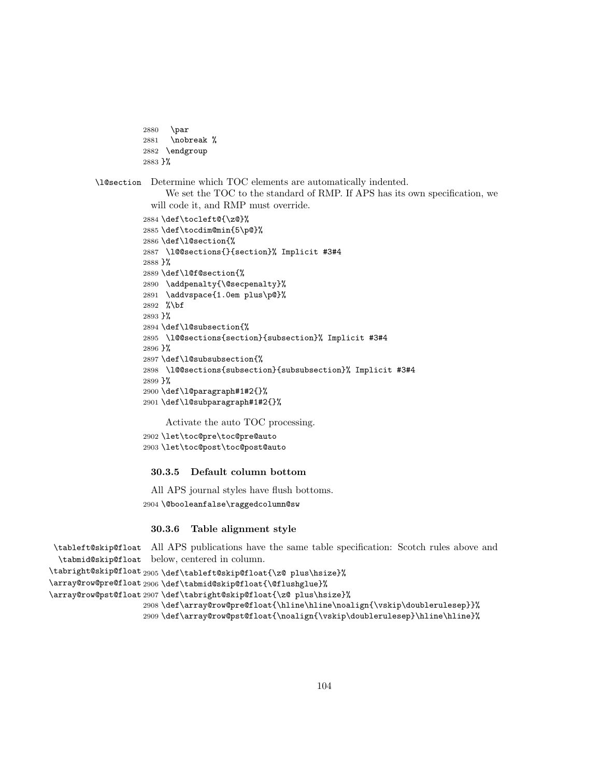```
2880 \par
2881 \nobreak %
2882 \endgroup
2883 }%
```
\l@section Determine which TOC elements are automatically indented.

We set the TOC to the standard of RMP. If APS has its own specification, we will code it, and RMP must override.

```
2884 \def\tocleft@{\z@}%
2885 \def\tocdim@min{5\p@}%
2886 \def\l@section{%
2887 \l@@sections{}{section}% Implicit #3#4
2888 }%
2889 \def\l@f@section{%
2890 \addpenalty{\@secpenalty}%
2891 \addvspace{1.0em plus\p@}%
2892 %\bf
2893 }%
2894 \def\l@subsection{%
2895 \l@@sections{section}{subsection}% Implicit #3#4
2896 }%
2897 \def\l@subsubsection{%
2898 \l@@sections{subsection}{subsubsection}% Implicit #3#4
2899 }%
2900 \def\l@paragraph#1#2{}%
2901 \def\l@subparagraph#1#2{}%
```
Activate the auto TOC processing.

```
2902 \let\toc@pre\toc@pre@auto
2903 \let\toc@post\toc@post@auto
```
## 30.3.5 Default column bottom

All APS journal styles have flush bottoms. \@booleanfalse\raggedcolumn@sw

## 30.3.6 Table alignment style

\tableft@skip@float All APS publications have the same table specification: Scotch rules above and \tabmid@skip@float below, centered in column.

```
\tabright@skip@float<sub>2905</sub>\def\tableft@skip@float{\z@ plus\hsize}%
\array@row@pre@float
2906 \def\tabmid@skip@float{\@flushglue}%
\array@row@pst@float
2907 \def\tabright@skip@float{\z@ plus\hsize}%
                     2908 \def\array@row@pre@float{\hline\hline\noalign{\vskip\doublerulesep}}%
                     2909 \def\array@row@pst@float{\noalign{\vskip\doublerulesep}\hline\hline}%
```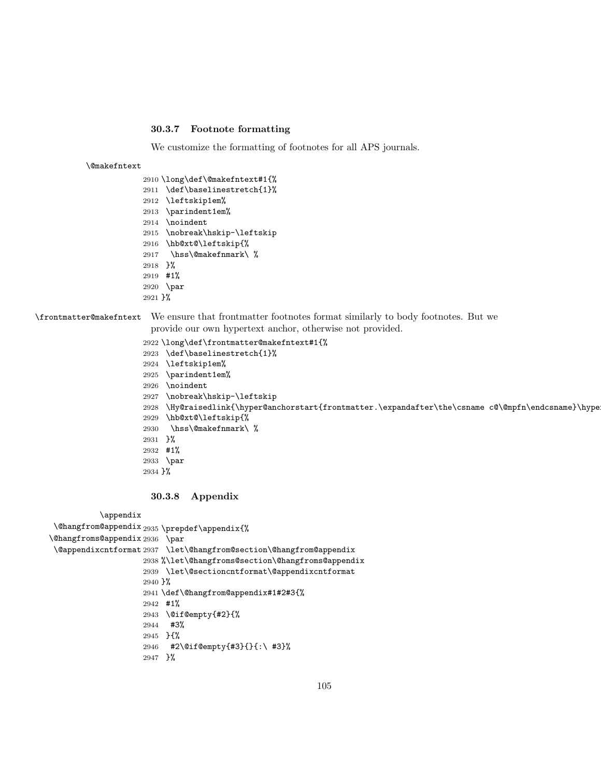## 30.3.7 Footnote formatting

We customize the formatting of footnotes for all APS journals.

#### \@makefntext

```
2910 \long\def\@makefntext#1{%
2911 \def\baselinestretch{1}%
2912 \leftskip1em%
2913 \parindent1em%
2914 \noindent
2915 \nobreak\hskip-\leftskip
2916 \hb@xt@\leftskip{%
2917 \hss\@makefnmark\ %
2918 }%
2919 #1%
2920 \par
2921 }%
```
\frontmatter@makefntext We ensure that frontmatter footnotes format similarly to body footnotes. But we

provide our own hypertext anchor, otherwise not provided.

 \long\def\frontmatter@makefntext#1{% \def\baselinestretch{1}% \leftskip1em% \parindent1em% \noindent \nobreak\hskip-\leftskip 2928 \Hy@raisedlink{\hyper@anchorstart{frontmatter.\expandafter\the\csname c@\@mpfn\endcsname}\hype \hb@xt@\leftskip{% \hss\@makefnmark\ % }% #1% \par }%

## 30.3.8 Appendix

\appendix

```
\@hangfrom@appendix
2935 \prepdef\appendix{%
\@hangfroms@appendix
2936 \par
 \@appendixcntformat
2937 \let\@hangfrom@section\@hangfrom@appendix
                    2938 %\let\@hangfroms@section\@hangfroms@appendix
                    2939 \let\@sectioncntformat\@appendixcntformat
                    2940 }%
                    2941 \def\@hangfrom@appendix#1#2#3{%
                    2942 #1%
                    2943 \@if@empty{#2}{%
                    2944 #3%
                    2945 }{%
                    2946 #2\@if@empty{#3}{}{:\ #3}%
                    2947 }%
```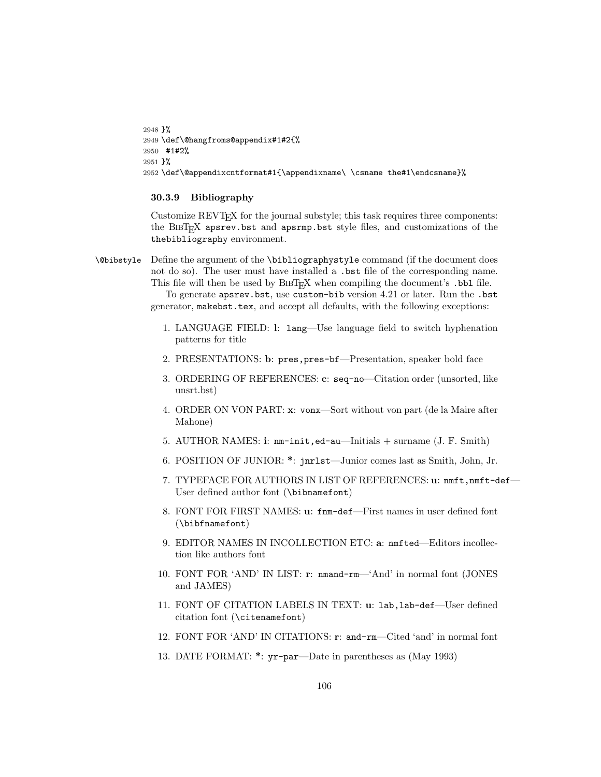```
2948 }%
2949 \def\@hangfroms@appendix#1#2{%
2950 #1#2%
2951 }%
2952 \def\@appendixcntformat#1{\appendixname\ \csname the#1\endcsname}%
```
## 30.3.9 Bibliography

Customize REVTEX for the journal substyle; this task requires three components: the BibTEX apsrev.bst and apsrmp.bst style files, and customizations of the thebibliography environment.

\@bibstyle Define the argument of the \bibliographystyle command (if the document does not do so). The user must have installed a .bst file of the corresponding name. This file will then be used by  $BIBT_FX$  when compiling the document's .bbl file.

> To generate apsrev.bst, use custom-bib version 4.21 or later. Run the .bst generator, makebst.tex, and accept all defaults, with the following exceptions:

- 1. LANGUAGE FIELD: l: lang—Use language field to switch hyphenation patterns for title
- 2. PRESENTATIONS: b: pres,pres-bf—Presentation, speaker bold face
- 3. ORDERING OF REFERENCES: c: seq-no—Citation order (unsorted, like unsrt.bst)
- 4. ORDER ON VON PART: x: vonx—Sort without von part (de la Maire after Mahone)
- 5. AUTHOR NAMES: i: nm-init,ed-au—Initials + surname (J. F. Smith)
- 6. POSITION OF JUNIOR: \*: jnrlst—Junior comes last as Smith, John, Jr.
- 7. TYPEFACE FOR AUTHORS IN LIST OF REFERENCES: u: nmft,nmft-def-User defined author font (\bibnamefont)
- 8. FONT FOR FIRST NAMES: u: fnm-def—First names in user defined font (\bibfnamefont)
- 9. EDITOR NAMES IN INCOLLECTION ETC: a: nmfted—Editors incollection like authors font
- 10. FONT FOR 'AND' IN LIST: r: nmand-rm—'And' in normal font (JONES and JAMES)
- 11. FONT OF CITATION LABELS IN TEXT: u: lab,lab-def—User defined citation font (\citenamefont)
- 12. FONT FOR 'AND' IN CITATIONS: r: and-rm—Cited 'and' in normal font
- 13. DATE FORMAT: \*: yr-par—Date in parentheses as (May 1993)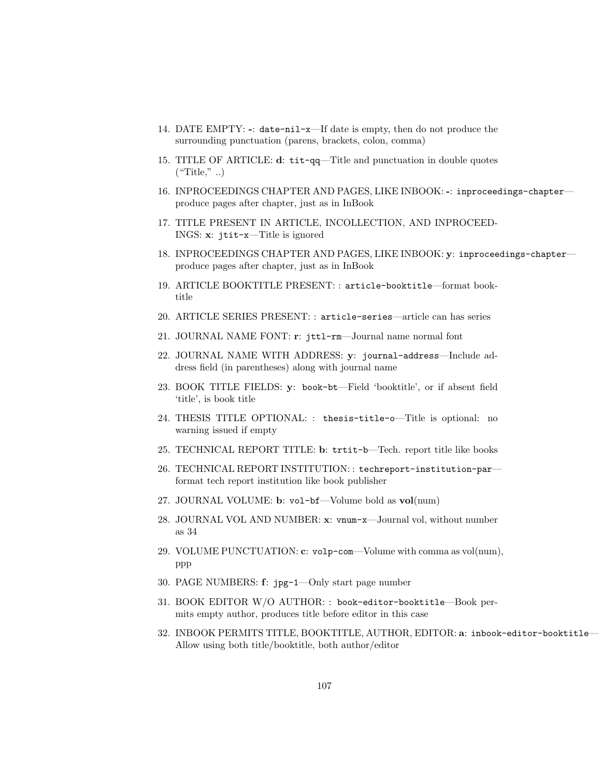- 14. DATE EMPTY: -: date-nil-x—If date is empty, then do not produce the surrounding punctuation (parens, brackets, colon, comma)
- 15. TITLE OF ARTICLE: d: tit-qq—Title and punctuation in double quotes  $("Title", \ldots)$
- 16. INPROCEEDINGS CHAPTER AND PAGES, LIKE INBOOK: -: inproceedings-chapter produce pages after chapter, just as in InBook
- 17. TITLE PRESENT IN ARTICLE, INCOLLECTION, AND INPROCEED-INGS: x: jtit-x—Title is ignored
- 18. INPROCEEDINGS CHAPTER AND PAGES, LIKE INBOOK: y: inproceedings-chapter produce pages after chapter, just as in InBook
- 19. ARTICLE BOOKTITLE PRESENT: : article-booktitle—format booktitle
- 20. ARTICLE SERIES PRESENT: : article-series—article can has series
- 21. JOURNAL NAME FONT: r: jttl-rm—Journal name normal font
- 22. JOURNAL NAME WITH ADDRESS: y: journal-address—Include address field (in parentheses) along with journal name
- 23. BOOK TITLE FIELDS: y: book-bt—Field 'booktitle', or if absent field 'title', is book title
- 24. THESIS TITLE OPTIONAL: : thesis-title-o—Title is optional: no warning issued if empty
- 25. TECHNICAL REPORT TITLE: b: trtit-b—Tech. report title like books
- 26. TECHNICAL REPORT INSTITUTION: : techreport-institution-par format tech report institution like book publisher
- 27. JOURNAL VOLUME: b: vol-bf—Volume bold as vol(num)
- 28. JOURNAL VOL AND NUMBER: x: vnum-x—Journal vol, without number as 34
- 29. VOLUME PUNCTUATION: c: volp-com—Volume with comma as vol(num), ppp
- 30. PAGE NUMBERS: f: jpg-1—Only start page number
- 31. BOOK EDITOR W/O AUTHOR: : book-editor-booktitle—Book permits empty author, produces title before editor in this case
- 32. INBOOK PERMITS TITLE, BOOKTITLE, AUTHOR, EDITOR: a: inbook-editor-booktitle— Allow using both title/booktitle, both author/editor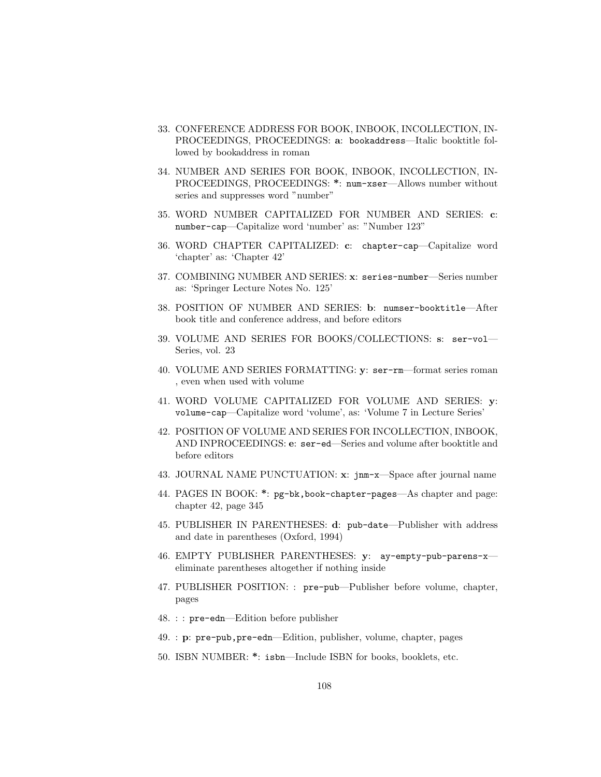- 33. CONFERENCE ADDRESS FOR BOOK, INBOOK, INCOLLECTION, IN-PROCEEDINGS, PROCEEDINGS: a: bookaddress—Italic booktitle followed by bookaddress in roman
- 34. NUMBER AND SERIES FOR BOOK, INBOOK, INCOLLECTION, IN-PROCEEDINGS, PROCEEDINGS: \*: num-xser—Allows number without series and suppresses word "number"
- 35. WORD NUMBER CAPITALIZED FOR NUMBER AND SERIES: c: number-cap—Capitalize word 'number' as: "Number 123"
- 36. WORD CHAPTER CAPITALIZED: c: chapter-cap—Capitalize word 'chapter' as: 'Chapter 42'
- 37. COMBINING NUMBER AND SERIES: x: series-number—Series number as: 'Springer Lecture Notes No. 125'
- 38. POSITION OF NUMBER AND SERIES: b: numser-booktitle—After book title and conference address, and before editors
- 39. VOLUME AND SERIES FOR BOOKS/COLLECTIONS: s: ser-vol— Series, vol. 23
- 40. VOLUME AND SERIES FORMATTING: y: ser-rm—format series roman , even when used with volume
- 41. WORD VOLUME CAPITALIZED FOR VOLUME AND SERIES: y: volume-cap—Capitalize word 'volume', as: 'Volume 7 in Lecture Series'
- 42. POSITION OF VOLUME AND SERIES FOR INCOLLECTION, INBOOK, AND INPROCEEDINGS: e: ser-ed—Series and volume after booktitle and before editors
- 43. JOURNAL NAME PUNCTUATION: x: jnm-x—Space after journal name
- 44. PAGES IN BOOK: \*: pg-bk,book-chapter-pages—As chapter and page: chapter 42, page 345
- 45. PUBLISHER IN PARENTHESES: d: pub-date—Publisher with address and date in parentheses (Oxford, 1994)
- 46. EMPTY PUBLISHER PARENTHESES: y: ay-empty-pub-parens-x eliminate parentheses altogether if nothing inside
- 47. PUBLISHER POSITION: : pre-pub—Publisher before volume, chapter, pages
- 48. : : pre-edn—Edition before publisher
- 49. : p: pre-pub,pre-edn—Edition, publisher, volume, chapter, pages
- 50. ISBN NUMBER: \*: isbn—Include ISBN for books, booklets, etc.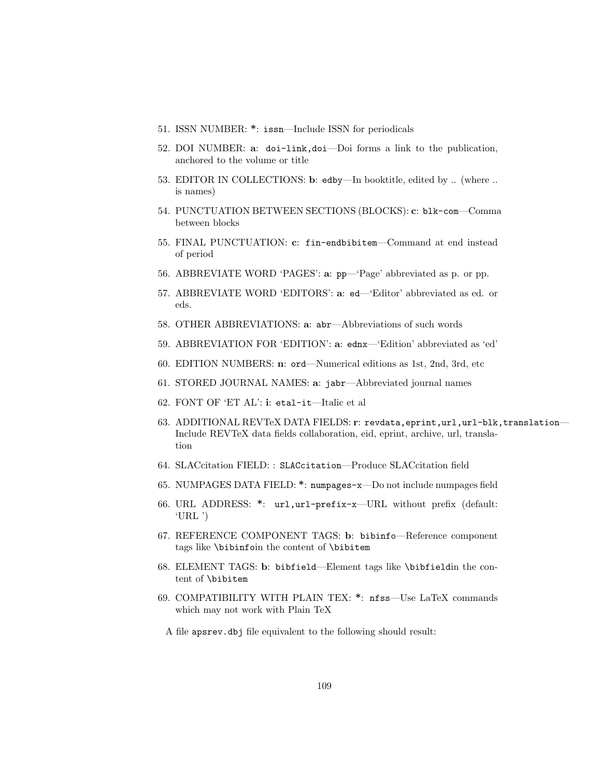- 51. ISSN NUMBER: \*: issn—Include ISSN for periodicals
- 52. DOI NUMBER: a: doi-link,doi—Doi forms a link to the publication, anchored to the volume or title
- 53. EDITOR IN COLLECTIONS: b: edby—In booktitle, edited by .. (where .. is names)
- 54. PUNCTUATION BETWEEN SECTIONS (BLOCKS): c: blk-com—Comma between blocks
- 55. FINAL PUNCTUATION: c: fin-endbibitem—Command at end instead of period
- 56. ABBREVIATE WORD 'PAGES': a: pp—'Page' abbreviated as p. or pp.
- 57. ABBREVIATE WORD 'EDITORS': a: ed—'Editor' abbreviated as ed. or eds.
- 58. OTHER ABBREVIATIONS: a: abr—Abbreviations of such words
- 59. ABBREVIATION FOR 'EDITION': a: ednx—'Edition' abbreviated as 'ed'
- 60. EDITION NUMBERS: n: ord—Numerical editions as 1st, 2nd, 3rd, etc
- 61. STORED JOURNAL NAMES: a: jabr—Abbreviated journal names
- 62. FONT OF 'ET AL': i: etal-it—Italic et al
- 63. ADDITIONAL REVTeX DATA FIELDS: r: revdata,eprint,url,url-blk,translation— Include REVTeX data fields collaboration, eid, eprint, archive, url, translation
- 64. SLACcitation FIELD: : SLACcitation—Produce SLACcitation field
- 65. NUMPAGES DATA FIELD: \*: numpages-x—Do not include numpages field
- 66. URL ADDRESS: \*: url,url-prefix-x—URL without prefix (default: 'URL ')
- 67. REFERENCE COMPONENT TAGS: b: bibinfo—Reference component tags like \bibinfoin the content of \bibitem
- 68. ELEMENT TAGS: b: bibfield—Element tags like \bibfieldin the content of \bibitem
- 69. COMPATIBILITY WITH PLAIN TEX: \*: nfss—Use LaTeX commands which may not work with Plain TeX
	- A file apsrev.dbj file equivalent to the following should result: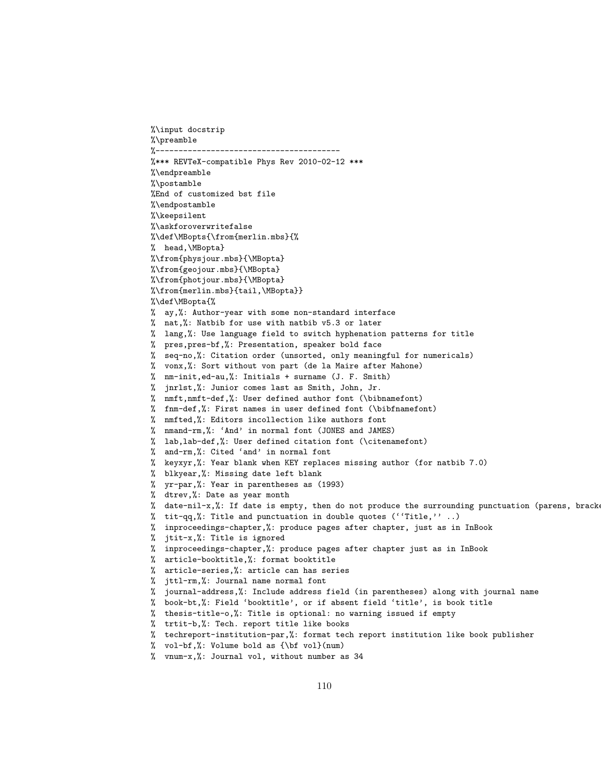```
%\input docstrip
%\preamble
%----------------------------------------
%*** REVTeX-compatible Phys Rev 2010-02-12 ***
%\endpreamble
%\postamble
%End of customized bst file
%\endpostamble
%\keepsilent
%\askforoverwritefalse
%\def\MBopts{\from{merlin.mbs}{%
% head,\MBopta}
%\from{physjour.mbs}{\MBopta}
%\from{geojour.mbs}{\MBopta}
%\from{photjour.mbs}{\MBopta}
%\from{merlin.mbs}{tail,\MBopta}}
%\def\MBopta{%
% ay,%: Author-year with some non-standard interface
% nat,%: Natbib for use with natbib v5.3 or later
% lang,%: Use language field to switch hyphenation patterns for title
% pres,pres-bf,%: Presentation, speaker bold face
% seq-no,%: Citation order (unsorted, only meaningful for numericals)
% vonx,%: Sort without von part (de la Maire after Mahone)
% nm-init,ed-au,%: Initials + surname (J. F. Smith)
% jnrlst,%: Junior comes last as Smith, John, Jr.
% nmft,nmft-def,%: User defined author font (\bibnamefont)
% fnm-def,%: First names in user defined font (\bibfnamefont)
% nmfted,%: Editors incollection like authors font
% nmand-rm,%: 'And' in normal font (JONES and JAMES)
% lab,lab-def,%: User defined citation font (\citenamefont)
% and-rm,%: Cited 'and' in normal font
% keyxyr,%: Year blank when KEY replaces missing author (for natbib 7.0)
% blkyear,%: Missing date left blank
% yr-par,%: Year in parentheses as (1993)
% dtrev,%: Date as year month
% date-nil-x,%: If date is empty, then do not produce the surrounding punctuation (parens, brackets, colon, comma)
% tit-qq,%: Title and punctuation in double quotes (''Title,'' ..)
% inproceedings-chapter,%: produce pages after chapter, just as in InBook
% jtit-x,%: Title is ignored
% inproceedings-chapter,%: produce pages after chapter just as in InBook
% article-booktitle,%: format booktitle
% article-series,%: article can has series
% jttl-rm,%: Journal name normal font
% journal-address,%: Include address field (in parentheses) along with journal name
% book-bt,%: Field 'booktitle', or if absent field 'title', is book title
% thesis-title-o,%: Title is optional: no warning issued if empty
% trtit-b,%: Tech. report title like books
% techreport-institution-par,%: format tech report institution like book publisher
% vol-bf,%: Volume bold as {\bf vol}(num)
% vnum-x,%: Journal vol, without number as 34
```

```
110
```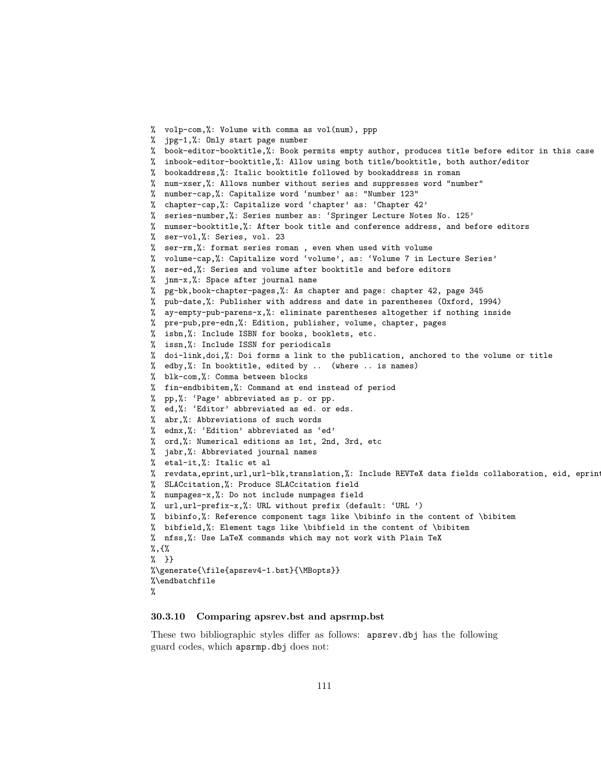```
% volp-com,%: Volume with comma as vol(num), ppp
% jpg-1,%: Only start page number
% book-editor-booktitle,%: Book permits empty author, produces title before editor in this case
% inbook-editor-booktitle,%: Allow using both title/booktitle, both author/editor
% bookaddress,%: Italic booktitle followed by bookaddress in roman
% num-xser,%: Allows number without series and suppresses word "number"
% number-cap,%: Capitalize word 'number' as: "Number 123"
% chapter-cap,%: Capitalize word 'chapter' as: 'Chapter 42'
% series-number,%: Series number as: 'Springer Lecture Notes No. 125'
% numser-booktitle,%: After book title and conference address, and before editors
% ser-vol,%: Series, vol. 23
% ser-rm,%: format series roman , even when used with volume
% volume-cap,%: Capitalize word 'volume', as: 'Volume 7 in Lecture Series'
% ser-ed,%: Series and volume after booktitle and before editors
% jnm-x,%: Space after journal name
% pg-bk,book-chapter-pages,%: As chapter and page: chapter 42, page 345
% pub-date,%: Publisher with address and date in parentheses (Oxford, 1994)
% ay-empty-pub-parens-x,%: eliminate parentheses altogether if nothing inside
% pre-pub,pre-edn,%: Edition, publisher, volume, chapter, pages
% isbn,%: Include ISBN for books, booklets, etc.
% issn,%: Include ISSN for periodicals
% doi-link,doi,%: Doi forms a link to the publication, anchored to the volume or title
% edby,%: In booktitle, edited by .. (where .. is names)
% blk-com,%: Comma between blocks
% fin-endbibitem,%: Command at end instead of period
% pp,%: 'Page' abbreviated as p. or pp.
% ed,%: 'Editor' abbreviated as ed. or eds.
% abr,%: Abbreviations of such words
% ednx,%: 'Edition' abbreviated as 'ed'
% ord,%: Numerical editions as 1st, 2nd, 3rd, etc
% jabr,%: Abbreviated journal names
% etal-it,%: Italic et al
% revdata, eprint, url, url-blk, translation, %: Include REVTeX data fields collaboration, eid, eprin
% SLACcitation,%: Produce SLACcitation field
% numpages-x,%: Do not include numpages field
% url,url-prefix-x,%: URL without prefix (default: 'URL ')
% bibinfo,%: Reference component tags like \bibinfo in the content of \bibitem
% bibfield,%: Element tags like \bibfield in the content of \bibitem
% nfss,%: Use LaTeX commands which may not work with Plain TeX
%,{%
% }}
%\generate{\file{apsrev4-1.bst}{\MBopts}}
%\endbatchfile
%
```
### <span id="page-110-0"></span>30.3.10 Comparing apsrev.bst and apsrmp.bst

These two bibliographic styles differ as follows: apsrev.dbj has the following guard codes, which apsrmp.dbj does not: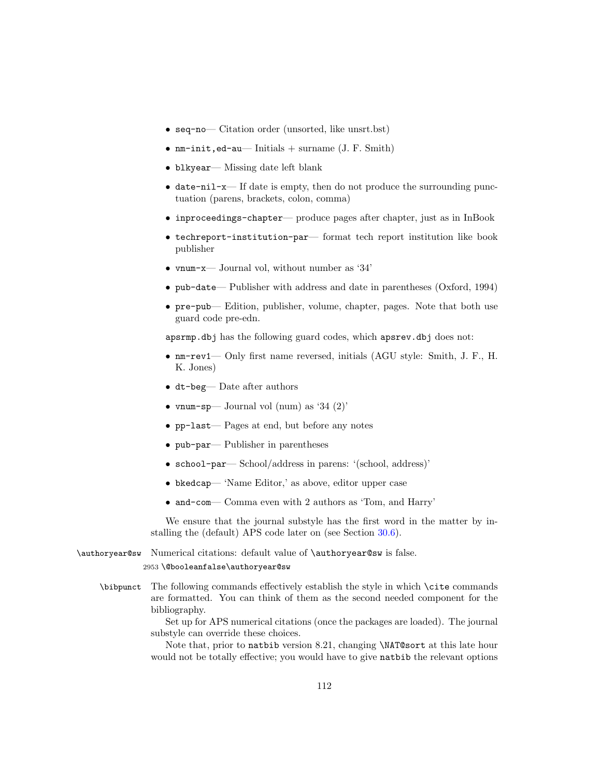- seq-no— Citation order (unsorted, like unsrt.bst)
- $nm$ -init, ed-au— Initials + surname (J. F. Smith)
- blkyear— Missing date left blank
- date-nil-x— If date is empty, then do not produce the surrounding punctuation (parens, brackets, colon, comma)
- inproceedings-chapter— produce pages after chapter, just as in InBook
- techreport-institution-par— format tech report institution like book publisher
- vnum-x— Journal vol, without number as '34'
- pub-date— Publisher with address and date in parentheses (Oxford, 1994)
- pre-pub— Edition, publisher, volume, chapter, pages. Note that both use guard code pre-edn.

apsrmp.dbj has the following guard codes, which apsrev.dbj does not:

- nm-rev1— Only first name reversed, initials (AGU style: Smith, J. F., H. K. Jones)
- dt-beg— Date after authors
- vnum-sp— Journal vol (num) as '34  $(2)$ '
- pp-last— Pages at end, but before any notes
- pub-par— Publisher in parentheses
- school-par— School/address in parens: '(school, address)'
- bkedcap— 'Name Editor,' as above, editor upper case
- and-com— Comma even with 2 authors as 'Tom, and Harry'

We ensure that the journal substyle has the first word in the matter by installing the (default) APS code later on (see Section [30.6\)](#page-117-0).

\authoryear@sw Numerical citations: default value of \authoryear@sw is false. 2953 \@booleanfalse\authoryear@sw

### \bibpunct The following commands effectively establish the style in which \cite commands are formatted. You can think of them as the second needed component for the bibliography.

Set up for APS numerical citations (once the packages are loaded). The journal substyle can override these choices.

Note that, prior to natbib version 8.21, changing \NAT@sort at this late hour would not be totally effective; you would have to give natbib the relevant options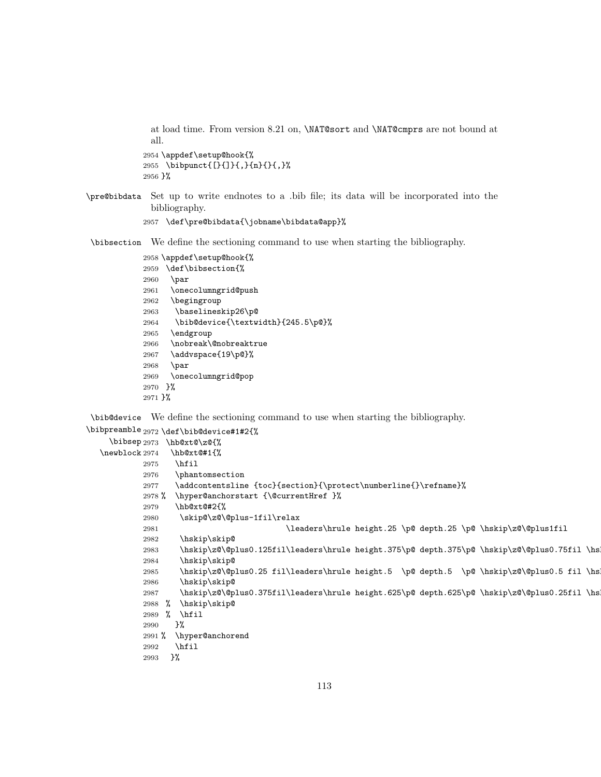at load time. From version 8.21 on, \NAT@sort and \NAT@cmprs are not bound at all.

```
2954 \appdef\setup@hook{%
2955 \bibpunct{[}{]}{,}{n}{}{,}%
2956 }%
```
\pre@bibdata Set up to write endnotes to a .bib file; its data will be incorporated into the bibliography.

```
2957 \def\pre@bibdata{\jobname\bibdata@app}%
```
\bibsection We define the sectioning command to use when starting the bibliography.

```
2958 \appdef\setup@hook{%
2959 \def\bibsection{%
2960 \par
2961 \onecolumngrid@push
2962 \begingroup
2963 \baselineskip26\p@
2964 \bib@device{\textwidth}{245.5\p@}%
2965 \endgroup
2966 \nobreak\@nobreaktrue
2967 \addvspace{19\p@}%
2968 \par
2969 \onecolumngrid@pop
2970 }%
```
}%

\bib@device We define the sectioning command to use when starting the bibliography.

```
\bibpreamble 2972 \def\bib@device#1#2{%
     \bibsep 2973 \hb@xt@\z@{%
  \newblock 2974
                  \hb@xt@#1{%
            2975 \hfil
            2976 \phantomsection
            2977 \addcontentsline {toc}{section}{\protect\numberline{}\refname}%
            2978 % \hyper@anchorstart {\@currentHref }%
            2979 \hb@xt@#2{%
            2980 \skip@\z@\@plus-1fil\relax
            2981 \leaders\hrule height.25 \p@ depth.25 \p@ \hskip\z@\@plus1fil
            2982 \hskip\skip@
            2983 \hskip\z@\@plus0.125fil\leaders\hrule height.375\p@ depth.375\p@ \hskip\z@\@plus0.75fil \hskip\z@\@plus0.125fil
            2984 \hskip\skip@
            2985 \hskip\z@\@plus0.25 fil\leaders\hrule height.5 \p@ depth.5 \p@ \hskip\z@\@plus0.5 fil \hskip\z@\@plus0.25 fil
            2986 \hskip\skip@
            2987 \hskip\z@\@plus0.375fil\leaders\hrule height.625\p@ depth.625\p@ \hskip\z@\@plus0.25fil \hskip\z@\@plus0.375fil
            2988 % \hskip\skip@
            2989 % \hfil
            2990 }%
            2991 % \hyper@anchorend
            2992 \hfil
            2993 }%
```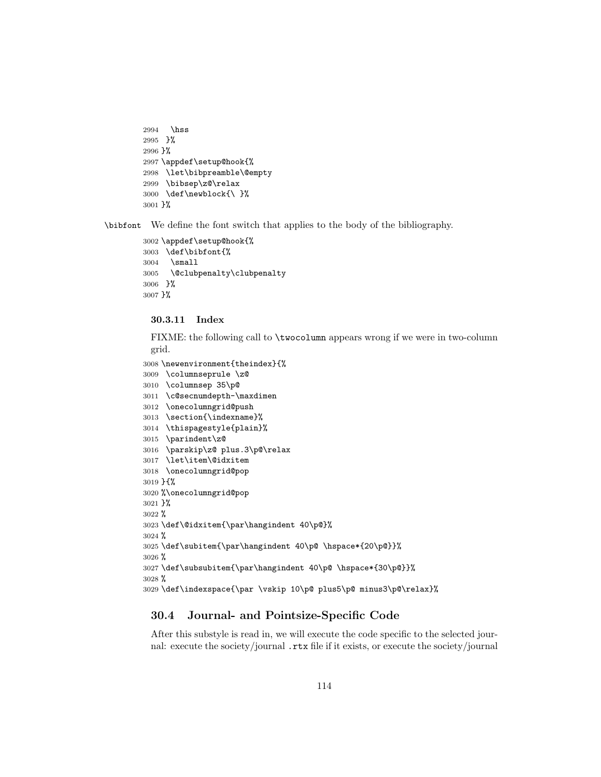```
2994 \hss
2995 }%
2996 }%
2997 \appdef\setup@hook{%
2998 \let\bibpreamble\@empty
2999 \bibsep\z@\relax
3000 \def\newblock{\ }%
3001 }%
```
\bibfont We define the font switch that applies to the body of the bibliography.

```
3002 \appdef\setup@hook{%
3003 \def\bibfont{%
3004 \small
3005 \@clubpenalty\clubpenalty
3006 }%
3007 }%
```
### 30.3.11 Index

FIXME: the following call to \twocolumn appears wrong if we were in two-column grid.

```
3008 \newenvironment{theindex}{%
3009 \columnseprule \z@
3010 \columnsep 35\p@
3011 \c@secnumdepth-\maxdimen
3012 \onecolumngrid@push
3013 \section{\indexname}%
3014 \thispagestyle{plain}%
3015 \parindent\z@
3016 \parskip\z@ plus.3\p@\relax
3017 \let\item\@idxitem
3018 \onecolumngrid@pop
3019 }{%
3020 %\onecolumngrid@pop
3021 }%
3022 %
3023 \def\@idxitem{\par\hangindent 40\p@}%
3024 %
3025 \def\subitem{\par\hangindent 40\p@ \hspace*{20\p@}}%
3026 %
3027 \def\subsubitem{\par\hangindent 40\p@ \hspace*{30\p@}}%
3028 %
3029 \def\indexspace{\par \vskip 10\p@ plus5\p@ minus3\p@\relax}%
```
### 30.4 Journal- and Pointsize-Specific Code

After this substyle is read in, we will execute the code specific to the selected journal: execute the society/journal .rtx file if it exists, or execute the society/journal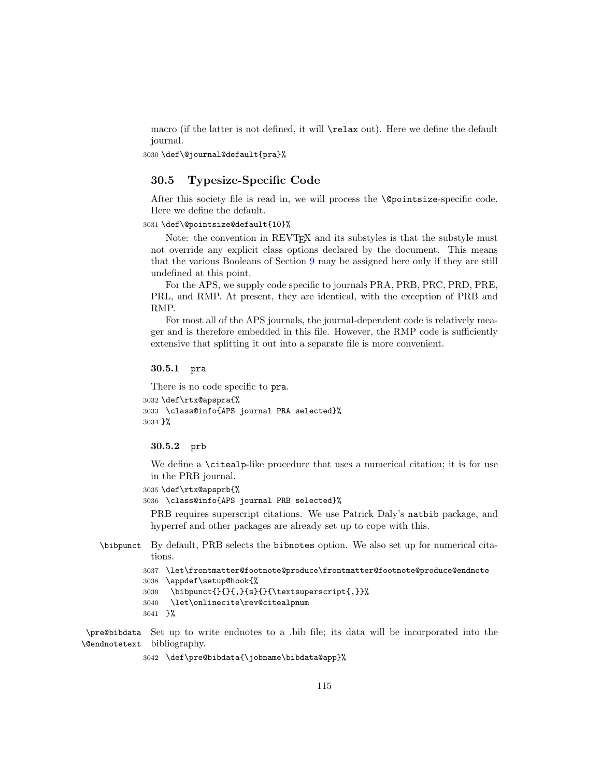macro (if the latter is not defined, it will \relax out). Here we define the default journal.

3030 \def\@journal@default{pra}%

### 30.5 Typesize-Specific Code

After this society file is read in, we will process the \@pointsize-specific code. Here we define the default.

### 3031 \def\@pointsize@default{10}%

Note: the convention in REVTEX and its substyles is that the substyle must not override any explicit class options declared by the document. This means that the various Booleans of Section [9](#page-15-0) may be assigned here only if they are still undefined at this point.

For the APS, we supply code specific to journals PRA, PRB, PRC, PRD, PRE, PRL, and RMP. At present, they are identical, with the exception of PRB and RMP.

For most all of the APS journals, the journal-dependent code is relatively meager and is therefore embedded in this file. However, the RMP code is sufficiently extensive that splitting it out into a separate file is more convenient.

#### 30.5.1 pra

There is no code specific to pra.

```
3032 \def\rtx@apspra{%
3033 \class@info{APS journal PRA selected}%
3034 }%
```
### 30.5.2 prb

We define a \citealp-like procedure that uses a numerical citation; it is for use in the PRB journal.

```
3035 \def\rtx@apsprb{%
```
3036 \class@info{APS journal PRB selected}%

PRB requires superscript citations. We use Patrick Daly's natbib package, and hyperref and other packages are already set up to cope with this.

\bibpunct By default, PRB selects the bibnotes option. We also set up for numerical citations.

```
3037 \let\frontmatter@footnote@produce\frontmatter@footnote@produce@endnote
3038 \appdef\setup@hook{%
3039 \bibpunct{}{}{,}{s}{}{\textsuperscript{,}}%
3040 \let\onlinecite\rev@citealpnum
3041 }%
```
\pre@bibdata Set up to write endnotes to a .bib file; its data will be incorporated into the \@endnotetext bibliography.

3042 \def\pre@bibdata{\jobname\bibdata@app}%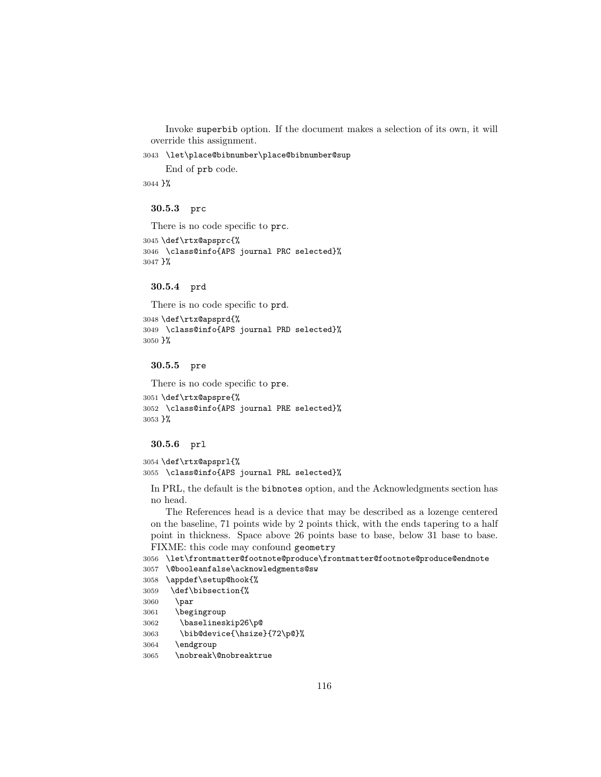Invoke superbib option. If the document makes a selection of its own, it will override this assignment.

3043 \let\place@bibnumber\place@bibnumber@sup

End of prb code.

3044 }%

30.5.3 prc

There is no code specific to prc.

```
3045 \def\rtx@apsprc{%
3046 \class@info{APS journal PRC selected}%
3047 }%
```
30.5.4 prd

There is no code specific to prd. 3048 \def\rtx@apsprd{% 3049 \class@info{APS journal PRD selected}% 3050 }%

30.5.5 pre

```
There is no code specific to pre.
3051 \def\rtx@apspre{%
3052 \class@info{APS journal PRE selected}%
3053 }%
```
### 30.5.6 prl

```
3054 \def\rtx@apsprl{%
```
3055 \class@info{APS journal PRL selected}%

In PRL, the default is the bibnotes option, and the Acknowledgments section has no head.

The References head is a device that may be described as a lozenge centered on the baseline, 71 points wide by 2 points thick, with the ends tapering to a half point in thickness. Space above 26 points base to base, below 31 base to base. FIXME: this code may confound geometry

```
3056 \let\frontmatter@footnote@produce\frontmatter@footnote@produce@endnote
3057 \@booleanfalse\acknowledgments@sw
3058 \appdef\setup@hook{%
3059 \def\bibsection{%
```
3060 \par

```
3061 \begingroup
```

```
3062 \baselineskip26\p@
```

```
3063 \bib@device{\hsize}{72\p@}%
```

```
3064 \endgroup
```

```
3065 \nobreak\@nobreaktrue
```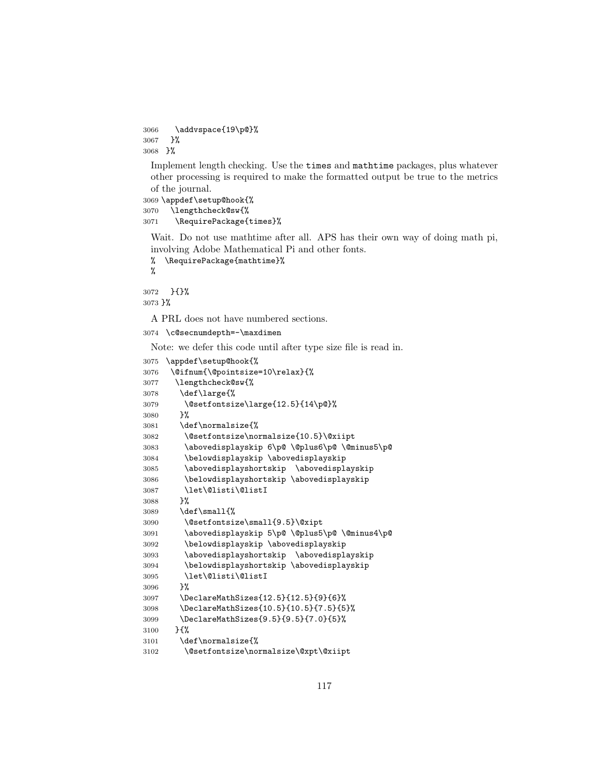```
3066 \addvspace{19\p@}%
3067 }%
3068 }%
```
Implement length checking. Use the times and mathtime packages, plus whatever other processing is required to make the formatted output be true to the metrics of the journal.

```
3069 \appdef\setup@hook{%
3070 \lengthcheck@sw{%
3071 \RequirePackage{times}%
```
Wait. Do not use mathtime after all. APS has their own way of doing math pi, involving Adobe Mathematical Pi and other fonts.

```
% \RequirePackage{mathtime}%
```
%

}{}%

}%

A PRL does not have numbered sections.

\c@secnumdepth=-\maxdimen

Note: we defer this code until after type size file is read in.

```
3075 \appdef\setup@hook{%
3076 \@ifnum{\@pointsize=10\relax}{%
3077 \lengthcheck@sw{%
3078 \def\large{%
3079 \@setfontsize\large{12.5}{14\p@}%
3080 }%
3081 \def\normalsize{%
3082 \@setfontsize\normalsize{10.5}\@xiipt
3083 \abovedisplayskip 6\p@ \@plus6\p@ \@minus5\p@
3084 \belowdisplayskip \abovedisplayskip
3085 \abovedisplayshortskip \abovedisplayskip
3086 \belowdisplayshortskip \abovedisplayskip
3087 \let\@listi\@listI<br>3088 }%
3088
3089 \def\small{%
3090 \@setfontsize\small{9.5}\@xipt
3091 \abovedisplayskip 5\p@ \@plus5\p@ \@minus4\p@
3092 \belowdisplayskip \abovedisplayskip
3093 \abovedisplayshortskip \abovedisplayskip
3094 \belowdisplayshortskip \abovedisplayskip
3095 \let\@listi\@listI
3096 }%
3097 \DeclareMathSizes{12.5}{12.5}{9}{6}%
3098 \DeclareMathSizes{10.5}{10.5}{7.5}{5}%
3099 \DeclareMathSizes{9.5}{9.5}{7.0}{5}%
3100 }{%
3101 \def\normalsize{%
3102 \@setfontsize\normalsize\@xpt\@xiipt
```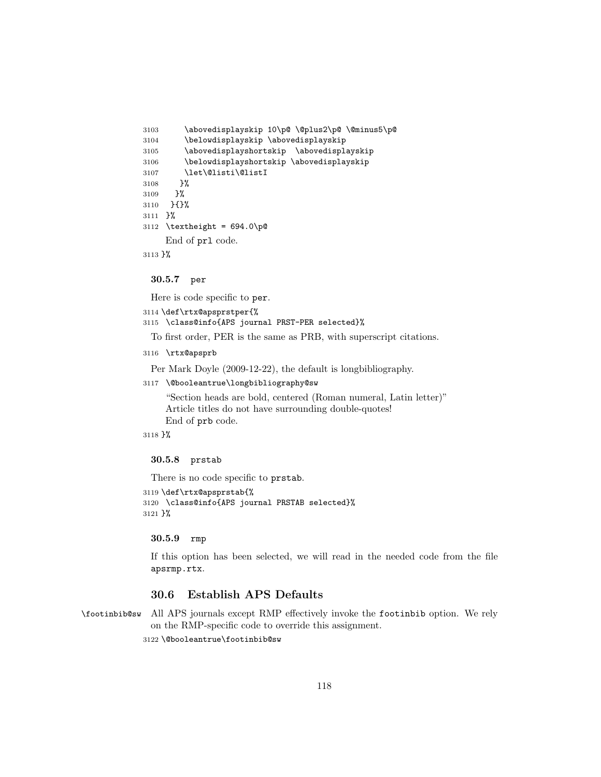```
3103 \abovedisplayskip 10\p@ \@plus2\p@ \@minus5\p@
3104 \belowdisplayskip \abovedisplayskip
3105 \abovedisplayshortskip \abovedisplayskip
3106 \belowdisplayshortskip \abovedisplayskip
3107 \let\@listi\@listI
3108 }%
3109 }%
3110 }{}%
3111 }%
3112 \textheight = 694.0\p@
    End of prl code.
```
3113 }%

30.5.7 per

Here is code specific to per.

```
3114 \def\rtx@apsprstper{%
```
3115 \class@info{APS journal PRST-PER selected}%

To first order, PER is the same as PRB, with superscript citations.

```
3116 \rtx@apsprb
```
Per Mark Doyle (2009-12-22), the default is longbibliography.

```
3117 \@booleantrue\longbibliography@sw
```
"Section heads are bold, centered (Roman numeral, Latin letter)" Article titles do not have surrounding double-quotes! End of prb code.

3118 }%

### 30.5.8 prstab

There is no code specific to prstab. 3119 \def\rtx@apsprstab{% 3120 \class@info{APS journal PRSTAB selected}% 3121 }%

#### 30.5.9 rmp

If this option has been selected, we will read in the needed code from the file apsrmp.rtx.

# <span id="page-117-0"></span>30.6 Establish APS Defaults

\footinbib@sw All APS journals except RMP effectively invoke the footinbib option. We rely on the RMP-specific code to override this assignment.

3122 \@booleantrue\footinbib@sw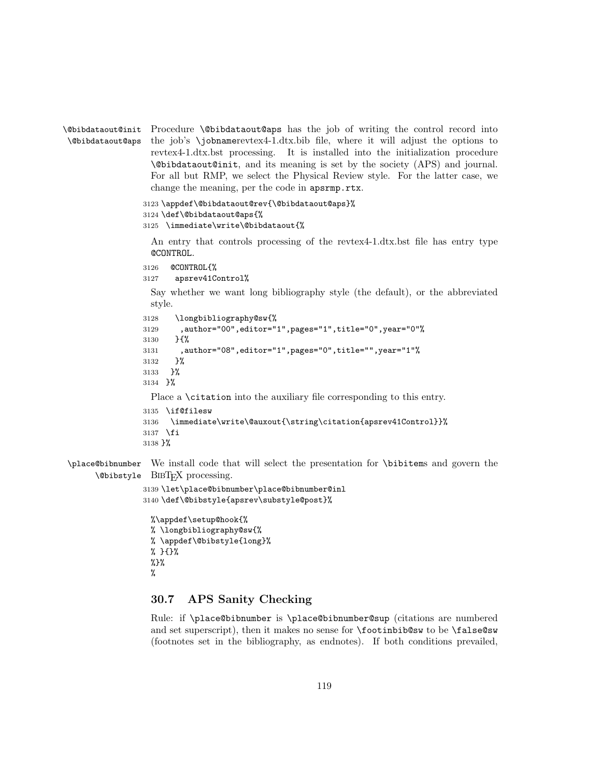```
\@bibdataout@init
Procedure \@bibdataout@aps has the job of writing the control record into
\@bibdataout@aps
                  the job's \jobnamerevtex4-1.dtx.bib file, where it will adjust the options to
                   revtex4-1.dtx.bst processing. It is installed into the initialization procedure
                   \@bibdataout@init, and its meaning is set by the society (APS) and journal.
                   For all but RMP, we select the Physical Review style. For the latter case, we
                   change the meaning, per the code in apsrmp.rtx.
                 3123 \appdef\@bibdataout@rev{\@bibdataout@aps}%
                 3124 \def\@bibdataout@aps{%
                 3125 \immediate\write\@bibdataout{%
                   An entry that controls processing of the revtex4-1.dtx.bst file has entry type
                   @CONTROL.
                 3126 @CONTROL{%
                 3127 apsrev41Control%
                   Say whether we want long bibliography style (the default), or the abbreviated
                  style.
                 3128 \longbibliography@sw{%
                 3129 ,author="00",editor="1",pages="1",title="0",year="0"%
                 3130 }{%
                 3131 ,author="08",editor="1",pages="0",title="",year="1"%
                 3132 }%
                 3133 }%
                 3134 }%
                  Place a \citation into the auxiliary file corresponding to this entry.
                 3135 \if@filesw
                 3136 \immediate\write\@auxout{\string\citation{apsrev41Control}}%
                 3137 \fi
                 3138 }%
\place@bibnumber
       \@bibstyle BIBTEX processing.
                 We install code that will select the presentation for \bibitems and govern the
                 3139 \let\place@bibnumber\place@bibnumber@inl
                 3140 \def\@bibstyle{apsrev\substyle@post}%
                   %\appdef\setup@hook{%
```

```
% \longbibliography@sw{%
% \appdef\@bibstyle{long}%
% }{}%
\frac{9}{2}%
%
```
# 30.7 APS Sanity Checking

Rule: if \place@bibnumber is \place@bibnumber@sup (citations are numbered and set superscript), then it makes no sense for \footinbib@sw to be \false@sw (footnotes set in the bibliography, as endnotes). If both conditions prevailed,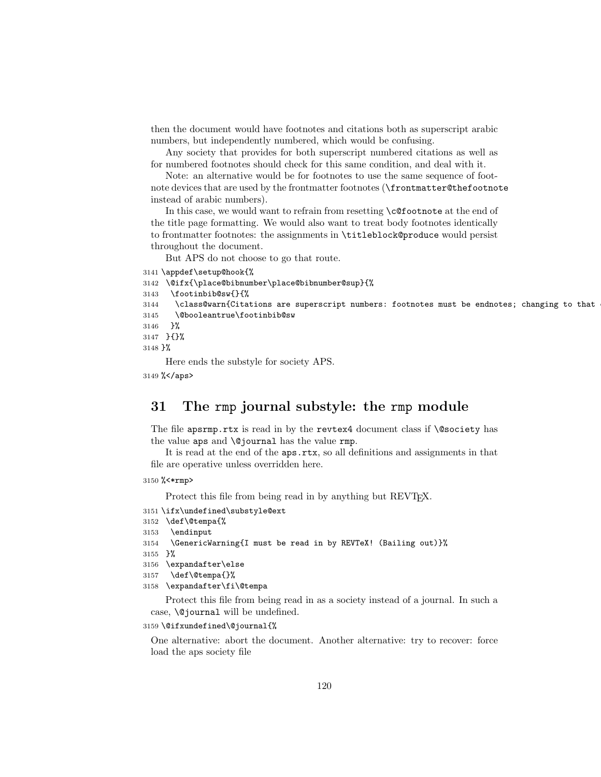then the document would have footnotes and citations both as superscript arabic numbers, but independently numbered, which would be confusing.

Any society that provides for both superscript numbered citations as well as for numbered footnotes should check for this same condition, and deal with it.

Note: an alternative would be for footnotes to use the same sequence of footnote devices that are used by the frontmatter footnotes (\frontmatter@thefootnote instead of arabic numbers).

In this case, we would want to refrain from resetting \c@footnote at the end of the title page formatting. We would also want to treat body footnotes identically to frontmatter footnotes: the assignments in \titleblock@produce would persist throughout the document.

But APS do not choose to go that route.

```
3141 \appdef\setup@hook{%
3142 \@ifx{\place@bibnumber\place@bibnumber@sup}{%
3143 \footinbib@sw{}{%
3144 \class@warn{Citations are superscript numbers: footnotes must be endnotes; changing to that
3145 \@booleantrue\footinbib@sw
3146 }%
3147 }{}%
3148 }%
```
Here ends the substyle for society APS. 3149 %</aps>

# 31 The rmp journal substyle: the rmp module

The file apsrmp.rtx is read in by the revtex4 document class if **\@society** has the value aps and \@journal has the value rmp.

It is read at the end of the aps.rtx, so all definitions and assignments in that file are operative unless overridden here.

### 3150 %<\*rmp>

Protect this file from being read in by anything but REVT<sub>F</sub>X.

```
3151 \ifx\undefined\substyle@ext
3152 \def\@tempa{%
3153 \endinput
3154 \GenericWarning{I must be read in by REVTeX! (Bailing out)}%
3155 }%
3156 \expandafter\else
3157 \def\@tempa{}%
3158 \expandafter\fi\@tempa
     Protect this file from being read in as a society instead of a journal. In such a
```
case, \@journal will be undefined.

```
3159 \@ifxundefined\@journal{%
```
One alternative: abort the document. Another alternative: try to recover: force load the aps society file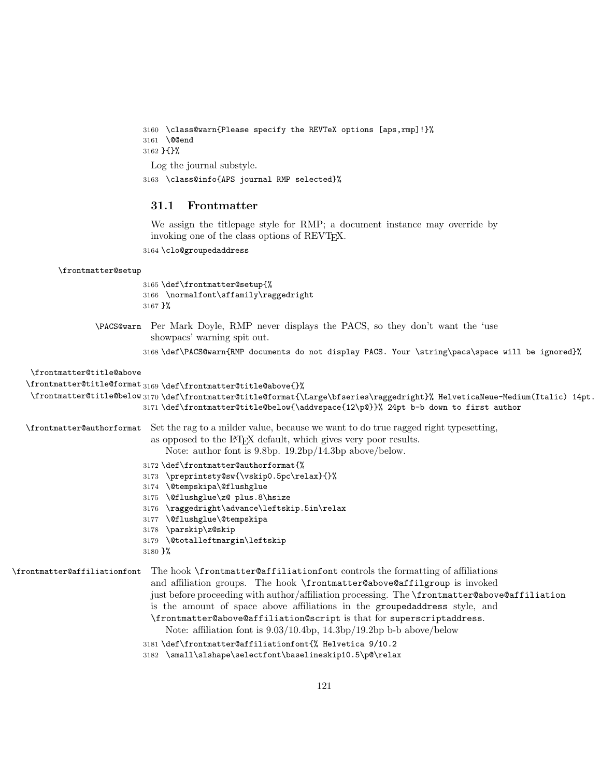```
3160 \class@warn{Please specify the REVTeX options [aps,rmp]!}%
3161 \@@end
3162 }{}%
 Log the journal substyle.
3163 \class@info{APS journal RMP selected}%
```
# 31.1 Frontmatter

We assign the titlepage style for RMP; a document instance may override by invoking one of the class options of REVT<sub>F</sub>X.

3164 \clo@groupedaddress

#### \frontmatter@setup

3165 \def\frontmatter@setup{% 3166 \normalfont\sffamily\raggedright 3167 }%

\PACS@warn Per Mark Doyle, RMP never displays the PACS, so they don't want the 'use showpacs' warning spit out.

3168 \def\PACS@warn{RMP documents do not display PACS. Your \string\pacs\space will be ignored}%

### \frontmatter@title@above

\frontmatter@title@format 3169 \def\frontmatter@title@above{}%

```
\frontmatter@title@below
3170 \def\frontmatter@title@format{\Large\bfseries\raggedright}% HelveticaNeue-Medium(Italic) 14pt.
                        3171 \def\frontmatter@title@below{\addvspace{12\p@}}% 24pt b-b down to first author
```
\frontmatter@authorformat Set the rag to a milder value, because we want to do true ragged right typesetting,

as opposed to the LATEX default, which gives very poor results.

Note: author font is 9.8bp. 19.2bp/14.3bp above/below.

- 3172 \def\frontmatter@authorformat{%
- 3173 \preprintsty@sw{\vskip0.5pc\relax}{}%
- 3174 \@tempskipa\@flushglue
- 3175 \@flushglue\z@ plus.8\hsize
- 3176 \raggedright\advance\leftskip.5in\relax
- 3177 \@flushglue\@tempskipa
- 3178 \parskip\z@skip
- 3179 \@totalleftmargin\leftskip
- 3180 }%

\frontmatter@affiliationfont The hook \frontmatter@affiliationfont controls the formatting of affiliations and affiliation groups. The hook \frontmatter@above@affilgroup is invoked just before proceeding with author/affiliation processing. The \frontmatter@above@affiliation is the amount of space above affiliations in the groupedaddress style, and \frontmatter@above@affiliation@script is that for superscriptaddress. Note: affiliation font is 9.03/10.4bp, 14.3bp/19.2bp b-b above/below 3181 \def\frontmatter@affiliationfont{% Helvetica 9/10.2

```
3182 \small\slshape\selectfont\baselineskip10.5\p@\relax
```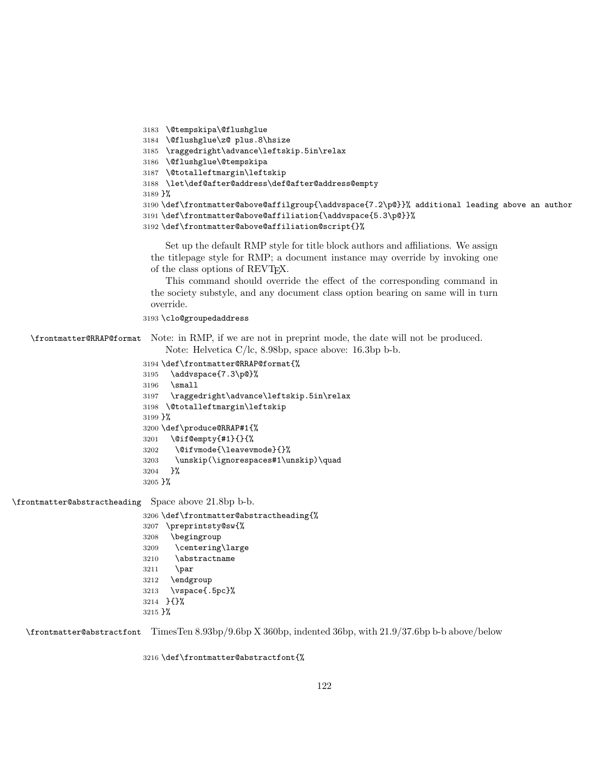```
3183 \@tempskipa\@flushglue
3184 \@flushglue\z@ plus.8\hsize
3185 \raggedright\advance\leftskip.5in\relax
3186 \@flushglue\@tempskipa
3187 \@totalleftmargin\leftskip
3188 \let\def@after@address\def@after@address@empty
3189 }%
3190 \def\frontmatter@above@affilgroup{\addvspace{7.2\p@}}% additional leading above an author
3191 \def\frontmatter@above@affiliation{\addvspace{5.3\p@}}%
3192 \def\frontmatter@above@affiliation@script{}%
```
Set up the default RMP style for title block authors and affiliations. We assign the titlepage style for RMP; a document instance may override by invoking one of the class options of REVTEX.

This command should override the effect of the corresponding command in the society substyle, and any document class option bearing on same will in turn override.

\clo@groupedaddress

\frontmatter@RRAP@format Note: in RMP, if we are not in preprint mode, the date will not be produced. Note: Helvetica C/lc, 8.98bp, space above: 16.3bp b-b.

```
3194 \def\frontmatter@RRAP@format{%
3195 \addvspace{7.3\p@}%
3196 \small
3197 \raggedright\advance\leftskip.5in\relax
3198 \@totalleftmargin\leftskip
3199 }%
3200 \def\produce@RRAP#1{%
3201 \@if@empty{#1}{}{%
3202 \@ifvmode{\leavevmode}{}%
3203 \unskip(\ignorespaces#1\unskip)\quad
3204 }%
3205 }%
```
\frontmatter@abstractheading Space above 21.8bp b-b.

```
3206 \def\frontmatter@abstractheading{%
3207 \preprintsty@sw{%
3208 \begingroup
3209 \centering\large
3210 \abstractname
3211 \par
3212 \endgroup
3213 \vspace{.5pc}%
3214 }{}%
3215 }%
```
\frontmatter@abstractfont TimesTen 8.93bp/9.6bp X 360bp, indented 36bp, with 21.9/37.6bp b-b above/below

\def\frontmatter@abstractfont{%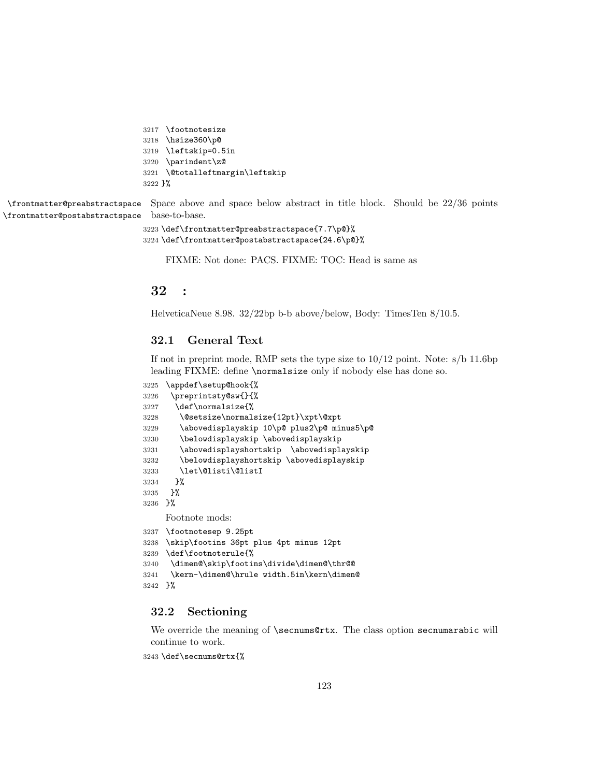```
3217 \footnotesize
3218 \hsize360\p@
3219 \leftskip=0.5in
3220 \parindent\z@
3221 \@totalleftmargin\leftskip
3222 }%
```
\frontmatter@preabstractspace \frontmatter@postabstractspace Space above and space below abstract in title block. Should be 22/36 points base-to-base.

```
3223 \def\frontmatter@preabstractspace{7.7\p@}%
3224 \def\frontmatter@postabstractspace{24.6\p@}%
```
FIXME: Not done: PACS. FIXME: TOC: Head is same as

# 32 :

HelveticaNeue 8.98. 32/22bp b-b above/below, Body: TimesTen 8/10.5.

# 32.1 General Text

If not in preprint mode, RMP sets the type size to  $10/12$  point. Note:  $s/b$  11.6bp leading FIXME: define \normalsize only if nobody else has done so.

```
3225 \appdef\setup@hook{%
3226 \preprintsty@sw{}{%
3227 \def\normalsize{%
3228 \@setsize\normalsize{12pt}\xpt\@xpt
3229 \abovedisplayskip 10\p@ plus2\p@ minus5\p@
3230 \belowdisplayskip \abovedisplayskip
3231 \abovedisplayshortskip \abovedisplayskip
3232 \belowdisplayshortskip \abovedisplayskip
3233 \let\@listi\@listI
3234 }%
3235 }%
3236 }%
    Footnote mods:
3237 \footnotesep 9.25pt
3238 \skip\footins 36pt plus 4pt minus 12pt
3239 \def\footnoterule{%
3240 \dimen@\skip\footins\divide\dimen@\thr@@
3241 \kern-\dimen@\hrule width.5in\kern\dimen@
3242 }%
```
## 32.2 Sectioning

We override the meaning of **\secnums@rtx**. The class option secnumarabic will continue to work.

\def\secnums@rtx{%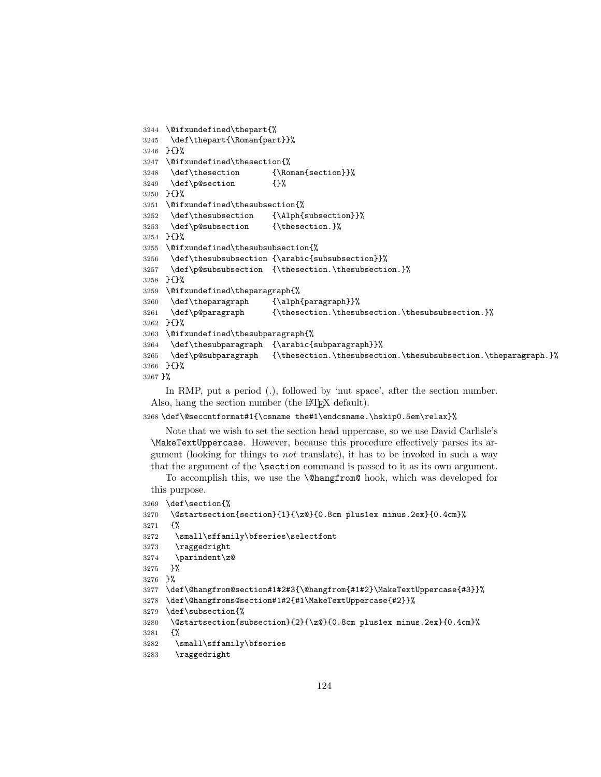```
3244 \@ifxundefined\thepart{%
3245 \def\thepart{\Roman{part}}%
3246 }{}%
3247 \@ifxundefined\thesection{%
3248 \def\thesection {\Roman{section}}%
3249 \def\p@section {}%
3250 }{}%
3251 \@ifxundefined\thesubsection{%
3252 \def\thesubsection {\Alph{subsection}}%
3253 \def\p@subsection {\thesection.}%
3254 }{}%
3255 \@ifxundefined\thesubsubsection{%
3256 \def\thesubsubsection {\arabic{subsubsection}}%
3257 \def\p@subsubsection {\thesection.\thesubsection.}%
3258 }{}%
3259 \@ifxundefined\theparagraph{%
3260 \def\theparagraph {\alph{paragraph}}%
3261 \def\p@paragraph {\thesection.\thesubsection.\thesubsubsection.}%
3262 }{}%
3263 \@ifxundefined\thesubparagraph{%
3264 \def\thesubparagraph {\arabic{subparagraph}}%
3265 \def\p@subparagraph {\thesection.\thesubsection.\thesubsubsection.\theparagraph.}%
3266 }{}%
3267 }%
```
In RMP, put a period (.), followed by 'nut space', after the section number. Also, hang the section number (the LAT<sub>EX</sub> default).

```
3268 \def\@seccntformat#1{\csname the#1\endcsname.\hskip0.5em\relax}%
```
Note that we wish to set the section head uppercase, so we use David Carlisle's \MakeTextUppercase. However, because this procedure effectively parses its argument (looking for things to not translate), it has to be invoked in such a way that the argument of the \section command is passed to it as its own argument.

To accomplish this, we use the \@hangfrom@ hook, which was developed for this purpose.

```
3269 \def\section{%
3270 \@startsection{section}{1}{\z@}{0.8cm plus1ex minus.2ex}{0.4cm}%
3271 {%
3272 \small\sffamily\bfseries\selectfont
3273 \raggedright
3274 \parindent\z@
3275 }%
3276 }%
3277 \def\@hangfrom@section#1#2#3{\@hangfrom{#1#2}\MakeTextUppercase{#3}}%
```
\def\@hangfroms@section#1#2{#1\MakeTextUppercase{#2}}%

```
3279 \def\subsection{%
```

```
3280 \@startsection{subsection}{2}{\z@}{0.8cm plus1ex minus.2ex}{0.4cm}%
```

```
3281 {%
```
\small\sffamily\bfseries

```
3283 \raggedright
```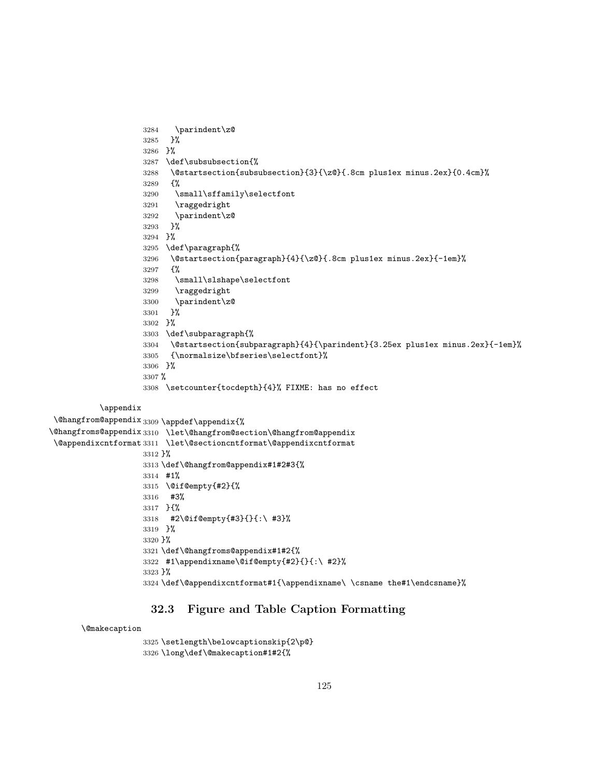```
3284 \parindent\z@
                    3285 }%
                    3286 }%
                    3287 \def\subsubsection{%
                    3288 \@startsection{subsubsection}{3}{\z@}{.8cm plus1ex minus.2ex}{0.4cm}%
                    3289 {%
                    3290 \small\sffamily\selectfont
                    3291 \raggedright
                    3292 \parindent\z@
                    3293 }%
                    3294 }%
                    3295 \def\paragraph{%
                    3296 \@startsection{paragraph}{4}{\z@}{.8cm plus1ex minus.2ex}{-1em}%
                    3297 {%
                    3298 \small\slshape\selectfont
                    3299 \raggedright
                    3300 \parindent\z@
                    3301 }%
                    3302 }%
                    3303 \def\subparagraph{%
                    3304 \@startsection{subparagraph}{4}{\parindent}{3.25ex plus1ex minus.2ex}{-1em}%
                    3305 {\normalsize\bfseries\selectfont}%
                    3306 }%
                    3307 %
                    3308 \setcounter{tocdepth}{4}% FIXME: has no effect
          \appendix
 \@hangfrom@appendix
3309 \appdef\appendix{%
\@hangfroms@appendix
3310 \let\@hangfrom@section\@hangfrom@appendix
 \@appendixcntformat
3311 \let\@sectioncntformat\@appendixcntformat
                    3312 }%
                    3313 \def\@hangfrom@appendix#1#2#3{%
                    3314 #1%
```
# 32.3 Figure and Table Caption Formatting

#1\appendixname\@if@empty{#2}{}{:\ #2}%

#### \@makecaption

```
3325 \setlength\belowcaptionskip{2\p@}
3326 \long\def\@makecaption#1#2{%
```
\@if@empty{#2}{%

#2\@if@empty{#3}{}{:\ #3}%

\def\@hangfroms@appendix#1#2{%

 #3% }{%

 }% }%

}%

\def\@appendixcntformat#1{\appendixname\ \csname the#1\endcsname}%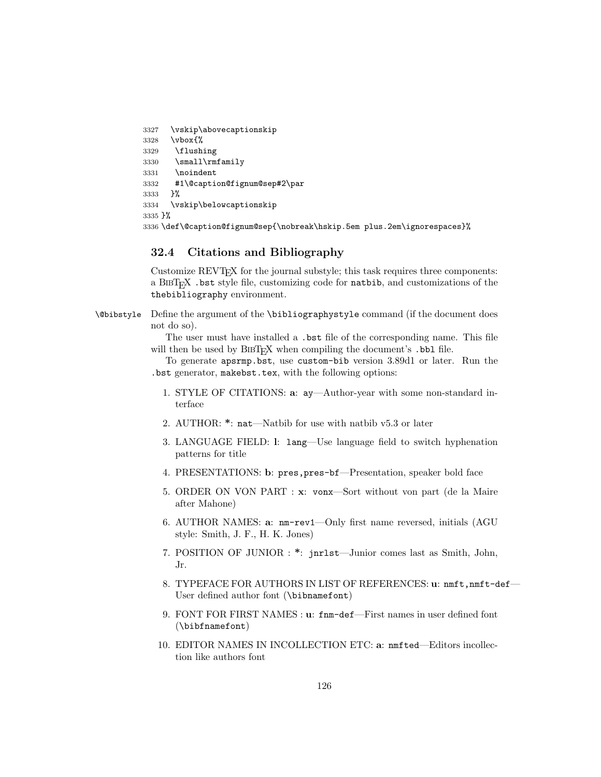```
3327 \vskip\abovecaptionskip
3328 \vbox{%
3329 \flushing
3330 \small\rmfamily
3331 \noindent
3332 #1\@caption@fignum@sep#2\par
3333 }%
3334 \vskip\belowcaptionskip
3335 }%
3336 \def\@caption@fignum@sep{\nobreak\hskip.5em plus.2em\ignorespaces}%
```
# 32.4 Citations and Bibliography

Customize REVTEX for the journal substyle; this task requires three components: a BibTEX .bst style file, customizing code for natbib, and customizations of the thebibliography environment.

\@bibstyle Define the argument of the \bibliographystyle command (if the document does not do so).

> The user must have installed a .bst file of the corresponding name. This file will then be used by  $BIBT_FX$  when compiling the document's .bbl file.

> To generate apsrmp.bst, use custom-bib version 3.89d1 or later. Run the .bst generator, makebst.tex, with the following options:

- 1. STYLE OF CITATIONS: a: ay—Author-year with some non-standard interface
- 2. AUTHOR: \*: nat—Natbib for use with natbib v5.3 or later
- 3. LANGUAGE FIELD: l: lang—Use language field to switch hyphenation patterns for title
- 4. PRESENTATIONS: b: pres,pres-bf—Presentation, speaker bold face
- 5. ORDER ON VON PART : x: vonx—Sort without von part (de la Maire after Mahone)
- 6. AUTHOR NAMES: a: nm-rev1—Only first name reversed, initials (AGU style: Smith, J. F., H. K. Jones)
- 7. POSITION OF JUNIOR : \*: jnrlst—Junior comes last as Smith, John, Jr.
- 8. TYPEFACE FOR AUTHORS IN LIST OF REFERENCES: u: nmft,nmft-def-User defined author font (\bibnamefont)
- 9. FONT FOR FIRST NAMES : u: fnm-def—First names in user defined font (\bibfnamefont)
- 10. EDITOR NAMES IN INCOLLECTION ETC: a: nmfted—Editors incollection like authors font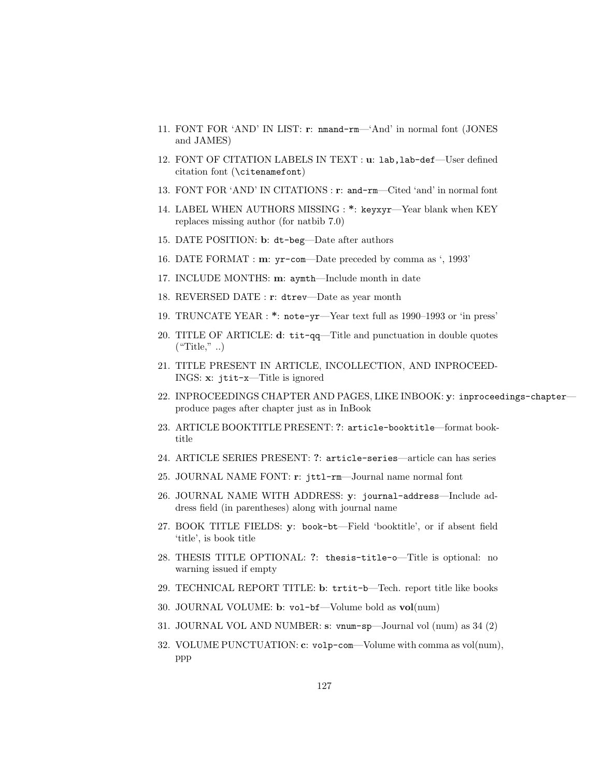- 11. FONT FOR 'AND' IN LIST: r: nmand-rm—'And' in normal font (JONES and JAMES)
- 12. FONT OF CITATION LABELS IN TEXT : u: lab,lab-def—User defined citation font (\citenamefont)
- 13. FONT FOR 'AND' IN CITATIONS : r: and-rm—Cited 'and' in normal font
- 14. LABEL WHEN AUTHORS MISSING : \*: keyxyr—Year blank when KEY replaces missing author (for natbib 7.0)
- 15. DATE POSITION: b: dt-beg—Date after authors
- 16. DATE FORMAT : m: yr-com—Date preceded by comma as ', 1993'
- 17. INCLUDE MONTHS: m: aymth—Include month in date
- 18. REVERSED DATE : r: dtrev—Date as year month
- 19. TRUNCATE YEAR : \*: note-yr—Year text full as 1990–1993 or 'in press'
- 20. TITLE OF ARTICLE: d: tit-qq—Title and punctuation in double quotes  $("Title", ...)$
- 21. TITLE PRESENT IN ARTICLE, INCOLLECTION, AND INPROCEED-INGS: x: jtit-x—Title is ignored
- 22. INPROCEEDINGS CHAPTER AND PAGES, LIKE INBOOK: y: inproceedings-chapter produce pages after chapter just as in InBook
- 23. ARTICLE BOOKTITLE PRESENT: ?: article-booktitle—format booktitle
- 24. ARTICLE SERIES PRESENT: ?: article-series—article can has series
- 25. JOURNAL NAME FONT: r: jttl-rm—Journal name normal font
- 26. JOURNAL NAME WITH ADDRESS: y: journal-address—Include address field (in parentheses) along with journal name
- 27. BOOK TITLE FIELDS: y: book-bt—Field 'booktitle', or if absent field 'title', is book title
- 28. THESIS TITLE OPTIONAL: ?: thesis-title-o—Title is optional: no warning issued if empty
- 29. TECHNICAL REPORT TITLE: b: trtit-b—Tech. report title like books
- 30. JOURNAL VOLUME: b: vol-bf—Volume bold as vol(num)
- 31. JOURNAL VOL AND NUMBER: s: vnum-sp—Journal vol (num) as 34 (2)
- 32. VOLUME PUNCTUATION: c: volp-com—Volume with comma as vol(num), ppp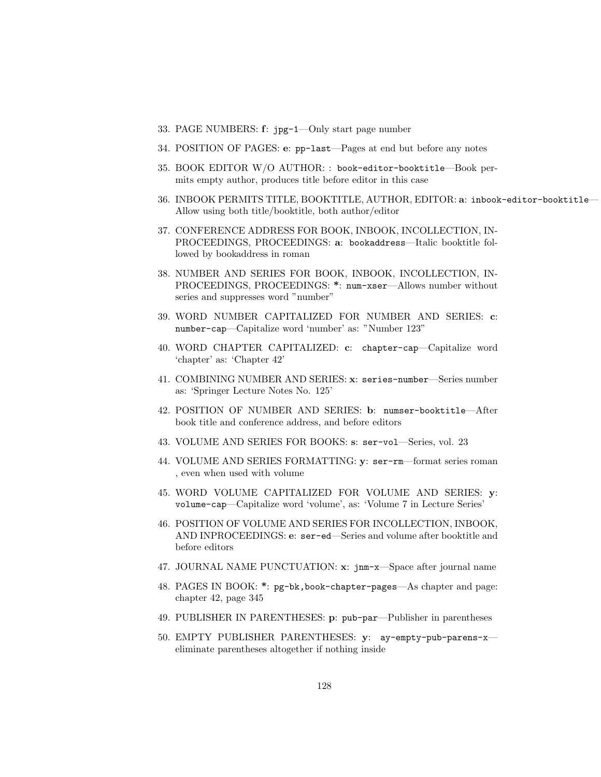- 33. PAGE NUMBERS: f: jpg-1—Only start page number
- 34. POSITION OF PAGES: e: pp-last—Pages at end but before any notes
- 35. BOOK EDITOR W/O AUTHOR: : book-editor-booktitle—Book permits empty author, produces title before editor in this case
- 36. INBOOK PERMITS TITLE, BOOKTITLE, AUTHOR, EDITOR: a: inbook-editor-booktitle— Allow using both title/booktitle, both author/editor
- 37. CONFERENCE ADDRESS FOR BOOK, INBOOK, INCOLLECTION, IN-PROCEEDINGS, PROCEEDINGS: a: bookaddress—Italic booktitle followed by bookaddress in roman
- 38. NUMBER AND SERIES FOR BOOK, INBOOK, INCOLLECTION, IN-PROCEEDINGS, PROCEEDINGS: \*: num-xser—Allows number without series and suppresses word "number"
- 39. WORD NUMBER CAPITALIZED FOR NUMBER AND SERIES: c: number-cap—Capitalize word 'number' as: "Number 123"
- 40. WORD CHAPTER CAPITALIZED: c: chapter-cap—Capitalize word 'chapter' as: 'Chapter 42'
- 41. COMBINING NUMBER AND SERIES: x: series-number—Series number as: 'Springer Lecture Notes No. 125'
- 42. POSITION OF NUMBER AND SERIES: b: numser-booktitle—After book title and conference address, and before editors
- 43. VOLUME AND SERIES FOR BOOKS: s: ser-vol—Series, vol. 23
- 44. VOLUME AND SERIES FORMATTING: y: ser-rm—format series roman , even when used with volume
- 45. WORD VOLUME CAPITALIZED FOR VOLUME AND SERIES: y: volume-cap—Capitalize word 'volume', as: 'Volume 7 in Lecture Series'
- 46. POSITION OF VOLUME AND SERIES FOR INCOLLECTION, INBOOK, AND INPROCEEDINGS: e: ser-ed—Series and volume after booktitle and before editors
- 47. JOURNAL NAME PUNCTUATION: x: jnm-x—Space after journal name
- 48. PAGES IN BOOK: \*: pg-bk,book-chapter-pages—As chapter and page: chapter 42, page 345
- 49. PUBLISHER IN PARENTHESES: p: pub-par—Publisher in parentheses
- 50. EMPTY PUBLISHER PARENTHESES: y: ay-empty-pub-parens-x eliminate parentheses altogether if nothing inside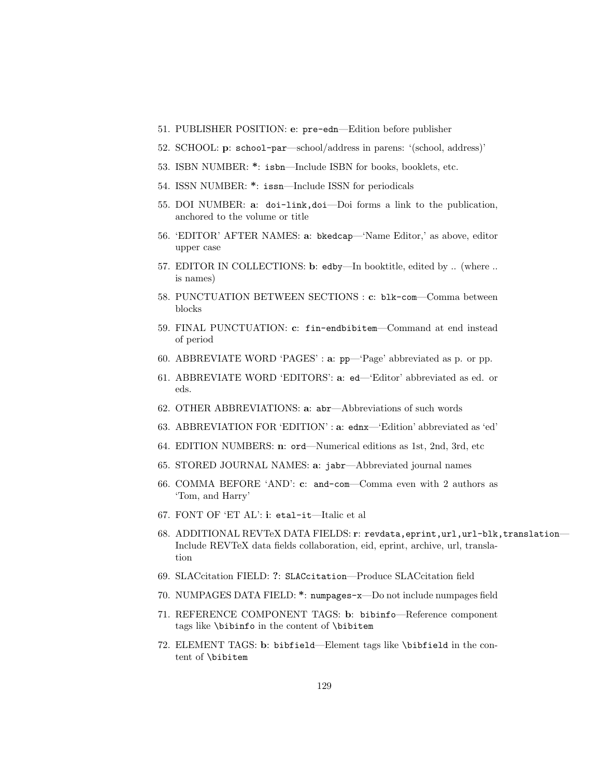- 51. PUBLISHER POSITION: e: pre-edn—Edition before publisher
- 52. SCHOOL: p: school-par—school/address in parens: '(school, address)'
- 53. ISBN NUMBER: \*: isbn—Include ISBN for books, booklets, etc.
- 54. ISSN NUMBER: \*: issn—Include ISSN for periodicals
- 55. DOI NUMBER: a: doi-link,doi—Doi forms a link to the publication, anchored to the volume or title
- 56. 'EDITOR' AFTER NAMES: a: bkedcap—'Name Editor,' as above, editor upper case
- 57. EDITOR IN COLLECTIONS: b: edby—In booktitle, edited by .. (where .. is names)
- 58. PUNCTUATION BETWEEN SECTIONS : c: blk-com—Comma between blocks
- 59. FINAL PUNCTUATION: c: fin-endbibitem—Command at end instead of period
- 60. ABBREVIATE WORD 'PAGES' : a: pp—'Page' abbreviated as p. or pp.
- 61. ABBREVIATE WORD 'EDITORS': a: ed—'Editor' abbreviated as ed. or eds.
- 62. OTHER ABBREVIATIONS: a: abr—Abbreviations of such words
- 63. ABBREVIATION FOR 'EDITION' : a: ednx—'Edition' abbreviated as 'ed'
- 64. EDITION NUMBERS: n: ord—Numerical editions as 1st, 2nd, 3rd, etc
- 65. STORED JOURNAL NAMES: a: jabr—Abbreviated journal names
- 66. COMMA BEFORE 'AND': c: and-com—Comma even with 2 authors as 'Tom, and Harry'
- 67. FONT OF 'ET AL': i: etal-it—Italic et al
- 68. ADDITIONAL REVTeX DATA FIELDS: r: revdata,eprint,url,url-blk,translation— Include REVTeX data fields collaboration, eid, eprint, archive, url, translation
- 69. SLACcitation FIELD: ?: SLACcitation—Produce SLACcitation field
- 70. NUMPAGES DATA FIELD: \*: numpages-x—Do not include numpages field
- 71. REFERENCE COMPONENT TAGS: b: bibinfo—Reference component tags like \bibinfo in the content of \bibitem
- 72. ELEMENT TAGS: b: bibfield—Element tags like \bibfield in the content of \bibitem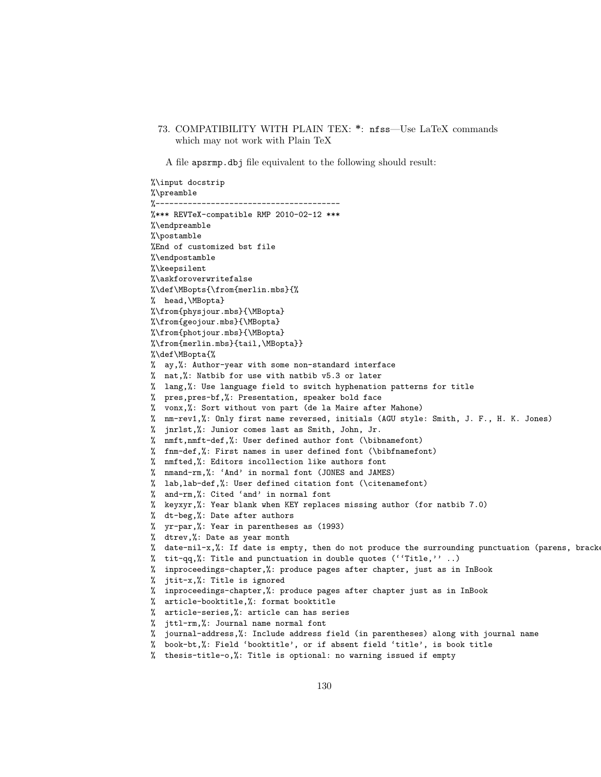73. COMPATIBILITY WITH PLAIN TEX: \*: nfss—Use LaTeX commands which may not work with Plain TeX

A file apsrmp.dbj file equivalent to the following should result:

%\input docstrip %\preamble<br>%------------%---------------------------------------- %\*\*\* REVTeX-compatible RMP 2010-02-12 \*\*\* %\endpreamble %\postamble %End of customized bst file %\endpostamble %\keepsilent %\askforoverwritefalse %\def\MBopts{\from{merlin.mbs}{% % head,\MBopta} %\from{physjour.mbs}{\MBopta} %\from{geojour.mbs}{\MBopta} %\from{photjour.mbs}{\MBopta} %\from{merlin.mbs}{tail,\MBopta}} %\def\MBopta{% % ay,%: Author-year with some non-standard interface % nat,%: Natbib for use with natbib v5.3 or later % lang,%: Use language field to switch hyphenation patterns for title % pres,pres-bf,%: Presentation, speaker bold face % vonx,%: Sort without von part (de la Maire after Mahone) % nm-rev1,%: Only first name reversed, initials (AGU style: Smith, J. F., H. K. Jones) % jnrlst,%: Junior comes last as Smith, John, Jr. % nmft,nmft-def,%: User defined author font (\bibnamefont) % fnm-def,%: First names in user defined font (\bibfnamefont) % nmfted,%: Editors incollection like authors font % nmand-rm,%: 'And' in normal font (JONES and JAMES) % lab,lab-def,%: User defined citation font (\citenamefont) % and-rm,%: Cited 'and' in normal font % keyxyr,%: Year blank when KEY replaces missing author (for natbib 7.0) % dt-beg,%: Date after authors % yr-par,%: Year in parentheses as (1993) % dtrev,%: Date as year month % date-nil-x,%: If date is empty, then do not produce the surrounding punctuation (parens, brackets, colon, comma) % tit-qq,%: Title and punctuation in double quotes  $('Title, ''.')$ . % inproceedings-chapter,%: produce pages after chapter, just as in InBook % jtit-x,%: Title is ignored % inproceedings-chapter,%: produce pages after chapter just as in InBook % article-booktitle,%: format booktitle % article-series,%: article can has series % jttl-rm,%: Journal name normal font % journal-address,%: Include address field (in parentheses) along with journal name % book-bt,%: Field 'booktitle', or if absent field 'title', is book title % thesis-title-o,%: Title is optional: no warning issued if empty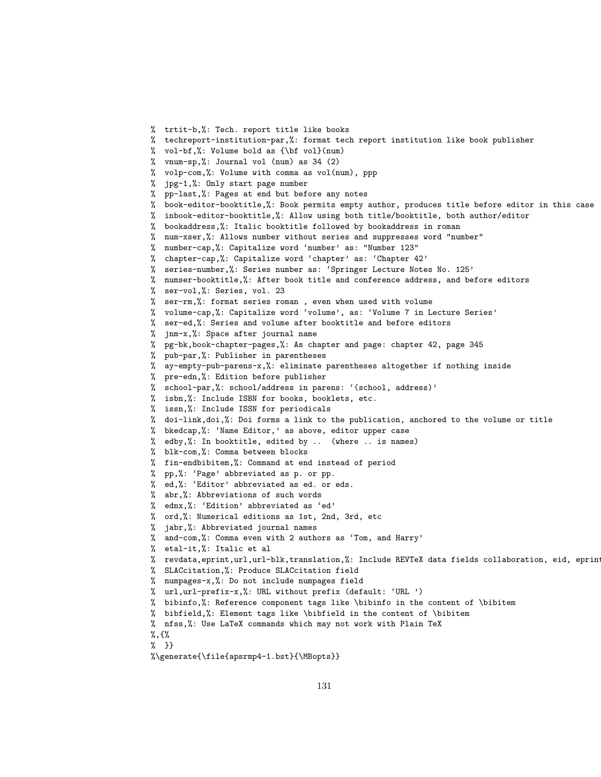```
% trtit-b,%: Tech. report title like books
```
- % techreport-institution-par,%: format tech report institution like book publisher
- % vol-bf,%: Volume bold as {\bf vol}(num)
- % vnum-sp,%: Journal vol (num) as 34 (2)
- % volp-com,%: Volume with comma as vol(num), ppp
- % jpg-1,%: Only start page number
- % pp-last,%: Pages at end but before any notes
- % book-editor-booktitle,%: Book permits empty author, produces title before editor in this case
- % inbook-editor-booktitle,%: Allow using both title/booktitle, both author/editor
- % bookaddress,%: Italic booktitle followed by bookaddress in roman
- % num-xser,%: Allows number without series and suppresses word "number"
- % number-cap,%: Capitalize word 'number' as: "Number 123"
- % chapter-cap,%: Capitalize word 'chapter' as: 'Chapter 42'
- % series-number,%: Series number as: 'Springer Lecture Notes No. 125'
- % numser-booktitle,%: After book title and conference address, and before editors
- % ser-vol,%: Series, vol. 23
- % ser-rm,%: format series roman , even when used with volume
- % volume-cap,%: Capitalize word 'volume', as: 'Volume 7 in Lecture Series'
- % ser-ed,%: Series and volume after booktitle and before editors
- % jnm-x,%: Space after journal name
- % pg-bk,book-chapter-pages,%: As chapter and page: chapter 42, page 345
- % pub-par,%: Publisher in parentheses
- % ay-empty-pub-parens-x,%: eliminate parentheses altogether if nothing inside
- % pre-edn,%: Edition before publisher
- % school-par,%: school/address in parens: '(school, address)'
- % isbn,%: Include ISBN for books, booklets, etc.
- % issn,%: Include ISSN for periodicals
- % doi-link,doi,%: Doi forms a link to the publication, anchored to the volume or title
- % bkedcap,%: 'Name Editor,' as above, editor upper case
- % edby,%: In booktitle, edited by .. (where .. is names)
- % blk-com,%: Comma between blocks
- % fin-endbibitem,%: Command at end instead of period
- % pp,%: 'Page' abbreviated as p. or pp.
- % ed,%: 'Editor' abbreviated as ed. or eds.
- % abr,%: Abbreviations of such words
- % ednx,%: 'Edition' abbreviated as 'ed'
- % ord,%: Numerical editions as 1st, 2nd, 3rd, etc
- % jabr,%: Abbreviated journal names
- % and-com,%: Comma even with 2 authors as 'Tom, and Harry'
- % etal-it,%: Italic et al

```
% revdata, eprint, url, url-blk, translation, %: Include REVTeX data fields collaboration, eid, eprin
```
- % SLACcitation,%: Produce SLACcitation field
- % numpages-x,%: Do not include numpages field
- % url,url-prefix-x,%: URL without prefix (default: 'URL ')
- % bibinfo,%: Reference component tags like \bibinfo in the content of \bibitem
- % bibfield,%: Element tags like \bibfield in the content of \bibitem
- % nfss,%: Use LaTeX commands which may not work with Plain TeX
- %,{%
- % }}

```
%\generate{\file{apsrmp4-1.bst}{\MBopts}}
```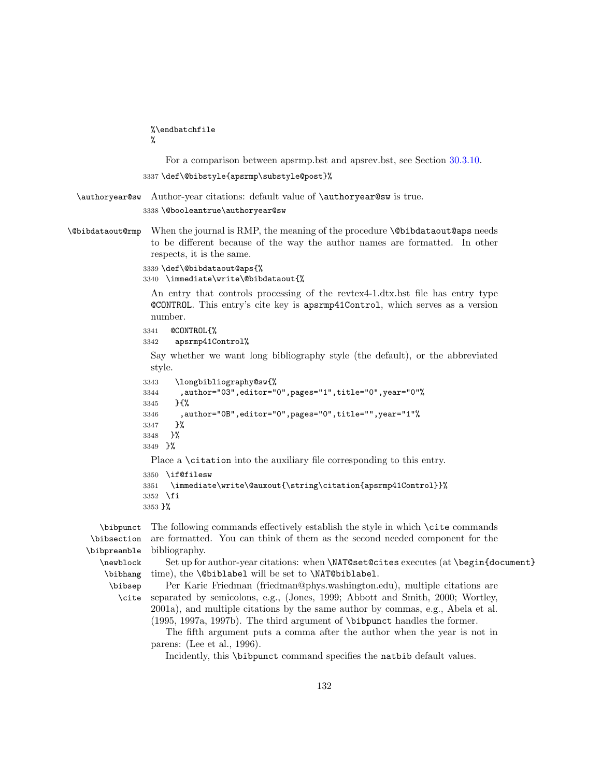<span id="page-131-0"></span>%\endbatchfile

%

For a comparison between apsrmp.bst and apsrev.bst, see Section [30.3.10.](#page-110-0)

3337 \def\@bibstyle{apsrmp\substyle@post}%

\authoryear@sw Author-year citations: default value of \authoryear@sw is true.

3338 \@booleantrue\authoryear@sw

\@bibdataout@rmp When the journal is RMP, the meaning of the procedure \@bibdataout@aps needs to be different because of the way the author names are formatted. In other respects, it is the same.

3339 \def\@bibdataout@aps{%

3340 \immediate\write\@bibdataout{%

An entry that controls processing of the revtex4-1.dtx.bst file has entry type @CONTROL. This entry's cite key is apsrmp41Control, which serves as a version number.

```
3341 @CONTROL{%
```

```
3342 apsrmp41Control%
```
Say whether we want long bibliography style (the default), or the abbreviated style.

```
3343 \longbibliography@sw{%
3344 ,author="03",editor="0",pages="1",title="0",year="0"%
3345 }{%
3346 ,author="0B",editor="0",pages="0",title="",year="1"%
3347 }%
3348 }%
3349 }%
 Place a \citation into the auxiliary file corresponding to this entry.
3350 \if@filesw
3351 \immediate\write\@auxout{\string\citation{apsrmp41Control}}%
3352 \fi
3353 }%
```
\bibpunct \bibsection \bibpreamble \newblock \bibhang \bibsep

The following commands effectively establish the style in which \cite commands are formatted. You can think of them as the second needed component for the bibliography.

Set up for author-year citations: when \NAT@set@cites executes (at \begin{document} time), the **\@biblabel** will be set to **\NAT@biblabel**.

\cite Per Karie Friedman (friedman@phys.washington.edu), multiple citations are separated by semicolons, e.g., (Jones, 1999; Abbott and Smith, 2000; Wortley, 2001a), and multiple citations by the same author by commas, e.g., Abela et al. (1995, 1997a, 1997b). The third argument of \bibpunct handles the former.

The fifth argument puts a comma after the author when the year is not in parens: (Lee et al., 1996).

Incidently, this \bibpunct command specifies the natbib default values.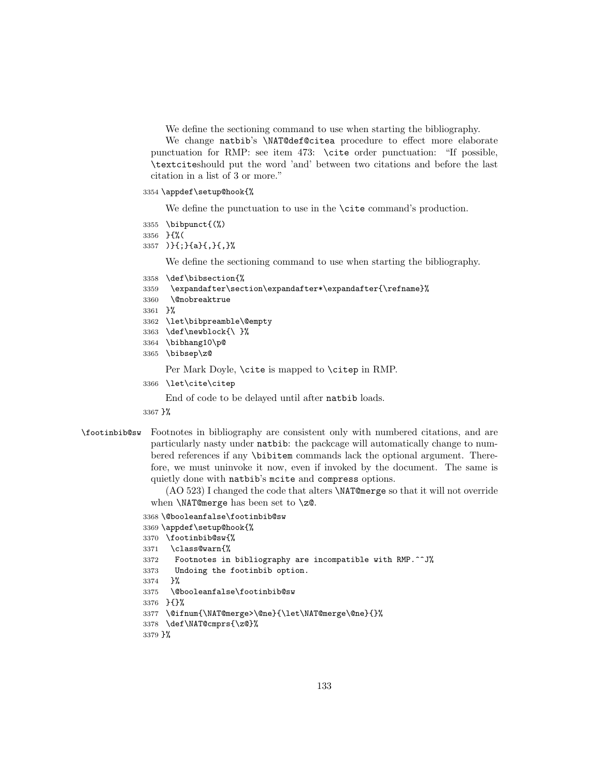We define the sectioning command to use when starting the bibliography.

We change natbib's \NAT@def@citea procedure to effect more elaborate punctuation for RMP: see item 473: \cite order punctuation: "If possible, \textciteshould put the word 'and' between two citations and before the last citation in a list of 3 or more."

```
3354 \appdef\setup@hook{%
```
We define the punctuation to use in the **\cite** command's production.

```
3355 \bibpunct{(%)
```

```
3356 }{%(
```
)}{;}{a}{,}{,}%

We define the sectioning command to use when starting the bibliography.

```
3358 \def\bibsection{%
```

```
3359 \expandafter\section\expandafter*\expandafter{\refname}%
```

```
3360 \@nobreaktrue
```
}%

- \let\bibpreamble\@empty
- \def\newblock{\ }%
- \bibhang10\p@
- \bibsep\z@

Per Mark Doyle, \cite is mapped to \citep in RMP.

\let\cite\citep

End of code to be delayed until after natbib loads.

}%

\footinbib@sw Footnotes in bibliography are consistent only with numbered citations, and are particularly nasty under natbib: the packcage will automatically change to numbered references if any \bibitem commands lack the optional argument. Therefore, we must uninvoke it now, even if invoked by the document. The same is quietly done with natbib's mcite and compress options.

> (AO 523) I changed the code that alters \NAT@merge so that it will not override when **\NAT@merge** has been set to **\z@**.

```
3368 \@booleanfalse\footinbib@sw
3369 \appdef\setup@hook{%
3370 \footinbib@sw{%
3371 \class@warn{%
3372 Footnotes in bibliography are incompatible with RMP.^^J%
3373 Undoing the footinbib option.
3374 }%
3375 \@booleanfalse\footinbib@sw
3376 }{}%
3377 \@ifnum{\NAT@merge>\@ne}{\let\NAT@merge\@ne}{}%
3378 \def\NAT@cmprs{\z@}%
3379 }%
```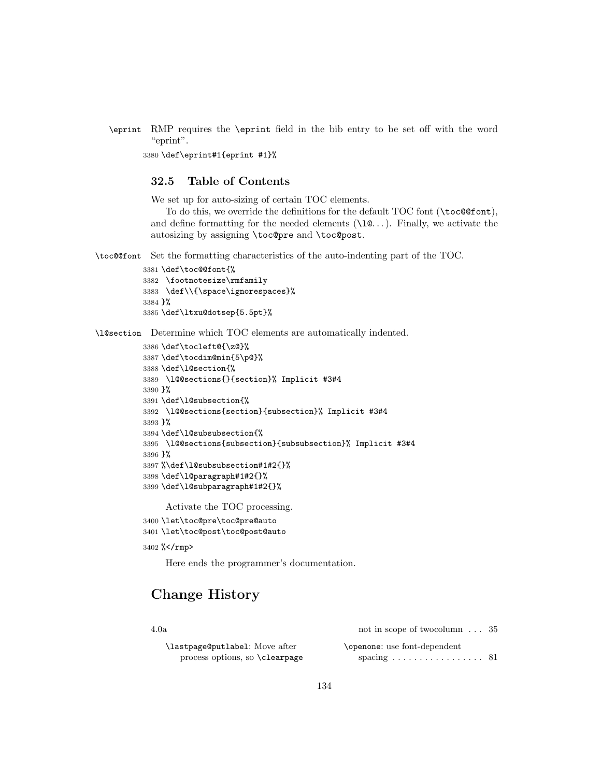\eprint RMP requires the \eprint field in the bib entry to be set off with the word "eprint".

3380 \def\eprint#1{eprint #1}%

# 32.5 Table of Contents

We set up for auto-sizing of certain TOC elements.

To do this, we override the definitions for the default TOC font (\toc@@font), and define formatting for the needed elements  $(\iota)$   $\mathbb{R}$ ...). Finally, we activate the autosizing by assigning \toc@pre and \toc@post.

\toc@@font Set the formatting characteristics of the auto-indenting part of the TOC.

```
3381 \def\toc@@font{%
3382 \footnotesize\rmfamily
3383 \def\\{\space\ignorespaces}%
3384 }%
3385 \def\ltxu@dotsep{5.5pt}%
```
\l@section Determine which TOC elements are automatically indented.

```
3386 \def\tocleft@{\z@}%
3387 \def\tocdim@min{5\p@}%
3388 \def\l@section{%
3389 \l@@sections{}{section}% Implicit #3#4
3390 }%
3391 \def\l@subsection{%
3392 \l@@sections{section}{subsection}% Implicit #3#4
3393 }%
3394 \def\l@subsubsection{%
3395 \l@@sections{subsection}{subsubsection}% Implicit #3#4
3396 }%
3397 %\def\l@subsubsection#1#2{}%
3398 \def\l@paragraph#1#2{}%
3399 \def\l@subparagraph#1#2{}%
```
Activate the TOC processing.

```
3400 \let\toc@pre\toc@pre@auto
3401 \let\toc@post\toc@post@auto
```
3402 %</rmp>

Here ends the programmer's documentation.

# Change History

4.0a

\lastpage@putlabel: Move after process options, so \clearpage

| not in scope of two column $\ldots$ 35          |  |
|-------------------------------------------------|--|
| \openone: use font-dependent                    |  |
| spacing $\ldots \ldots \ldots \ldots \ldots 81$ |  |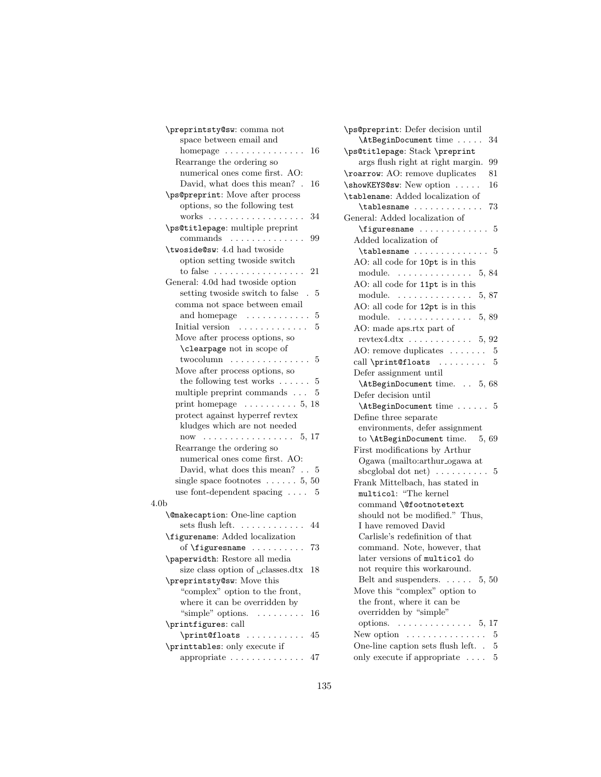| \preprintsty@sw: comma not                                  |
|-------------------------------------------------------------|
| space between email and                                     |
| 16<br>homepage $\dots\dots\dots\dots\dots$                  |
| Rearrange the ordering so                                   |
| numerical ones come first. AO:                              |
| David, what does this mean?.<br>16                          |
| \ps@preprint: Move after process                            |
| options, so the following test                              |
| works<br>34<br>$\mathbf{r}$<br>$\sim$ .                     |
| \ps@titlepage: multiple preprint                            |
| commands<br>99<br>$\ddot{\phantom{a}}$                      |
| \twoside@sw: 4.d had twoside                                |
| option setting twoside switch                               |
| to false $\dots \dots \dots \dots \dots \dots$<br>21        |
| General: 4.0d had twoside option                            |
| setting twoside switch to false<br>5<br>$\sim$              |
| comma not space between email                               |
| and homepage<br>$\sim$ . The second contract of $\sim$<br>5 |
| Initial version<br>5<br>.                                   |
| Move after process options, so                              |
| <b>\clearpage</b> not in scope of                           |
| $two column$<br>5                                           |
| Move after process options, so                              |
| the following test works $\dots$ .<br>5                     |
| multiple preprint commands<br>5                             |
| print homepage $\dots \dots \dots 5, 18$                    |
| protect against hyperref revtex                             |
| kludges which are not needed                                |
| 5, 17<br>now                                                |
| Rearrange the ordering so                                   |
| numerical ones come first. AO:                              |
| David, what does this mean? $\ldots$ 5                      |
| single space footnotes $\ldots \ldots 5, 50$                |
| use font-dependent spacing $\dots$<br>5                     |
| 4.0 <sub>b</sub>                                            |
| <b>\@makecaption:</b> One-line caption                      |
| sets flush left.<br>44<br>.                                 |
| \figurename: Added localization                             |
| of \figuresname<br>73                                       |
| \paperwidth: Restore all media                              |
| size class option of <sub>u</sub> classes.dtx<br>18         |
| \preprintsty@sw: Move this                                  |
| "complex" option to the front,                              |
| where it can be overridden by                               |
| "simple" options.<br>16<br>.                                |
| \printfigures: call                                         |
| \print@floats<br>45<br>.                                    |
| \printtables: only execute if                               |
| appropriate<br>47                                           |
|                                                             |

| \ps@preprint: Defer decision until                                        |
|---------------------------------------------------------------------------|
| \AtBeginDocument time<br>34                                               |
| \ps@titlepage: Stack \preprint                                            |
| args flush right at right margin.<br>99                                   |
| \roarrow: AO: remove duplicates<br>81                                     |
| \showKEYS@sw: New option<br>16                                            |
| \tablename: Added localization of                                         |
| 73                                                                        |
| General: Added localization of                                            |
| \figuresname<br>5                                                         |
| Added localization of                                                     |
| $\{\{\texttt{tablesname}\dots\dots\dots\ 5\}$                             |
| AO: all code for 10pt is in this                                          |
| module.<br>5, 84                                                          |
| AO: all code for 11pt is in this                                          |
| module.<br>5,87                                                           |
| AO: all code for 12pt is in this                                          |
| module.<br>5,89                                                           |
| AO: made aps.rtx part of                                                  |
|                                                                           |
| revtex4.dtx $\dots \dots \dots \dots 5, 92$                               |
| AO: remove duplicates $\dots \dots$ 5                                     |
| call $\prime$ rint@floats  5                                              |
| Defer assignment until                                                    |
| \AtBeginDocument time. 5, 68                                              |
|                                                                           |
| Defer decision until                                                      |
| \AtBeginDocument time  5                                                  |
| Define three separate                                                     |
| environments, defer assignment                                            |
| to \AtBeginDocument time.<br>5,69                                         |
| First modifications by Arthur                                             |
| Ogawa (mailto:arthur_ogawa at                                             |
| sbcglobal dot net $) \ldots \ldots \ldots$<br>5                           |
| Frank Mittelbach, has stated in                                           |
| multicol: "The kernel                                                     |
| command \@footnotetext                                                    |
| should not be modified." Thus,                                            |
| I have removed David                                                      |
| Carlisle's redefinition of that                                           |
| command. Note, however, that                                              |
| later versions of multicol do                                             |
| not require this workaround.                                              |
| Belt and suspenders. $\dots \dots 5, 50$                                  |
| Move this "complex" option to                                             |
| the front, where it can be                                                |
| overridden by "simple"                                                    |
| options.<br>. 5, 17                                                       |
| New option $\dots \dots \dots \dots$<br>5                                 |
| One-line caption sets flush left<br>5<br>only execute if appropriate<br>5 |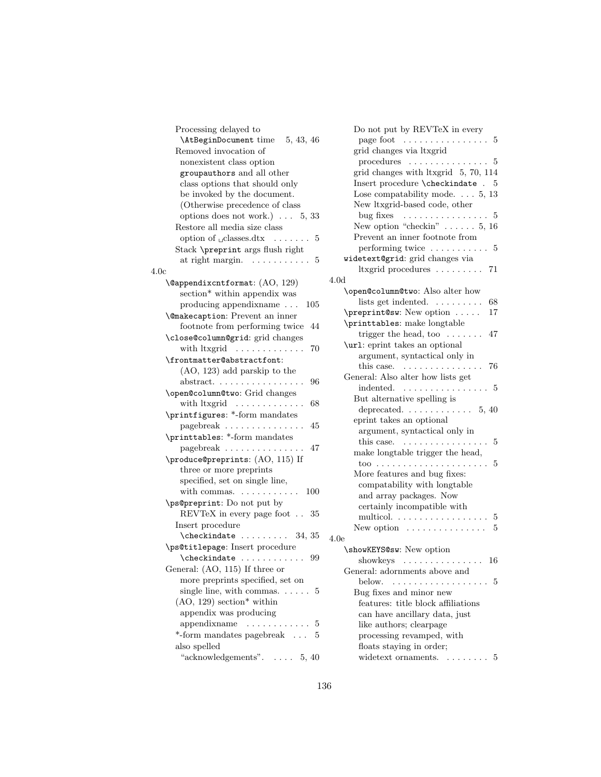| Processing delayed to                                  |      |
|--------------------------------------------------------|------|
| \AtBeginDocument time 5, 43, 46                        |      |
| Removed invocation of                                  |      |
| nonexistent class option                               |      |
| groupauthors and all other                             |      |
| class options that should only                         |      |
| be invoked by the document.                            |      |
| (Otherwise precedence of class                         |      |
| options does not work.) $\ldots$ 5, 33                 |      |
| Restore all media size class                           |      |
| option of $\lrcorner$ classes.dtx $\ldots \ldots$<br>5 |      |
| Stack \preprint args flush right                       |      |
| at right margin. $\ldots \ldots \ldots$<br>5           |      |
| 4.0c                                                   |      |
| \@appendixcntformat: (AO, 129)                         | 4.0c |
| section* within appendix was                           |      |
| producing appendixname<br>105                          |      |
| <b>\@makecaption:</b> Prevent an inner                 |      |
| footnote from performing twice<br>44                   |      |
| \close@column@grid: grid changes                       |      |
|                                                        |      |
| with $ltxgrid$<br>70                                   |      |
| \frontmatter@abstractfont:                             |      |
| $(AO, 123)$ add parskip to the                         |      |
| abstract<br>96                                         |      |
| \open@column@two: Grid changes                         |      |
| with ltxgrid<br>68                                     |      |
| \printfigures: *-form mandates                         |      |
| pagebreak<br>45                                        |      |
| $\verb \printtables: *-form$ mandates                  |      |
| pagebreak<br>47                                        |      |
| \produce@preprints: (AO, 115) If                       |      |
| three or more preprints                                |      |
| specified, set on single line,                         |      |
| with commas. $\dots \dots \dots$<br>100                |      |
| \ps@preprint: Do not put by                            |      |
| REVTeX in every page foot<br>35                        |      |
| Insert procedure                                       |      |
|                                                        | 4.06 |
| \ps@titlepage: Insert procedure                        |      |
| $\Lambda$ checkindate<br>99                            |      |
| General: (AO, 115) If three or                         |      |
| more preprints specified, set on                       |      |
| single line, with commas. $\dots$ 5                    |      |
| $(AO, 129)$ section* within                            |      |
| appendix was producing                                 |      |
| $appendixname \ldots \ldots \ldots$<br>5               |      |
| *-form mandates pagebreak<br>5                         |      |
| also spelled                                           |      |
| "acknowledgements". $\ldots$ 5, 40                     |      |
|                                                        |      |

| Do not put by REVTeX in every                                                                                                                                                                                                                                                                                                                                                                                                                                                 |
|-------------------------------------------------------------------------------------------------------------------------------------------------------------------------------------------------------------------------------------------------------------------------------------------------------------------------------------------------------------------------------------------------------------------------------------------------------------------------------|
| page foot $\dots \dots \dots \dots \dots 5$                                                                                                                                                                                                                                                                                                                                                                                                                                   |
| grid changes via ltxgrid                                                                                                                                                                                                                                                                                                                                                                                                                                                      |
| procedures $\dots \dots \dots \dots \dots 5$                                                                                                                                                                                                                                                                                                                                                                                                                                  |
| grid changes with ltxgrid 5, 70, 114                                                                                                                                                                                                                                                                                                                                                                                                                                          |
| $\label{thm:main} \mbox{Insert procedure \texttt{{\char'134}checke . 5}}$                                                                                                                                                                                                                                                                                                                                                                                                     |
| Lose compatability mode. $\ldots$ 5, 13                                                                                                                                                                                                                                                                                                                                                                                                                                       |
| New ltxgrid-based code, other                                                                                                                                                                                                                                                                                                                                                                                                                                                 |
| bug fixes $\dots \dots \dots \dots \dots$<br>5                                                                                                                                                                                                                                                                                                                                                                                                                                |
| New option "checkin" $\ldots \ldots 5, 16$                                                                                                                                                                                                                                                                                                                                                                                                                                    |
| Prevent an inner footnote from                                                                                                                                                                                                                                                                                                                                                                                                                                                |
| $performing twice \ldots \ldots \ldots$<br>5                                                                                                                                                                                                                                                                                                                                                                                                                                  |
| widetext@grid: grid changes via                                                                                                                                                                                                                                                                                                                                                                                                                                               |
| ltxgrid procedures<br>- 71                                                                                                                                                                                                                                                                                                                                                                                                                                                    |
| 4.0d                                                                                                                                                                                                                                                                                                                                                                                                                                                                          |
| \open@column@two: Also alter how                                                                                                                                                                                                                                                                                                                                                                                                                                              |
| lists get indented.<br>68                                                                                                                                                                                                                                                                                                                                                                                                                                                     |
| \preprint@sw: New option<br>17                                                                                                                                                                                                                                                                                                                                                                                                                                                |
| \printtables: make longtable                                                                                                                                                                                                                                                                                                                                                                                                                                                  |
| trigger the head, too $\dots \dots$<br>47                                                                                                                                                                                                                                                                                                                                                                                                                                     |
| \url: eprint takes an optional                                                                                                                                                                                                                                                                                                                                                                                                                                                |
| argument, syntactical only in                                                                                                                                                                                                                                                                                                                                                                                                                                                 |
| this case. $\dots \dots \dots \dots$<br>76                                                                                                                                                                                                                                                                                                                                                                                                                                    |
| General: Also alter how lists get                                                                                                                                                                                                                                                                                                                                                                                                                                             |
| indented.<br>5                                                                                                                                                                                                                                                                                                                                                                                                                                                                |
| But alternative spelling is                                                                                                                                                                                                                                                                                                                                                                                                                                                   |
| deprecated. $\ldots \ldots \ldots 5, 40$                                                                                                                                                                                                                                                                                                                                                                                                                                      |
| eprint takes an optional                                                                                                                                                                                                                                                                                                                                                                                                                                                      |
| argument, syntactical only in                                                                                                                                                                                                                                                                                                                                                                                                                                                 |
| this case.<br>5<br>.                                                                                                                                                                                                                                                                                                                                                                                                                                                          |
| make longtable trigger the head,                                                                                                                                                                                                                                                                                                                                                                                                                                              |
| 5                                                                                                                                                                                                                                                                                                                                                                                                                                                                             |
| More features and bug fixes:                                                                                                                                                                                                                                                                                                                                                                                                                                                  |
| compatability with longtable                                                                                                                                                                                                                                                                                                                                                                                                                                                  |
| and array packages. Now                                                                                                                                                                                                                                                                                                                                                                                                                                                       |
| certainly incompatible with                                                                                                                                                                                                                                                                                                                                                                                                                                                   |
| multicol.<br>$\overline{5}$                                                                                                                                                                                                                                                                                                                                                                                                                                                   |
| New option $\dots \dots \dots \dots$<br>5                                                                                                                                                                                                                                                                                                                                                                                                                                     |
| 4.0e                                                                                                                                                                                                                                                                                                                                                                                                                                                                          |
| \showKEYS@sw: New option                                                                                                                                                                                                                                                                                                                                                                                                                                                      |
| showkeys<br>16<br>$\mathcal{L}(\mathcal{L}(\mathcal{L}(\mathcal{L}(\mathcal{L}(\mathcal{L}(\mathcal{L}(\mathcal{L}(\mathcal{L}(\mathcal{L}(\mathcal{L}(\mathcal{L}(\mathcal{L}(\mathcal{L}(\mathcal{L}(\mathcal{L}(\mathcal{L}(\mathcal{L}(\mathcal{L}(\mathcal{L}(\mathcal{L}(\mathcal{L}(\mathcal{L}(\mathcal{L}(\mathcal{L}(\mathcal{L}(\mathcal{L}(\mathcal{L}(\mathcal{L}(\mathcal{L}(\mathcal{L}(\mathcal{L}(\mathcal{L}(\mathcal{L}(\mathcal{L}(\mathcal{L}(\mathcal{$ |
| General: adornments above and                                                                                                                                                                                                                                                                                                                                                                                                                                                 |
| below.<br>5                                                                                                                                                                                                                                                                                                                                                                                                                                                                   |
| Bug fixes and minor new                                                                                                                                                                                                                                                                                                                                                                                                                                                       |
| features: title block affiliations                                                                                                                                                                                                                                                                                                                                                                                                                                            |
| can have ancillary data, just                                                                                                                                                                                                                                                                                                                                                                                                                                                 |
| like authors; clearpage                                                                                                                                                                                                                                                                                                                                                                                                                                                       |
| processing revamped, with                                                                                                                                                                                                                                                                                                                                                                                                                                                     |
| floats staying in order;                                                                                                                                                                                                                                                                                                                                                                                                                                                      |
| widetext ornaments.<br>5                                                                                                                                                                                                                                                                                                                                                                                                                                                      |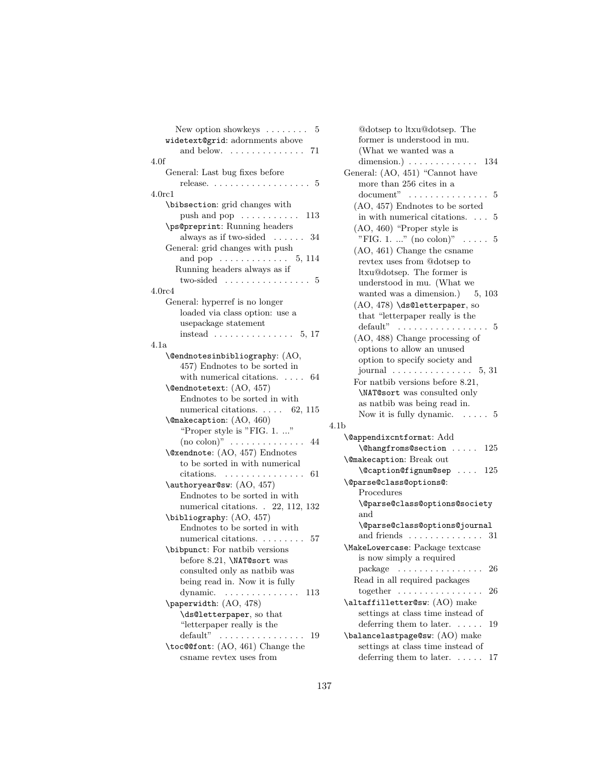| New option showkeys $\dots \dots$<br>5                 |
|--------------------------------------------------------|
| widetext@grid: adornments above                        |
| and below.  71                                         |
| 4.0f                                                   |
| General: Last bug fixes before                         |
| release. $\ldots \ldots \ldots \ldots \ldots \ldots 5$ |
| 4.0 <sub>rc1</sub>                                     |
| \bibsection: grid changes with                         |
| push and pop $\dots \dots \dots$<br>113                |
| \ps@preprint: Running headers                          |
| always as if two-sided $\ldots$ . 34                   |
| General: grid changes with push                        |
| and pop $\dots \dots \dots \dots$ 5, 114               |
| Running headers always as if                           |
| two-sided $\ldots \ldots \ldots \ldots 5$              |
| 4.0 <sub>rc4</sub>                                     |
| General: hyperref is no longer                         |
| loaded via class option: use a                         |
| usepackage statement                                   |
| instead $\ldots \ldots \ldots \ldots 5, 17$            |
| 4.1a                                                   |
| \@endnotesinbibliography: (AO,                         |
| 457) Endnotes to be sorted in                          |
| with numerical citations. $\ldots$ 64                  |
| \@endnotetext: (AO, 457)                               |
| Endnotes to be sorted in with                          |
| numerical citations. $\ldots$ 62, 115                  |
| \@makecaption: (AO, 460)                               |
| "Proper style is "FIG. 1. "                            |
| $(no colon)$ "  44                                     |
| \@xendnote: (AO, 457) Endnotes                         |
| to be sorted in with numerical                         |
| citations.<br>. 61                                     |
| \authoryear@sw: (AO, 457)                              |
| Endnotes to be sorted in with                          |
| numerical citations. . 22, 112, 132                    |
| \bibliography: (AO, 457)                               |
| Endnotes to be sorted in with                          |
| numerical citations. 57                                |
| \bibpunct: For natbib versions                         |
| before 8.21, \NAT@sort was                             |
| consulted only as natbib was                           |
| being read in. Now it is fully                         |
| dynamic.<br>113                                        |
| \paperwidth: (AO, 478)                                 |
| \ds@letterpaper, so that                               |
| "letterpaper really is the                             |
| default"<br>19                                         |
| \toc@@font: (AO, 461) Change the                       |
| csname revtex uses from                                |

@dotsep to ltxu@dotsep. The former is understood in mu. (What we wanted was a dimension.) . . . . . . . . . . . . . 134 General: (AO, 451) "Cannot have more than 256 cites in a document" . . . . . . . . . . . . . . . 5 (AO, 457) Endnotes to be sorted in with numerical citations. . . . 5 (AO, 460) "Proper style is "FIG. 1. ..." (no colon)"  $\ldots$  . 5 (AO, 461) Change the csname revtex uses from @dotsep to ltxu@dotsep. The former is understood in mu. (What we wanted was a dimension.) 5, 103 (AO, 478) \ds@letterpaper, so that "letterpaper really is the default"  $\dots \dots \dots \dots \dots \dots$  5 (AO, 488) Change processing of options to allow an unused option to specify society and journal . . . . . . . . . . . . . . . 5, 31 For natbib versions before 8.21, \NAT@sort was consulted only as natbib was being read in. Now it is fully dynamic. . . . . . 5 4.1b \@appendixcntformat: Add \@hangfroms@section . . . . . 125 \@makecaption: Break out \@caption@fignum@sep . . . . 125 \@parse@class@options@: Procedures \@parse@class@options@society and \@parse@class@options@journal and friends . . . . . . . . . . . . . . 31 \MakeLowercase: Package textcase is now simply a required package . . . . . . . . . . . . . . . . 26 Read in all required packages together . . . . . . . . . . . . . . . . 26 \altaffilletter@sw: (AO) make settings at class time instead of deferring them to later. ..... 19 \balancelastpage@sw: (AO) make settings at class time instead of deferring them to later. . . . . . 17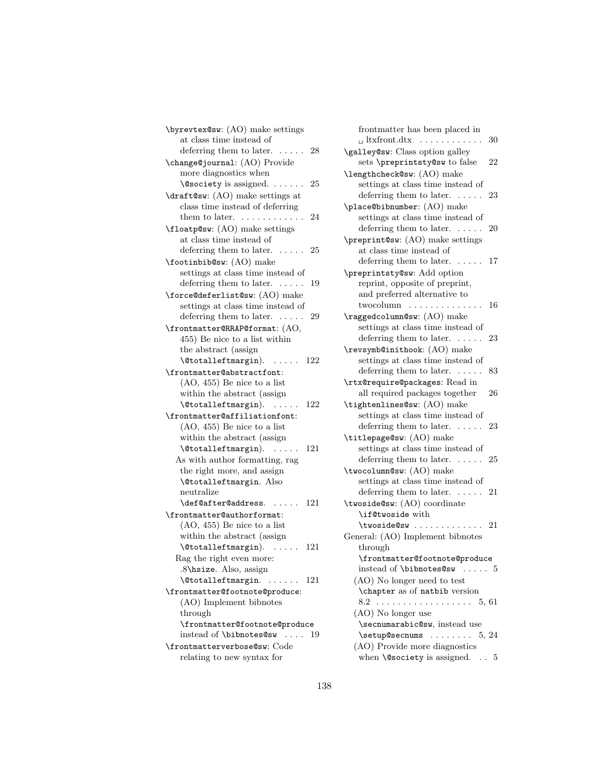\byrevtex@sw: (AO) make settings at class time instead of deferring them to later.  $\ldots$  . . . . 28 \change@journal: (AO) Provide more diagnostics when \@society is assigned. . . . . . . 25 \draft@sw: (AO) make settings at class time instead of deferring them to later.  $\dots \dots \dots \dots 24$ \floatp@sw: (AO) make settings at class time instead of deferring them to later. ..... 25 \footinbib@sw: (AO) make settings at class time instead of deferring them to later. . . . . . 19 \force@deferlist@sw: (AO) make settings at class time instead of deferring them to later. . . . . . 29 \frontmatter@RRAP@format: (AO, 455) Be nice to a list within the abstract (assign \@totalleftmargin). . . . . . 122 \frontmatter@abstractfont: (AO, 455) Be nice to a list within the abstract (assign \@totalleftmargin). . . . . . 122 \frontmatter@affiliationfont: (AO, 455) Be nice to a list within the abstract (assign \@totalleftmargin). . . . . . 121 As with author formatting, rag the right more, and assign \@totalleftmargin. Also neutralize \def@after@address. . . . . . 121 \frontmatter@authorformat: (AO, 455) Be nice to a list within the abstract (assign \@totalleftmargin). . . . . . 121 Rag the right even more: .8\hsize. Also, assign \@totalleftmargin. . . . . . . 121 \frontmatter@footnote@produce: (AO) Implement bibnotes through \frontmatter@footnote@produce instead of \bibnotes@sw . . . . 19 \frontmatterverbose@sw: Code relating to new syntax for

frontmatter has been placed in  $\Box$  ltxfront.dtx  $\dots \dots \dots \dots 30$ \galley@sw: Class option galley sets \preprintsty@sw to false 22 \lengthcheck@sw: (AO) make settings at class time instead of deferring them to later. . . . . . 23 \place@bibnumber: (AO) make settings at class time instead of deferring them to later.  $\dots \dots$  20 \preprint@sw: (AO) make settings at class time instead of deferring them to later. ..... 17 \preprintsty@sw: Add option reprint, opposite of preprint, and preferred alternative to twocolumn . . . . . . . . . . . . . . 16 \raggedcolumn@sw: (AO) make settings at class time instead of deferring them to later. . . . . . 23 \revsymb@inithook: (AO) make settings at class time instead of deferring them to later.  $\dots$  . 83 \rtx@require@packages: Read in all required packages together 26 \tightenlines@sw: (AO) make settings at class time instead of deferring them to later. . . . . . 23 \titlepage@sw: (AO) make settings at class time instead of deferring them to later.  $\ldots$  . 25 \twocolumn@sw: (AO) make settings at class time instead of deferring them to later. ..... 21 \twoside@sw: (AO) coordinate \if@twoside with \twoside@sw . . . . . . . . . . . . 21 General: (AO) Implement bibnotes through \frontmatter@footnote@produce instead of \bibnotes@sw . . . . . 5 (AO) No longer need to test \chapter as of natbib version 8.2 . . . . . . . . . . . . . . . . . . 5, 61 (AO) No longer use \secnumarabic@sw, instead use \setup@secnums . . . . . . . 5, 24 (AO) Provide more diagnostics when  $\text{Qsociety}$  is assigned. .. 5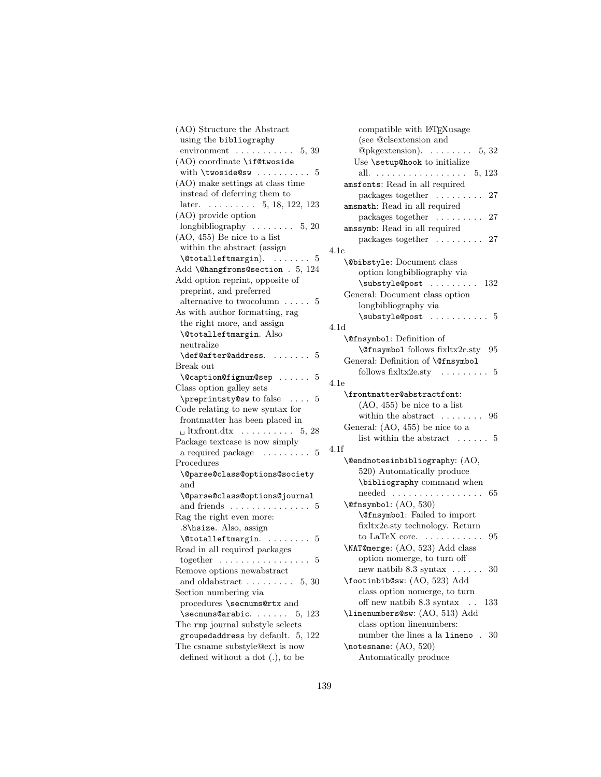(AO) Structure the Abstract using the bibliography environment . . . . . . . . . . . 5, 39 (AO) coordinate \if@twoside with  $\times$  . . . . . . . . . . . . . 5 (AO) make settings at class time instead of deferring them to later. . . . . . . . . . 5, 18, 122, 123 (AO) provide option longbibliography . . . . . . . . 5, 20 (AO, 455) Be nice to a list within the abstract (assign  $\text{Utotalleft margin}.$  ....... 5 Add \@hangfroms@section . 5, 124 Add option reprint, opposite of preprint, and preferred alternative to two<br>column  $\hfill\ldots\ldots\hfill 5$ As with author formatting, rag the right more, and assign \@totalleftmargin. Also neutralize  $\def@after@address. . . . . . . . 5$ Break out \@caption@fignum@sep . . . . . . 5 Class option galley sets \preprintsty@sw to false . . . . 5 Code relating to new syntax for frontmatter has been placed in  $\Box$  ltxfront.dtx  $\dots \dots \dots \dots 5, 28$ Package textcase is now simply a required package  $\ldots \ldots$  5 4.1f Procedures \@parse@class@options@society and \@parse@class@options@journal and friends . . . . . . . . . . . . . . 5 Rag the right even more: .8\hsize. Also, assign  $\setminus$  @totalleftmargin. . . . . . . . . 5 Read in all required packages  $together \dots \dots \dots \dots \dots \dots 5$ Remove options newabstract and oldabstract  $\ldots \ldots \ldots 5, 30$ Section numbering via procedures \secnums@rtx and  $\text{secnums@arabic.} \dots$  5, 123 The rmp journal substyle selects groupedaddress by default. 5, 122 The csname substyle@ext is now defined without a dot (.), to be

| compatible with L <sup>A</sup> T <sub>F</sub> Xusage    |
|---------------------------------------------------------|
| (see @clsextension and                                  |
| @pkgextension). $\ldots \ldots 5, 32$                   |
| Use \setup@hook to initialize                           |
| all.<br>. 5, 123                                        |
| amsfonts: Read in all required                          |
| packages together<br>27                                 |
| amsmath: Read in all required                           |
| packages together $\dots \dots$<br>27                   |
| $\ddot{\phantom{a}}$ .<br>amssymb: Read in all required |
|                                                         |
| packages together<br>27                                 |
| 4.1c                                                    |
| <b>\@bibstyle:</b> Document class                       |
| option longbibliography via                             |
| \substyle@post<br>132                                   |
| General: Document class option                          |
| longbibliography via                                    |
|                                                         |
| 4.1d                                                    |
| <b>\@fnsymbol:</b> Definition of                        |
| <b>\@fnsymbol</b> follows fixltx2e.sty<br>95            |
| General: Definition of \@fnsymbol                       |
|                                                         |
| follows $fixltx2e.sty$ .<br>5                           |
| 4.1e                                                    |
| \frontmatter@abstractfont:                              |
| $(AO, 455)$ be nice to a list                           |
| within the abstract $\dots$ .<br>$\ldots$ 96            |
| General: (AO, 455) be nice to a                         |
| list within the abstract<br>$\mathbf{r}$<br>5           |
| 4.1f                                                    |
| \@endnotesinbibliography: (AO,                          |
| 520) Automatically produce                              |
| \bibliography command when                              |
| needed<br>65<br>.                                       |
| \@fnsymbol: (AO, 530)                                   |
| <b>\@fnsymbol:</b> Failed to import                     |
| fixltx2e.sty technology. Return                         |
| to LaTeX core. $\dots \dots$<br>95                      |
|                                                         |
| \NAT@merge: (AO, 523) Add class                         |
| option nomerge, to turn off                             |
| new natbib $8.3$ syntax $\dots \dots$ 30                |
| \footinbib@sw: (AO, 523) Add                            |
| class option nomerge, to turn                           |
| off new natbib 8.3 syntax<br>133<br>$\ddots$            |
| \linenumbers@sw: (AO, 513) Add                          |
| class option linenumbers:                               |
| number the lines a la lineno. 30                        |
| \notesname: (AO, 520)                                   |
| Automatically produce                                   |
|                                                         |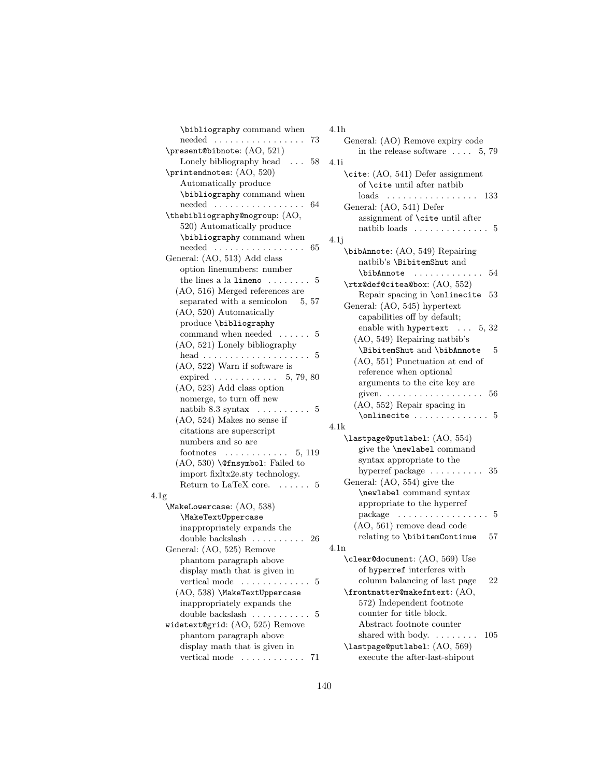\bibliography command when needed . . . . . . . . . . . . . . . . . 73 \present@bibnote: (AO, 521) Lonely bibliography head  $\ldots$  58 \printendnotes: (AO, 520) Automatically produce \bibliography command when needed . . . . . . . . . . . . . . . . . 64 \thebibliography@nogroup: (AO, 520) Automatically produce \bibliography command when needed . . . . . . . . . . . . . . . . . 65 General: (AO, 513) Add class option linenumbers: number the lines a la lineno  $\dots \dots 5$ (AO, 516) Merged references are separated with a semicolon  $5, 57$ (AO, 520) Automatically produce \bibliography command when needed . . . . . . 5 (AO, 521) Lonely bibliography head . . . . . . . . . . . . . . . . . . . . 5 (AO, 522) Warn if software is expired . . . . . . . . . . . . 5, 79, 80 (AO, 523) Add class option nomerge, to turn off new natbib 8.3 syntax . . . . . . . . . . 5 (AO, 524) Makes no sense if citations are superscript numbers and so are footnotes . . . . . . . . . . . . 5, 119 (AO, 530) \@fnsymbol: Failed to import fixltx2e.sty technology. Return to LaTeX core.  $\dots \dots$  5 4.1g \MakeLowercase: (AO, 538) \MakeTextUppercase inappropriately expands the double backslash . . . . . . . . . . 26 General: (AO, 525) Remove phantom paragraph above display math that is given in vertical mode  $\dots \dots \dots \dots$  5 (AO, 538) \MakeTextUppercase inappropriately expands the double backslash . . . . . . . . . . 5 widetext@grid: (AO, 525) Remove phantom paragraph above display math that is given in vertical mode . . . . . . . . . . . . 71

### 4.1h General: (AO) Remove expiry code

| General: (AO) Remove expiry code                                             |    |
|------------------------------------------------------------------------------|----|
| in the release software $\ldots$ 5, 79                                       |    |
| 4.1i                                                                         |    |
| \cite: (AO, 541) Defer assignment                                            |    |
| of <b>\cite</b> until after natbib                                           |    |
| $\ldots$ 133<br>loads<br>.<br>$\ddot{\phantom{0}}$                           |    |
| General: (AO, 541) Defer                                                     |    |
| assignment of \cite until after                                              |    |
| natbib loads                                                                 | 5  |
| 4.1j                                                                         |    |
| \bibAnnote: (AO, 549) Repairing                                              |    |
| natbib's \BibitemShut and                                                    |    |
| 54<br>\bibAnnote                                                             |    |
| \rtx@def@citea@box: (AO, 552)                                                |    |
| Repair spacing in \onlinecite<br>53                                          |    |
|                                                                              |    |
| General: (AO, 545) hypertext                                                 |    |
| capabilities off by default;                                                 |    |
| enable with hypertext $\ldots$ 5, 32                                         |    |
| (AO, 549) Repairing natbib's                                                 |    |
| \BibitemShut and \bibAnnote                                                  | 5  |
| (AO, 551) Punctuation at end of                                              |    |
| reference when optional                                                      |    |
| arguments to the cite key are                                                |    |
| - 56<br>given. $\dots \dots \dots \dots$<br>$\ddot{\phantom{0}}$             |    |
| (AO, 552) Repair spacing in                                                  |    |
| \onlinecite                                                                  | 5  |
| 4.1k                                                                         |    |
| $\Lambda$ lastpage@putlabel: $\left( \mathrm{AO}, \, 554 \right)$            |    |
| give the <b>\newlabel</b> command                                            |    |
| syntax appropriate to the                                                    |    |
| hyperref package $\dots \dots \dots 35$                                      |    |
| General: (AO, 554) give the                                                  |    |
| \newlabel command syntax                                                     |    |
| appropriate to the hyperref                                                  |    |
| $package \dots \dots \dots$                                                  | 5  |
| (AO, 561) remove dead code                                                   |    |
| relating to \bibitemContinue                                                 | 57 |
|                                                                              |    |
| 4.1n                                                                         |    |
| \clear@document: (AO, 569) Use                                               |    |
| of hyperref interferes with                                                  |    |
| column balancing of last page                                                | 22 |
| \frontmatter@makefntext: (AO,                                                |    |
| 572) Independent footnote                                                    |    |
| counter for title block.                                                     |    |
| Abstract footnote counter                                                    |    |
| shared with body.<br>105<br>$\mathbb{Z}^2$ , $\mathbb{Z}^2$ , $\mathbb{Z}^2$ |    |
| \lastpage@putlabel: (AO, 569)                                                |    |
| execute the after-last-shipout                                               |    |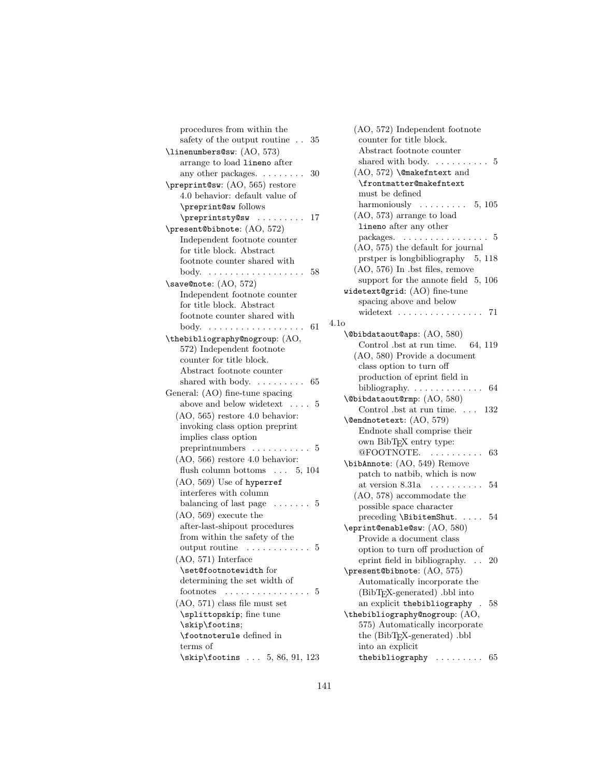| procedures from within the                        |
|---------------------------------------------------|
| safety of the output routine $\ldots$ 35          |
| \linenumbers@sw: (AO, 573)                        |
| arrange to load lineno after                      |
| any other packages. $\dots \dots$<br>30           |
| \preprint@sw: (AO, 565) restore                   |
| 4.0 behavior: default value of                    |
| \preprint@sw follows                              |
| \preprintsty@sw<br>.<br>17                        |
| \present@bibnote: (AO, 572)                       |
| Independent footnote counter                      |
| for title block. Abstract                         |
| footnote counter shared with                      |
| 58<br>body.                                       |
| .<br>.                                            |
| \save@note: (AO, 572)                             |
| Independent footnote counter                      |
| for title block. Abstract                         |
| footnote counter shared with                      |
| -61<br>body.<br>.                                 |
| \thebibliography@nogroup: (AO,                    |
| 572) Independent footnote                         |
| counter for title block.                          |
| Abstract footnote counter                         |
| shared with body. $\dots \dots$<br>65             |
| General: (AO) fine-tune spacing                   |
| above and below widetext<br>. 5                   |
| $(AO, 565)$ restore 4.0 behavior:                 |
| invoking class option preprint                    |
| implies class option                              |
| preprint numbers $\dots \dots \dots \dots$ 5      |
| $(AO, 566)$ restore 4.0 behavior:                 |
| flush column bottoms $\ldots$ 5, 104              |
| (AO, 569) Use of hyperref                         |
| interferes with column                            |
| balancing of last page $\dots \dots 5$            |
| $(AO, 569)$ execute the                           |
| after-last-shipout procedures                     |
| from within the safety of the                     |
| output routine<br>.<br>5                          |
| $(AO, 571)$ Interface                             |
| \set@footnotewidth for                            |
| determining the set width of                      |
| footnotes<br>$\ldots 5$                           |
| $(AO, 571)$ class file must set                   |
| \splittopskip; fine tune                          |
| \skip\footins;                                    |
| \footnoterule defined in                          |
| terms of                                          |
| $\skip 10pt \text{Stip}$ \footins  5, 86, 91, 123 |
|                                                   |

| (AO, 572) Independent footnote                                                                     |
|----------------------------------------------------------------------------------------------------|
| counter for title block.                                                                           |
| Abstract footnote counter                                                                          |
| shared with body. $\dots \dots \dots 5$                                                            |
| $(AO, 572)$ \@makefntext and                                                                       |
| \frontmatter@makefntext                                                                            |
| must be defined                                                                                    |
| harmoniously $\ldots \ldots \ldots 5, 105$                                                         |
| $(AO, 573)$ arrange to load                                                                        |
| lineno after any other                                                                             |
| packages. $\ldots \ldots \ldots \ldots \ldots 5$                                                   |
| (AO, 575) the default for journal                                                                  |
| prstper is longbibliography 5, 118                                                                 |
| (AO, 576) In .bst files, remove                                                                    |
| support for the annote field $5, 106$                                                              |
| widetext@grid: (AO) fine-tune                                                                      |
| spacing above and below                                                                            |
|                                                                                                    |
| widetext $\ldots \ldots \ldots \ldots \ldots$ 71<br>4.1o                                           |
| \@bibdataout@aps: (AO, 580)                                                                        |
|                                                                                                    |
| Control .bst at run time.<br>64, 119                                                               |
| (AO, 580) Provide a document                                                                       |
| class option to turn off                                                                           |
| production of eprint field in                                                                      |
|                                                                                                    |
| \@bibdataout@rmp: (AO, 580)                                                                        |
| Control .bst at run time. $\ldots$ 132                                                             |
| \@endnotetext: (AO, 579)                                                                           |
| Endnote shall comprise their                                                                       |
| own BibTFX entry type:                                                                             |
| @FOOTNOTE.<br>63<br>.                                                                              |
| \bibAnnote: (AO, 549) Remove                                                                       |
| patch to natbib, which is now                                                                      |
| at version $8.31a \ldots \ldots \ldots$<br>54                                                      |
| $(AO, 578)$ accommodate the                                                                        |
| possible space character                                                                           |
| preceding \BibitemShut.<br>54                                                                      |
| \eprint@enable@sw: (AO, 580)                                                                       |
| Provide a document class                                                                           |
| option to turn off production of                                                                   |
| eprint field in bibliography.<br>20                                                                |
| \present@bibnote: (AO, 575)                                                                        |
| Automatically incorporate the                                                                      |
| (BibT <sub>F</sub> X-generated) .bbl into                                                          |
| an explicit the bibliography<br>58<br>$\sim$                                                       |
| \thebibliography@nogroup: (AO,                                                                     |
| 575) Automatically incorporate                                                                     |
| the (BibTEX-generated) .bbl                                                                        |
| into an explicit                                                                                   |
| thebibliography<br>65<br>$\mathcal{A}$ , and $\mathcal{A}$ , and $\mathcal{A}$ , and $\mathcal{A}$ |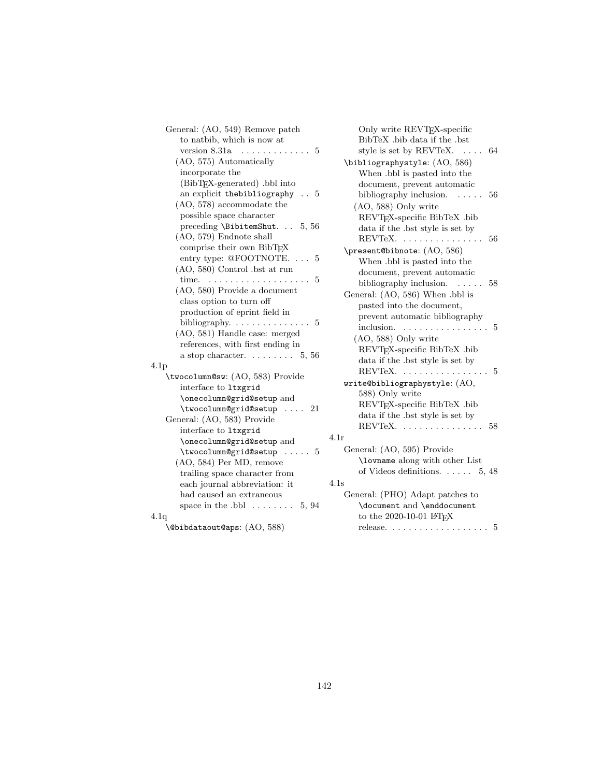| General: (AO, 549) Remove patch               |
|-----------------------------------------------|
| to natbib, which is now at                    |
| version 8.31a<br>5<br>.                       |
| (AO, 575) Automatically                       |
| incorporate the                               |
| (BibT <sub>F</sub> X-generated) .bbl into     |
| an explicit the bibliography $\ldots$ 5       |
| (AO, 578) accommodate the                     |
| possible space character                      |
| preceding \BibitemShut. 5, 56                 |
| (AO, 579) Endnote shall                       |
| comprise their own BibTFX                     |
| entry type: $@FOOTNOTE. \ldots$<br>5          |
| $(AO, 580)$ Control .bst at run               |
| time.<br>5<br>$\cdot$ $\cdot$ $\cdot$         |
| (AO, 580) Provide a document                  |
| class option to turn off                      |
| production of eprint field in                 |
|                                               |
| (AO, 581) Handle case: merged                 |
| references, with first ending in              |
| a stop character. $\ldots \ldots 5, 56$       |
| 4.1p                                          |
| \twocolumn@sw: (AO, 583) Provide              |
| interface to ltxgrid                          |
| \onecolumn@grid@setup and                     |
| \twocolumn@grid@setup  21                     |
| General: (AO, 583) Provide                    |
| interface to ltxgrid                          |
| \onecolumn@grid@setup and                     |
| $\text{twocolumn@grid@setup} \dots \dots \ 5$ |
| (AO, 584) Per MD, remove                      |
| trailing space character from                 |
| each journal abbreviation: it                 |
| had caused an extraneous                      |
| space in the $.bbl$ $\dots$<br>5, 94          |
| 4.1q                                          |

 $\Omega$ <sup>(@bibdataout@aps: (AO, 588)</sub></sup>

| Only write REVT <sub>F</sub> X-specific                             |
|---------------------------------------------------------------------|
| BibTeX .bib data if the .bst                                        |
| style is set by REVTeX.<br>64                                       |
| \bibliographystyle: (AO, 586)                                       |
| When .bbl is pasted into the                                        |
| document, prevent automatic                                         |
| bibliography inclusion.<br>56                                       |
| (AO, 588) Only write                                                |
| REVTFX-specific BibTeX .bib                                         |
| data if the .bst style is set by                                    |
| REVTeX<br>56                                                        |
| \present@bibnote: (AO, 586)                                         |
| When .bbl is pasted into the                                        |
| document, prevent automatic                                         |
| bibliography inclusion.<br>58                                       |
| General: (AO, 586) When .bbl is                                     |
| pasted into the document,                                           |
| prevent automatic bibliography                                      |
| inclusion.<br>5<br>.                                                |
| (AO, 588) Only write                                                |
| REVT <sub>F</sub> X-specific BibTeX .bib                            |
| data if the .bst style is set by                                    |
| REVTeX.<br>$\ldots 5$<br>$\mathbb{R}^n$ . The set of $\mathbb{R}^n$ |
| write@bibliographystyle: (AO,                                       |
| 588) Only write                                                     |
| REVT <sub>F</sub> X-specific BibTeX .bib                            |
| data if the .bst style is set by                                    |
| REVTeX.<br>58<br>$\sim$                                             |
| 4.1r                                                                |
| General: (AO, 595) Provide                                          |
| \lovname along with other List                                      |
| of Videos definitions. $\ldots$ 5, 48                               |
| 4.1s                                                                |
| General: (PHO) Adapt patches to                                     |
| \document and \enddocument                                          |
| to the 2020-10-01 LAT <sub>EX</sub>                                 |

 $\text{release.} \quad \ldots \quad \ldots \quad \ldots \quad \ldots \quad \quad 5$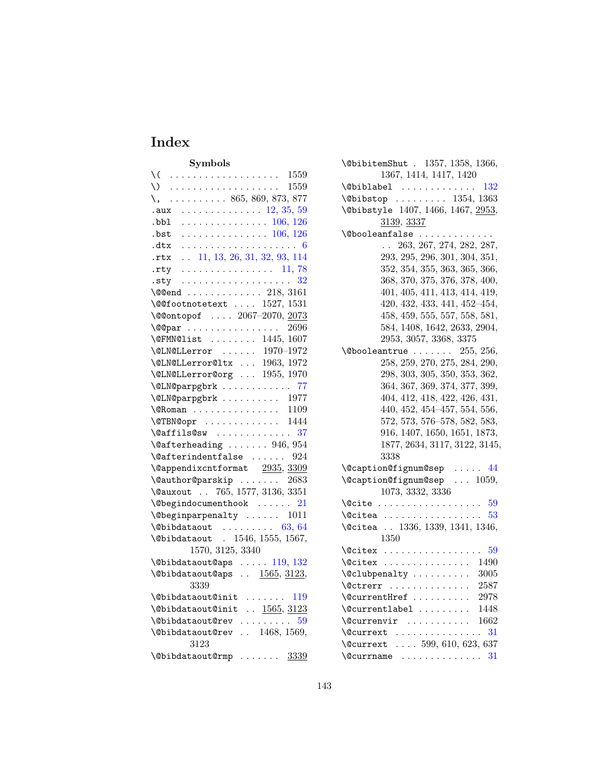# Index

| Symbols                                                                                                                                                                                                                                                                                                                                                                                         |
|-------------------------------------------------------------------------------------------------------------------------------------------------------------------------------------------------------------------------------------------------------------------------------------------------------------------------------------------------------------------------------------------------|
| $\setminus$ (<br>. 1559                                                                                                                                                                                                                                                                                                                                                                         |
|                                                                                                                                                                                                                                                                                                                                                                                                 |
| $\lambda, \ldots, \ldots, 865, 869, 873, 877$                                                                                                                                                                                                                                                                                                                                                   |
| $\cdots \cdots \cdots \cdots \cdots 12, 35, 59$<br>.aux                                                                                                                                                                                                                                                                                                                                         |
| $\cdots \cdots \cdots \cdots \cdots 106, 126$<br>.bbl                                                                                                                                                                                                                                                                                                                                           |
| $\cdots \cdots \cdots \cdots \cdots 106, 126$<br>.bst                                                                                                                                                                                                                                                                                                                                           |
| .dtx                                                                                                                                                                                                                                                                                                                                                                                            |
| $\ldots$ 11, 13, 26, 31, 32, 93, 114<br>.rtx                                                                                                                                                                                                                                                                                                                                                    |
| .rty<br>. 11, 78                                                                                                                                                                                                                                                                                                                                                                                |
| .sty $32$                                                                                                                                                                                                                                                                                                                                                                                       |
| $\sqrt{$ eend  218, 3161                                                                                                                                                                                                                                                                                                                                                                        |
| $\sqrt{\text{Q0}}$ footnotetext $1527, 1531$                                                                                                                                                                                                                                                                                                                                                    |
| \@@ontopof  2067-2070, 2073                                                                                                                                                                                                                                                                                                                                                                     |
| $\text{QQpar}$ 2696                                                                                                                                                                                                                                                                                                                                                                             |
| \@FMN@list  1445,1607<br>\@LN@LLerror  1970-1972                                                                                                                                                                                                                                                                                                                                                |
|                                                                                                                                                                                                                                                                                                                                                                                                 |
| \@LN@LLerror@ltx  1963, 1972                                                                                                                                                                                                                                                                                                                                                                    |
| $\text{QLN@Llerror@org} \dots 1955, 1970$                                                                                                                                                                                                                                                                                                                                                       |
| \@LN@parpgbrk  77                                                                                                                                                                                                                                                                                                                                                                               |
| $\text{QLN@parpgbrk}$ 1977                                                                                                                                                                                                                                                                                                                                                                      |
| $\sqrt{enan}$ 1109                                                                                                                                                                                                                                                                                                                                                                              |
| $\sqrt{GTBNQopr}$ 1444                                                                                                                                                                                                                                                                                                                                                                          |
| $\sqrt{QaffilsQsw}$ 37                                                                                                                                                                                                                                                                                                                                                                          |
| $\setminus$ @afterheading  946, 954<br>.<br>\@afterindentfalse  924                                                                                                                                                                                                                                                                                                                             |
|                                                                                                                                                                                                                                                                                                                                                                                                 |
| $\label{eq:ex1} \hbox{\texttt{{\char'134}q}}\, \hbox{\texttt{{\char'134}q}}\, \hbox{\texttt{{\char'134}q}}\, \hbox{\texttt{{\char'134}q}}\, \hbox{\texttt{{\char'134}q}}\, \hbox{\texttt{{\char'134}q}}\, \hbox{\texttt{{\char'134}q}}\, \hbox{\texttt{{\char'134}q}}\, \hbox{\texttt{{\char'134}q}}\, \hbox{\texttt{{\char'134}q}}\, \hbox{\texttt{{\char'134}q}}\, \hbox{\texttt{{\char'134}$ |
| $\text{Quthor@parskip } \ldots \ldots 2683$<br>\@auxout  765, 1577, 3136, 3351                                                                                                                                                                                                                                                                                                                  |
|                                                                                                                                                                                                                                                                                                                                                                                                 |
| $\text{V0}$ begindocumenthook  21                                                                                                                                                                                                                                                                                                                                                               |
| $\verb+\@begin{subscript}normal{ty}   1011$<br>$\Delta$ bibdataout  63, 64                                                                                                                                                                                                                                                                                                                      |
| \@bibdataout . 1546, 1555, 1567,                                                                                                                                                                                                                                                                                                                                                                |
| 1570, 3125, 3340                                                                                                                                                                                                                                                                                                                                                                                |
|                                                                                                                                                                                                                                                                                                                                                                                                 |
| $\Delta$ ubibdataout@aps  119, 132<br>\@bibdataout@aps  1565, 3123,                                                                                                                                                                                                                                                                                                                             |
| 3339                                                                                                                                                                                                                                                                                                                                                                                            |
| $\verb+\@bibdataout@init \ldots 119$                                                                                                                                                                                                                                                                                                                                                            |
| $\ldots$ 1565, 3123<br>\@bibdataout@init                                                                                                                                                                                                                                                                                                                                                        |
| $\lambda$ Obibdataout @rev  59                                                                                                                                                                                                                                                                                                                                                                  |
| $\Delta$ bibdataout@rev  1468, 1569,                                                                                                                                                                                                                                                                                                                                                            |
| 3123                                                                                                                                                                                                                                                                                                                                                                                            |
| $\delta$ \@bibdataout@rmp  3339                                                                                                                                                                                                                                                                                                                                                                 |

| $\Delta$ 9bibitem $\text{Shut}$ . 1357, 1358, 1366, |
|-----------------------------------------------------|
| 1367, 1414, 1417, 1420                              |
| $\verb+\@biblabel + \verb+\dots+\dots+132+$         |
| $\Delta$ 1354, 1363                                 |
| \@bibstyle 1407, 1466, 1467, 2953,                  |
| <u>3139, 3337</u>                                   |
| \@booleanfalse                                      |
| 263, 267, 274, 282, 287,<br>$\mathbf{r}$            |
| 293, 295, 296, 301, 304, 351,                       |
| 352, 354, 355, 363, 365, 366,                       |
| 368, 370, 375, 376, 378, 400,                       |
| 401, 405, 411, 413, 414, 419,                       |
| 420, 432, 433, 441, 452-454,                        |
| 458, 459, 555, 557, 558, 581,                       |
| 584, 1408, 1642, 2633, 2904,                        |
| 2953, 3057, 3368, 3375                              |
| $\Diamond$ booleantrue  255, 256,                   |
| 258, 259, 270, 275, 284, 290,                       |
| 298, 303, 305, 350, 353, 362,                       |
| 364, 367, 369, 374, 377, 399,                       |
| 404, 412, 418, 422, 426, 431,                       |
| 440, 452, 454-457, 554, 556,                        |
| 572, 573, 576-578, 582, 583,                        |
| 916, 1407, 1650, 1651, 1873,                        |
| 1877, 2634, 3117, 3122, 3145,                       |
| 3338                                                |
| $\text{Qcaption@fignum@sep}$ 44                     |
| \@caption@fignum@sep<br>$\ldots$ 1059.              |
| 1073, 3332, 3336                                    |
| - 59<br>\@cite                                      |
| $\Diamond$ citea<br>53                              |
| \@citea  1336, 1339, 1341, 1346,                    |
| 1350                                                |
| 59<br>$\sqrt{c}$ itex                               |
| $\sqrt{c}$ itex<br>1490                             |
| 3005<br>\@clubpenalty                               |
| $\text{Cctrerr}$<br>2587                            |
| \@currentHref<br>2978                               |
| $\&$<br>1448                                        |
| $\sqrt{$ Currenvir  1662                            |
| 31<br>$\sqrt{$ Currext                              |
| \@currext  599, 610, 623, 637                       |
|                                                     |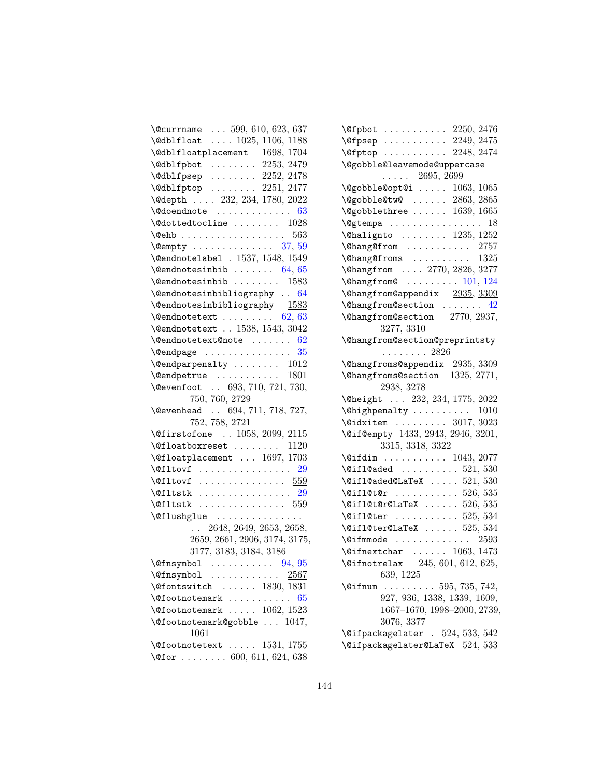| $\text{Ccurrname} \dots 599, 610, 623, 637$                                                 |
|---------------------------------------------------------------------------------------------|
| \@dblfloat  1025, 1106, 1188                                                                |
| $\verb+\Qdblfloatplacement 1698, 1704 $                                                     |
| \@dblfpbot  2253, 2479                                                                      |
| $\delta$ \@dblfpsep  2252, 2478                                                             |
| \@dblfptop  2251, 2477                                                                      |
| \@depth  232, 234, 1780, 2022                                                               |
| $\text{Qdoendnote}$ 63                                                                      |
| $\text{\textbackslash}\mathbb{Q}$ dottedtocline  1028                                       |
| $\text{Qehb}$ 563                                                                           |
| $\text{W\texttt{empty}}$ 37, 59                                                             |
| \@endnotelabe1 . 1537, 1548, 1549                                                           |
| $\{\mathbb{Q}$ endnotesinbib  64, 65                                                        |
| $\{\mathbb{Q}$ endnotesinbib<br>1583                                                        |
| \@endnotesinbibliography  64                                                                |
| $\verb \@endnotesinbibliography 1583 $                                                      |
| $\text{Qendnotetext} \dots \dots \dots \quad 62, 63$                                        |
| \@endnotetext  1538, 1543, 3042                                                             |
| $\text{Qendnotetext@note}$ 62                                                               |
|                                                                                             |
| $\text{Qendparpenalty} \dots \dots \dots 1012$                                              |
| $\text{Qendpetrue} \dots \dots \dots \dots \quad 1801$                                      |
| \@evenfoot  693, 710, 721, 730,                                                             |
| 750, 760, 2729                                                                              |
| \@evenhead  694, 711, 718, 727,                                                             |
| 752, 758, 2721                                                                              |
| \@firstofone  1058, 2099, 2115                                                              |
| $\text{Ofloatboxreset} \dots \dots \dots \quad 1120$                                        |
| $\text{Qfloatplacement} \dots 1697, 1703$                                                   |
| $\text{Qfltovf}$ 29                                                                         |
| $\texttt{\textbackslash\texttt{Qf1tovf}} \dots \dots \dots \dots \dots \ \ \underline{559}$ |
| $\left\{\text{Cifltstk}\dots\dots\dots\dots\dots\right\}$                                   |
| $\text{Qfltstk}$ 559                                                                        |
| \@flushglue                                                                                 |
| . 2648, 2649, 2653, 2658,                                                                   |
| 2659, 2661, 2906, 3174, 3175,                                                               |
| 3177, 3183, 3184, 3186                                                                      |
| $\sqrt{94, 95}$                                                                             |
| $\sqrt{g}$ fnsymbol<br><u> 2567</u>                                                         |
| $\sqrt{9}$ fontswitch  1830, 1831                                                           |
| \@footnotemark<br>65                                                                        |
| $\setminus$ @footnotemark  1062, 1523                                                       |
| \@footnotemark@gobble  1047,                                                                |
|                                                                                             |
| 1061                                                                                        |
|                                                                                             |
| $\setminus$ Cfootnotetext  1531, 1755<br>\@for  600, 611, 624, 638                          |

| $\leftarrow$ 1476                                               |
|-----------------------------------------------------------------|
| $\verb+\@fpsep \dots 2249+, 2475$                               |
| $\sqrt{9}$ : 2248, 2474                                         |
| \@gobble@leavemode@uppercase                                    |
| $\cdots$ 2695, 2699                                             |
| $\qquad$ Qgobble@opt@i  1063, 1065                              |
| $\qquad$ $\qquad \qquad$ 2863, 2865                             |
| \@gobblethree  1639, 1665                                       |
| \@gtempa<br>18                                                  |
| \@halignto  1235, 1252                                          |
| \@hang@from  2757                                               |
| $\lambda$ Chang Of roms  1325                                   |
| \@hangfrom  2770, 2826, 3277                                    |
| $\lambda$ hangfrom $\ldots \ldots \ldots 101, 124$              |
| \@hangfrom@appendix 2935, 3309                                  |
| $\lambda$ Changfrom Csection  42                                |
| \@hangfrom@section 2770, 2937,                                  |
| 3277, 3310                                                      |
| \@hangfrom@section@preprintsty                                  |
| $\ldots \ldots \ldots 2826$                                     |
| \@hangfroms@appendix 2935, 3309                                 |
| \@hangfroms@section 1325, 2771,                                 |
| 2938, 3278                                                      |
| \@height  232, 234, 1775, 2022                                  |
| $\verb+\@highpenalty + \verb+\.\dots + 1010$                    |
| $\lambda$ 3017, 3023                                            |
| \@if@empty 1433, 2943, 2946, 3201,                              |
| 3315, 3318, 3322                                                |
| $\sqrt{9}$ ifdim  1043, 2077                                    |
| $\text{QiflQaded}$ 521, 530                                     |
| $\text{Qifl@aded@LaTeX} \dots$ 521, 530                         |
| $\text{Uniform} \dots \dots \dots \ 526, 535$                   |
| $\left\{ \text{Qifl@t@LaTeX } \ldots \ldots \right\}$ 526, 535  |
| $\text{\textbackslash} 534$                                     |
| $\text{Qifl@ter@LaTeX} \dots 525, 534$                          |
| $\text{Qifmmode}$ 2593                                          |
| $\left\{ \text{Cifnextchar } \ldots \ldots \right\}$ 1063, 1473 |
| \@ifnotrelax 245, 601, 612, 625,                                |
| 639, 1225                                                       |
| $\ldots \ldots \ldots 595, 735, 742,$<br>$\Diamond$ ifnum       |
| 927, 936, 1338, 1339, 1609,                                     |
| 1667-1670, 1998-2000, 2739,                                     |
| 3076, 3377                                                      |
| $\text{Qifpackagger}$ . 524, 533, 542                           |
| \@ifpackagelater@LaTeX 524, 533                                 |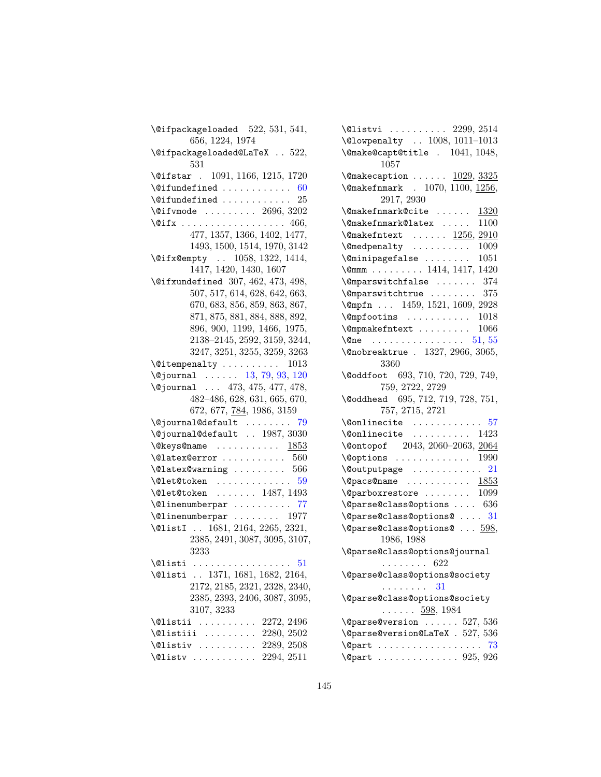| $\setminus$ @ifpackageloaded $522, 531, 541,$        |
|------------------------------------------------------|
| 656, 1224, 1974                                      |
| \@ifpackageloaded@LaTeX 522,                         |
| 531                                                  |
| \@ifstar . 1091, 1166, 1215, 1720                    |
| $\setminus$ Cifundefined  60                         |
| $\setminus$ Cifundefined  25                         |
| $\sqrt{91}$ fvmode  2696, 3202                       |
|                                                      |
| 477, 1357, 1366, 1402, 1477,                         |
| 1493, 1500, 1514, 1970, 3142                         |
| \@ifx@empty  1058, 1322, 1414,                       |
| 1417, 1420, 1430, 1607                               |
| \@ifxundefined 307, 462, 473, 498,                   |
| 507, 517, 614, 628, 642, 663,                        |
| 670, 683, 856, 859, 863, 867,                        |
| 871, 875, 881, 884, 888, 892,                        |
|                                                      |
| 896, 900, 1199, 1466, 1975,                          |
| 2138-2145, 2592, 3159, 3244,                         |
| 3247, 3251, 3255, 3259, 3263                         |
| $\setminus$ @itempenalty  1013                       |
| $\qquad$ $\qquad \qquad 13, 79, 93, 120$             |
| \@journal  473, 475, 477, 478,                       |
|                                                      |
| 482-486, 628, 631, 665, 670,                         |
| 672, 677, 784, 1986, 3159                            |
| $\sqrt{q}$ journal@default<br>79                     |
| \@journal@default  1987, 3030                        |
| $\texttt{\textbackslash}$ @keys@name $1853$          |
| $\lambda$ Qlatex @error  560                         |
| $\lambda$ ClatexCwarning  566                        |
| $\texttt{\textbackslash}$ Clet@token 59              |
|                                                      |
| $\text{Qlet@token} \dots \dots \dots \ 1487, 1493$   |
| \@linenumberpar  77                                  |
| $\text{Quinenumberpar} \dots \dots \dots \quad 1977$ |
| \@listI  1681, 2164, 2265, 2321,                     |
| 2385, 2491, 3087, 3095, 3107,                        |
| 3233<br>\@listi<br>51                                |
|                                                      |
| \@listi  1371, 1681, 1682, 2164,                     |
| 2172, 2185, 2321, 2328, 2340,                        |
| 2385, 2393, 2406, 3087, 3095,                        |
| 3107, 3233                                           |
| $\ldots \ldots \ldots 2272, 2496$<br><b>\@listii</b> |
| \@listiii  2280, 2502                                |
| \@listiv  2289, 2508<br>$\text{Qlistv}$ 2294, 2511   |

| $\text{Qlistvi}$ 2299, 2514                                                    |
|--------------------------------------------------------------------------------|
| \@lowpenalty  1008, 1011-1013                                                  |
| \@make@capt@title . 1041, 1048,<br>1057                                        |
| $\{\mathsf{Qmakecaption} \dots \dots \ \underline{1029}, \frac{3325}{1029} \}$ |
| \@makefnmark . 1070, 1100, 1256,                                               |
| 2917, 2930                                                                     |
| \@makefnmark@cite<br>1320                                                      |
| \@makefnmark@latex<br>1100                                                     |
| $\{\mathsf{Omakefntext} \dots \dots \ 1256, 2910\}$                            |
| \@medpenalty<br>1009                                                           |
| \@minipagefalse<br>1051                                                        |
| $\Gamma$ 1414, 1417, 1420                                                      |
| $\Omega$ : $\Omega$ $\Omega$ $\Omega$ $\Omega$ $\Omega$                        |
| $\Omega$ : $\Omega$ $\Omega$ $\Omega$                                          |
| \@mpfn  1459, 1521, 1609, 2928                                                 |
| $\emptyset$ mpfootins  1018                                                    |
| \@mpmakefntext<br>1066                                                         |
| \@ne $51, 55$                                                                  |
| \@nobreaktrue . 1327, 2966, 3065,                                              |
| 3360                                                                           |
| \@oddfoot 693, 710, 720, 729, 749,<br>759, 2722, 2729                          |
| \@oddhead 695, 712, 719, 728, 751,                                             |
| 757, 2715, 2721                                                                |
| $\lambda$ conlinecite  57                                                      |
| $\text{Nonlinecite} \dots \dots \dots \quad 1423$                              |
| \@ontopof 2043, 2060-2063, 2064                                                |
| $\sqrt{$ Options  1990                                                         |
|                                                                                |
| $\qquad$                                                                       |
| $\qquad$ Qparboxrestore  1099                                                  |
| $\qquad$ Qparse@class@options  636                                             |
| \@parse@class@options@  31                                                     |
| \@parse@class@options@  598,                                                   |
| 1986, 1988                                                                     |
| \@parse@class@options@journal                                                  |
| . 622                                                                          |
| \@parse@class@options@society                                                  |
| . 31                                                                           |
| \@parse@class@options@society                                                  |
| $\ldots \ldots 598, 1984$                                                      |
| $\qquad$ Qparse@version  527, 536                                              |
| \@parse@version@LaTeX . 527, 536                                               |
| 73<br><b>\@part</b>                                                            |
| $\qquad$                                                                       |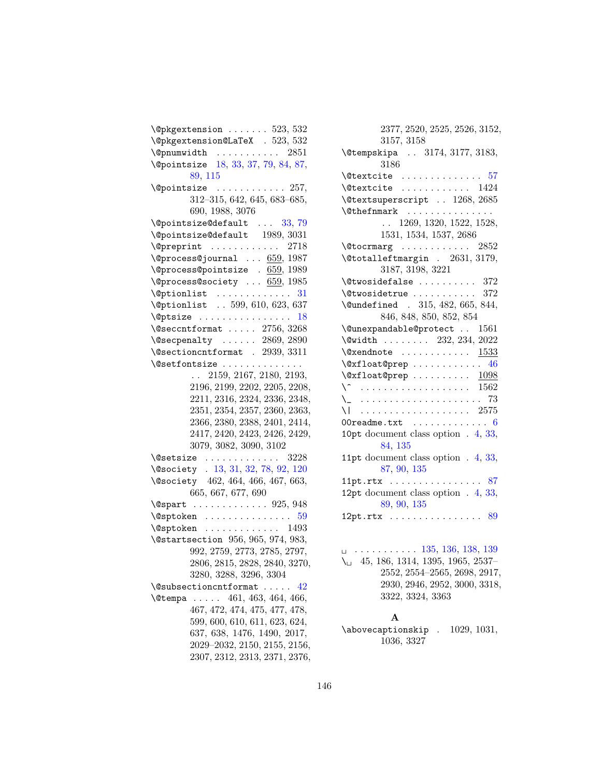| $\\$ {opkg}extension $523, 532$                  |
|--------------------------------------------------|
| $\verb+\@pkgextension@LaTeX + 523, 532$          |
| $\qquad$                                         |
| \@pointsize 18, 33, 37, 79, 84, 87,              |
| 89, 115                                          |
|                                                  |
| 312-315, 642, 645, 683-685,                      |
| 690, 1988, 3076                                  |
| \@pointsize@default<br>33, 79                    |
| \@pointsize@default 1989, 3031                   |
| \@preprint  2718                                 |
| $\qquad$ (Oprocess@journal $659, 1987$           |
| $\qquad$ (@process@pointsize . 659, 1989         |
| $\qquad$ $\qquad$ 659, 1985                      |
| $\verb \@ptionlist    31 $                       |
| \@ptionlist  599, 610, 623, 637                  |
| $\Diamond$ gptsize  18                           |
| $\sqrt{\text{Qsec}}$ cntformat  2756, 3268       |
| $\text{Vosecpenalty} \dots 2869, 2890$           |
| \@sectioncntformat . 2939, 3311                  |
| \@setfontsize                                    |
| 2159, 2167, 2180, 2193,                          |
| 2196, 2199, 2202, 2205, 2208,                    |
| 2211, 2316, 2324, 2336, 2348,                    |
| 2351, 2354, 2357, 2360, 2363,                    |
| 2366, 2380, 2388, 2401, 2414,                    |
| 2417, 2420, 2423, 2426, 2429,                    |
| 3079, 3082, 3090, 3102                           |
| $\text{Qsetsize} \dots \dots \dots \dots \ 3228$ |
| \@society . 13, 31, 32, 78, 92, 120              |
| \@society 462, 464, 466, 467, 663,               |
| 665, 667, 677, 690                               |
| $\text{Qspart}$ 925, 948                         |
| $\Diamond$ sptoken  59                           |
| $\sqrt{9}$ sptoken  1493                         |
| \@startsection 956, 965, 974, 983,               |
| 992, 2759, 2773, 2785, 2797,                     |
| 2806, 2815, 2828, 2840, 3270,                    |
| 3280, 3288, 3296, 3304                           |
| $\setminus$ @subsectioncntformat  42             |
| $\ldots$ 461, 463, 464, 466,<br><b>\@tempa</b>   |
| 467, 472, 474, 475, 477, 478,                    |
| 599, 600, 610, 611, 623, 624,                    |
| 637, 638, 1476, 1490, 2017,                      |
| 2029-2032, 2150, 2155, 2156,                     |
| 2307, 2312, 2313, 2371, 2376,                    |

| 2377, 2520, 2525, 2526, 3152,                                                                    |
|--------------------------------------------------------------------------------------------------|
| 3157, 3158                                                                                       |
| \@tempskipa  3174, 3177, 3183,<br>3186                                                           |
| $\text{Vector}$ 57                                                                               |
| $\texttt{Network}$ 1424                                                                          |
| \@textsuperscript  1268, 2685                                                                    |
| $\left\{\text{Other} \dots \dots \dots \dots \right\}$                                           |
| 1269, 1320, 1522, 1528,<br>$\ddotsc$                                                             |
| 1531, 1534, 1537, 2686                                                                           |
| $\setminus$ @tocrmarg  2852                                                                      |
| $\text{\textbackslash}\mathfrak{C}$ totalleftmargin . 2631, 3179,                                |
| 3187, 3198, 3221                                                                                 |
| $\texttt{\textbackslash}$ Ctwosidefalse  372                                                     |
| $\text{Vctwosidetrue}$ 372                                                                       |
| \@undefined . 315, 482, 665, 844,                                                                |
| 846, 848, 850, 852, 854                                                                          |
| \@unexpandable@protect  1561                                                                     |
| $\sqrt{$ width  232, 234, 2022                                                                   |
| $\texttt{\textbackslash@xendnote} \dots \dots \dots \dots \frac{1533}{}$                         |
| $\setminus$ @xfloat@prep  46                                                                     |
| $\texttt{\textbackslash}\mathbb{Q}\text{xfloat@prep}\dots\dots\dots\dots \quad \underline{1098}$ |
| $\setminus$ 1562                                                                                 |
| . 73                                                                                             |
|                                                                                                  |
| OOreadme.txt $\ldots \ldots \ldots \ldots 6$                                                     |
| 10pt document class option . 4, 33,<br>84, 135                                                   |
|                                                                                                  |
| 11pt document class option $.4, 33,$<br>87, 90, 135                                              |
| 11pt.rtx $\ldots \ldots \ldots \ldots \ldots 87$                                                 |
| 12pt document class option $.4, 33,$                                                             |
| 89, 90, 135                                                                                      |
| 12pt.rtx $89$                                                                                    |
|                                                                                                  |
|                                                                                                  |

 . . . . . . . . . . . [135,](#page-134-0) [136,](#page-135-0) [138,](#page-137-0) [139](#page-138-0) \ 45, 186, 1314, 1395, 1965, 2537– 2552, 2554–2565, 2698, 2917, 2930, 2946, 2952, 3000, 3318, 3322, 3324, 3363

#### A

\abovecaptionskip . 1029, 1031, 1036, 3327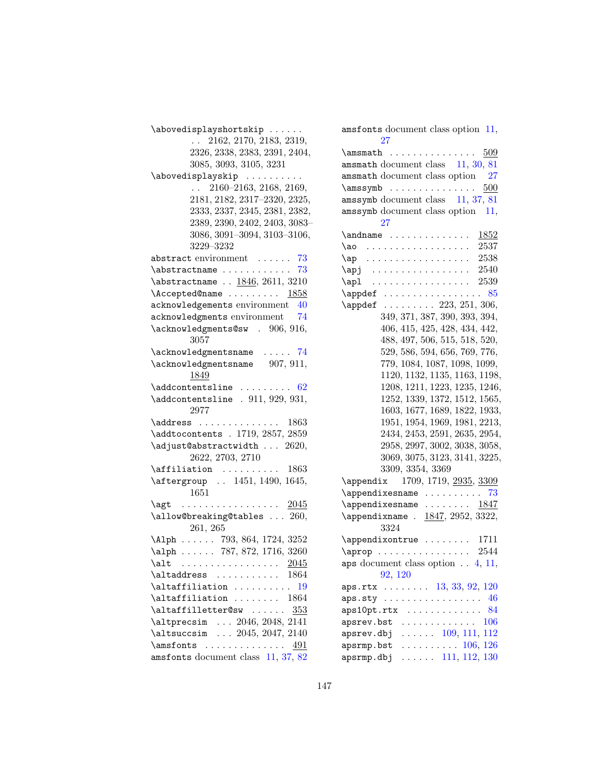\abovedisplayshortskip . . . . . . . . 2162, 2170, 2183, 2319, 2326, 2338, 2383, 2391, 2404, 3085, 3093, 3105, 3231 \abovedisplayskip .......... . . 2160–2163, 2168, 2169, 2181, 2182, 2317–2320, 2325, 2333, 2337, 2345, 2381, 2382, 2389, 2390, 2402, 2403, 3083– 3086, 3091–3094, 3103–3106, 3229–3232 abstract environment ...... [73](#page-72-0) \abstractname . . . . . . . . . . . . [73](#page-72-0) \abstractname . . 1846, 2611, 3210 \Accepted@name . . . . . . . . 1858 acknowledgements environment [40](#page-39-0) acknowledgments environment [74](#page-73-0) \acknowledgments@sw . 906, 916, 3057 \acknowledgmentsname . . . . . [74](#page-73-0) \acknowledgmentsname 907, 911, 1849  $\ad{\text{content}sline \ \ldots \ \ldots \ \ 62}$  $\ad{\text{content}sline \ \ldots \ \ldots \ \ 62}$  $\ad{\text{content}sline \ \ldots \ \ldots \ \ 62}$ \addcontentsline . 911, 929, 931, 2977 \address . . . . . . . . . . . . . 1863 \addtocontents . 1719, 2857, 2859 \adjust@abstractwidth ... 2620, 2622, 2703, 2710 \affiliation . . . . . . . . . . 1863 \aftergroup . . 1451, 1490, 1645, 1651 \agt . . . . . . . . . . . . . . . . . 2045 \allow@breaking@tables . . . 260, 261, 265 \Alph . . . . . . 793, 864, 1724, 3252 \alph . . . . . . 787, 872, 1716, 3260 \alt . . . . . . . . . . . . . . . . 2045 \altaddress .......... 1864 \altaffiliation .......... [19](#page-18-0) \altaffiliation . . . . . . . . 1864 \altaffilletter@sw ......  $353$ \altprecsim . . . 2046, 2048, 2141 \altsuccsim . . . 2045, 2047, 2140 \amsfonts . . . . . . . . . . . . . 491 amsfonts document class [11,](#page-10-0) [37,](#page-36-0) [82](#page-81-0)

| $\alpha$ amsfonts document class option 11,                  |
|--------------------------------------------------------------|
| 27                                                           |
| $\mathrm{maxmath}$ 509                                       |
| amsmath document class 11, 30, 81                            |
| amsmath document class option 27                             |
| $\{\text{amssymb} \ldots \ldots \ldots \quad \frac{500}{\ }$ |
| amssymb document class 11, 37, 81                            |
| $\alpha$ amssymb document class option 11,                   |
| $27\,$                                                       |
| $\lambda$ and name $1852$                                    |
| \ao  2537                                                    |
| $\ap{ap}$ 2538                                               |
| $\alpha j$ 2540                                              |
| $\alpha$ 2539                                                |
|                                                              |
| $\Delta$ ppdef  223, 251, 306,                               |
| 349, 371, 387, 390, 393, 394,                                |
|                                                              |
| 406, 415, 425, 428, 434, 442,                                |
| 488, 497, 506, 515, 518, 520,                                |
| 529, 586, 594, 656, 769, 776,                                |
| 779, 1084, 1087, 1098, 1099,                                 |
| 1120, 1132, 1135, 1163, 1198,                                |
| 1208, 1211, 1223, 1235, 1246,                                |
| 1252, 1339, 1372, 1512, 1565,                                |
| 1603, 1677, 1689, 1822, 1933,                                |
| 1951, 1954, 1969, 1981, 2213,                                |
| 2434, 2453, 2591, 2635, 2954,                                |
| 2958, 2997, 3002, 3038, 3058,                                |
| 3069, 3075, 3123, 3141, 3225,                                |
| 3309, 3354, 3369                                             |
| \appendix 1709, 1719, 2935, 3309                             |
| $\alpha$ \appendixesname  73                                 |
| $\alpha$ \appendixesname  1847                               |
| $\Delta$ ppendixname . $1847, 2952, 3322,$                   |
| 3324                                                         |
| $\Delta$ ppendixontrue  1711                                 |
| $\approx 2544$                                               |
| aps document class option $\ldots$ 4, 11,                    |
| 92, 120                                                      |
| aps.rtx   13, 33, 92, 120                                    |
| $aps.sty \ldots \ldots \ldots \ldots$<br>46                  |
| $aps10pt.rtx \ldots \ldots \ldots$<br>84                     |
| 106<br>apsrev.bst<br>.                                       |
| $\ldots$ $\ldots$ 109, 111, 112<br>apsrev.dbj                |
| $\cdots \cdots \cdots 106, 126$<br>apsrmp.bst                |
| $apsrmp.dbj \ldots \ldots 111, 112, 130$                     |
|                                                              |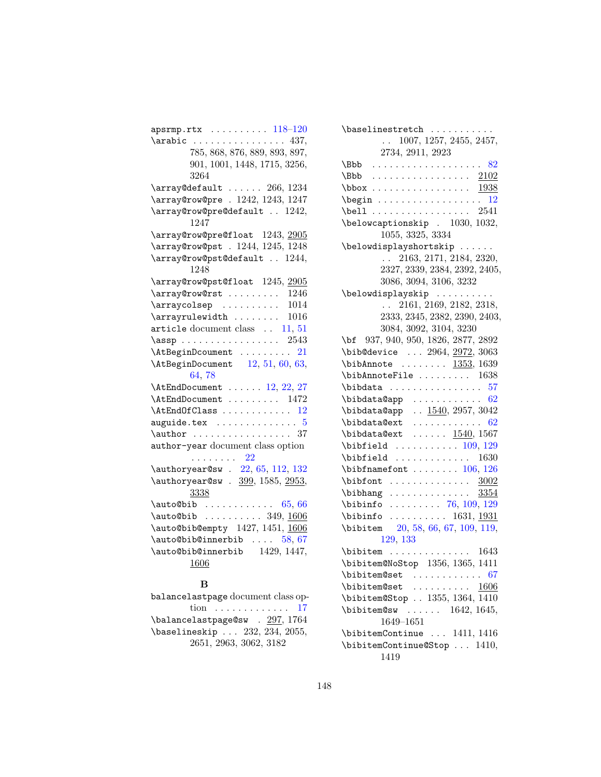| $apsrmp.rtx \ldots \ldots \ldots 118-120$                                                                                                   |
|---------------------------------------------------------------------------------------------------------------------------------------------|
| $\arabic \ldots \ldots \ldots \ldots 437,$                                                                                                  |
| 785, 868, 876, 889, 893, 897,                                                                                                               |
| 901, 1001, 1448, 1715, 3256,                                                                                                                |
| 3264                                                                                                                                        |
| $\label{cor:1} $$\array@{\text{all} t \ldots 266, 1234$                                                                                     |
| \array@row@pre . 1242, 1243, 1247                                                                                                           |
| \array@row@pre@default  1242,<br>1247                                                                                                       |
| \array@row@pre@float 1243, 2905                                                                                                             |
| \array@row@pst . 1244, 1245, 1248                                                                                                           |
| \array@row@pst@default  1244,<br>1248                                                                                                       |
| \array@row@pst@float 1245, 2005                                                                                                             |
| $\arctan$ $\arctan$ $\arctan$ $\arctan$ $\arctan$ $\arctan$ $\arctan$ $\arctan$ $\arctan$ $\arctan$ $\arctan$ $\arctan$ $\arctan$ $\arctan$ |
| $\arrayco1sep$<br>1014                                                                                                                      |
| 1016<br>$\arctan$                                                                                                                           |
| article document class  11, 51                                                                                                              |
| $\text{lassp}$ 2543                                                                                                                         |
| \AtBeginDcoument  21                                                                                                                        |
| $\Lambda tBeginDocument$ 12, 51, 60, 63,                                                                                                    |
| 64,78                                                                                                                                       |
| $\Lambda$ tEndDocument  12, 22, 27                                                                                                          |
| $\lambda t$ EndDocument  1472                                                                                                               |
| $\lambda$ tEndOfClass  12                                                                                                                   |
| $auguide.$ tex $\ldots \ldots \ldots \ldots 5$                                                                                              |
|                                                                                                                                             |
| $\lambda$ : $\ldots$ 37                                                                                                                     |
| author-year document class option                                                                                                           |
| . 22                                                                                                                                        |
| $\lambda$ /authoryear@sw . 22, 65, 112, 132                                                                                                 |
| \authoryear@sw . 399, 1585, 2953,<br>3338                                                                                                   |
| $\ldots$ 65, 66                                                                                                                             |
| \auto@bib<br>$\lambda$ auto@bib  349, 1606                                                                                                  |
| \auto@bib@empty 1427, 1451, 1606                                                                                                            |
| $\lambda$ : 58, 67                                                                                                                          |
| $\lambda$ 1447,                                                                                                                             |
| 1606                                                                                                                                        |

| balancelastpage document class op- |
|------------------------------------|
| tion 17                            |
| \balancelastpage@sw . 297, 1764    |
| \baselineskip  232, 234, 2055,     |
| 2651, 2963, 3062, 3182             |

| \baselinestretch                                                                                |
|-------------------------------------------------------------------------------------------------|
| $\ldots$ 1007, 1257, 2455, 2457,                                                                |
| 2734, 2911, 2923                                                                                |
|                                                                                                 |
| . <u>2102</u><br>\Bbb                                                                           |
|                                                                                                 |
| $\begin{array}{ccc}\n\text{begin} \dots & \dots & \dots & \dots & 12\n\end{array}$              |
| $\begin{bmatrix} 2541 \end{bmatrix}$                                                            |
| \belowcaptionskip . 1030, 1032,                                                                 |
| 1055, 3325, 3334                                                                                |
| \belowdisplayshortskip                                                                          |
| $\mathbf{L}$<br>2163, 2171, 2184, 2320,                                                         |
| 2327, 2339, 2384, 2392, 2405,                                                                   |
| 3086, 3094, 3106, 3232                                                                          |
| \belowdisplayskip                                                                               |
| 2161, 2169, 2182, 2318,<br>$\mathbb{R}^{\mathbb{Z}^{\times}}$                                   |
| 2333, 2345, 2382, 2390, 2403,                                                                   |
| 3084, 3092, 3104, 3230                                                                          |
| \bf 937, 940, 950, 1826, 2877, 2892                                                             |
| \bib@device  2964, 2972, 3063                                                                   |
| $\big\{\n  bibAnnote\n  1353, 1639$                                                             |
| $\bb{\hbox{\sc bihAnnot}}$ 1638                                                                 |
| $\boldsymbol{\lambda} \dots \dots \dots \dots \dots 57$                                         |
|                                                                                                 |
| \bibdata@app  1540, 2957, 3042                                                                  |
| $\lambda$ bibdata@ext  62                                                                       |
| $\boldsymbol{\lambda}$ bibdata@ext $1540, 1567$                                                 |
|                                                                                                 |
|                                                                                                 |
| $\big\{\n  \begin{array}{ccc}\n  \text{ \quad \quad } \ldots \quad 1630\n \end{array}\n \big\}$ |
| $\big\{\n  bitnamefont \ldots \ldots \quad 106, 126\n $                                         |
| $\boldsymbol{\lambda} \ldots \ldots \ldots \quad \underline{3002}$                              |
| $\label{bibhang} $$\bibhang \dots \dots \dots \dots 3354$                                       |
| $\big\{\n  bin 0 \ldots \ldots \ 76, 109, 129\n$                                                |
| $\big\{\n  binbin 0 \ldots \ldots \n  1631, 1931 \n$                                            |
| \bibitem 20, 58, 66, 67, 109, 119,                                                              |
| 129, 133                                                                                        |
|                                                                                                 |
| $\verb+\bibitem@NoStop 1356, 1365, 1411$                                                        |
| \bibitem@set<br>67                                                                              |
| $\lambda$ $1606$                                                                                |
| \bibitem@Stop  1355, 1364, 1410                                                                 |
| $\big\{\text{bibitem@sw } \ldots \ldots \quad 1642, 1645,$                                      |
| 1649-1651                                                                                       |
| \bibitemContinue  1411, 1416                                                                    |
| \bibitemContinue@Stop  1410,                                                                    |
| 1419                                                                                            |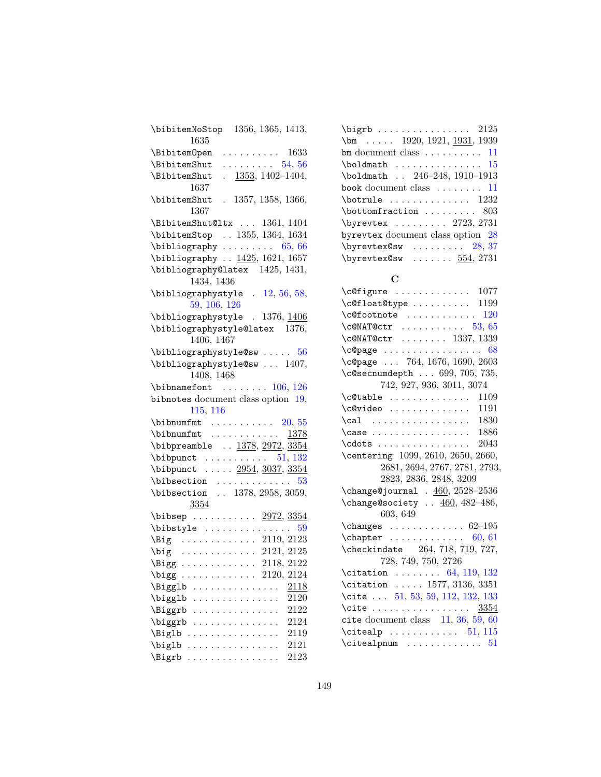| $\big\{\phi\$ 1356, 1365, 1413,                       |
|-------------------------------------------------------|
| 1635                                                  |
| \BibitemOpen<br>$\cdots \cdots \cdots 1633$           |
| $\ldots \ldots \ldots 54, 56$<br>\BibitemShut         |
| $\frac{1353}{1302-1404}$<br>\BibitemShut              |
| 1637                                                  |
| \bibitemShut . 1357, 1358, 1366,                      |
| 1367                                                  |
| \BibitemShut@ltx  1361, 1404                          |
| \bibitemStop  1355, 1364, 1634                        |
| $\lambda$ ibliography  65, 66                         |
| \bibliography  1425, 1621, 1657                       |
| \bibliography@latex 1425, 1431,                       |
| 1434, 1436                                            |
| $\big\{\n  bitliography style \quad 12, 56, 58,\n$    |
| 59, 106, 126                                          |
| \bibliographystyle . 1376, 1406                       |
| \bibliographystyle@latex 1376,                        |
| 1406, 1467                                            |
| $\big\{\n  bitliography style \& sum: 56\n $          |
| \bibliographystyle@sw  1407,                          |
| 1408, 1468                                            |
| $\lambda$ ibibnamefont  106, 126                      |
| bibnotes document class option 19,                    |
| 115, 116                                              |
|                                                       |
| $\b$ ibnumfmt  1378                                   |
| \bibpreamble $\therefore$ 1378, 2972, 3354            |
| $\big\{\n  bibpunct \ldots \ldots \quad 51, 132\n $   |
|                                                       |
|                                                       |
| \bibpunct  2954, 3037, 3354                           |
|                                                       |
| \bibsection  1378, 2958, 3059,                        |
| 3354                                                  |
| \bibsep $2972, 3354$                                  |
| $\big\{ \big\}$                                       |
| \Big 2119, 2123                                       |
| $\big\{\big\}$ 2121, 2125                             |
| \Bigg 2118, 2122                                      |
| 2120, 2124<br>\bigg<br>$\sim$ .<br>.<br>.             |
| 2118<br>\Bigglb<br>.<br>$\ddot{\phantom{0}}$<br>i vil |
| 2120<br>\bigglb<br>.                                  |
| 2122<br>\Biggrb<br>.                                  |
| 2124<br>\biggrb<br>.                                  |
| 2119<br>\Biglb<br>.                                   |
| 2121<br>\biglb<br>.<br>\Bigrb<br>2123<br>.            |

| $\biguplus$ rb  2125                                                         |  |
|------------------------------------------------------------------------------|--|
| $\{bm \dots 1920, 1921, 1931, 1939$                                          |  |
| bm document class $\dots \dots \dots \dots 11$                               |  |
| $\boldsymbol{\lambda} \dots \dots \dots \dots \dots \dots \dots \dots \dots$ |  |
| \boldmath  246-248, 1910-1913                                                |  |
| book document class $\dots \dots 11$                                         |  |
| $\langle$ botrule  1232                                                      |  |
| $\text{bottomfraction}$ 803                                                  |  |
| \byrevtex  2723, 2731                                                        |  |
| byrevtex document class option 28                                            |  |
| $\b{yrevtex@sw}$ 28, 37                                                      |  |
| $\b{yrevtex@sw}$ $554, 2731$                                                 |  |

# C

| $\c{qfigure}$ 1077                                      |
|---------------------------------------------------------|
| $\c{eff}$ $1199$                                        |
| $\setminus$ c@footnote  120                             |
| $\text{CeONATCctr}$ 53, 65                              |
| $\text{C@NAT@ctr}$ 1337, 1339                           |
|                                                         |
| \c@page  764, 1676, 1690, 2603                          |
| \c@secnumdepth  699, 705, 735,                          |
| 742, 927, 936, 3011, 3074                               |
| 1109<br>$\c{etable}$                                    |
| 1191<br>$\c$ video                                      |
| 1830<br>$\cal \cal$                                     |
| $\setminus \text{case} \dots \dots \dots \dots$<br>1886 |
| 2043                                                    |
| \centering 1099, 2610, 2650, 2660,                      |
| 2681, 2694, 2767, 2781, 2793,                           |
| 2823, 2836, 2848, 3209                                  |
| \change@journal . 460, 2528-2536                        |
| $\change$ esociety $460, 482-486,$                      |
| 603, 649                                                |
| $\{\text{changes } \ldots \ldots \ldots \ 62-195$       |
|                                                         |
| \checkindate 264, 718, 719, 727,                        |
| 728, 749, 750, 2726                                     |
| \citation  64, 119, 132                                 |
| \citation  1577, 3136, 3351                             |
| \cite  51, 53, 59, 112, 132, 133                        |
| \cite $\ldots \ldots \ldots \ldots \quad \frac{3354}{}$ |
| cite document class $11, 36, 59, 60$                    |
| $\texttt{citealp} \dots \dots \dots \quad 51,115$       |
| $\texttt{\`citealpnum} \dots \dots \dots \dots 51$      |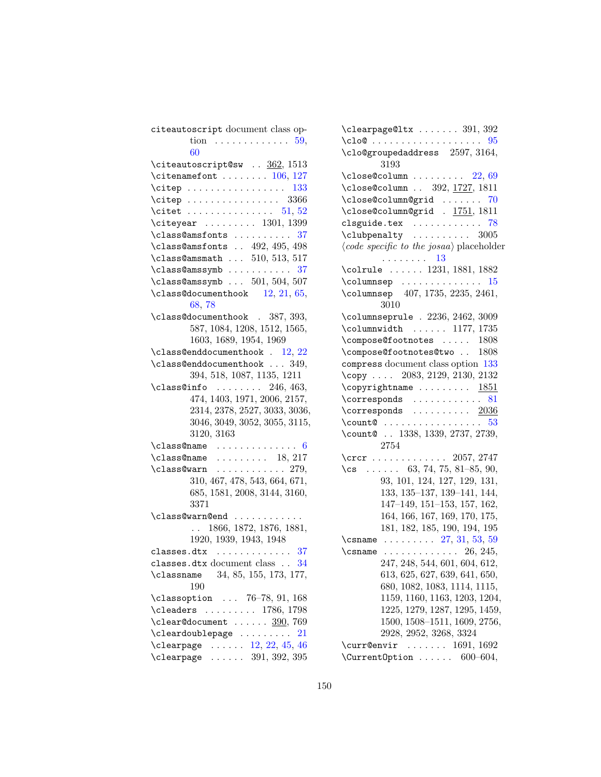| citeautoscript document class op-                        |
|----------------------------------------------------------|
| tion $\ldots \ldots \ldots \ldots 59$ ,                  |
| 60                                                       |
| $\texttt{{\char'13em}citex}$ $\underline{362},\, 1513$   |
| $\texttt{\textbackslash}$ citenamefont  106, 127         |
| $\text{citep}$ 133                                       |
| $\text{citep}$ 3366                                      |
| \citet  51, 52                                           |
| $\text{Citeyear} \dots \dots \dots \ 1301, 1399$         |
| \class@amsfonts  37                                      |
| \class@amsfonts  492, 495, 498                           |
| $\clap{class}$ Cansmath  510, 513, 517                   |
| \class@amssymb  37                                       |
| $\clap{class@amssymbol 501, 504, 507}$                   |
| $\clap{class@documenthook}$ 12, 21, 65,                  |
| 68,78                                                    |
| \class@documenthook . 387, 393,                          |
| 587, 1084, 1208, 1512, 1565,                             |
| 1603, 1689, 1954, 1969                                   |
| $\lambda$ . 12, 22                                       |
| $\clap{class@enddocumenthook 349, }$                     |
| 394, 518, 1087, 1135, 1211                               |
| $\clap{class@info}$ 246, 463,                            |
| 474, 1403, 1971, 2006, 2157,                             |
| 2314, 2378, 2527, 3033, 3036,                            |
| 3046, 3049, 3052, 3055, 3115,                            |
| 3120, 3163                                               |
| $\cl$ ass@name  6                                        |
| $\clap{lclass@name}$ 18, 217                             |
| $\clap{lclass@warn} \ldots \ldots \ldots \ldots 279,$    |
|                                                          |
| 310, 467, 478, 543, 664, 671,                            |
| 685, 1581, 2008, 3144, 3160,                             |
| 3371                                                     |
| \class@warn@end                                          |
| 1866, 1872, 1876, 1881,<br>$\mathbf{L}$                  |
| 1920, 1939, 1943, 1948                                   |
| classes.dtx $\ldots \ldots \ldots \ldots 37$             |
| classes.dtx document class $\ . \ . \ \ 34$              |
| \classname 34, 85, 155, 173, 177,                        |
| 190                                                      |
| \classoption  76-78, 91, 168                             |
| $\text{cleaders}$ 1786, 1798                             |
| $\text{Clear@document} \dots \dots \underline{390}, 769$ |
| $\texttt{\cleardoublepage} \dots \dots \dots 21$         |
| $\text{Clearpage} \dots 12, 22, 45, 46$                  |
| $\text{Clearpage} \dots \dots \ 391, 392, 395$           |

| $\texttt{\clearpage@ltx} \dots \dots 391, 392$                       |
|----------------------------------------------------------------------|
| $\text{Clo@ } \ldots \ldots \ldots \ldots \ldots 95$                 |
| $\c{100}$ groupedaddress 2597, 3164,<br>3193                         |
| $3193$<br>\close@column  22,69                                       |
| \close@column  392, 1727, 1811                                       |
| \close@column@grid  70                                               |
| \close@column@grid . 1751, 1811                                      |
| clsguide.tex $\ldots \ldots \ldots \ldots$ 78                        |
| $\clubpenalty \ldots \ldots \ldots 3005$                             |
| $\langle code \; specific \; to \; the \; josaa \rangle$ placeholder |
|                                                                      |
| $\lambda$ columnsep  15                                              |
| \columnsep 407, 1735, 2235, 2461,<br>3010                            |
| \columnseprule . 2236, 2462, 3009                                    |
| $\columnwidth$ 1177, 1735                                            |
| \compose@footnotes  1808                                             |
| \compose@footnotes@two  1808                                         |
| compress document class option 133                                   |
| \copy  2083, 2129, 2130, 2132                                        |
| $\text{Copyrightname} \dots \dots \dots \frac{1851}{1851}$           |
| $\text{corresponds}$ 81                                              |
| \corresponds $\ldots \ldots \frac{2036}{20}$                         |
| $\text{Count@ } \ldots \ldots \ldots \ldots \quad 53$                |
| \count@  1338, 1339, 2737, 2739,                                     |
| 2754                                                                 |
| $\text{Crcr} \ldots \ldots \ldots \ldots 2057, 2747$                 |
| $\text{Cs}$ 63, 74, 75, 81-85, 90,                                   |
| 93, 101, 124, 127, 129, 131,                                         |
| 133, 135-137, 139-141, 144,                                          |
| 147-149, 151-153, 157, 162,                                          |
| 164, 166, 167, 169, 170, 175,                                        |
| 181, 182, 185, 190, 194, 195                                         |
| \csname $27, 31, 53, 59$                                             |
| \csname $\ldots \ldots \ldots$ 26, 245,                              |
| 247, 248, 544, 601, 604, 612,                                        |
| 613, 625, 627, 639, 641, 650,                                        |
| 680, 1082, 1083, 1114, 1115,                                         |
| 1159, 1160, 1163, 1203, 1204,                                        |
| 1225, 1279, 1287, 1295, 1459,                                        |
| 1500, 1508-1511, 1609, 2756,                                         |
| 2928, 2952, 3268, 3324                                               |
| $\text{Current}$ 1691, 1692                                          |
| $600 - 604,$                                                         |
| \Current0ption                                                       |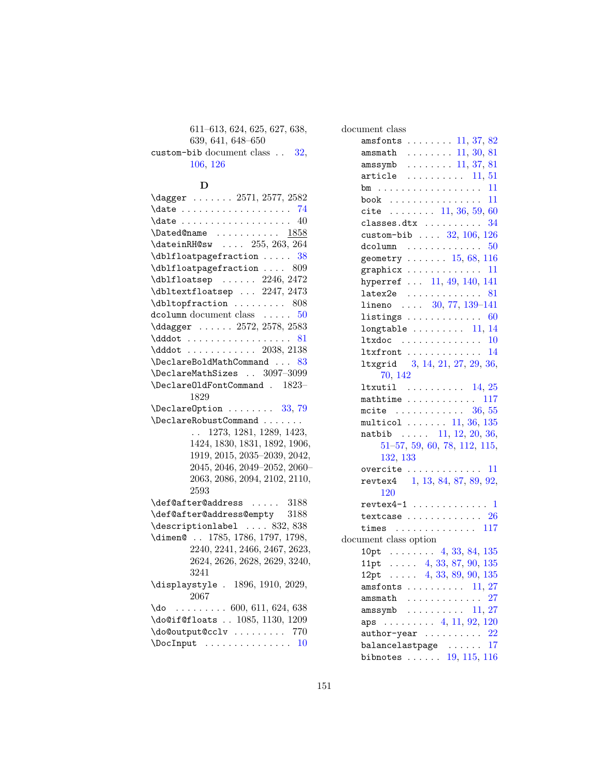611–613, 624, 625, 627, 638, 639, 641, 648–650 custom-bib document class . . [32,](#page-31-0) [106,](#page-105-0) [126](#page-125-0)

#### D

| $\text{Uagger} \dots 2571, 2577, 2582$                                                        |
|-----------------------------------------------------------------------------------------------|
|                                                                                               |
|                                                                                               |
| $\Delta$ ed@name  1858                                                                        |
| \dateinRH@sw  255, 263, 264                                                                   |
| \dblfloatpagefraction<br>38                                                                   |
| \dblfloatpagefraction  809                                                                    |
| $\Delta$ blfloatsep  2246, 2472                                                               |
| $\Delta$ bltextfloatsep  2247, 2473                                                           |
| \dbltopfraction  808                                                                          |
| dcolumn document class $\ldots$ 50                                                            |
| \ddagger  2572, 2578, 2583                                                                    |
| $\ddot{\text{dddot}} \dots \dots \dots \dots \dots \dots \dots \dots \dots \dots \dots \dots$ |
| $\ddot{0}$ 2038, 2138                                                                         |
| $\Delta$ 83                                                                                   |
| \DeclareMathSizes  3097-3099                                                                  |
| \Declare01dFontCommand . 1823-                                                                |
| 1829                                                                                          |
| $\Delta$ PeclareOption  33, 79                                                                |
|                                                                                               |
| $\ldots$ 1273, 1281, 1289, 1423,                                                              |
| 1424, 1830, 1831, 1892, 1906,                                                                 |
| 1919, 2015, 2035-2039, 2042,                                                                  |
| 2045, 2046, 2049-2052, 2060-                                                                  |
| 2063, 2086, 2094, 2102, 2110,                                                                 |
| 2593                                                                                          |
| $\label{thm:main} \verb+\def@after@address   3188$                                            |
| $\verb+\def@after@address@empty 3188$                                                         |
| $\text{descriptionlabel} \ldots 832, 838$                                                     |
| \dimen@  1785, 1786, 1797, 1798,                                                              |
| 2240, 2241, 2466, 2467, 2623,                                                                 |
| 2624, 2626, 2628, 2629, 3240,                                                                 |
| 3241                                                                                          |
| \displaystyle . 1896, 1910, 2029,                                                             |
| 2067                                                                                          |
| $\text{d}o$ 600, 611, 624, 638                                                                |
| \do@if@floats  1085, 1130, 1209                                                               |
| \do@output@cclv  770                                                                          |
| $\Delta 10$                                                                                   |

| document class                                                   |
|------------------------------------------------------------------|
| amsfonts $\ldots \ldots 11, 37, 82$                              |
| amsmath $\ldots \ldots \ldots 11, 30, 81$                        |
| amssymb $\ldots \ldots \ldots 11, 37, 81$                        |
| article $\ldots \ldots \ldots 11, 51$                            |
| bm 11                                                            |
| 11<br>book $\ldots \ldots \ldots \ldots \ldots$                  |
|                                                                  |
| cite $\ldots \ldots 11, 36, 59, 60$                              |
| classes.dtx $\ldots \ldots \ldots \quad 34$                      |
| custom-bib $\ldots$ 32, 106, 126                                 |
| dcolumn $\ldots \ldots \ldots \ldots 50$                         |
| geometry $15, 68, 116$                                           |
| 11<br>graphicx $\ldots \ldots \ldots$                            |
| hyperref  11, 49, 140, 141                                       |
| 81<br>$lates2e$                                                  |
| lineno $30, 77, 139-141$                                         |
| 60<br>$listings \ldots \ldots \ldots \ldots$                     |
| longtable $\ldots \ldots \ldots 11, 14$                          |
| ltxdoc<br>. 10                                                   |
| $ltxfront$ $14$                                                  |
| 1txgrid 3, 14, 21, 27, 29, 36,                                   |
| 70, 142                                                          |
| <b>ltxutil</b> $\ldots \ldots \ldots 14, 25$                     |
| mathtime $\ldots \ldots \ldots \ldots 117$                       |
| $\cdots \cdots \cdots \cdots 36, 55$<br>mcite                    |
| multicol $\ldots \ldots 11, 36, 135$                             |
| natbib $\ldots$ 11, 12, 20, 36,                                  |
| 51-57, 59, 60, 78, 112, 115,                                     |
| 132, 133                                                         |
| . . 11<br>overcite                                               |
| revtex4 1, 13, 84, 87, 89, 92,                                   |
| 120                                                              |
| $revtex4-1$ 1                                                    |
| textcase $\ldots \ldots \ldots \ldots 26$                        |
| times $117$                                                      |
| document class option                                            |
| 10pt $\ldots$ 4, 33, 84, 135                                     |
| 11pt $\ldots$ 4, 33, 87, 90, 135                                 |
| 12pt $\ldots$ 4, 33, 89, 90, 135                                 |
| amsfonts $\ldots \ldots \ldots 11, 27$                           |
| $\text{amsmath}$<br>27                                           |
| $\texttt{amssymb} \quad \ldots \quad \ldots \quad \text{11, 27}$ |
| aps $\ldots \ldots \ldots$ 4, 11, 92, 120                        |
| 22                                                               |
| 17<br>balancelastpage                                            |
| bibnotes $19, 115, 116$                                          |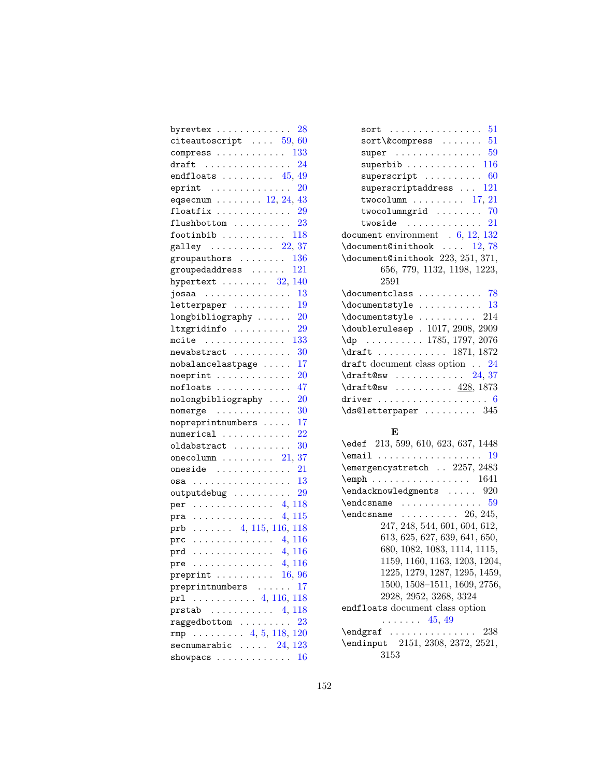| $byrevtex \ \ \ \$<br>28                                                                                                 |  |
|--------------------------------------------------------------------------------------------------------------------------|--|
| citeautoscript $\ldots$ 59, 60                                                                                           |  |
| . 133<br>$compress \ldots$ .<br>$\sim$ $\sim$ $\sim$ $\sim$ $\sim$                                                       |  |
| $\ldots$ 24<br>$draff$<br>$\cdots$                                                                                       |  |
| $\therefore$ 45, 49<br>endfloats<br>$\mathbf{1}$                                                                         |  |
| $\therefore$ 20<br>eprint<br>$\ddot{\phantom{0}}$<br>$\sim$ $\sim$<br>$\mathbb{Z}^2$ , $\mathbb{Z}^2$ , $\mathbb{Z}^2$   |  |
| eqsecnum $\ldots \ldots \ldots 12, 24, 43$                                                                               |  |
| floatfix $\ldots$<br>.29<br>الدائد الدائد<br>¥.                                                                          |  |
| $\overline{1}$ , $\overline{1}$ , $\overline{1}$ ,<br>$23\,$<br>flushbottom<br>$\ddotsc$                                 |  |
| $\therefore$ 118<br>footinbib<br>$\ddot{\phantom{0}}$<br>$\ddot{\phantom{a}}$<br>$\ddot{\phantom{a}}$<br>$\sim$          |  |
| $\ldots$ 22, 37<br>galley                                                                                                |  |
| groupauthors<br>. . 136<br>$\ddotsc$                                                                                     |  |
| . 121<br>groupedaddress                                                                                                  |  |
| $\mathcal{L}$<br>$. \t32, 140$<br>hypertext                                                                              |  |
| $\sim$ $\sim$<br>13                                                                                                      |  |
| josaa<br>$\mathcal{L}^{\pm}$<br>$\sim$                                                                                   |  |
| letterpaper<br>19<br>$\ddotsc$                                                                                           |  |
| longbibliography<br><b>20</b>                                                                                            |  |
| ltxgridinfo<br>$\mathbb{R}^3$<br>29                                                                                      |  |
| . 133<br>$mcite$                                                                                                         |  |
| 30<br>newabstract                                                                                                        |  |
| 17<br>nobalancelastpage.                                                                                                 |  |
| $noeprint$<br>20                                                                                                         |  |
| 47<br>$nofloats \dots\dots$                                                                                              |  |
| nolongbibliography<br>20                                                                                                 |  |
| $\n  nomerge\n    $<br>30                                                                                                |  |
| 17<br>nopreprintnumbers                                                                                                  |  |
| $22\,$<br>numerical<br>$\sim$ .                                                                                          |  |
| 30<br>oldabstract<br>$\sim$<br>$\cdots$                                                                                  |  |
| 21, 37<br>$onecolumn \dots \dots$<br>$\sim$ $\sim$                                                                       |  |
| . 21<br>oneside<br>$\sim$ $\sim$<br>$\sim$                                                                               |  |
| 13<br>$osa \dots \dots \dots$<br>$\alpha$ , $\alpha$ , $\alpha$ , $\alpha$<br>$\ddot{\phantom{1}}$                       |  |
| 29<br>outputdebug<br>$\mathbb{E}[\mathbf{r}^{\top}\mathbf{r}^{\top}\mathbf{r}^{\top}\mathbf{r}^{\top}]$<br>$\sim$ $\sim$ |  |
| $\ldots \ldots 4, 118$<br>per<br>.                                                                                       |  |
| 4, 115<br>pra<br>.                                                                                                       |  |
| $\ldots$ 4, 115, 116, 118<br>prb                                                                                         |  |
| . 4, 116<br>prc                                                                                                          |  |
| $\cdots \cdots \cdots \cdots \cdots 4, 116$<br>prd                                                                       |  |
| $\mathtt{pre}\ \dots\dots\dots\dots\dots\ 4,\,116$                                                                       |  |
| preprint $\ldots \ldots \ldots 16, 96$                                                                                   |  |
| preprintnumbers<br>17                                                                                                    |  |
| $\ldots \ldots \ldots 4, 116, 118$<br>prl                                                                                |  |
| $prstab$ 4, 118                                                                                                          |  |
| raggedbottom<br>23                                                                                                       |  |
| rmp  4, 5, 118, 120                                                                                                      |  |
| secnumarabic $\ldots$ 24, 123                                                                                            |  |
| 16<br>$showpacs$                                                                                                         |  |
|                                                                                                                          |  |

| $sort\&compress \ldots \ldots 51$                        |
|----------------------------------------------------------|
| super $\dots \dots \dots \dots \dots \dots 59$           |
| ${\tt superbib} \; \ldots \; \ldots \; \ldots \; \; 116$ |
| superscript $60$                                         |
| superscriptaddress $\ldots$ 121                          |
| twocolumn $\ldots \ldots \ldots 17, 21$                  |
| twocolumngrid $\ldots \ldots \ldots$ 70                  |
| twoside $\ldots \ldots \ldots \ldots \hspace{1.5cm} 21$  |
| document environment $.6, 12, 132$                       |
| $\doteq$ $\ldots$ 12,78                                  |
| \document@inithook 223, 251, 371,                        |
| 656, 779, 1132, 1198, 1223,                              |
| 2591                                                     |
| $\doteq$ $\ldots$ $\ldots$ $\ldots$ $\ldots$ 78          |
| $\backslash$ documentstyle  13                           |
| $\backslash$ documentstyle $214$                         |
| \doublerulesep . 1017, 2908, 2909                        |
| $\qquad \qquad$ 1785, 1797, 2076                         |
| \draft  1871, 1872                                       |
| draft document class option $\ldots$ 24                  |
| $\dagger 37$                                             |
| $\dagger$ 93 $\frac{428}{1873}$                          |
|                                                          |
| $\backslash$ ds@letterpaper  345                         |
|                                                          |

## E

| \edef 213, 599, 610, 623, 637, 1448                                                     |
|-----------------------------------------------------------------------------------------|
| $\texttt{Remail} \dots \dots \dots \dots \dots \ 19$                                    |
| \emergencystretch  2257, 2483                                                           |
| $\text{\tt \verb+\emph"\,\ldots\ldots\ldots\,1641}$                                     |
| $\end{math}$ $920$                                                                      |
| $\verb \endcsname $ $59$                                                                |
| $\end{math}$ $26, 245,$                                                                 |
| 247, 248, 544, 601, 604, 612,                                                           |
| 613, 625, 627, 639, 641, 650,                                                           |
| 680, 1082, 1083, 1114, 1115,                                                            |
| 1159, 1160, 1163, 1203, 1204,                                                           |
| 1225, 1279, 1287, 1295, 1459,                                                           |
| 1500, 1508-1511, 1609, 2756,                                                            |
| 2928, 2952, 3268, 3324                                                                  |
| endfloats document class option                                                         |
| $\ldots$ 45, 49                                                                         |
| $\begin{array}{ccc}\n\texttt{endgraf} \dots \dots \dots \dots \dots \ 238\n\end{array}$ |
| \endinput 2151, 2308, 2372, 2521,                                                       |
| 3153                                                                                    |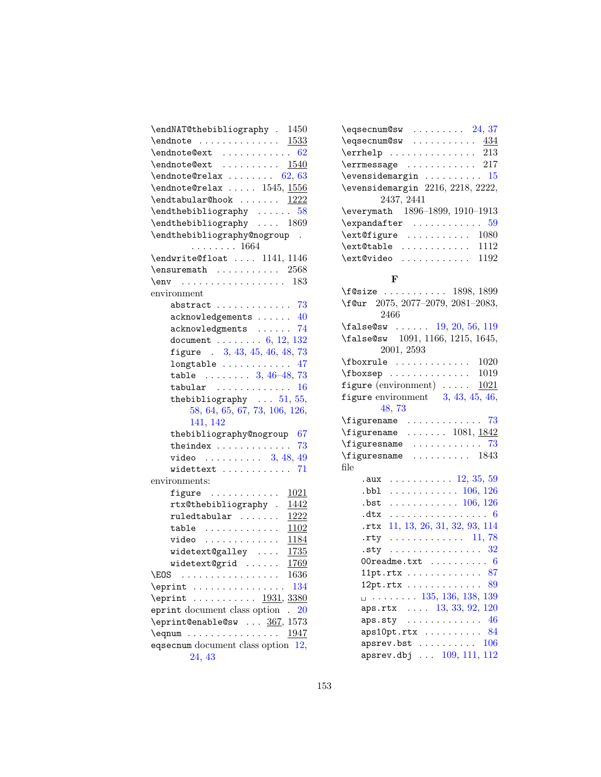| $\text{e}$ qsecnum@sw  24,37                        |
|-----------------------------------------------------|
| $\texttt{\textbackslash}$ eqsecnum@sw $434$         |
| $\text{Perphelp} \dots \dots \dots \dots \quad 213$ |
| $\text{Perr}$ 217                                   |
| $\verb \overset{in}{}   15$                         |
| \evensidemargin 2216, 2218, 2222,                   |
| 2437, 2441                                          |
| \everymath 1896-1899, 1910-1913                     |
| $\texttt{\textbackslash} \mathfrak{c}$              |
|                                                     |
| $\text{\texttt{text} \dots \dots \dots \ 1112}$     |
| $\text{\textcircled{}.} \ldots \ldots \ldots 1192$  |
|                                                     |

## F

| $\texttt{1898}, 1899$                                                                                                                                                                                                                                                                                                                                                                                                                                                            |
|----------------------------------------------------------------------------------------------------------------------------------------------------------------------------------------------------------------------------------------------------------------------------------------------------------------------------------------------------------------------------------------------------------------------------------------------------------------------------------|
| \f@ur 2075, 2077-2079, 2081-2083,                                                                                                                                                                                                                                                                                                                                                                                                                                                |
| 2466                                                                                                                                                                                                                                                                                                                                                                                                                                                                             |
| \false@sw  19, 20, 56, 119                                                                                                                                                                                                                                                                                                                                                                                                                                                       |
| \false@sw 1091, 1166, 1215, 1645,                                                                                                                                                                                                                                                                                                                                                                                                                                                |
| 2001, 2593                                                                                                                                                                                                                                                                                                                                                                                                                                                                       |
| $\forall$ fboxrule  1020                                                                                                                                                                                                                                                                                                                                                                                                                                                         |
| $\text{1019}$                                                                                                                                                                                                                                                                                                                                                                                                                                                                    |
| figure (environment) $\ldots$ 1021                                                                                                                                                                                                                                                                                                                                                                                                                                               |
| figure environment $3, 43, 45, 46,$                                                                                                                                                                                                                                                                                                                                                                                                                                              |
| 48,73                                                                                                                                                                                                                                                                                                                                                                                                                                                                            |
| $\left\{\text{figurename}\dots\right\}$                                                                                                                                                                                                                                                                                                                                                                                                                                          |
| $\text{Figure} \dots \dots \quad 1081, \frac{1842}{184}$                                                                                                                                                                                                                                                                                                                                                                                                                         |
| $\left\{\right.\right.}$ $\left\{\right.$ $\left\{\right.\right.}$ $\left\{\right.\right.}$ $\left\{\right.\right.}$ $\left\{\right.\right.}$ $\left\{\right.\right.}$ $\left\{\right.\right.}$ $\left\{\right.\right.}$ $\left\{\right.\right.}$ $\left\{\right.\right.}$ $\left\{\right.\right.}$ $\left\{\right.\right.}$ $\left\{\right.\right.}$ $\left\{\right.\right.}$ $\left\{\right.\right.}$ $\left\{\right.\right.}$ $\left\{\right.\right.}$ $\left\{\right.\right$ |
| $\left\{ \right. \left\{ \right. \left\{ \right. \right. \left\{ \right. \right. \left\{ \right. \right. \left. \right. \left. \right. \left. \right. \left. \right. \left. \right. \right. \left. \right. \right. \left. \right. \left. \right. \left. \right. \left. \right. \left. \right. \left. \right. \right. \right.$                                                                                                                                                    |
| file                                                                                                                                                                                                                                                                                                                                                                                                                                                                             |
| .aux $12, 35, 59$                                                                                                                                                                                                                                                                                                                                                                                                                                                                |
| $.bb1$ 106, 126                                                                                                                                                                                                                                                                                                                                                                                                                                                                  |
| $. bst$ 106, 126                                                                                                                                                                                                                                                                                                                                                                                                                                                                 |
| $.$ dtx $\ldots \ldots \ldots \ldots \ldots 6$                                                                                                                                                                                                                                                                                                                                                                                                                                   |
| rtx 11, 13, 26, 31, 32, 93, 114                                                                                                                                                                                                                                                                                                                                                                                                                                                  |
| .rty $11, 78$                                                                                                                                                                                                                                                                                                                                                                                                                                                                    |
| $.$ sty  32                                                                                                                                                                                                                                                                                                                                                                                                                                                                      |
| OOreadme.txt $\ldots \ldots \ldots 6$                                                                                                                                                                                                                                                                                                                                                                                                                                            |
| 11pt.rtx $\ldots \ldots \ldots \ldots 87$                                                                                                                                                                                                                                                                                                                                                                                                                                        |
| 12pt.rtx    89                                                                                                                                                                                                                                                                                                                                                                                                                                                                   |
| $\Box$ 135, 136, 138, 139                                                                                                                                                                                                                                                                                                                                                                                                                                                        |
| aps.rtx  13, 33, 92, 120                                                                                                                                                                                                                                                                                                                                                                                                                                                         |
| $aps.sty$ 46                                                                                                                                                                                                                                                                                                                                                                                                                                                                     |
| aps10pt.rtx   84                                                                                                                                                                                                                                                                                                                                                                                                                                                                 |
| apsrev.bst $\ldots \ldots \ldots 106$                                                                                                                                                                                                                                                                                                                                                                                                                                            |
| apsrev.dbj  109, 111, 112                                                                                                                                                                                                                                                                                                                                                                                                                                                        |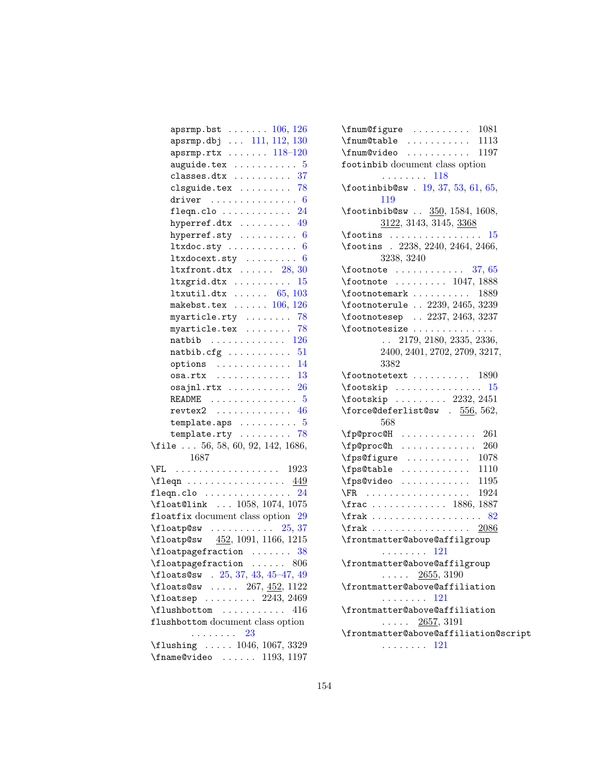| $apsrmp.bst \ldots \ldots 106, 126$                              |
|------------------------------------------------------------------|
| $apsrmp.dbj$ $111, 112, 130$                                     |
| $apsrmp.rtx \ldots \ldots 118-120$                               |
| auguide.tex $\ldots \ldots \ldots 5$                             |
| classes.dtx $\ldots \ldots \ldots 37$                            |
| clsguide.tex $\ldots \ldots \ldots$ 78                           |
| driver $\ldots \ldots \ldots \ldots 6$                           |
| fleqn.clo $\ldots \ldots \ldots 24$                              |
| hyperref.dtx  49                                                 |
| hyperref.sty $\dots\dots\dots 6$                                 |
|                                                                  |
| $Itx docext.sty \ldots \ldots 6$                                 |
| $ltxfront.dx$ $28, 30$                                           |
| $ltxgrid.$ dtx $15$                                              |
| 1txutil.dtx $\ldots \ldots 65, 103$                              |
| makebst.tex $\ldots \ldots 106, 126$                             |
| myarticle.rty  78                                                |
| myarticle.tex $\ldots \ldots \ldots$ 78                          |
| natbib $\ldots \ldots \ldots \ldots 126$                         |
| natbib.cfg $51$                                                  |
| options $\ldots \ldots \ldots \ldots 14$                         |
| $osa.rtx$ 13                                                     |
| $osajn1.rtx$ $26$                                                |
| README $\ldots \ldots \ldots \ldots \ldots 5$                    |
| $revtex2$ 46                                                     |
| template.aps $\ldots \ldots \ldots 5$                            |
| template.rty $\ldots \ldots \ldots$ 78                           |
| \file  56, 58, 60, 92, 142, 1686,                                |
| 1687                                                             |
| $\setminus$ FL 1923                                              |
|                                                                  |
| 24<br>$fleqn.clo$                                                |
| \float@link  1058, 1074, 1075                                    |
| floatfix document class option 29                                |
| $\theta$ sw  25, 37                                              |
| $\theta$ \floatp@sw $452, 1091, 1166, 1215$                      |
| $\theta$ 38                                                      |
| $\verb+\floatpagefraction + \dots + 806$                         |
|                                                                  |
| \floats@sw . 25, 37, 43, 45-47, 49<br>\floats@sw  267, 452, 1122 |
|                                                                  |
| $\lvert$ 108hbottom  416                                         |
| flushbottom document class option                                |
| . 23                                                             |
| $\t1$ ushing  1046, 1067, 3329                                   |
| $\{\text{frame@video} \dots \dots \ 1193, 1197\}$                |

| $\{\text{fnum}$ Cfigure  1081                              |
|------------------------------------------------------------|
| $\{\text{fnum@table} \dots \dots \dots \dots \quad 1113\}$ |
| \fnum@video  1197                                          |
| footinbib document class option                            |
| $\cdots \cdots \cdots 118$                                 |
| $\setminus$ footinbib@sw. 19, 37, 53, 61, 65,              |
| 119                                                        |
| $\frac{350}{1584}$ , 1584, 1608,                           |
| 3122, 3143, 3145, 3368                                     |
| $\text{rootins}$<br>15                                     |
| \footins . 2238, 2240, 2464, 2466,                         |
| 3238, 3240                                                 |
| $\setminus$ footnote  37, 65                               |
| $\text{1047}, 1888$                                        |
| $\footnotesize \backslash$ footnotemark  1889              |
| \footnoterule  2239, 2465, 3239                            |
| \footnotesep  2237, 2463, 3237                             |
| \footnotesize                                              |
| $\ldots$ 2179, 2180, 2335, 2336,                           |
| 2400, 2401, 2702, 2709, 3217,                              |
| 3382                                                       |
| $\setminus$ footnotetext  1890                             |
| $\backslash$ footskip  15                                  |
| $\text{rootskip} \ldots \ldots \quad 2232, 2451$           |
| \force@deferlist@sw . $556, 562,$                          |
| 568                                                        |
| $\left\{ \text{pp} \right\}$ 261                           |
| $\left\{ \text{pp} \right\}$ 260                           |
| $\frac{1078}{1000}$                                        |
| $\frac{1110}{110}$                                         |
| $\frac{195}{195}$                                          |
| $\text{R}$ 1924                                            |
| $\frac{1886}{1887}$                                        |
| $\frac{82}{ }$                                             |
| $\frac{2086}{ }$                                           |
| \frontmatter@above@affilgroup                              |
| . 121                                                      |
| $\verb \frontmatter@above@affilgroup $                     |
| $\ldots$ $\frac{2655}{3190}$                               |
| \frontmatter@above@affiliation                             |
| $\mathbb{R}^2$ . The set of the $\mathbb{R}^2$<br>121      |
| \frontmatter@above@affiliation                             |
| $\cdots$ 2657, 3191                                        |
| \frontmatter@above@affiliation@script                      |
| $\cdots \cdots \cdots 121$                                 |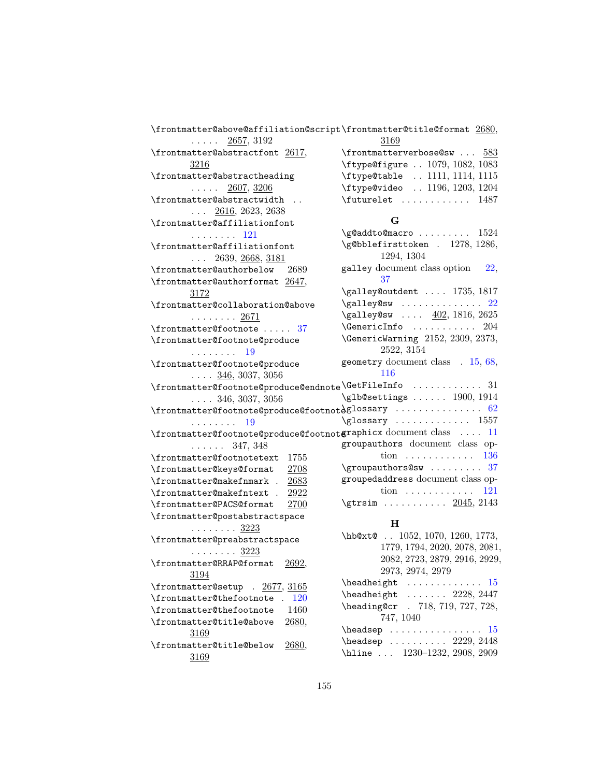| \frontmatter@above@affiliation@script\frontmatter@title@format 2680,                       |                                                                                                            |
|--------------------------------------------------------------------------------------------|------------------------------------------------------------------------------------------------------------|
| $\ldots$ 2657, 3192                                                                        | 3169                                                                                                       |
| \frontmatter@abstractfont 2617,                                                            | $\frac{583}{ }$                                                                                            |
| 3216                                                                                       | \ftype@figure  1079, 1082, 1083                                                                            |
| \frontmatter@abstractheading                                                               | \ftype@table  1111, 1114, 1115                                                                             |
| $\ldots$ . 2607, 3206                                                                      | \ftype@video  1196, 1203, 1204                                                                             |
| \frontmatter@abstractwidth                                                                 | \futurelet  1487                                                                                           |
| $\ldots$ 2616, 2623, 2638                                                                  |                                                                                                            |
| \frontmatter@affiliationfont                                                               | G                                                                                                          |
| . 121                                                                                      | $\qquad \qquad \qquad \setminus$ g@addto@macro  1524                                                       |
| \frontmatter@affiliationfont                                                               | \g@bblefirsttoken . 1278, 1286,                                                                            |
| $\ldots$ 2639, 2668, 3181                                                                  | 1294, 1304                                                                                                 |
| \frontmatter@authorbelow<br>2689                                                           | galley document class option<br>22,                                                                        |
| \frontmatter@authorformat 2647,                                                            | 37                                                                                                         |
| 3172                                                                                       | \galley@outdent  1735, 1817                                                                                |
| \frontmatter@collaboration@above                                                           | $\qquad$                                                                                                   |
| $\cdots \cdots \cdots 2671$                                                                | \galley@sw  402, 1816, 2625                                                                                |
| $\frac{1}{37}$                                                                             | \GenericInfo<br>204                                                                                        |
| \frontmatter@footnote@produce                                                              | \GenericWarning 2152, 2309, 2373,                                                                          |
| . 19                                                                                       | 2522, 3154                                                                                                 |
| \frontmatter@footnote@produce                                                              | geometry document class . 15, 68,                                                                          |
| $\ldots$ 346, 3037, 3056                                                                   | 116                                                                                                        |
| $\verb \frontmatter@footnote@produce@endnote\\ \verb \GetFileInfo  \dots \dots \dots \ 31$ |                                                                                                            |
| $\ldots$ 346, 3037, 3056                                                                   | $\gtrsim 1900, 1914$                                                                                       |
| $\verb \frontmatter@footnote@produce@footnot@glossary  \dots  \dots  \dots 62$             |                                                                                                            |
| . 19                                                                                       | $\gtrsim$ 1557                                                                                             |
| $\verb \frontmatter@footnote@produce@footnot@graphicz document class  11 $                 |                                                                                                            |
| $\ldots \ldots 347, 348$                                                                   | groupauthors document class op-                                                                            |
| \frontmatter@footnotetext<br>1755                                                          | tion 136                                                                                                   |
| \frontmatter@keys@format<br>2708                                                           | $\qquad \qquad \qquad \qquad \qquad \ldots \qquad \qquad \qquad \ldots \qquad \qquad \qquad \frac{37}{27}$ |
| \frontmatter@makefnmark .<br>2683                                                          | groupedaddress document class op-                                                                          |
| 2922<br>\frontmatter@makefntext .                                                          | $\text{tion} \quad \ldots \quad \ldots \quad \ldots$<br>121                                                |
| \frontmatter@PACS@format<br>2700                                                           | $\sqrt{gtrsim}$ $2045, 2143$                                                                               |
| \frontmatter@postabstractspace                                                             |                                                                                                            |
| $\ldots \ldots \frac{3223}{2}$                                                             | $\bf H$                                                                                                    |
| \frontmatter@preabstractspace                                                              | \hb@xt@  1052, 1070, 1260, 1773,                                                                           |
| $\ldots \ldots \frac{3223}{2}$                                                             | 1779, 1794, 2020, 2078, 2081,                                                                              |
| $\verb \frontmatter@RRAP@format 2692 ,$                                                    | 2082, 2723, 2879, 2916, 2929,                                                                              |
| <u>3194</u>                                                                                | 2973, 2974, 2979                                                                                           |
| \frontmatter@setup . 2677, 3165                                                            | $\headheight$ 15                                                                                           |
| \frontmatter@thefootnote<br>. 120                                                          | $\headheight$ 2228, 2447                                                                                   |
| 1460<br>\frontmatter@thefootnote                                                           | \heading@cr . 718, 719, 727, 728,                                                                          |
| 2680,<br>\frontmatter@title@above                                                          | 747, 1040                                                                                                  |
| <u>3169</u>                                                                                | headsep<br>15                                                                                              |
| 2680,<br>\frontmatter@title@below                                                          | $\headsep$ 2229, 2448                                                                                      |
| 3169                                                                                       | \hline  1230-1232, 2908, 2909                                                                              |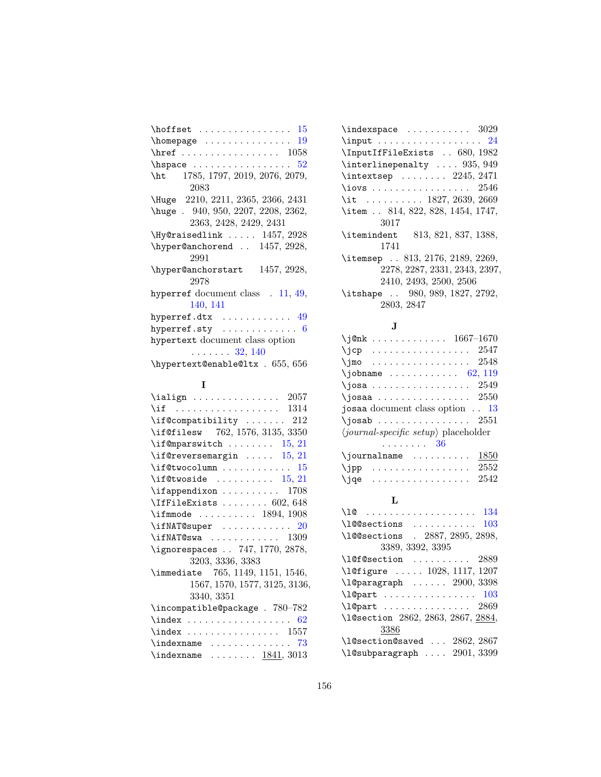| 15<br>$\hbox{\scriptsize \textsf{homepage}}$<br>19 |
|----------------------------------------------------|
|                                                    |
| 52                                                 |
| 1785, 1797, 2019, 2076, 2079,<br>$\hbar$           |
| 2083                                               |
| Huge 2210, 2211, 2365, 2366, 2431                  |
| huge . 940, 950, 2207, 2208, 2362,                 |
| 2363, 2428, 2429, 2431                             |
| $\N$ y @raisedlink  1457, 2928                     |
| $\hbox{\tt \hbox{hyperQanchorend}}$ . 1457, 2928,  |
| 2991                                               |
| hyper@anchorstart 1457, 2928,                      |
| 2978                                               |
| hyperref document class $.11, 49,$                 |
| 140, 141                                           |
| hyperref.dtx $\dots\dots\dots\dots$ 49             |
| hyperref.sty $\,\ldots\,\ldots\,\ldots\,\ldots\,6$ |
| hypertext document class option                    |
| $\ldots \ldots 32, 140$                            |
| \hypertext@enable@ltx . 655, 656                   |

# I

| \if  1314                            |
|--------------------------------------|
| $\iint$ Compatibility  212           |
| \if@filesw 762, 1576, 3135, 3350     |
| \if@mparswitch<br>15, 21             |
| $\setminus$ if@reversemargin  15, 21 |
| $\iota$ if@twocolumn  15             |
| $\iint$ Ctwoside  15, 21             |
| $\left\{ \alpha \right\}$ 1708       |
| $\IfffileExists   602, 648$          |
| $\iff$ 1894, 1908                    |
| $\iint NAT@super$ 20                 |
| $\iint NAT@swa  \ldots  1309$        |
| \ignorespaces  747, 1770, 2878,      |
| 3203, 3336, 3383                     |
| \immediate 765, 1149, 1151, 1546,    |
| 1567, 1570, 1577, 3125, 3136,        |
| 3340, 3351                           |
| \incompatible@package . 780-782      |
|                                      |
|                                      |
| $\langle$ indexname  73              |
| \indexname $\ldots$ . $1841, 3013$   |

| $\langle$ indexspace  3029                  |
|---------------------------------------------|
|                                             |
| \InputIfFileExists  680, 1982               |
| \interlinepenalty  935, 949                 |
| $\int \text{extsep}   2245, 2471$           |
| \iovs $2546$                                |
| \it $\ldots \ldots \ldots 1827, 2639, 2669$ |
| \item  814, 822, 828, 1454, 1747,           |
| 3017                                        |
| \itemindent 813, 821, 837, 1388,            |
| 1741                                        |
| \itemsep  813, 2176, 2189, 2269,            |
| 2278, 2287, 2331, 2343, 2397,               |
| 2410, 2493, 2500, 2506                      |
| \itshape  980, 989, 1827, 2792,             |
| 2803, 2847                                  |
|                                             |

# J

| \j@nk 1667-1670                                      |
|------------------------------------------------------|
| $\jmath$ cp  2547                                    |
| $\gamma$ jmo 2548                                    |
| $\lambda$ jobname  62, 119                           |
| $\gamma$ josa  2549                                  |
| $\lambda$ josaa  2550                                |
| josaa document class option $\ldots$ 13              |
| $\iota$ josab  2551                                  |
| $\langle journal-specific\ setup\rangle$ placeholder |
| . 36                                                 |
| 1850<br>$\{journalname$                              |
| $\jmathpp$ 2552                                      |
| $\eta$ qe  2542                                      |

# L

| \10                                |
|------------------------------------|
| 103<br>\100sections                |
| \l@@sections . 2887, 2895, 2898,   |
| 3389, 3392, 3395                   |
| $\setminus$ 10f0section  2889      |
| \l@figure  1028, 1117, 1207        |
| \1@paragraph  2900, 3398           |
|                                    |
| $\lceil \log_{20} 2869 \rceil$     |
| \l@section 2862, 2863, 2867, 2884, |
| 3386                               |
| \l@section@saved  2862, 2867       |
| \l@subparagraph  2901, 3399        |
|                                    |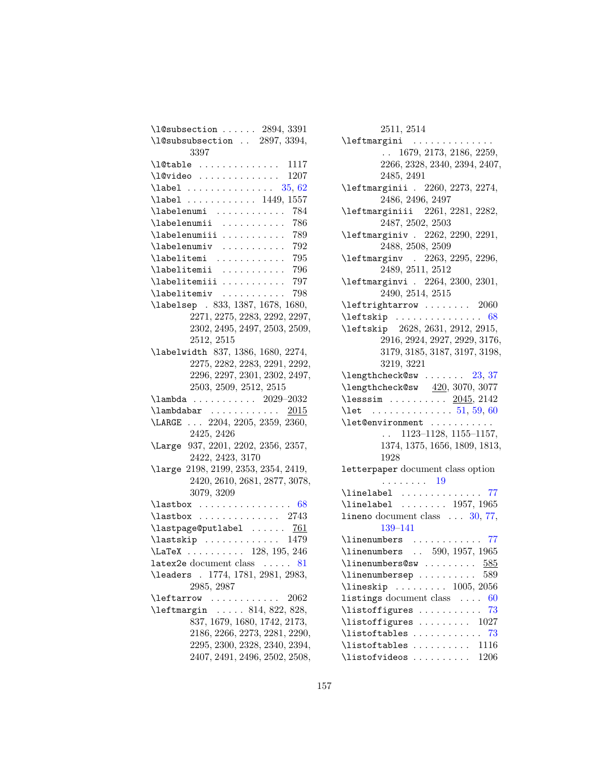| $\lambda$ 1@subsection  2894, 3391                           |
|--------------------------------------------------------------|
| \l@subsubsection  2897, 3394,                                |
| 3397                                                         |
| 1117                                                         |
| $\Upsilon$ $\vdots$<br>1207                                  |
| $\lambda$ label  35, 62                                      |
| 1557<br>$\lambda$ label  1449,                               |
| \labelenumi<br>784                                           |
| 786<br>\labelenumii                                          |
| 789<br>\labelenumiii                                         |
| \labelenumiv<br>792<br>.                                     |
| 795<br>\labelitemi                                           |
| 796<br>\labelitemii                                          |
| 797<br>\labelitemiii                                         |
| 798<br>\labelitemiv<br>.                                     |
| \labelsep . 833, 1387, 1678, 1680,                           |
| 2271, 2275, 2283, 2292, 2297,                                |
| 2302, 2495, 2497, 2503, 2509,                                |
| 2512, 2515                                                   |
| \labelwidth 837, 1386, 1680, 2274,                           |
| 2275, 2282, 2283, 2291, 2292,                                |
| 2296, 2297, 2301, 2302, 2497,                                |
| 2503, 2509, 2512, 2515                                       |
| $\label{eq:z029} \label{eq:z029} \verb \lambda    2029-2032$ |
| $\lambda$ ambdabar <u>2015</u>                               |
| $\ldots$ 2204, 2205, 2359, 2360,<br>\LARGE                   |
| 2425, 2426                                                   |
| 937, 2201, 2202, 2356, 2357,<br>\Large                       |
| 2422, 2423, 3170                                             |
| 2198, 2199, 2353, 2354, 2419,<br><b>\large</b>               |
| 2420, 2610, 2681, 2877, 3078,                                |
| 3079, 3209                                                   |
| $\lambda$ astbox  68                                         |
| $\lambda$ 2743                                               |
| \lastpage@putlabel<br>761                                    |
| \lastskip  1479                                              |
| $\text{LaTeX} \dots \dots \dots \quad 128, 195, 246$         |
| latex2e document class $\ldots$ . 81                         |
| 1774, 1781, 2981, 2983,<br>\leaders .                        |
| 2985, 2987                                                   |
| 2062<br>\leftarrow                                           |
|                                                              |
| 837, 1679, 1680, 1742, 2173,                                 |
| 2186, 2266, 2273, 2281, 2290,                                |
| 2295, 2300, 2328, 2340, 2394,                                |
| 2407, 2491, 2496, 2502, 2508,                                |
|                                                              |

### 2511, 2514

| \leftmargini                                                      |
|-------------------------------------------------------------------|
| $\ldots$ 1679, 2173, 2186, 2259,                                  |
| 2266, 2328, 2340, 2394, 2407,                                     |
| 2485, 2491                                                        |
| \leftmarginii . 2260, 2273, 2274,                                 |
| 2486, 2496, 2497                                                  |
| \leftmarginiii 2261, 2281, 2282,                                  |
| 2487, 2502, 2503                                                  |
| \leftmarginiv . 2262, 2290, 2291,                                 |
| 2488, 2508, 2509                                                  |
| \leftmarginv . 2263, 2295, 2296,                                  |
| 2489, 2511, 2512                                                  |
| \leftmarginvi . 2264, 2300, 2301,                                 |
| 2490, 2514, 2515                                                  |
| $\left\{\text{leftarray}\ldots \ldots \quad 2060\right\}$         |
| $\left\{ \text{test } x : \ldots x : \ldots x \right\}$<br>68     |
| \leftskip 2628, 2631, 2912, 2915,                                 |
| 2916, 2924, 2927, 2929, 3176,                                     |
| 3179, 3185, 3187, 3197, 3198,                                     |
| 3219, 3221                                                        |
| $\lambda$ engthcheck@sw  23, 37                                   |
| $\{\text{lengthcheck@sw} \quad \underline{420}, 3070, 3077\}$     |
| $\text{less} \text{sim} \dots \dots \text{2045}$ , 2142           |
| \let $\dots\dots\dots\dots \dots 51, 59, 60$                      |
| \let@environment                                                  |
| $\ldots$ 1123-1128, 1155-1157,                                    |
| 1374, 1375, 1656, 1809, 1813,                                     |
| 1928                                                              |
| letterpaper document class option                                 |
| . 19                                                              |
| \linelabel  77                                                    |
| \linelabel $\ldots$ 1957, 1965                                    |
| lineno document class $\ldots$ 30, 77,<br>139–141                 |
| \linenumbers  77                                                  |
| \linenumbers  590, 1957, 1965                                     |
| $\lambda$ linenumbers@sw $585$                                    |
| 589<br>\linenumbersep                                             |
| $\{\text{lineskip}\dots\dots\dots\ 1005,\,2056\}$                 |
| listings document class<br>60                                     |
| \listoffigures<br>73                                              |
| $\text{listoffigures} \dots \dots \dots \quad 1027$               |
| $\backslash \text{listoftables} \dots \dots \dots \dots \quad 73$ |
| $\text{list of tables} \dots \dots \dots \quad 1116$              |
| $\setminus$ listofvideos  1206                                    |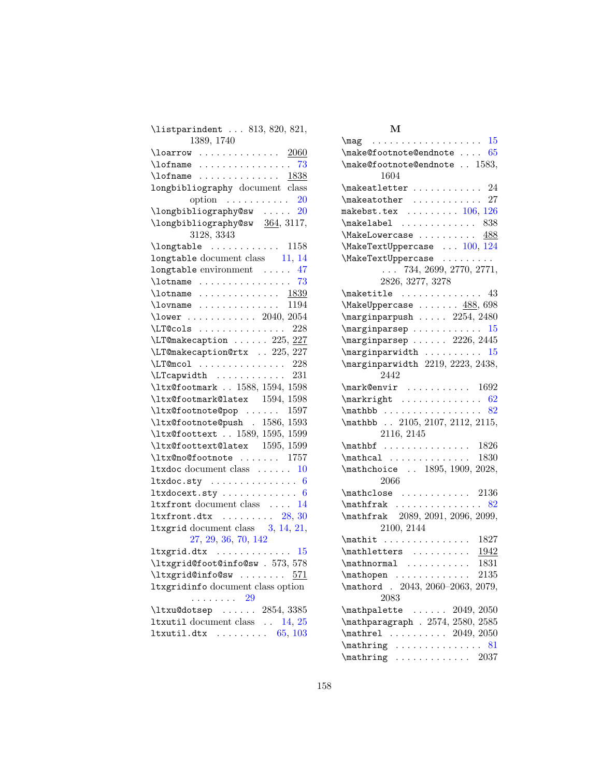| $\text{listparindent} \dots 813, 820, 821,$                                                       |
|---------------------------------------------------------------------------------------------------|
| 1389, 1740                                                                                        |
|                                                                                                   |
|                                                                                                   |
| $\lambda$ of name  1838                                                                           |
| longbibliography document class                                                                   |
| option $\ldots \ldots \ldots 20$                                                                  |
| \longbibliography@sw $20$                                                                         |
| \longbibliography@sw 364, 3117,                                                                   |
| 3128, 3343                                                                                        |
| $\label{eq:nontrivial} \texttt{\texttt{longtable}} \quad \ldots \quad \ldots \quad \texttt{1158}$ |
| longtable document class 11, 14                                                                   |
| longtable environment  47                                                                         |
| $\lambda$ and $\lambda$ 73                                                                        |
|                                                                                                   |
|                                                                                                   |
| \lower  2040, 2054                                                                                |
| $\L{I@cols    228}$                                                                               |
| $\L{Tr@makecaption 225, 227}$                                                                     |
| \LT@makecaption@rtx  225, 227                                                                     |
| $\L{T@mcol}$ 228                                                                                  |
| $\LTCapwidth$ 231                                                                                 |
| \ltx@footmark  1588, 1594, 1598                                                                   |
| \ltx@footmark@latex 1594, 1598                                                                    |
| \ltx@footnote@pop  1597                                                                           |
| \ltx@footnote@push . 1586, 1593                                                                   |
| \ltx@foottext  1589, 1595, 1599                                                                   |
| \ltx@foottext@latex 1595, 1599                                                                    |
| \ltx@no@footnote  1757                                                                            |
| $1$ txdoc document class $10$                                                                     |
| ltxdoc.sty $6$                                                                                    |
| ltxdocext.sty $6$                                                                                 |
| 1txfront document class  14                                                                       |
| $ltxfront.dtx$ $28, 30$                                                                           |
| <b>ltxgrid</b> document class $3, 14, 21,$                                                        |
| 27, 29, 36, 70, 142                                                                               |
| ltxgrid.dtx $15$                                                                                  |
| \ltxgrid@foot@info@sw . 573, 578                                                                  |
| $\texttt{ltxgrid@info@sw} \dots \dots \quad 571$                                                  |
| ltxgridinfo document class option<br>. 29                                                         |
| \ltxu@dotsep  2854, 3385                                                                          |
| <b>ltxutil</b> document class $\ldots$ 14, 25                                                     |
| $Itxutil.dtx \dots \dots \dots \ 65, 103$                                                         |
|                                                                                                   |

#### M

| $\{\text{make@footnote@endnote} \dots \, 65\}$              |
|-------------------------------------------------------------|
| \make@footnote@endnote  1583,<br>1604                       |
| $\verb+\makeattlet+\dots+\dots+\dots+24+$                   |
| $\mathcal{L}$ 27                                            |
| makebst.tex $\ldots \ldots \ldots 106, 126$                 |
| $\verb+\makelabel+\dots\ 838$                               |
| $\{\text{MakeLowercase} \dots \dots \ \frac{488}{100}\}$    |
| \MakeTextUppercase  100, 124                                |
|                                                             |
| \MakeTextUppercase<br>734, 2699, 2770, 2771,                |
| 2826, 3277, 3278                                            |
|                                                             |
| $\{\text{MakeUppercase} \dots \dots \underline{488}, 698\}$ |
| $\mbox{marginparpush } \ldots$ 2254, 2480                   |
|                                                             |
| $\m{marginparsep \ldots 2226, 2445}$                        |
| $\mbox{marginparwidth}$ 15                                  |
| \marginparwidth 2219, 2223, 2438,                           |
| 2442                                                        |
| $\{\texttt{Qenvir} \dots \dots \ 1692\}$                    |
|                                                             |
|                                                             |
| \mathbb  2105, 2107, 2112, 2115,                            |
| 2116, 2145                                                  |
|                                                             |
|                                                             |
| \mathchoice  1895, 1909, 2028,<br>2066                      |
| $\mathcal{L}$ 2136                                          |
|                                                             |
| \mathfrak 2089, 2091, 2096, 2099,                           |
| 2100, 2144                                                  |
| \mathit  1827                                               |
| $\mathcal{L}$ \mathletters $1942$                           |
| $\mathcal{L}$ 1831                                          |
| 2135<br>$\mathcal{L}$                                       |
| \mathord . 2043, 2060-2063, 2079,                           |
| 2083                                                        |
| $\mathcal{L}$ athpalette  2049, 2050                        |
| \mathparagraph . 2574, 2580, 2585                           |
| \mathrel  2049, 2050                                        |
| $\mathcal{L}$<br>81                                         |
| $\mathcal{L}$ 2037                                          |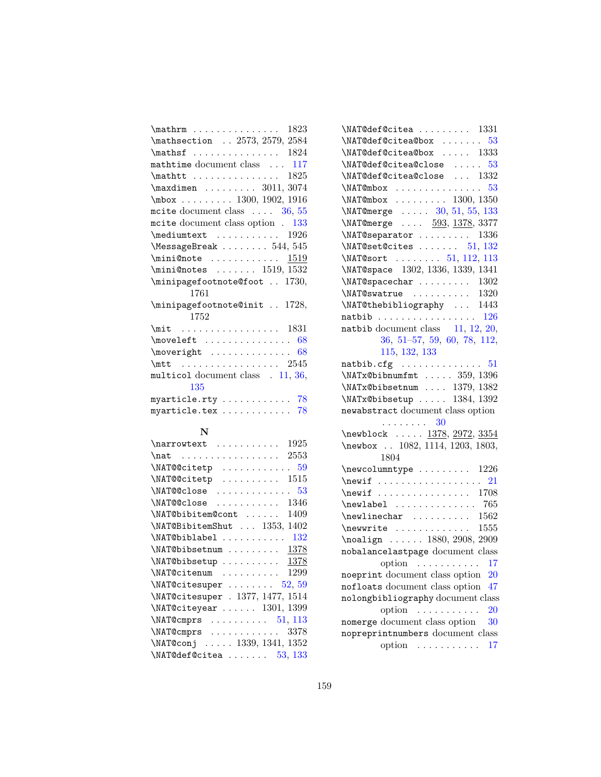| $\mathcal{L}$<br>1823                                 |
|-------------------------------------------------------|
| \mathsection  2573, 2579, 2584                        |
| $\mathbf{f}$ 1824                                     |
| mathtime document class  117                          |
| $\mathcal{t} \ldots \ldots \ldots \ldots \qquad 1825$ |
| $\label{eq:main}$ \maxdimen  3011, 3074               |
| $\mbox{mbox}$ 1300, 1902, 1916                        |
| moite document class $\ldots$ 36, 55                  |
| most document class option . 133                      |
| $\text{Imediumtext} \dots \dots \dots \ 1926$         |
| $\text{MessageBreak} \dots 544, 545$                  |
|                                                       |
| $\min\$ ønotes  1519, 1532                            |
| \minipagefootnote@foot  1730,                         |
| 1761                                                  |
| \minipagefootnote@init  1728,<br>1752                 |
| $\mit$ 1831                                           |
| $\omega$ and $\omega$<br>68                           |
| $\text{two}$<br>68                                    |
| $\{\text{mtt} \dots \dots \dots \dots \ 2545$         |
| multicol document class . 11, 36,                     |
| 135                                                   |
| myarticle.rty $78$                                    |
| myarticle.tex $78$                                    |

#### N

| 1925<br>\narrowtext<br>.          |
|-----------------------------------|
| 2553                              |
| .59<br>\NAT@@citetp               |
| 1515<br>\NAT@@citetp<br>.         |
| . 53<br>\NAT@@close<br>.          |
| 1346<br>\NAT@@close<br>.          |
| 1409<br>\NAT@bibitem@cont         |
| 1402<br>\NAT@BibitemShut  1353,   |
| - 132<br>\NAT@biblabel            |
| 1378<br>\NAT@bibsetnum            |
| \NAT@bibsetup<br>1378             |
| 1299<br>\NAT@citenum              |
| 52, 59<br>\NAT@citesuper          |
| \NAT@citesuper . 1377, 1477, 1514 |
| $\NAT@citeyear \ldots 1301, 1399$ |
| $\NATCemprs$ 51, 113              |
| \NAT@cmprs<br>3378                |
| \NAT@conj  1339, 1341, 1352       |
| \NAT@def@citea<br>53, 133         |

| $\NAT@def@citea    1331$                                                                                                     |
|------------------------------------------------------------------------------------------------------------------------------|
| $\NAT@def@citea@box  .53$                                                                                                    |
| $\NAT@def@citea@box 1333$                                                                                                    |
| $\NAT@def@citea@close   53$                                                                                                  |
| $\verb+\MAT@def@citea@close  1332$                                                                                           |
| $\NAT@mbox \ldots \ldots \ldots \ldots 53$                                                                                   |
| $\NAT@mbox$ 1300, 1350                                                                                                       |
| $\NAT@merge$ $30, 51, 55, 133$                                                                                               |
| \NAT@merge  593, 1378, 3377                                                                                                  |
| $\NATC$ separator  1336                                                                                                      |
| $\NAT@set@cites \ldots \ldots 51, 132$                                                                                       |
| $\NAT@sort$ 51, 112, 113                                                                                                     |
| \NAT@space 1302, 1336, 1339, 1341                                                                                            |
| $\label{thm:main} $$\NA T@swature \ldots \ldots 1302 $$\NA T@swature \ldots \ldots 1320 $$\NA T@thebibliography \ldots 1443$ |
|                                                                                                                              |
|                                                                                                                              |
| natbib $126$                                                                                                                 |
| natbib document class $11, 12, 20,$                                                                                          |
| 36, 51-57, 59, 60, 78, 112,                                                                                                  |
| 115, 132, 133                                                                                                                |
| $\mathtt{natbib.cfg}$ $51$                                                                                                   |
| $\NATx@bibnumfmt \ldots 359, 1396$                                                                                           |
| \NATx@bibsetnum  1379, 1382                                                                                                  |
| $\label{eq:1384} $$\NATx@bibsetup 1384, 1392$                                                                                |
| newabstract document class option                                                                                            |
| $\cdots \cdots \cdots 30$                                                                                                    |
| \newblock $\frac{1378}{2972}$ , $\frac{3354}{1378}$                                                                          |
| \newbox  1082, 1114, 1203, 1803,<br>1804                                                                                     |
| $\newcolumn type \dots 1226$                                                                                                 |
|                                                                                                                              |
| $\text{newif}$ 1708                                                                                                          |
| $\neq 765$                                                                                                                   |
| $\neq$ linechar  1562                                                                                                        |
| $\text{newwrite}$ 1555                                                                                                       |
| $\n\Delta$ ign  1880, 2908, 2909                                                                                             |
| nobalancelastpage document class                                                                                             |
| option $\dots \dots \dots \dots 17$                                                                                          |
| noeprint document class option<br>$20\,$                                                                                     |
| nofloats document class option<br>47                                                                                         |
| nolongbibliography document class                                                                                            |
| option<br>20<br>.<br>.                                                                                                       |
| nomerge document class option<br>30                                                                                          |
| nopreprintnumbers document class                                                                                             |
| 17<br>option<br>.                                                                                                            |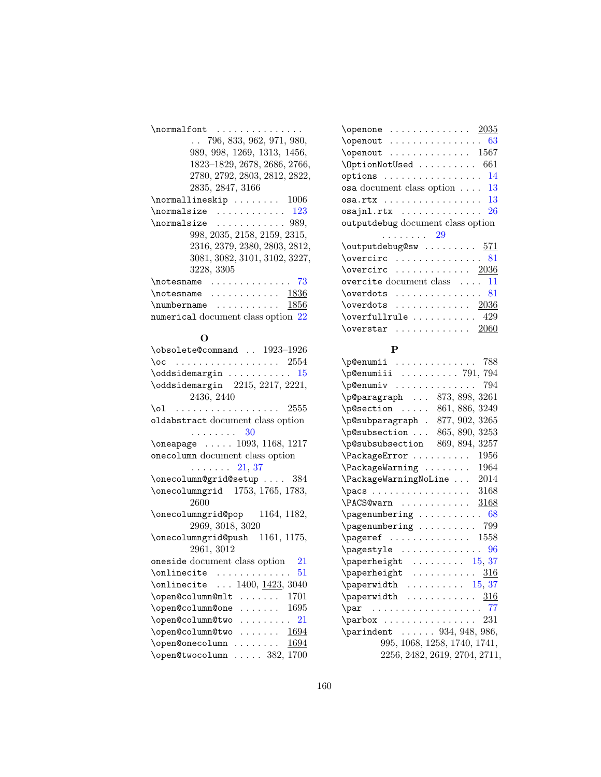| \normalfont<br>. <b>.</b> .        |
|------------------------------------|
| $\ldots$ 796, 833, 962, 971, 980,  |
| 989, 998, 1269, 1313, 1456,        |
| 1823-1829, 2678, 2686, 2766,       |
| 2780, 2792, 2803, 2812, 2822,      |
| 2835, 2847, 3166                   |
| $\normal$ normallineskip  1006     |
| $\normal$ normalsize  123          |
| \normalsize<br>. 989,              |
| 998, 2035, 2158, 2159, 2315,       |
| 2316, 2379, 2380, 2803, 2812,      |
| 3081, 3082, 3101, 3102, 3227,      |
| 3228, 3305                         |
| $\sim$<br>\notesname<br>73         |
| $\not$ cotesname<br>- 1836         |
| $\text{numbername}$ 1856           |
| numerical document class option 22 |

## O

| \obsolete@command  1923-1926        |
|-------------------------------------|
| . 2554<br>\oc                       |
| \oddsidemargin<br>15                |
| \oddsidemargin 2215, 2217, 2221,    |
| 2436, 2440                          |
| 2555<br>\ol                         |
| oldabstract document class option   |
| 30<br>.                             |
| $\oneapage$ 1093, 1168, 1217        |
| onecolumn document class option     |
| $\ldots$ $21, 37$                   |
| \onecolumn@grid@setup  384          |
| \onecolumngrid 1753, 1765, 1783,    |
| 2600                                |
| 1164, 1182,<br>\onecolumngrid@pop   |
| 2969, 3018, 3020                    |
| \onecolumngrid@push 1161, 1175,     |
| 2961, 3012                          |
| oneside document class option<br>21 |
| \onlinecite<br>51<br>.              |
| $\online$ 1400, $1423, 3040$        |
| 1701<br>\open@column@mlt<br>.       |
| 1695<br>\open@column@one            |
| $\omega$ : \open@column@two  21     |
| \open@column@two<br>1694            |
| 1694<br>\open@onecolumn             |
| \open@twocolumn  382, 1700          |

| 63<br>$\operatorname{openout} \dots \dots \dots \dots$ |
|--------------------------------------------------------|
| $\operatorname{Copenout}$ 1567                         |
| \OptionNotUsed<br>661                                  |
| 14<br>$options \ldots \ldots \ldots \ldots$            |
| osa document class option<br>13                        |
|                                                        |
| 26<br>$osajnl.rtx$                                     |
| outputdebug document class option                      |
| . 29                                                   |
| \outputdebug@sw  571                                   |
|                                                        |
| $\overline{\text{overcirc}}$<br>81                     |
| $\overline{\text{overcirc}}$ 2036                      |
| overcite document class<br>11                          |
| $\overline{\text{overdots}}$<br>81                     |
| $\overline{\text{overs}}$ 2036                         |
|                                                        |
| $\overline{\text{overstar}}$ 2060                      |

#### P

| л                                                        |
|----------------------------------------------------------|
|                                                          |
| $\Delta$ 791, 794                                        |
| 794                                                      |
| \p@paragraph  873, 898, 3261                             |
| $\text{p@section} \dots \dots \ 861, 886, 3249$          |
| \p@subparagraph . 877, 902, 3265                         |
| \p@subsection  865, 890, 3253                            |
| \p@subsubsection 869, 894, 3257                          |
| $\Pack$ ackage $Error$ 1956                              |
| $\P$ ackageWarning  1964                                 |
| $\verb+\PackageWarningNoLine 2014+$                      |
|                                                          |
| $\PACS@warn \ldots \ldots \ldots \quad \frac{3168}{1}$   |
| $\text{pagenum}$ bering  68                              |
| $\pmb{\text{pagenumbering}} \dots \dots \dots \quad 799$ |
| $\text{pageref}$ 1558                                    |
| $\text{pagestyle} \dots \dots \dots \dots \ 96$          |
| $\Delta$ 15, 37                                          |
|                                                          |
|                                                          |
|                                                          |
| $\parbox{      77$                                       |
|                                                          |
| $\partial$ 934, 948, 986,                                |
| 995, 1068, 1258, 1740, 1741,                             |
| 2256, 2482, 2619, 2704, 2711,                            |
|                                                          |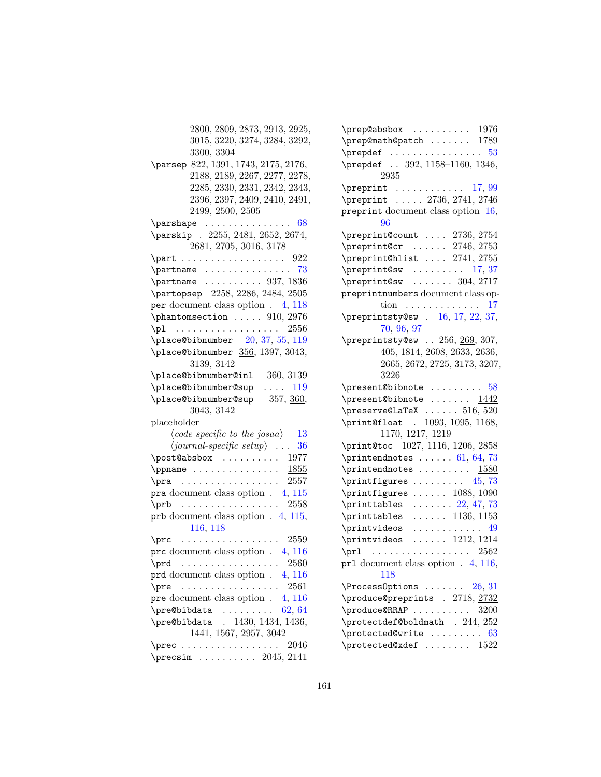2800, 2809, 2873, 2913, 2925, 3015, 3220, 3274, 3284, 3292, 3300, 3304 \parsep 822, 1391, 1743, 2175, 2176, 2188, 2189, 2267, 2277, 2278, 2285, 2330, 2331, 2342, 2343, 2396, 2397, 2409, 2410, 2491, 2499, 2500, 2505  $\gamma$ ershape . . . . . . . . . . . . . . . [68](#page-67-0) \parskip . 2255, 2481, 2652, 2674, 2681, 2705, 3016, 3178 \part . . . . . . . . . . . . . . . . . 922  $\partial$  . . . . . . . . . . . . . . . [73](#page-72-0)  $\partial$  . . . . . . . . . . 937, 1836 \partopsep 2258, 2286, 2484, 2505 per document class option . [4,](#page-3-0) [118](#page-117-0)  $\phi$ .... 910, 2976 \p1 . . . . . . . . . . . . . . . . . 2556 \place@bibnumber [20,](#page-19-0) [37,](#page-36-0) [55,](#page-54-0) [119](#page-118-0) \place@bibnumber 356, 1397, 3043, 3139, 3142 \place@bibnumber@inl 360, 3139 \place@bibnumber@sup .... [119](#page-118-0) \place@bibnumber@sup 357, 360, 3043, 3142 placeholder  $\langle code \, specific \, to \, the \, josaa \rangle = 13$  $\langle code \, specific \, to \, the \, josaa \rangle = 13$  $\langle journal-specific\ setup\rangle$  . . . [36](#page-35-0) \post@absbox . . . . . . . . . . 1977  $\ppname \ldots \ldots \ldots \ldots \frac{1855}{1850}$ \pra . . . . . . . . . . . . . . . . 2557 pra document class option . [4,](#page-3-0) [115](#page-114-0) \prb . . . . . . . . . . . . . . . . 2558 prb document class option . [4,](#page-3-0) [115,](#page-114-0) [116,](#page-115-0) [118](#page-117-0)  $\pi$  . . . . . . . . . . . . . . . . . 2559 prc document class option . [4,](#page-3-0) [116](#page-115-0) \prd . . . . . . . . . . . . . . . . . 2560 prd document class option . [4,](#page-3-0) [116](#page-115-0) \pre . . . . . . . . . . . . . . . . . 2561 pre document class option . [4,](#page-3-0) [116](#page-115-0)  $\preceq$ Bibdata . . . . . . . . . [62,](#page-61-0) [64](#page-63-0) \pre@bibdata . 1430, 1434, 1436, 1441, 1567, 2957, 3042 \prec . . . . . . . . . . . . . . . . . 2046 \precsim . . . . . . . . . . 2045, 2141

| $\preceq$ $\preceq$ $\preceq$ $\preceq$ $\preceq$ $\preceq$ $\preceq$ $\preceq$ $\preceq$ $\preceq$ $\preceq$ $\preceq$ $\preceq$ $\preceq$ $\preceq$ $\preceq$ $\preceq$ $\preceq$ $\preceq$ $\preceq$ $\preceq$ $\preceq$ $\preceq$ $\preceq$ $\preceq$ $\preceq$ $\preceq$ $\preceq$ $\preceq$ $\preceq$ $\preceq$ $\prece$ |
|--------------------------------------------------------------------------------------------------------------------------------------------------------------------------------------------------------------------------------------------------------------------------------------------------------------------------------|
| $\verb+\prep@math@path@patch   1789$                                                                                                                                                                                                                                                                                           |
| $\n\begin{array}{ccc}\n\text{prepdef} & \text{r.} & \text{r.} & \text{r.} & \text{r.} & \text{r.} & \text{r.}\n\end{array}$                                                                                                                                                                                                    |
| prepdef  392, 1158-1160, 1346,                                                                                                                                                                                                                                                                                                 |
| 2935                                                                                                                                                                                                                                                                                                                           |
| $\text{Preprint} \ldots \ldots \ldots \quad 17,99$                                                                                                                                                                                                                                                                             |
| \preprint  2736, 2741, 2746                                                                                                                                                                                                                                                                                                    |
| preprint document class option 16,                                                                                                                                                                                                                                                                                             |
| 96                                                                                                                                                                                                                                                                                                                             |
| $\verb+\preprint@count  2736, 2754$                                                                                                                                                                                                                                                                                            |
| $\perp$ ? \preprint@cr  2746, 2753                                                                                                                                                                                                                                                                                             |
| \preprint@hlist  2741, 2755                                                                                                                                                                                                                                                                                                    |
| $\preccurlyeq$ 17, 37                                                                                                                                                                                                                                                                                                          |
| \preprint@sw $304, 2717$                                                                                                                                                                                                                                                                                                       |
| preprintnumbers document class op-                                                                                                                                                                                                                                                                                             |
| tion $\ldots \ldots \ldots \ldots 17$                                                                                                                                                                                                                                                                                          |
| \preprintsty@sw . 16, 17, 22, 37,                                                                                                                                                                                                                                                                                              |
| 70, 96, 97                                                                                                                                                                                                                                                                                                                     |
| \preprintsty@sw  256, 269, 307,                                                                                                                                                                                                                                                                                                |
| 405, 1814, 2608, 2633, 2636,                                                                                                                                                                                                                                                                                                   |
| 2665, 2672, 2725, 3173, 3207,                                                                                                                                                                                                                                                                                                  |
| 3226                                                                                                                                                                                                                                                                                                                           |
| $\preceq$ $58$                                                                                                                                                                                                                                                                                                                 |
| \present@bibnote $1442$                                                                                                                                                                                                                                                                                                        |
| $\preceq$ Ex  516, 520                                                                                                                                                                                                                                                                                                         |
| \print@float . 1093, 1095, 1168,                                                                                                                                                                                                                                                                                               |
| 1170, 1217, 1219                                                                                                                                                                                                                                                                                                               |
| \print@toc 1027, 1116, 1206, 2858                                                                                                                                                                                                                                                                                              |
| \printendnotes $\ldots$ 61, 64, 73                                                                                                                                                                                                                                                                                             |
| $\prime$ \printendnotes $1580$                                                                                                                                                                                                                                                                                                 |
| \printfigures $45, 73$                                                                                                                                                                                                                                                                                                         |
| \printfigures $1088, 1090$                                                                                                                                                                                                                                                                                                     |
| $\phi$ 22, 47, 73                                                                                                                                                                                                                                                                                                              |
| $\prime$ \printtables  1136, $1153$                                                                                                                                                                                                                                                                                            |
| $\prime$ \printvideos  49                                                                                                                                                                                                                                                                                                      |
| $\prime$ intvideos  1212, 1214                                                                                                                                                                                                                                                                                                 |
| $\pr1$ 2562                                                                                                                                                                                                                                                                                                                    |
| pr1 document class option . 4, 116,                                                                                                                                                                                                                                                                                            |
| 118                                                                                                                                                                                                                                                                                                                            |
| $\PrecessOptions \dots 26, 31$                                                                                                                                                                                                                                                                                                 |
| \produce@preprints . 2718, 2732                                                                                                                                                                                                                                                                                                |
| \produce@RRAP<br>3200                                                                                                                                                                                                                                                                                                          |
| \protectdef@boldmath . 244, 252                                                                                                                                                                                                                                                                                                |
| \protected@write<br>63                                                                                                                                                                                                                                                                                                         |
|                                                                                                                                                                                                                                                                                                                                |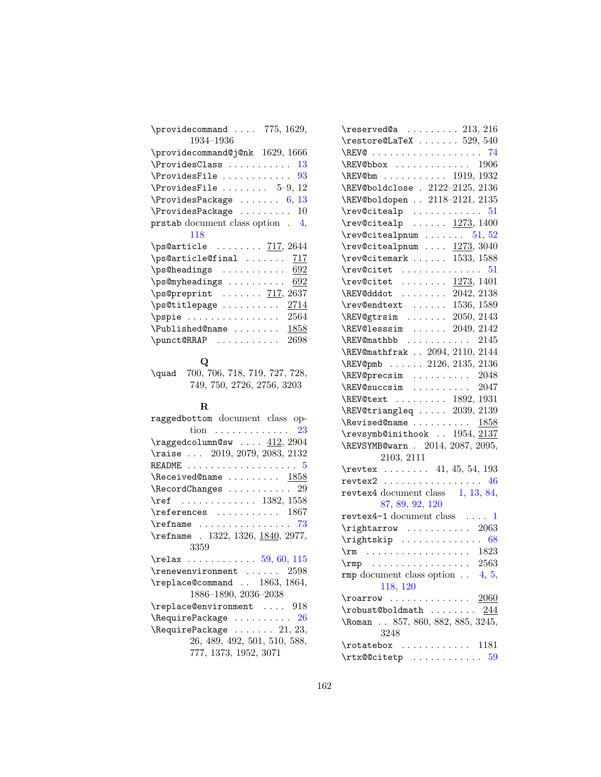| \providecommand $775, 1629,$             |
|------------------------------------------|
| 1934-1936                                |
| \providecommand@j@nk 1629, 1666          |
| \ProvidesClass<br>13                     |
| \ProvidesFile<br>93                      |
| $\ProvidesFile \ldots \ldots 5-9,$<br>12 |
| \ProvidesPackage<br>6, 13                |
| \ProvidesPackage<br>10                   |
| prstab document class option.<br>4.      |
| 118                                      |
|                                          |
| $\ps@article$ $717, 2644$                |
| \ps@article@final<br>-717                |
| \ps@headings<br>692                      |
| \ps@myheadings<br>692                    |
| $\ps@preprint$ $717, 2637$               |
| \ps@titlepage<br>2714                    |
| 2564<br>\pspie                           |
| 1858<br>$\Delta$ ublished@name           |
| \punct@RRAP<br>2698                      |

#### $\bf Q$

\quad 700, 706, 718, 719, 727, 728, 749, 750, 2726, 2756, 3203

#### R

| $\mathbf{R}$                                                |
|-------------------------------------------------------------|
| raggedbottom document class op-                             |
| tion 23                                                     |
| $\text{Kraggedcolumn@sw  } 412, 2904$                       |
| \raise  2019, 2079, 2083, 2132                              |
| README $\ldots \ldots \ldots \ldots \ldots \ldots 5$        |
| $\lambda$ Received@name  1858                               |
| $\lambda$ RecordChanges  29                                 |
| $\ref$ 1382, 1558                                           |
| $\ref{erences}$ 1867                                        |
| $\refname \ldots \ldots \ldots \ldots \qquad \qquad \ldots$ |
| \refname . 1322, 1326, 1840, 2977,                          |
| 3359                                                        |
| $\text{relax}$ 59, 60, 115                                  |
| $\text{Prenewenvironment} \dots 2598$                       |
| \replace@command  1863, 1864,                               |
| 1886-1890, 2036-2038                                        |
| $\verb \replace@environment  918 $                          |
| $\lambda$ Require Package  26                               |
| $\lambda$ 21, 23,                                           |
| 26, 489, 492, 501, 510, 588,                                |
| 777, 1373, 1952, 3071                                       |

| $\texttt{\text{\texttt{V}}\texttt{reserved@a} \dots \dots \ 213, 216}$ |
|------------------------------------------------------------------------|
| $\text{Testore@LaTeX} \dots \dots 529, 540$                            |
|                                                                        |
|                                                                        |
| $\kappa$ 1919, 1932                                                    |
| \REV@boldclose . 2122-2125, 2136                                       |
| \REV@boldopen  2118-2121, 2135                                         |
| $\text{rev@citealp}$ 51                                                |
| $\text{rev@citealp}$ 1273, 1400                                        |
| $\text{rev@citealpnum} \dots \dots \quad 51, 52$                       |
| $\text{rev@citealpnum} \dots \underline{1273}, 3040$                   |
| $\text{rev@citemark} \dots \dots \quad 1533, 1588$                     |
| $\text{Cov@citet}$ 51                                                  |
| $\text{rev@citet } \ldots \ldots \frac{1273}{1401}$                    |
| \REV@dddot  2042, 2138                                                 |
| $\text{rev@endtext}$ 1536, 1589                                        |
| $\kappa$ EV@gtrsim  2050, 2143                                         |
| $\kappa$ 2049, 2142                                                    |
| $\kappa$ 2145                                                          |
| \REV@mathfrak  2094, 2110, 2144                                        |
| \REV@pmb  2126, 2135, 2136                                             |
| \REV@precsim  2048                                                     |
| \REV@succsim  2047                                                     |
| \REV@text  1892, 1931                                                  |
| \REV@triangleq  2039, 2139                                             |
| \Revised@name $1858$                                                   |
| \revsymb@inithook  1954, 2137                                          |
| \REVSYMB@warn . 2014, 2087, 2095,                                      |
| 2103, 2111                                                             |
| \revtex  41, 45, 54, 193                                               |
| $revtex2$ 46                                                           |
| revtex4 document class 1, 13, 84,                                      |
| 87, 89, 92, 120                                                        |
| revtex4-1 document class $\dots$ 1                                     |
| $\rightarrow \cdots$ 2063                                              |
| $\rightarrow$ 68                                                       |
| $\rm \sim \ldots \ldots \ldots \ldots \quad 1823$                      |
| $\text{rmp}$ 2563                                                      |
| <b>rmp</b> document class option $\ldots$ 4, 5,                        |
| 118, 120                                                               |
|                                                                        |
| \robust@boldmath $244$                                                 |
| \Roman . 857, 860, 882, 885, 3245,                                     |
| 3248                                                                   |
| $\ldots$ 1181<br>\rotatebox                                            |
|                                                                        |
|                                                                        |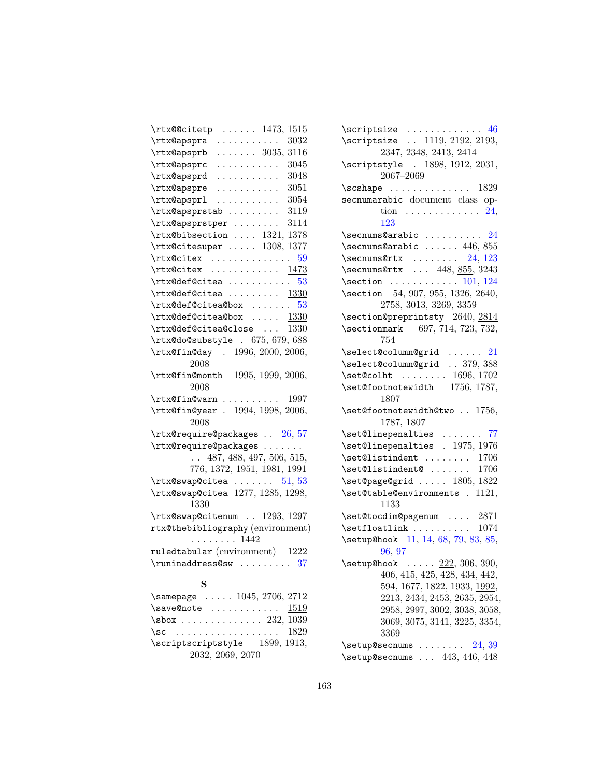| \rtx@@citetp<br>$\cdots \cdots \frac{1473}{1515}$        |
|----------------------------------------------------------|
| \rtx@apspra<br>3032<br>.                                 |
| \rtx@apsprb<br>3116<br>$\ldots \ldots 3035,$             |
| 3045<br>\rtx@apsprc<br>.                                 |
| \rtx@apsprd<br>3048<br>.                                 |
| \rtx@apspre<br>3051<br>.                                 |
| \rtx@apsprl<br>3054<br>.                                 |
| \rtx@apsprstab<br>3119                                   |
| 3114<br>\rtx@apsprstper                                  |
| $\texttt{tr}$ Chibsection $1321, 1378$                   |
| $\texttt{rtx@citesuper} \dots \dots \_1308, 1377$        |
| \rtx@citex<br>. 59                                       |
| \rtx@citex<br>1473                                       |
| $\texttt{rtx@def@citea} \dots \dots \dots \ 53$          |
| $\texttt{rtx@def@citea} \dots \dots \dots \frac{1330}{}$ |
| $\text{\textsf{Octra@def}}$ 53                           |
| $\texttt{rtx@def}$ Citea@box $1330$                      |
| \rtx@def@citea@close<br>1330                             |
| $\texttt{trx@do@substyle}$ . 675, 679, 688               |
| \rtx@fin@day . 1996, 2000, 2006,                         |
| 2008                                                     |
| \rtx@fin@month 1995, 1999, 2006,                         |
| 2008                                                     |
| $\texttt{trx0fin@warn} \dots \dots \dots \ 1997$         |
| \rtx@fin@year . 1994, 1998, 2006,                        |
| 2008                                                     |
| $\texttt{trx@require@package}$ . 26, 57                  |
| \rtx@require@packages                                    |
| $\ldots$ 487, 488, 497, 506, 515,                        |
| 776, 1372, 1951, 1981, 1991                              |
| $\texttt{rtx}$ Cswap Ccitea  51, 53                      |
| \rtx@swap@citea 1277, 1285, 1298,                        |
| 1330                                                     |
| \rtx@swap@citenum  1293, 1297                            |
| rtx@thebibliography (environment)                        |
| . <u>1442</u><br>ruledtabular (environment) 1222         |
| $\lvert$ \runinaddress@sw  37                            |
|                                                          |
| s                                                        |
| \samepage  1045, 2706, 2712                              |
| \save@note  1519<br>\sbox  232, 1039                     |
|                                                          |

\sc . . . . . . . . . . . . . . . . . . 1829 \scriptscriptstyle 1899, 1913, 2032, 2069, 2070

| \scriptsize  1119, 2192, 2193,<br>2347, 2348, 2413, 2414                                      |
|-----------------------------------------------------------------------------------------------|
|                                                                                               |
| \scriptstyle . 1898, 1912, 2031,<br>2067–2069                                                 |
| $\verb \sschape  \ldots \ldots \ldots \ldots 1829$                                            |
| secnumarabic document class op-                                                               |
| tion $\ldots \ldots \ldots \ldots 24$ ,                                                       |
| 123                                                                                           |
| $\setminus$ secnums@arabic  24                                                                |
| $\setminus$ secnums@arabic  446, 855                                                          |
| $\setminus$ secnums@rtx  24, 123                                                              |
| $\setminus$ secnums@rtx  448, 855, 3243                                                       |
| $\setminus$ section  101, 124                                                                 |
| \section 54, 907, 955, 1326, 2640,                                                            |
| 2758, 3013, 3269, 3359                                                                        |
| \section@preprintsty 2640, 2814                                                               |
| \sectionmark 697, 714, 723, 732,                                                              |
| 754                                                                                           |
| \select@column@grid  21                                                                       |
| \select@column@grid  379, 388                                                                 |
| $\setminus \setminus \setminus \setminus \ldots$ 1696, 1702<br>\set@footnotewidth 1756, 1787, |
|                                                                                               |
| 1807                                                                                          |
| \set@footnotewidth@two  1756,                                                                 |
|                                                                                               |
| 1787, 1807                                                                                    |
|                                                                                               |
| $\setminus$ set@linepenalties  77<br>\set@linepenalties . 1975, 1976                          |
| \set@listindent<br>1706                                                                       |
| 1706<br>\set@listindent@                                                                      |
| \set@page@grid  1805, 1822                                                                    |
| \set@table@environments . 1121,                                                               |
| 1133                                                                                          |
| \set@tocdim@pagenum  2871                                                                     |
| $\setminus$ setfloatlink  1074                                                                |
| \setup@hook 11, 14, 68, 79, 83, 85,                                                           |
| 96, 97                                                                                        |
| $\setminus$ setup@hook $222, 306, 390,$                                                       |
| 406, 415, 425, 428, 434, 442,                                                                 |
| 594, 1677, 1822, 1933, 1992,                                                                  |
| 2213, 2434, 2453, 2635, 2954,                                                                 |
| 2958, 2997, 3002, 3038, 3058,                                                                 |
| 3069, 3075, 3141, 3225, 3354,                                                                 |
| 3369                                                                                          |
| 24, 39<br>\setup@secnums<br>$\verb+\setup@secnums + \ldots 443, 446, 448$                     |

 $\verb|\scriptsize{scriptsize:} \verb| \verb|+| \verb|\scriptsize{46}$  $\verb|\scriptsize{scriptsize:} \verb| \verb|+| \verb|\scriptsize{46}$  $\verb|\scriptsize{scriptsize:} \verb| \verb|+| \verb|\scriptsize{46}$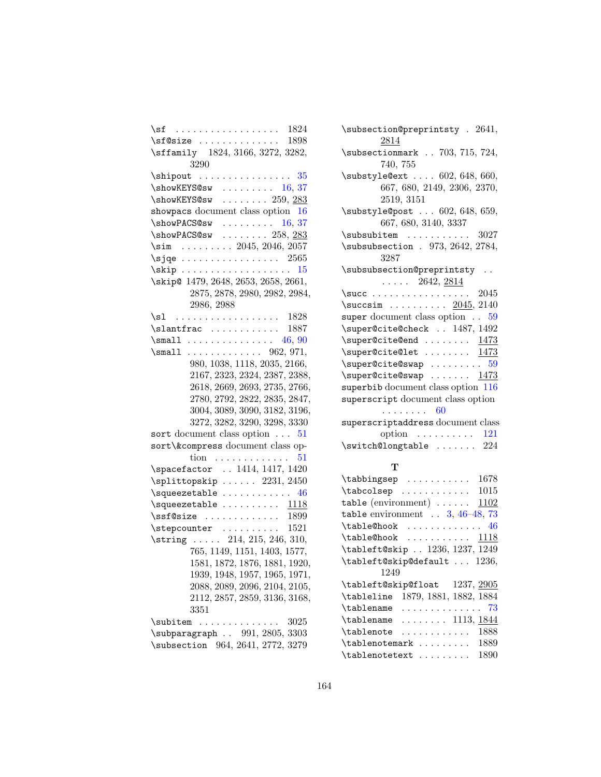| 1824                                                                | \:           |
|---------------------------------------------------------------------|--------------|
| $\sqrt{s}$ f@size  1898                                             |              |
| \sffamily 1824, 3166, 3272, 3282,<br>3290                           | \:           |
|                                                                     | \:           |
| $\bmod$ KEYS@sw  16, 37                                             |              |
| $\simeq$ X show KEYS@sw  259, 283                                   |              |
| showpacs document class option 16                                   | \:           |
|                                                                     |              |
| $\label{thm:submax} $$\showPACS@sw   16, 37\showPACS@sw   258, 283$ | \:           |
| $\sim$ 2045, 2046, 2057                                             | \:           |
| $\sqrt{2565}$                                                       |              |
|                                                                     | \:           |
| \skip@ 1479, 2648, 2653, 2658, 2661,                                |              |
| 2875, 2878, 2980, 2982, 2984,                                       | \:           |
|                                                                     | \:           |
| 2986, 2988                                                          |              |
|                                                                     | S1           |
| $\lambda$ \slantfrac  1887                                          | Λ.           |
| $\mathrm{Imall}$ 46, 90                                             | Λ.           |
|                                                                     | Λ.           |
| 980, 1038, 1118, 2035, 2166,                                        | Λ.           |
| 2167, 2323, 2324, 2387, 2388,                                       | Λ,           |
| 2618, 2669, 2693, 2735, 2766,                                       | S1           |
| 2780, 2792, 2822, 2835, 2847,                                       | S1           |
| 3004, 3089, 3090, 3182, 3196,                                       |              |
| 3272, 3282, 3290, 3298, 3330                                        | S1           |
| sort document class option $\ldots$ 51                              |              |
| sort\&compress document class op-                                   | \:           |
| $\text{tion} \quad \ldots \ldots \ldots \ldots$<br>51               |              |
| \spacefactor  1414, 1417, 1420                                      |              |
| $\sph{split}$ opskip  2231, 2450                                    | Λ.           |
| $\verb \squeezetable     46 $                                       | Λ.           |
| $\square$ \squeezetable $1118$                                      | ti           |
| $\verb \ssf@size   \dots  \dots  \dots  \  \, 1899$                 | t            |
| $\setminus$ stepcounter<br>1521                                     | /.           |
| \string  214, 215, 246, 310,                                        | Λ.           |
| 765, 1149, 1151, 1403, 1577,                                        | $\backslash$ |
| 1581, 1872, 1876, 1881, 1920,                                       | \.           |
| 1939, 1948, 1957, 1965, 1971,                                       |              |
| 2088, 2089, 2096, 2104, 2105,                                       | Λ.           |
| 2112, 2857, 2859, 3136, 3168,                                       | \٠           |
| 3351                                                                | \٠           |
| \subitem<br>3025                                                    | \٠           |
| \subparagraph . 991, 2805, 3303                                     | \٠           |
| \subsection 964, 2641, 2772, 3279                                   |              |
|                                                                     |              |

| \subsection@preprintsty . 2641,<br>2814                                    |
|----------------------------------------------------------------------------|
| \subsectionmark . 703, 715, 724,<br>740, 755                               |
| \substyle@ext  602, 648, 660,<br>667, 680, 2149, 2306, 2370,<br>2519, 3151 |
| \substyle@post  602, 648, 659,<br>667, 680, 3140, 3337                     |
| 3027<br>$\subsubitem$                                                      |
| \subsubsection . 973, 2642, 2784,<br>3287                                  |
| \subsubsection@preprintsty<br>$\ldots$ 2642, 2814                          |
|                                                                            |
| $\succsin$ 2045, 2140                                                      |
| super document class option . 59                                           |
| \super@cite@check  1487, 1492                                              |
| $\simeq$ $1473$                                                            |
| $\simeq$ $1473$                                                            |
| $\text{Supercicite}$ Cswap  59                                             |
| \super@cite@swap  1473                                                     |
| superbib document class option 116                                         |
| superscript document class option<br>. 60                                  |
| superscriptaddress document class                                          |
| option $\ldots \ldots \ldots 121$                                          |
| $\sqrt{24}$                                                                |
| т                                                                          |
| 1678<br>$\{\{\text{tabbingsep}\}$                                          |
| $\{\text{tabcolsep}$ 1015                                                  |
| 1102                                                                       |

| $\verb \tabcolsep  1015 $                         |
|---------------------------------------------------|
| table (environment) $\ldots \ldots$ 1102          |
| table environment $\ldots$ 3, 46-48, 73           |
| $\{table@hook$ 46                                 |
| $\texttt{table@hook}$ 1118                        |
| \tableft@skip  1236, 1237, 1249                   |
| \tableft@skip@default  1236,                      |
| 1249                                              |
| \tableft@skip@float 1237, 2905                    |
| \tableline 1879, 1881, 1882, 1884                 |
| $\verb \tablename     73 $                        |
| $\{\texttt{tablename} \dots \dots \ 1113, 1844\}$ |
| 1888<br>$\label{t}$ \tablenote                    |
| $\{\texttt{tablenotemark} \dots \dots \ 1889$     |
| 1890<br>\tablenotetext                            |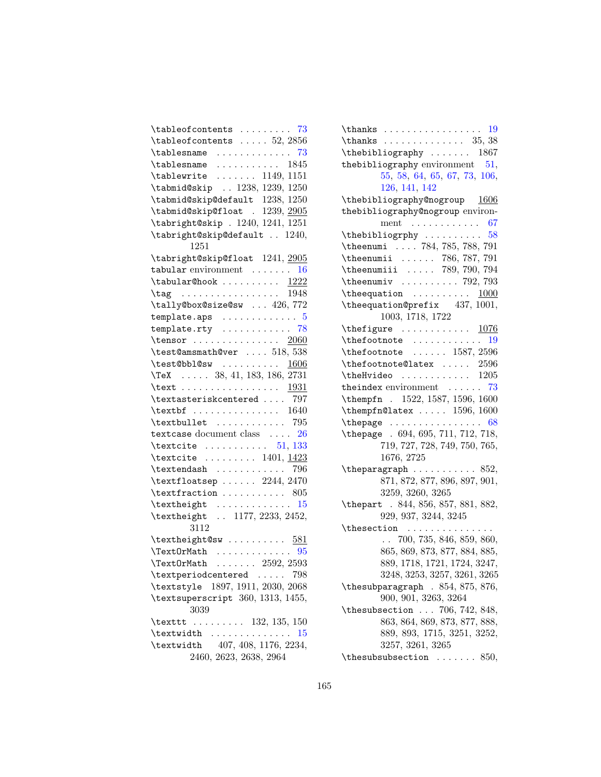| $\{\text{tableofcontents} \dots \dots \quad 73$     |
|-----------------------------------------------------|
| $\{\text{tableofcontents} \dots \ 52, 2856\}$       |
| $\{\{\text{tablesname}\dots \dots \dots \quad 73\}$ |
| $\{\{\texttt{tablesname}\}$ $1845$                  |
| $\{\text{tablewrite} \dots \dots \ 1149, 1151$      |
| \tabmid@skip  1238, 1239, 1250                      |
| \tabmid@skip@default 1238, 1250                     |
| \tabmid@skip@float . 1239, 2905                     |
| \tabright@skip . 1240, 1241, 1251                   |
| \tabright@skip@default  1240,                       |
| 1251                                                |
| \tabright@skip@float 1241, 2905                     |
| tabular environment $\ldots \ldots 16$              |
| $\{\texttt{tabular@hook}$ 1222                      |
| $\tag{1948}$                                        |
| \tally@box@size@sw  426,772                         |
| $template.aps \dots \dots \dots \dots$<br>5         |
| template.rty $\ldots \ldots \ldots \ldots$ 78       |
| \tensor $2060$                                      |
| $\texttt{\textbackslash} 538$                       |
| \test@bbl@sw $1606$                                 |
| $\text{TeV}$ 38, 41, 183, 186, 2731                 |
| \text <u>1931</u>                                   |
| \textasteriskcentered  797                          |
| $\text{textbf}$ 1640                                |
| $\text{textbullet}$ 795                             |
| textcase document class  26                         |
| \textcite $\dots \dots \dots 51, 133$               |
| \textcite $\ldots \ldots \ldots$ 1401, 1423         |
| $\texttt{\texttt{textendash}}$ 796                  |
| $\texttt{lastsep} \dots 2244, 2470$                 |
| $\text{textfraction} \dots \dots \dots \ 805$       |
| $\text{textheight}$ 15                              |
| \textheight  1177, 2233, 2452,<br>3112              |
| \textheight@sw $581$                                |
| $\text{TextOrMath}$ 95                              |
| $\texttt{\texttt{TextOrMath}}~~\dots~~2592,~2593$   |
| \textperiodcentered<br>798                          |
| \textstyle 1897, 1911, 2030, 2068                   |
| \textsuperscript 360, 1313, 1455,<br>3039           |
| \texttt  132, 135, 150                              |
| \textwidth<br>15                                    |
| \textwidth 407, 408, 1176, 2234,                    |
| 2460, 2623, 2638, 2964                              |
|                                                     |

| $\{\{\{\text{thanks}\}, \ldots, \ldots, \ldots, \ldots, \ldots, \ldots\} \}$ |
|------------------------------------------------------------------------------|
| $\{\{\text{thanks}\}, \ldots, \ldots, \ldots, 35, 38\}\$                     |
| $\theta$ \thebibliography  1867                                              |
| the bibliography environment $51$ ,                                          |
| 55, 58, 64, 65, 67, 73, 106,                                                 |
| 126, 141, 142                                                                |
| $\theta$ \thebibliography@nogroup $1606$                                     |
| thebibliography@nogroup environ-                                             |
| ment $\ldots \ldots \ldots \ldots 67$                                        |
|                                                                              |
| $\theta$ 784, 785, 788, 791                                                  |
|                                                                              |
|                                                                              |
|                                                                              |
| $\theta$ \the equation $\ldots \ldots \ldots \frac{1000}{\theta}$            |
| \the equation Oprefix $437, 1001,$                                           |
| 1003, 1718, 1722                                                             |
| \thefigure $1076$                                                            |
|                                                                              |
| $\theta$ 1587, 2596                                                          |
| $\theta$ . The footnote @latex  2596                                         |
|                                                                              |
| $\therefore 73$<br>theindex environment $\ldots$                             |
| \thempfn . 1522, 1587, 1596, 1600                                            |
| \thempfn@latex $1596, 1600$                                                  |
|                                                                              |
| \thepage . 694, 695, 711, 712, 718,                                          |
| 719, 727, 728, 749, 750, 765,                                                |
| 1676, 2725                                                                   |
|                                                                              |
| 871, 872, 877, 896, 897, 901,                                                |
| 3259, 3260, 3265                                                             |
| \thepart . 844, 856, 857, 881, 882,                                          |
| 929, 937, 3244, 3245                                                         |
|                                                                              |
| $\ldots$ 700, 735, 846, 859, 860,                                            |
| 865, 869, 873, 877, 884, 885,                                                |
| 889, 1718, 1721, 1724, 3247,                                                 |
| 3248, 3253, 3257, 3261, 3265                                                 |
| \thesubparagraph . 854, 875, 876,                                            |
| 900, 901, 3263, 3264                                                         |
| \thesubsection  706, 742, 848,                                               |
| 863, 864, 869, 873, 877, 888,                                                |
| 889, 893, 1715, 3251, 3252,                                                  |
| 3257, 3261, 3265                                                             |
| \thesubsubsection $\dots 850$ ,                                              |
|                                                                              |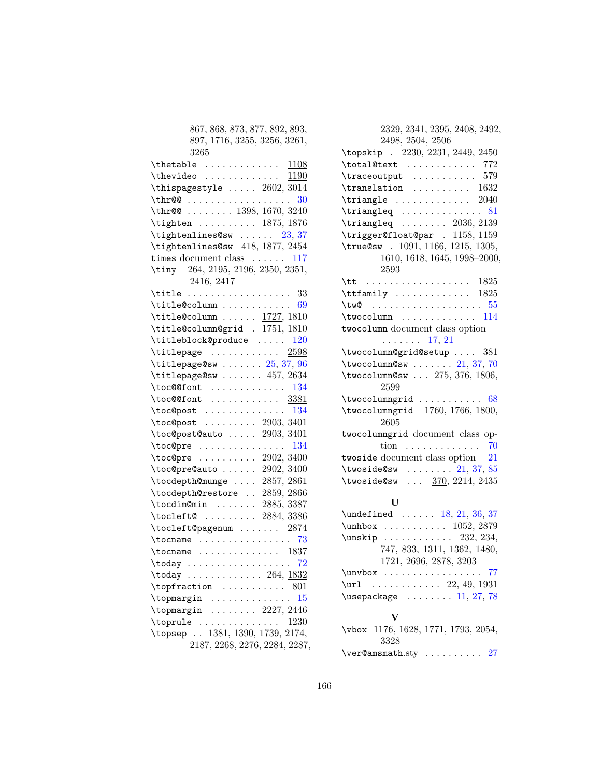| 867, 868, 873, 877, 892, 893,                                                     |
|-----------------------------------------------------------------------------------|
| 897, 1716, 3255, 3256, 3261,                                                      |
| 3265                                                                              |
|                                                                                   |
|                                                                                   |
| \thispagestyle $\ldots$ 2602, 3014                                                |
| $\thr@@ \ldots \ldots \ldots$<br>30                                               |
| \thr@  1398, 1670, 3240                                                           |
| \tighten  1875, 1876                                                              |
| \tightenlines@sw $23, 37$                                                         |
| \tightenlines@sw $418, 1877, 2454$                                                |
| times document class $\dots \dots 117$                                            |
| \tiny 264, 2195, 2196, 2350, 2351,                                                |
| 2416, 2417                                                                        |
| $\tilde{33}$                                                                      |
| $\tilde{\theta}$                                                                  |
| $\tilde{\text{title}Column} \ldots \ldots \frac{1727}{1810}$                      |
| \title@column@grid . 1751, 1810                                                   |
| \titleblock@produce<br>120                                                        |
| $\texttt{titlepage} \dots \dots \dots \ 2598$                                     |
| $\tilde{\text{titlepage@sw }} \ldots \ldots 25, 37, 96$                           |
| \titlepage@sw $457, 2634$                                                         |
| $\texttt{loc@ofont}$ 134                                                          |
| $\text{loc@font } \ldots \ldots \ldots \frac{3381}{1}$                            |
| $\texttt{loc@post}$ 134                                                           |
| $\text{loc@post}$ 2903, 3401                                                      |
| \toc@post@auto  2903, 3401                                                        |
| $\text{loc@pre} \ldots \ldots \ldots \ldots 134$                                  |
| $\text{loc@pre } \ldots \ldots \ldots 2902, 3400$                                 |
| $\text{loc@pre@auto} \dots \dots \ 2902, 3400$                                    |
| \tocdepth@munge  2857, 2861                                                       |
| \tocdepth@restore  2859, 2866                                                     |
| \tocdim@min  2885, 3387                                                           |
| \tocleft@  2884, 3386                                                             |
| \tocleft@pagenum  2874                                                            |
| $\to \dots \dots \dots \dots \dots \ 73$                                          |
| $\to$ $1837$                                                                      |
| $\texttt{today} \dots \dots \dots \dots \dots \ 72$                               |
| $\texttt{today} \dots \dots \dots \dots \ 264, \frac{1832}{ }$                    |
| 801                                                                               |
| $\rightarrow$ 15                                                                  |
| $\begin{array}{ccc}\n\text{topmargin} & \ldots & \ldots & 2227,2446\n\end{array}$ |
| \toprule<br>1230                                                                  |
| \topsep  1381, 1390, 1739, 2174,                                                  |
| 2187, 2268, 2276, 2284, 2287,                                                     |

| 2329, 2341, 2395, 2408, 2492,                          |
|--------------------------------------------------------|
| 2498, 2504, 2506                                       |
| \topskip . 2230, 2231, 2449, 2450                      |
| $\texttt{total@text} \dots \dots \dots \quad 772$      |
| $\tau$ $\frac{1}{2}$ $\ldots$ $\ldots$ $\frac{579}{2}$ |
| $\tfrac{1632}$                                         |
| $\triangle$ $\ldots$ $\ldots$ $2040$                   |
|                                                        |
| \triangleq $\ldots \ldots$ 2036, 2139                  |
| \trigger@float@par . 1158, 1159                        |
| \true@sw . 1091, 1166, 1215, 1305,                     |
| 1610, 1618, 1645, 1998-2000,                           |
| 2593                                                   |
| $\text{ht}$ 1825                                       |
| $\text{trfamily } \ldots \ldots \ldots \quad 1825$     |
|                                                        |
| $\text{twocolumn} \dots \dots \dots \dots \quad 114$   |
| twocolumn document class option                        |
| $\ldots \ldots 17, 21$                                 |
| \twocolumn@grid@setup  381                             |
| \twocolumn@sw $21, 37, 70$                             |
| \twocolumn@sw $275, \frac{376}{1806}$<br>2599          |
| \twocolumngrid<br>.68                                  |
| \twocolumngrid 1760, 1766, 1800,<br>2605               |
| twocolumngrid document class op-                       |
| tion 70                                                |
| twoside document class option $21$                     |
| \twoside@sw $21, 37, 85$                               |
| \twoside@sw $\frac{370}{2214}$ , 2435                  |
|                                                        |

#### U

\ver@amsmath.sty .......... [27](#page-26-0)